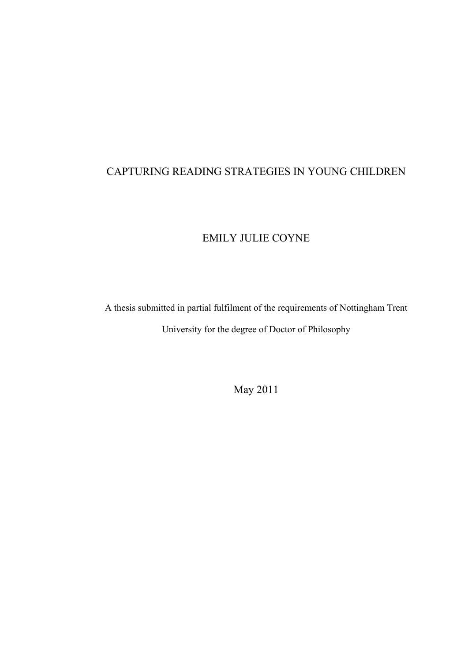## CAPTURING READING STRATEGIES IN YOUNG CHILDREN

# EMILY JULIE COYNE

A thesis submitted in partial fulfilment of the requirements of Nottingham Trent University for the degree of Doctor of Philosophy

May 2011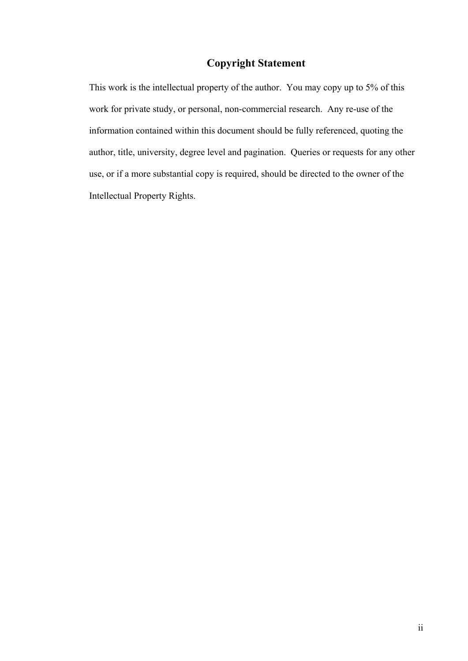## **Copyright Statement**

This work is the intellectual property of the author. You may copy up to 5% of this work for private study, or personal, non-commercial research. Any re-use of the information contained within this document should be fully referenced, quoting the author, title, university, degree level and pagination. Queries or requests for any other use, or if a more substantial copy is required, should be directed to the owner of the Intellectual Property Rights.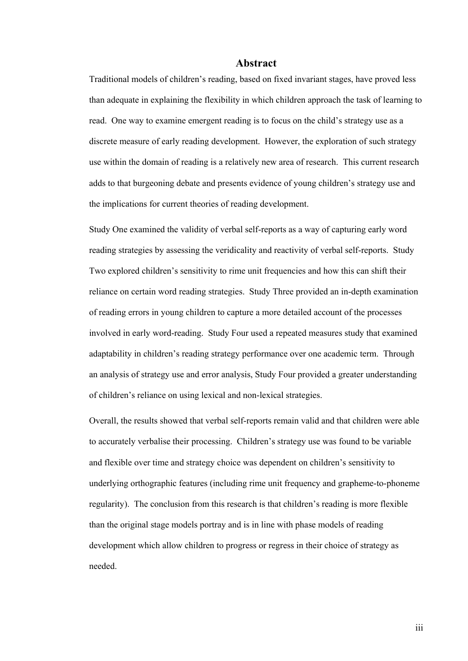#### **Abstract**

Traditional models of children's reading, based on fixed invariant stages, have proved less than adequate in explaining the flexibility in which children approach the task of learning to read. One way to examine emergent reading is to focus on the child's strategy use as a discrete measure of early reading development. However, the exploration of such strategy use within the domain of reading is a relatively new area of research. This current research adds to that burgeoning debate and presents evidence of young children's strategy use and the implications for current theories of reading development.

Study One examined the validity of verbal self-reports as a way of capturing early word reading strategies by assessing the veridicality and reactivity of verbal self-reports. Study Two explored children's sensitivity to rime unit frequencies and how this can shift their reliance on certain word reading strategies. Study Three provided an in-depth examination of reading errors in young children to capture a more detailed account of the processes involved in early word-reading. Study Four used a repeated measures study that examined adaptability in children's reading strategy performance over one academic term. Through an analysis of strategy use and error analysis, Study Four provided a greater understanding of children's reliance on using lexical and non-lexical strategies.

Overall, the results showed that verbal self-reports remain valid and that children were able to accurately verbalise their processing. Children's strategy use was found to be variable and flexible over time and strategy choice was dependent on children's sensitivity to underlying orthographic features (including rime unit frequency and grapheme-to-phoneme regularity). The conclusion from this research is that children's reading is more flexible than the original stage models portray and is in line with phase models of reading development which allow children to progress or regress in their choice of strategy as needed.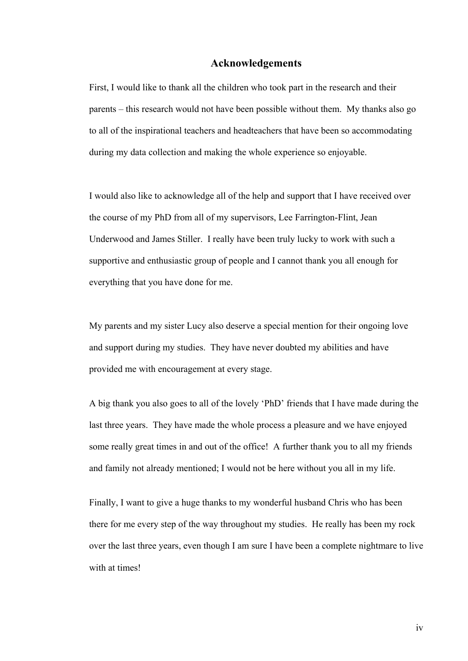### **Acknowledgements**

First, I would like to thank all the children who took part in the research and their parents – this research would not have been possible without them. My thanks also go to all of the inspirational teachers and headteachers that have been so accommodating during my data collection and making the whole experience so enjoyable.

I would also like to acknowledge all of the help and support that I have received over the course of my PhD from all of my supervisors, Lee Farrington-Flint, Jean Underwood and James Stiller. I really have been truly lucky to work with such a supportive and enthusiastic group of people and I cannot thank you all enough for everything that you have done for me.

My parents and my sister Lucy also deserve a special mention for their ongoing love and support during my studies. They have never doubted my abilities and have provided me with encouragement at every stage.

A big thank you also goes to all of the lovely 'PhD' friends that I have made during the last three years. They have made the whole process a pleasure and we have enjoyed some really great times in and out of the office! A further thank you to all my friends and family not already mentioned; I would not be here without you all in my life.

Finally, I want to give a huge thanks to my wonderful husband Chris who has been there for me every step of the way throughout my studies. He really has been my rock over the last three years, even though I am sure I have been a complete nightmare to live with at times!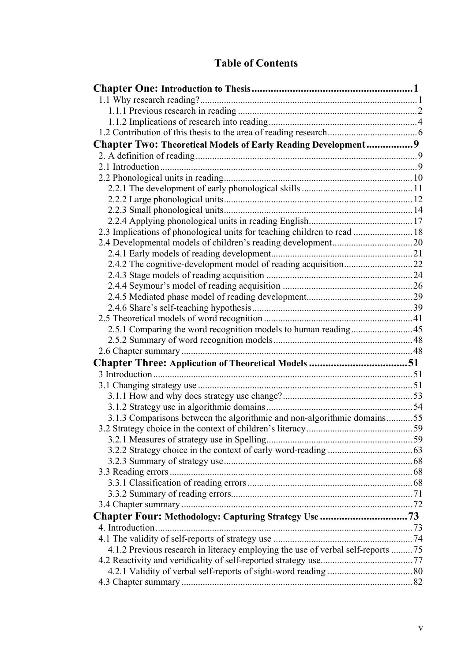# **Table of Contents**

| Chapter Two: Theoretical Models of Early Reading Development9                   |  |
|---------------------------------------------------------------------------------|--|
|                                                                                 |  |
|                                                                                 |  |
|                                                                                 |  |
|                                                                                 |  |
|                                                                                 |  |
|                                                                                 |  |
|                                                                                 |  |
| 2.3 Implications of phonological units for teaching children to read  18        |  |
|                                                                                 |  |
|                                                                                 |  |
|                                                                                 |  |
|                                                                                 |  |
|                                                                                 |  |
|                                                                                 |  |
|                                                                                 |  |
| 2.5.1 Comparing the word recognition models to human reading 45                 |  |
|                                                                                 |  |
|                                                                                 |  |
|                                                                                 |  |
|                                                                                 |  |
|                                                                                 |  |
|                                                                                 |  |
|                                                                                 |  |
| 3.1.3 Comparisons between the algorithmic and non-algorithmic domains55         |  |
|                                                                                 |  |
|                                                                                 |  |
|                                                                                 |  |
|                                                                                 |  |
|                                                                                 |  |
|                                                                                 |  |
|                                                                                 |  |
|                                                                                 |  |
|                                                                                 |  |
|                                                                                 |  |
|                                                                                 |  |
| 4.1.2 Previous research in literacy employing the use of verbal self-reports 75 |  |
|                                                                                 |  |
|                                                                                 |  |
|                                                                                 |  |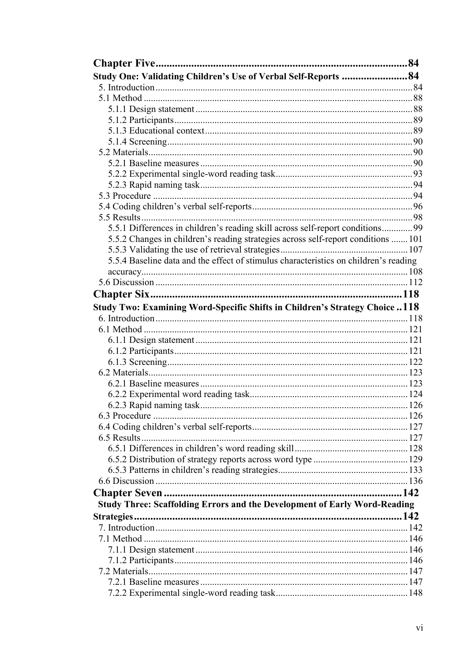| Study One: Validating Children's Use of Verbal Self-Reports 84                       |  |
|--------------------------------------------------------------------------------------|--|
|                                                                                      |  |
|                                                                                      |  |
|                                                                                      |  |
|                                                                                      |  |
|                                                                                      |  |
|                                                                                      |  |
|                                                                                      |  |
|                                                                                      |  |
|                                                                                      |  |
|                                                                                      |  |
|                                                                                      |  |
|                                                                                      |  |
|                                                                                      |  |
| 5.5.1 Differences in children's reading skill across self-report conditions99        |  |
| 5.5.2 Changes in children's reading strategies across self-report conditions  101    |  |
|                                                                                      |  |
| 5.5.4 Baseline data and the effect of stimulus characteristics on children's reading |  |
|                                                                                      |  |
|                                                                                      |  |
|                                                                                      |  |
|                                                                                      |  |
| <b>Study Two: Examining Word-Specific Shifts in Children's Strategy Choice118</b>    |  |
|                                                                                      |  |
|                                                                                      |  |
|                                                                                      |  |
|                                                                                      |  |
|                                                                                      |  |
|                                                                                      |  |
|                                                                                      |  |
|                                                                                      |  |
|                                                                                      |  |
|                                                                                      |  |
|                                                                                      |  |
|                                                                                      |  |
|                                                                                      |  |
|                                                                                      |  |
|                                                                                      |  |
|                                                                                      |  |
|                                                                                      |  |
| <b>Study Three: Scaffolding Errors and the Development of Early Word-Reading</b>     |  |
|                                                                                      |  |
|                                                                                      |  |
|                                                                                      |  |
|                                                                                      |  |
|                                                                                      |  |
|                                                                                      |  |
|                                                                                      |  |
|                                                                                      |  |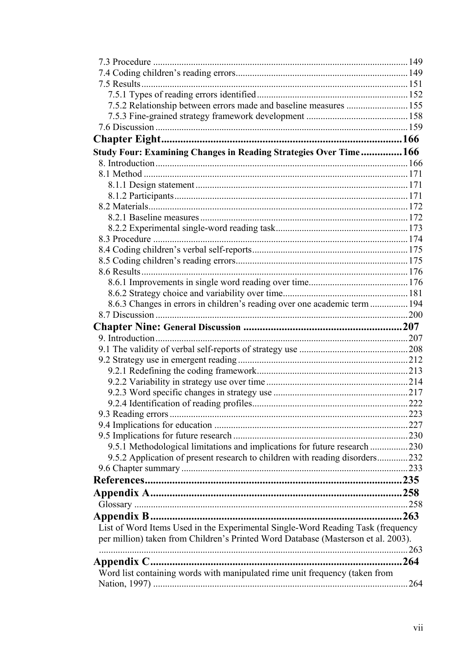| 7.5.2 Relationship between errors made and baseline measures  155                 |      |
|-----------------------------------------------------------------------------------|------|
|                                                                                   |      |
|                                                                                   |      |
|                                                                                   |      |
| Study Four: Examining Changes in Reading Strategies Over Time166                  |      |
|                                                                                   |      |
|                                                                                   |      |
|                                                                                   |      |
|                                                                                   |      |
|                                                                                   |      |
|                                                                                   |      |
|                                                                                   |      |
|                                                                                   |      |
|                                                                                   |      |
|                                                                                   |      |
|                                                                                   |      |
|                                                                                   |      |
|                                                                                   |      |
| 8.6.3 Changes in errors in children's reading over one academic term  194         |      |
|                                                                                   |      |
|                                                                                   |      |
|                                                                                   |      |
|                                                                                   |      |
|                                                                                   |      |
|                                                                                   |      |
|                                                                                   |      |
|                                                                                   |      |
|                                                                                   | 222  |
|                                                                                   |      |
|                                                                                   |      |
|                                                                                   |      |
| 9.5.1 Methodological limitations and implications for future research 230         |      |
| 9.5.2 Application of present research to children with reading disorders232       |      |
|                                                                                   |      |
|                                                                                   |      |
|                                                                                   |      |
|                                                                                   |      |
|                                                                                   | .263 |
| List of Word Items Used in the Experimental Single-Word Reading Task (frequency   |      |
| per million) taken from Children's Printed Word Database (Masterson et al. 2003). |      |
|                                                                                   |      |
| Appendix C                                                                        |      |
| Word list containing words with manipulated rime unit frequency (taken from       |      |
|                                                                                   |      |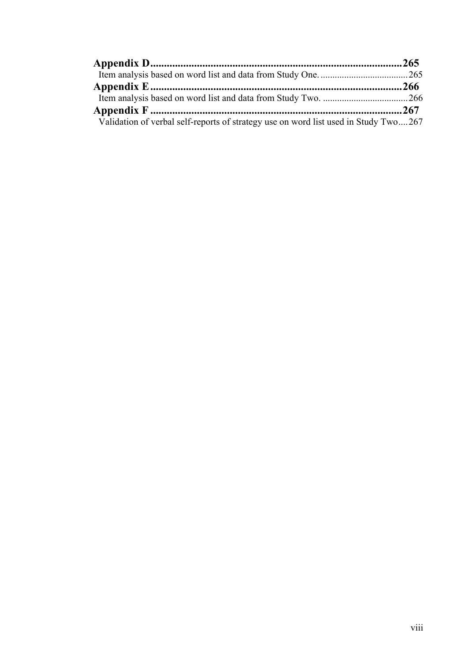| Validation of verbal self-reports of strategy use on word list used in Study Two267 |  |
|-------------------------------------------------------------------------------------|--|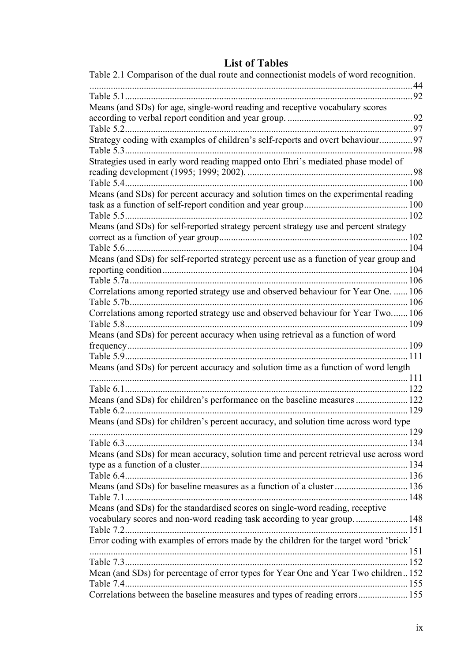# **List of Tables**

| . . 44<br>Means (and SDs) for age, single-word reading and receptive vocabulary scores<br>Table 5.2<br>Strategy coding with examples of children's self-reports and overt behaviour97<br>. 98<br>Strategies used in early word reading mapped onto Ehri's mediated phase model of<br>98<br>Table 5.4<br>.100<br>Means (and SDs) for percent accuracy and solution times on the experimental reading<br>Means (and SDs) for self-reported strategy percent strategy use and percent strategy<br>.104<br>Table 5.6.<br>Means (and SDs) for self-reported strategy percent use as a function of year group and<br>Correlations among reported strategy use and observed behaviour for Year One.  106<br>Correlations among reported strategy use and observed behaviour for Year Two 106<br>.109<br>Table 5.8<br>Means (and SDs) for percent accuracy when using retrieval as a function of word<br>.109<br>111<br>Means (and SDs) for percent accuracy and solution time as a function of word length<br>Table 6.1<br>Table 6.2<br>Means (and SDs) for children's percent accuracy, and solution time across word type<br>Means (and SDs) for mean accuracy, solution time and percent retrieval use across word<br>Means (and SDs) for baseline measures as a function of a cluster 136<br>Means (and SDs) for the standardised scores on single-word reading, receptive<br>vocabulary scores and non-word reading task according to year group 148<br>Error coding with examples of errors made by the children for the target word 'brick' | Table 2.1 Comparison of the dual route and connection ist models of word recognition. |  |
|---------------------------------------------------------------------------------------------------------------------------------------------------------------------------------------------------------------------------------------------------------------------------------------------------------------------------------------------------------------------------------------------------------------------------------------------------------------------------------------------------------------------------------------------------------------------------------------------------------------------------------------------------------------------------------------------------------------------------------------------------------------------------------------------------------------------------------------------------------------------------------------------------------------------------------------------------------------------------------------------------------------------------------------------------------------------------------------------------------------------------------------------------------------------------------------------------------------------------------------------------------------------------------------------------------------------------------------------------------------------------------------------------------------------------------------------------------------------------------------------------------------------------------------------|---------------------------------------------------------------------------------------|--|
|                                                                                                                                                                                                                                                                                                                                                                                                                                                                                                                                                                                                                                                                                                                                                                                                                                                                                                                                                                                                                                                                                                                                                                                                                                                                                                                                                                                                                                                                                                                                             |                                                                                       |  |
|                                                                                                                                                                                                                                                                                                                                                                                                                                                                                                                                                                                                                                                                                                                                                                                                                                                                                                                                                                                                                                                                                                                                                                                                                                                                                                                                                                                                                                                                                                                                             |                                                                                       |  |
|                                                                                                                                                                                                                                                                                                                                                                                                                                                                                                                                                                                                                                                                                                                                                                                                                                                                                                                                                                                                                                                                                                                                                                                                                                                                                                                                                                                                                                                                                                                                             |                                                                                       |  |
|                                                                                                                                                                                                                                                                                                                                                                                                                                                                                                                                                                                                                                                                                                                                                                                                                                                                                                                                                                                                                                                                                                                                                                                                                                                                                                                                                                                                                                                                                                                                             |                                                                                       |  |
|                                                                                                                                                                                                                                                                                                                                                                                                                                                                                                                                                                                                                                                                                                                                                                                                                                                                                                                                                                                                                                                                                                                                                                                                                                                                                                                                                                                                                                                                                                                                             |                                                                                       |  |
|                                                                                                                                                                                                                                                                                                                                                                                                                                                                                                                                                                                                                                                                                                                                                                                                                                                                                                                                                                                                                                                                                                                                                                                                                                                                                                                                                                                                                                                                                                                                             |                                                                                       |  |
|                                                                                                                                                                                                                                                                                                                                                                                                                                                                                                                                                                                                                                                                                                                                                                                                                                                                                                                                                                                                                                                                                                                                                                                                                                                                                                                                                                                                                                                                                                                                             |                                                                                       |  |
|                                                                                                                                                                                                                                                                                                                                                                                                                                                                                                                                                                                                                                                                                                                                                                                                                                                                                                                                                                                                                                                                                                                                                                                                                                                                                                                                                                                                                                                                                                                                             |                                                                                       |  |
|                                                                                                                                                                                                                                                                                                                                                                                                                                                                                                                                                                                                                                                                                                                                                                                                                                                                                                                                                                                                                                                                                                                                                                                                                                                                                                                                                                                                                                                                                                                                             |                                                                                       |  |
|                                                                                                                                                                                                                                                                                                                                                                                                                                                                                                                                                                                                                                                                                                                                                                                                                                                                                                                                                                                                                                                                                                                                                                                                                                                                                                                                                                                                                                                                                                                                             |                                                                                       |  |
|                                                                                                                                                                                                                                                                                                                                                                                                                                                                                                                                                                                                                                                                                                                                                                                                                                                                                                                                                                                                                                                                                                                                                                                                                                                                                                                                                                                                                                                                                                                                             |                                                                                       |  |
|                                                                                                                                                                                                                                                                                                                                                                                                                                                                                                                                                                                                                                                                                                                                                                                                                                                                                                                                                                                                                                                                                                                                                                                                                                                                                                                                                                                                                                                                                                                                             |                                                                                       |  |
|                                                                                                                                                                                                                                                                                                                                                                                                                                                                                                                                                                                                                                                                                                                                                                                                                                                                                                                                                                                                                                                                                                                                                                                                                                                                                                                                                                                                                                                                                                                                             |                                                                                       |  |
|                                                                                                                                                                                                                                                                                                                                                                                                                                                                                                                                                                                                                                                                                                                                                                                                                                                                                                                                                                                                                                                                                                                                                                                                                                                                                                                                                                                                                                                                                                                                             |                                                                                       |  |
|                                                                                                                                                                                                                                                                                                                                                                                                                                                                                                                                                                                                                                                                                                                                                                                                                                                                                                                                                                                                                                                                                                                                                                                                                                                                                                                                                                                                                                                                                                                                             |                                                                                       |  |
|                                                                                                                                                                                                                                                                                                                                                                                                                                                                                                                                                                                                                                                                                                                                                                                                                                                                                                                                                                                                                                                                                                                                                                                                                                                                                                                                                                                                                                                                                                                                             |                                                                                       |  |
|                                                                                                                                                                                                                                                                                                                                                                                                                                                                                                                                                                                                                                                                                                                                                                                                                                                                                                                                                                                                                                                                                                                                                                                                                                                                                                                                                                                                                                                                                                                                             |                                                                                       |  |
|                                                                                                                                                                                                                                                                                                                                                                                                                                                                                                                                                                                                                                                                                                                                                                                                                                                                                                                                                                                                                                                                                                                                                                                                                                                                                                                                                                                                                                                                                                                                             |                                                                                       |  |
|                                                                                                                                                                                                                                                                                                                                                                                                                                                                                                                                                                                                                                                                                                                                                                                                                                                                                                                                                                                                                                                                                                                                                                                                                                                                                                                                                                                                                                                                                                                                             |                                                                                       |  |
|                                                                                                                                                                                                                                                                                                                                                                                                                                                                                                                                                                                                                                                                                                                                                                                                                                                                                                                                                                                                                                                                                                                                                                                                                                                                                                                                                                                                                                                                                                                                             |                                                                                       |  |
|                                                                                                                                                                                                                                                                                                                                                                                                                                                                                                                                                                                                                                                                                                                                                                                                                                                                                                                                                                                                                                                                                                                                                                                                                                                                                                                                                                                                                                                                                                                                             |                                                                                       |  |
|                                                                                                                                                                                                                                                                                                                                                                                                                                                                                                                                                                                                                                                                                                                                                                                                                                                                                                                                                                                                                                                                                                                                                                                                                                                                                                                                                                                                                                                                                                                                             |                                                                                       |  |
|                                                                                                                                                                                                                                                                                                                                                                                                                                                                                                                                                                                                                                                                                                                                                                                                                                                                                                                                                                                                                                                                                                                                                                                                                                                                                                                                                                                                                                                                                                                                             |                                                                                       |  |
|                                                                                                                                                                                                                                                                                                                                                                                                                                                                                                                                                                                                                                                                                                                                                                                                                                                                                                                                                                                                                                                                                                                                                                                                                                                                                                                                                                                                                                                                                                                                             |                                                                                       |  |
|                                                                                                                                                                                                                                                                                                                                                                                                                                                                                                                                                                                                                                                                                                                                                                                                                                                                                                                                                                                                                                                                                                                                                                                                                                                                                                                                                                                                                                                                                                                                             |                                                                                       |  |
|                                                                                                                                                                                                                                                                                                                                                                                                                                                                                                                                                                                                                                                                                                                                                                                                                                                                                                                                                                                                                                                                                                                                                                                                                                                                                                                                                                                                                                                                                                                                             |                                                                                       |  |
|                                                                                                                                                                                                                                                                                                                                                                                                                                                                                                                                                                                                                                                                                                                                                                                                                                                                                                                                                                                                                                                                                                                                                                                                                                                                                                                                                                                                                                                                                                                                             |                                                                                       |  |
|                                                                                                                                                                                                                                                                                                                                                                                                                                                                                                                                                                                                                                                                                                                                                                                                                                                                                                                                                                                                                                                                                                                                                                                                                                                                                                                                                                                                                                                                                                                                             |                                                                                       |  |
|                                                                                                                                                                                                                                                                                                                                                                                                                                                                                                                                                                                                                                                                                                                                                                                                                                                                                                                                                                                                                                                                                                                                                                                                                                                                                                                                                                                                                                                                                                                                             |                                                                                       |  |
|                                                                                                                                                                                                                                                                                                                                                                                                                                                                                                                                                                                                                                                                                                                                                                                                                                                                                                                                                                                                                                                                                                                                                                                                                                                                                                                                                                                                                                                                                                                                             |                                                                                       |  |
|                                                                                                                                                                                                                                                                                                                                                                                                                                                                                                                                                                                                                                                                                                                                                                                                                                                                                                                                                                                                                                                                                                                                                                                                                                                                                                                                                                                                                                                                                                                                             |                                                                                       |  |
|                                                                                                                                                                                                                                                                                                                                                                                                                                                                                                                                                                                                                                                                                                                                                                                                                                                                                                                                                                                                                                                                                                                                                                                                                                                                                                                                                                                                                                                                                                                                             |                                                                                       |  |
|                                                                                                                                                                                                                                                                                                                                                                                                                                                                                                                                                                                                                                                                                                                                                                                                                                                                                                                                                                                                                                                                                                                                                                                                                                                                                                                                                                                                                                                                                                                                             |                                                                                       |  |
|                                                                                                                                                                                                                                                                                                                                                                                                                                                                                                                                                                                                                                                                                                                                                                                                                                                                                                                                                                                                                                                                                                                                                                                                                                                                                                                                                                                                                                                                                                                                             |                                                                                       |  |
|                                                                                                                                                                                                                                                                                                                                                                                                                                                                                                                                                                                                                                                                                                                                                                                                                                                                                                                                                                                                                                                                                                                                                                                                                                                                                                                                                                                                                                                                                                                                             |                                                                                       |  |
|                                                                                                                                                                                                                                                                                                                                                                                                                                                                                                                                                                                                                                                                                                                                                                                                                                                                                                                                                                                                                                                                                                                                                                                                                                                                                                                                                                                                                                                                                                                                             |                                                                                       |  |
|                                                                                                                                                                                                                                                                                                                                                                                                                                                                                                                                                                                                                                                                                                                                                                                                                                                                                                                                                                                                                                                                                                                                                                                                                                                                                                                                                                                                                                                                                                                                             |                                                                                       |  |
|                                                                                                                                                                                                                                                                                                                                                                                                                                                                                                                                                                                                                                                                                                                                                                                                                                                                                                                                                                                                                                                                                                                                                                                                                                                                                                                                                                                                                                                                                                                                             |                                                                                       |  |
|                                                                                                                                                                                                                                                                                                                                                                                                                                                                                                                                                                                                                                                                                                                                                                                                                                                                                                                                                                                                                                                                                                                                                                                                                                                                                                                                                                                                                                                                                                                                             |                                                                                       |  |
|                                                                                                                                                                                                                                                                                                                                                                                                                                                                                                                                                                                                                                                                                                                                                                                                                                                                                                                                                                                                                                                                                                                                                                                                                                                                                                                                                                                                                                                                                                                                             |                                                                                       |  |
|                                                                                                                                                                                                                                                                                                                                                                                                                                                                                                                                                                                                                                                                                                                                                                                                                                                                                                                                                                                                                                                                                                                                                                                                                                                                                                                                                                                                                                                                                                                                             |                                                                                       |  |
|                                                                                                                                                                                                                                                                                                                                                                                                                                                                                                                                                                                                                                                                                                                                                                                                                                                                                                                                                                                                                                                                                                                                                                                                                                                                                                                                                                                                                                                                                                                                             |                                                                                       |  |
|                                                                                                                                                                                                                                                                                                                                                                                                                                                                                                                                                                                                                                                                                                                                                                                                                                                                                                                                                                                                                                                                                                                                                                                                                                                                                                                                                                                                                                                                                                                                             |                                                                                       |  |
|                                                                                                                                                                                                                                                                                                                                                                                                                                                                                                                                                                                                                                                                                                                                                                                                                                                                                                                                                                                                                                                                                                                                                                                                                                                                                                                                                                                                                                                                                                                                             |                                                                                       |  |
| Mean (and SDs) for percentage of error types for Year One and Year Two children152                                                                                                                                                                                                                                                                                                                                                                                                                                                                                                                                                                                                                                                                                                                                                                                                                                                                                                                                                                                                                                                                                                                                                                                                                                                                                                                                                                                                                                                          |                                                                                       |  |
|                                                                                                                                                                                                                                                                                                                                                                                                                                                                                                                                                                                                                                                                                                                                                                                                                                                                                                                                                                                                                                                                                                                                                                                                                                                                                                                                                                                                                                                                                                                                             |                                                                                       |  |
|                                                                                                                                                                                                                                                                                                                                                                                                                                                                                                                                                                                                                                                                                                                                                                                                                                                                                                                                                                                                                                                                                                                                                                                                                                                                                                                                                                                                                                                                                                                                             | Correlations between the baseline measures and types of reading errors 155            |  |
|                                                                                                                                                                                                                                                                                                                                                                                                                                                                                                                                                                                                                                                                                                                                                                                                                                                                                                                                                                                                                                                                                                                                                                                                                                                                                                                                                                                                                                                                                                                                             |                                                                                       |  |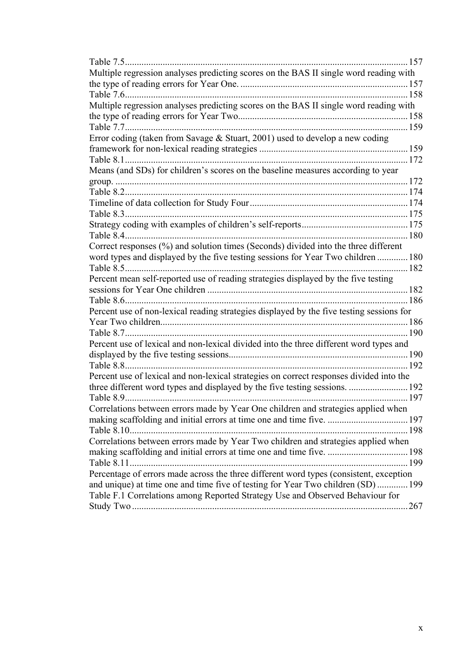| Table 7.5                                                                                | 157  |
|------------------------------------------------------------------------------------------|------|
| Multiple regression analyses predicting scores on the BAS II single word reading with    |      |
|                                                                                          | .157 |
|                                                                                          | 158  |
| Multiple regression analyses predicting scores on the BAS II single word reading with    |      |
|                                                                                          | 158  |
| Table 7.7                                                                                | .159 |
| Error coding (taken from Savage & Stuart, 2001) used to develop a new coding             |      |
|                                                                                          |      |
| Table 8.1.                                                                               |      |
| Means (and SDs) for children's scores on the baseline measures according to year         |      |
|                                                                                          | .172 |
|                                                                                          |      |
|                                                                                          |      |
| Table 8.3                                                                                |      |
|                                                                                          |      |
| Table 8.4.                                                                               | .180 |
| Correct responses (%) and solution times (Seconds) divided into the three different      |      |
| word types and displayed by the five testing sessions for Year Two children  180         |      |
| . 182                                                                                    |      |
| Percent mean self-reported use of reading strategies displayed by the five testing       |      |
|                                                                                          |      |
| Table 8.6                                                                                |      |
| Percent use of non-lexical reading strategies displayed by the five testing sessions for |      |
|                                                                                          | .186 |
| Table 8.7                                                                                | .190 |
| Percent use of lexical and non-lexical divided into the three different word types and   |      |
|                                                                                          |      |
|                                                                                          | .192 |
| Percent use of lexical and non-lexical strategies on correct responses divided into the  |      |
| three different word types and displayed by the five testing sessions.  192              |      |
|                                                                                          |      |
| Correlations between errors made by Year One children and strategies applied when        |      |
| making scaffolding and initial errors at time one and time five.  197                    |      |
|                                                                                          |      |
| Correlations between errors made by Year Two children and strategies applied when        |      |
| making scaffolding and initial errors at time one and time five.  198                    |      |
|                                                                                          |      |
| Percentage of errors made across the three different word types (consistent, exception   |      |
| and unique) at time one and time five of testing for Year Two children (SD)  199         |      |
| Table F.1 Correlations among Reported Strategy Use and Observed Behaviour for            |      |
|                                                                                          |      |
|                                                                                          |      |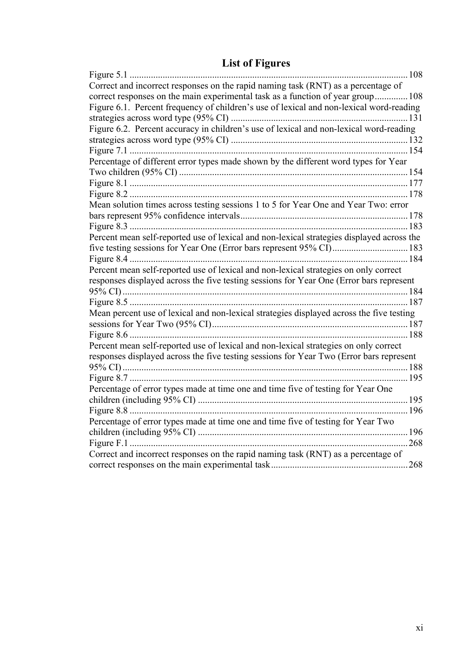|  |  |  | <b>List of Figures</b> |
|--|--|--|------------------------|
|--|--|--|------------------------|

| Figure 5.1                                                                                |      |
|-------------------------------------------------------------------------------------------|------|
| Correct and incorrect responses on the rapid naming task (RNT) as a percentage of         |      |
| correct responses on the main experimental task as a function of year group 108           |      |
| Figure 6.1. Percent frequency of children's use of lexical and non-lexical word-reading   |      |
|                                                                                           |      |
| Figure 6.2. Percent accuracy in children's use of lexical and non-lexical word-reading    |      |
|                                                                                           |      |
|                                                                                           |      |
| Percentage of different error types made shown by the different word types for Year       |      |
|                                                                                           |      |
|                                                                                           |      |
|                                                                                           |      |
| Mean solution times across testing sessions 1 to 5 for Year One and Year Two: error       |      |
|                                                                                           |      |
|                                                                                           |      |
| Percent mean self-reported use of lexical and non-lexical strategies displayed across the |      |
| five testing sessions for Year One (Error bars represent 95% CI) 183                      |      |
|                                                                                           |      |
| Percent mean self-reported use of lexical and non-lexical strategies on only correct      |      |
| responses displayed across the five testing sessions for Year One (Error bars represent   |      |
|                                                                                           |      |
|                                                                                           |      |
| Mean percent use of lexical and non-lexical strategies displayed across the five testing  |      |
|                                                                                           |      |
|                                                                                           |      |
| Percent mean self-reported use of lexical and non-lexical strategies on only correct      |      |
| responses displayed across the five testing sessions for Year Two (Error bars represent   |      |
|                                                                                           |      |
|                                                                                           |      |
| Percentage of error types made at time one and time five of testing for Year One          |      |
|                                                                                           |      |
|                                                                                           |      |
| Percentage of error types made at time one and time five of testing for Year Two          |      |
|                                                                                           |      |
|                                                                                           | .268 |
| Correct and incorrect responses on the rapid naming task (RNT) as a percentage of         |      |
|                                                                                           |      |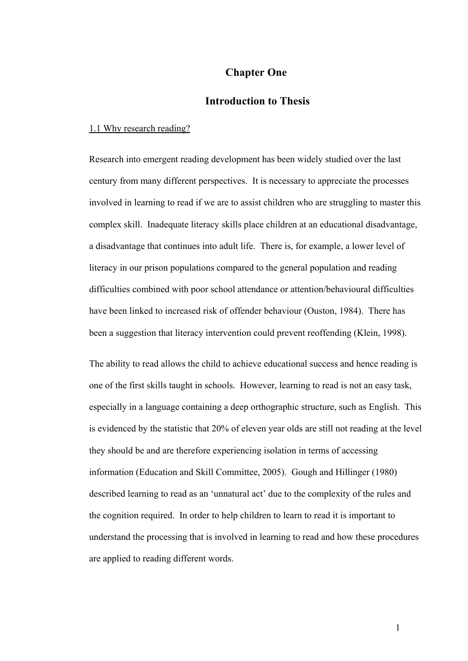## **Chapter One**

## **Introduction to Thesis**

#### 1.1 Why research reading?

Research into emergent reading development has been widely studied over the last century from many different perspectives. It is necessary to appreciate the processes involved in learning to read if we are to assist children who are struggling to master this complex skill. Inadequate literacy skills place children at an educational disadvantage, a disadvantage that continues into adult life. There is, for example, a lower level of literacy in our prison populations compared to the general population and reading difficulties combined with poor school attendance or attention/behavioural difficulties have been linked to increased risk of offender behaviour (Ouston, 1984). There has been a suggestion that literacy intervention could prevent reoffending (Klein, 1998).

The ability to read allows the child to achieve educational success and hence reading is one of the first skills taught in schools. However, learning to read is not an easy task, especially in a language containing a deep orthographic structure, such as English. This is evidenced by the statistic that 20% of eleven year olds are still not reading at the level they should be and are therefore experiencing isolation in terms of accessing information (Education and Skill Committee, 2005). Gough and Hillinger (1980) described learning to read as an 'unnatural act' due to the complexity of the rules and the cognition required. In order to help children to learn to read it is important to understand the processing that is involved in learning to read and how these procedures are applied to reading different words.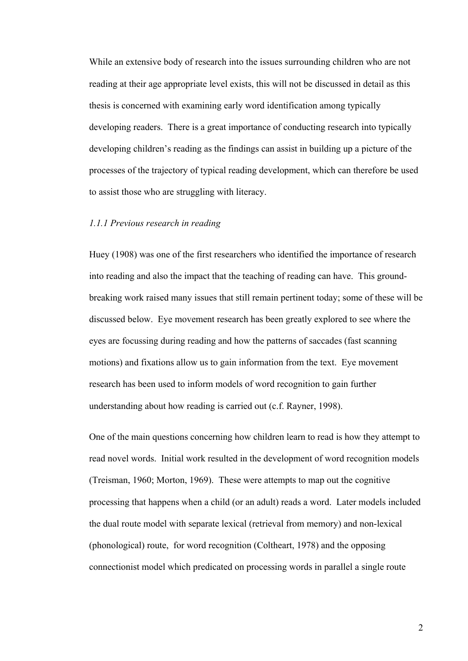While an extensive body of research into the issues surrounding children who are not reading at their age appropriate level exists, this will not be discussed in detail as this thesis is concerned with examining early word identification among typically developing readers. There is a great importance of conducting research into typically developing children's reading as the findings can assist in building up a picture of the processes of the trajectory of typical reading development, which can therefore be used to assist those who are struggling with literacy.

## *1.1.1 Previous research in reading*

Huey (1908) was one of the first researchers who identified the importance of research into reading and also the impact that the teaching of reading can have. This groundbreaking work raised many issues that still remain pertinent today; some of these will be discussed below. Eye movement research has been greatly explored to see where the eyes are focussing during reading and how the patterns of saccades (fast scanning motions) and fixations allow us to gain information from the text. Eye movement research has been used to inform models of word recognition to gain further understanding about how reading is carried out (c.f. Rayner, 1998).

One of the main questions concerning how children learn to read is how they attempt to read novel words. Initial work resulted in the development of word recognition models (Treisman, 1960; Morton, 1969). These were attempts to map out the cognitive processing that happens when a child (or an adult) reads a word. Later models included the dual route model with separate lexical (retrieval from memory) and non-lexical (phonological) route, for word recognition (Coltheart, 1978) and the opposing connectionist model which predicated on processing words in parallel a single route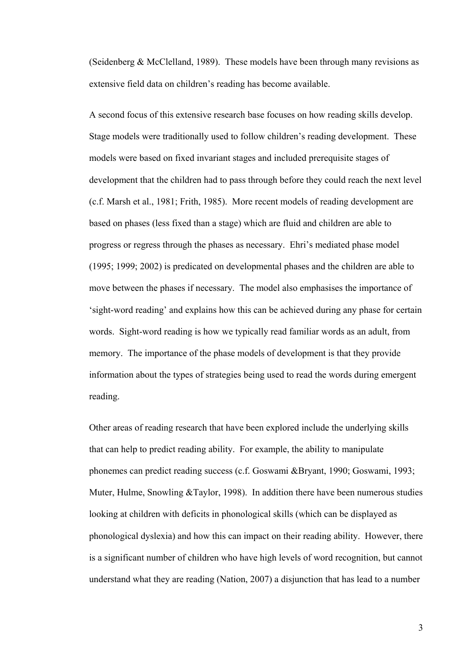(Seidenberg & McClelland, 1989). These models have been through many revisions as extensive field data on children's reading has become available.

A second focus of this extensive research base focuses on how reading skills develop. Stage models were traditionally used to follow children's reading development. These models were based on fixed invariant stages and included prerequisite stages of development that the children had to pass through before they could reach the next level (c.f. Marsh et al., 1981; Frith, 1985). More recent models of reading development are based on phases (less fixed than a stage) which are fluid and children are able to progress or regress through the phases as necessary. Ehri's mediated phase model (1995; 1999; 2002) is predicated on developmental phases and the children are able to move between the phases if necessary. The model also emphasises the importance of 'sight-word reading' and explains how this can be achieved during any phase for certain words. Sight-word reading is how we typically read familiar words as an adult, from memory. The importance of the phase models of development is that they provide information about the types of strategies being used to read the words during emergent reading.

Other areas of reading research that have been explored include the underlying skills that can help to predict reading ability. For example, the ability to manipulate phonemes can predict reading success (c.f. Goswami &Bryant, 1990; Goswami, 1993; Muter, Hulme, Snowling &Taylor, 1998). In addition there have been numerous studies looking at children with deficits in phonological skills (which can be displayed as phonological dyslexia) and how this can impact on their reading ability. However, there is a significant number of children who have high levels of word recognition, but cannot understand what they are reading (Nation, 2007) a disjunction that has lead to a number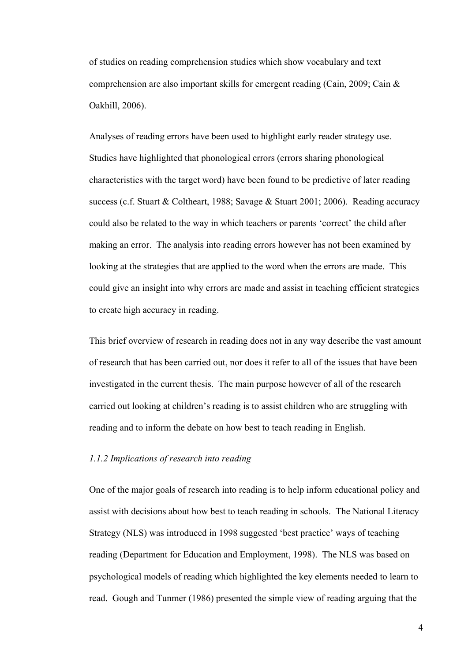of studies on reading comprehension studies which show vocabulary and text comprehension are also important skills for emergent reading (Cain, 2009; Cain & Oakhill, 2006).

Analyses of reading errors have been used to highlight early reader strategy use. Studies have highlighted that phonological errors (errors sharing phonological characteristics with the target word) have been found to be predictive of later reading success (c.f. Stuart & Coltheart, 1988; Savage & Stuart 2001; 2006). Reading accuracy could also be related to the way in which teachers or parents 'correct' the child after making an error. The analysis into reading errors however has not been examined by looking at the strategies that are applied to the word when the errors are made. This could give an insight into why errors are made and assist in teaching efficient strategies to create high accuracy in reading.

This brief overview of research in reading does not in any way describe the vast amount of research that has been carried out, nor does it refer to all of the issues that have been investigated in the current thesis. The main purpose however of all of the research carried out looking at children's reading is to assist children who are struggling with reading and to inform the debate on how best to teach reading in English.

## *1.1.2 Implications of research into reading*

One of the major goals of research into reading is to help inform educational policy and assist with decisions about how best to teach reading in schools. The National Literacy Strategy (NLS) was introduced in 1998 suggested 'best practice' ways of teaching reading (Department for Education and Employment, 1998). The NLS was based on psychological models of reading which highlighted the key elements needed to learn to read. Gough and Tunmer (1986) presented the simple view of reading arguing that the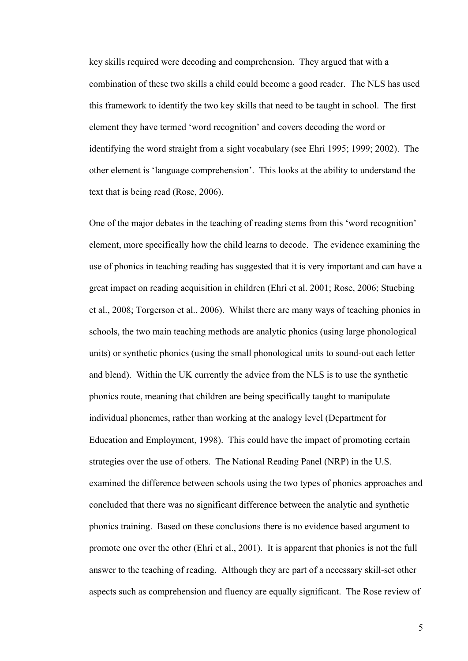key skills required were decoding and comprehension. They argued that with a combination of these two skills a child could become a good reader. The NLS has used this framework to identify the two key skills that need to be taught in school. The first element they have termed 'word recognition' and covers decoding the word or identifying the word straight from a sight vocabulary (see Ehri 1995; 1999; 2002). The other element is 'language comprehension'. This looks at the ability to understand the text that is being read (Rose, 2006).

One of the major debates in the teaching of reading stems from this 'word recognition' element, more specifically how the child learns to decode. The evidence examining the use of phonics in teaching reading has suggested that it is very important and can have a great impact on reading acquisition in children (Ehri et al. 2001; Rose, 2006; Stuebing et al., 2008; Torgerson et al., 2006). Whilst there are many ways of teaching phonics in schools, the two main teaching methods are analytic phonics (using large phonological units) or synthetic phonics (using the small phonological units to sound-out each letter and blend). Within the UK currently the advice from the NLS is to use the synthetic phonics route, meaning that children are being specifically taught to manipulate individual phonemes, rather than working at the analogy level (Department for Education and Employment, 1998). This could have the impact of promoting certain strategies over the use of others. The National Reading Panel (NRP) in the U.S. examined the difference between schools using the two types of phonics approaches and concluded that there was no significant difference between the analytic and synthetic phonics training. Based on these conclusions there is no evidence based argument to promote one over the other (Ehri et al., 2001). It is apparent that phonics is not the full answer to the teaching of reading. Although they are part of a necessary skill-set other aspects such as comprehension and fluency are equally significant. The Rose review of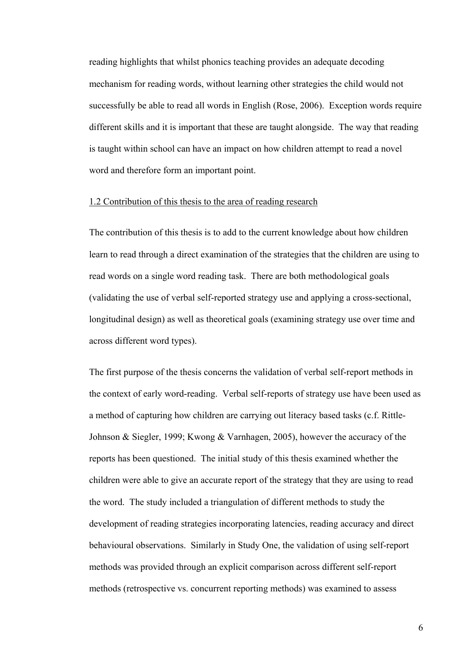reading highlights that whilst phonics teaching provides an adequate decoding mechanism for reading words, without learning other strategies the child would not successfully be able to read all words in English (Rose, 2006). Exception words require different skills and it is important that these are taught alongside. The way that reading is taught within school can have an impact on how children attempt to read a novel word and therefore form an important point.

## 1.2 Contribution of this thesis to the area of reading research

The contribution of this thesis is to add to the current knowledge about how children learn to read through a direct examination of the strategies that the children are using to read words on a single word reading task. There are both methodological goals (validating the use of verbal self-reported strategy use and applying a cross-sectional, longitudinal design) as well as theoretical goals (examining strategy use over time and across different word types).

The first purpose of the thesis concerns the validation of verbal self-report methods in the context of early word-reading. Verbal self-reports of strategy use have been used as a method of capturing how children are carrying out literacy based tasks (c.f. Rittle-Johnson & Siegler, 1999; Kwong & Varnhagen, 2005), however the accuracy of the reports has been questioned. The initial study of this thesis examined whether the children were able to give an accurate report of the strategy that they are using to read the word. The study included a triangulation of different methods to study the development of reading strategies incorporating latencies, reading accuracy and direct behavioural observations. Similarly in Study One, the validation of using self-report methods was provided through an explicit comparison across different self-report methods (retrospective vs. concurrent reporting methods) was examined to assess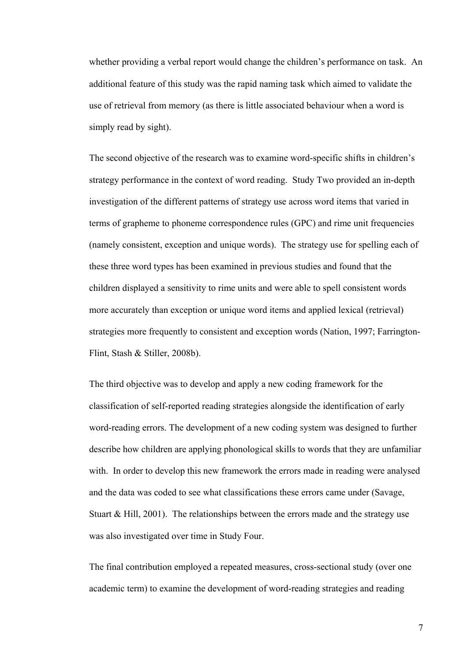whether providing a verbal report would change the children's performance on task. An additional feature of this study was the rapid naming task which aimed to validate the use of retrieval from memory (as there is little associated behaviour when a word is simply read by sight).

The second objective of the research was to examine word-specific shifts in children's strategy performance in the context of word reading. Study Two provided an in-depth investigation of the different patterns of strategy use across word items that varied in terms of grapheme to phoneme correspondence rules (GPC) and rime unit frequencies (namely consistent, exception and unique words). The strategy use for spelling each of these three word types has been examined in previous studies and found that the children displayed a sensitivity to rime units and were able to spell consistent words more accurately than exception or unique word items and applied lexical (retrieval) strategies more frequently to consistent and exception words (Nation, 1997; Farrington-Flint, Stash & Stiller, 2008b).

The third objective was to develop and apply a new coding framework for the classification of self-reported reading strategies alongside the identification of early word-reading errors. The development of a new coding system was designed to further describe how children are applying phonological skills to words that they are unfamiliar with. In order to develop this new framework the errors made in reading were analysed and the data was coded to see what classifications these errors came under (Savage, Stuart  $& Hill, 2001$ . The relationships between the errors made and the strategy use was also investigated over time in Study Four.

The final contribution employed a repeated measures, cross-sectional study (over one academic term) to examine the development of word-reading strategies and reading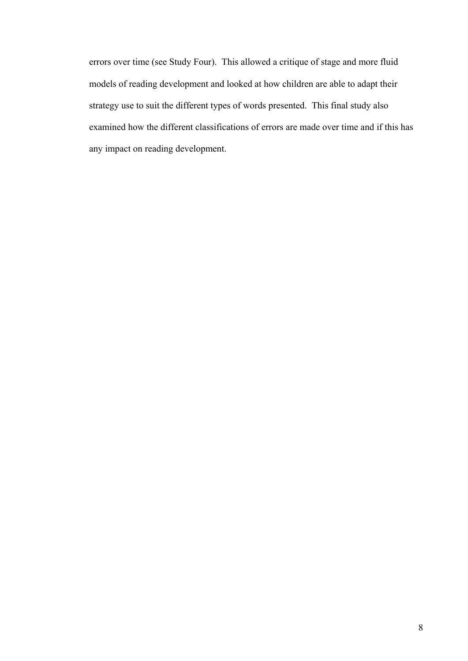errors over time (see Study Four). This allowed a critique of stage and more fluid models of reading development and looked at how children are able to adapt their strategy use to suit the different types of words presented. This final study also examined how the different classifications of errors are made over time and if this has any impact on reading development.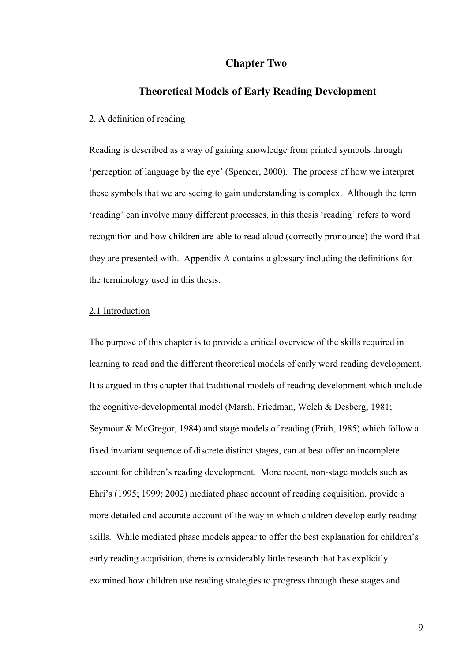## **Chapter Two**

## **Theoretical Models of Early Reading Development**

## 2. A definition of reading

Reading is described as a way of gaining knowledge from printed symbols through 'perception of language by the eye' (Spencer, 2000). The process of how we interpret these symbols that we are seeing to gain understanding is complex. Although the term 'reading' can involve many different processes, in this thesis 'reading' refers to word recognition and how children are able to read aloud (correctly pronounce) the word that they are presented with. Appendix A contains a glossary including the definitions for the terminology used in this thesis.

## 2.1 Introduction

The purpose of this chapter is to provide a critical overview of the skills required in learning to read and the different theoretical models of early word reading development. It is argued in this chapter that traditional models of reading development which include the cognitive-developmental model (Marsh, Friedman, Welch & Desberg, 1981; Seymour & McGregor, 1984) and stage models of reading (Frith, 1985) which follow a fixed invariant sequence of discrete distinct stages, can at best offer an incomplete account for children's reading development. More recent, non-stage models such as Ehri's (1995; 1999; 2002) mediated phase account of reading acquisition, provide a more detailed and accurate account of the way in which children develop early reading skills. While mediated phase models appear to offer the best explanation for children's early reading acquisition, there is considerably little research that has explicitly examined how children use reading strategies to progress through these stages and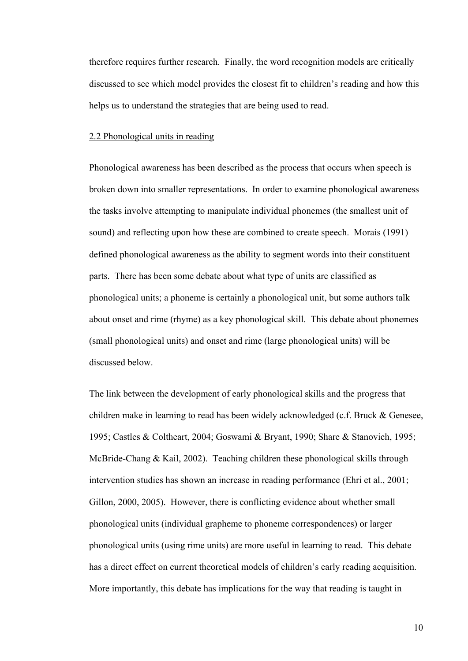therefore requires further research. Finally, the word recognition models are critically discussed to see which model provides the closest fit to children's reading and how this helps us to understand the strategies that are being used to read.

#### 2.2 Phonological units in reading

Phonological awareness has been described as the process that occurs when speech is broken down into smaller representations. In order to examine phonological awareness the tasks involve attempting to manipulate individual phonemes (the smallest unit of sound) and reflecting upon how these are combined to create speech. Morais (1991) defined phonological awareness as the ability to segment words into their constituent parts. There has been some debate about what type of units are classified as phonological units; a phoneme is certainly a phonological unit, but some authors talk about onset and rime (rhyme) as a key phonological skill. This debate about phonemes (small phonological units) and onset and rime (large phonological units) will be discussed below.

The link between the development of early phonological skills and the progress that children make in learning to read has been widely acknowledged (c.f. Bruck & Genesee, 1995; Castles & Coltheart, 2004; Goswami & Bryant, 1990; Share & Stanovich, 1995; McBride-Chang & Kail, 2002). Teaching children these phonological skills through intervention studies has shown an increase in reading performance (Ehri et al., 2001; Gillon, 2000, 2005). However, there is conflicting evidence about whether small phonological units (individual grapheme to phoneme correspondences) or larger phonological units (using rime units) are more useful in learning to read. This debate has a direct effect on current theoretical models of children's early reading acquisition. More importantly, this debate has implications for the way that reading is taught in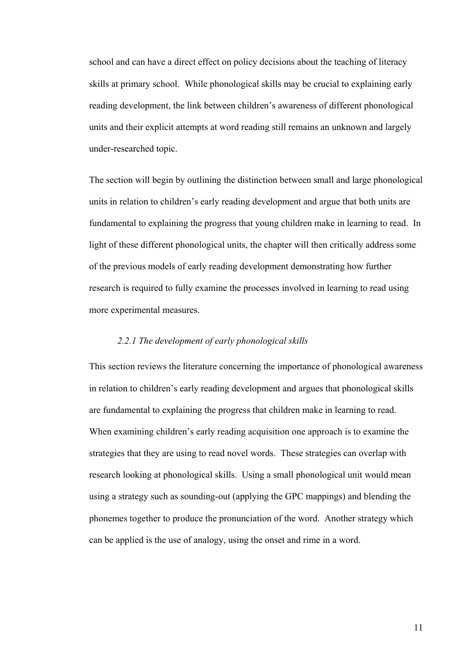school and can have a direct effect on policy decisions about the teaching of literacy skills at primary school. While phonological skills may be crucial to explaining early reading development, the link between children's awareness of different phonological units and their explicit attempts at word reading still remains an unknown and largely under-researched topic.

The section will begin by outlining the distinction between small and large phonological units in relation to children's early reading development and argue that both units are fundamental to explaining the progress that young children make in learning to read. In light of these different phonological units, the chapter will then critically address some of the previous models of early reading development demonstrating how further research is required to fully examine the processes involved in learning to read using more experimental measures.

## *2.2.1 The development of early phonological skills*

This section reviews the literature concerning the importance of phonological awareness in relation to children's early reading development and argues that phonological skills are fundamental to explaining the progress that children make in learning to read. When examining children's early reading acquisition one approach is to examine the strategies that they are using to read novel words. These strategies can overlap with research looking at phonological skills. Using a small phonological unit would mean using a strategy such as sounding-out (applying the GPC mappings) and blending the phonemes together to produce the pronunciation of the word. Another strategy which can be applied is the use of analogy, using the onset and rime in a word.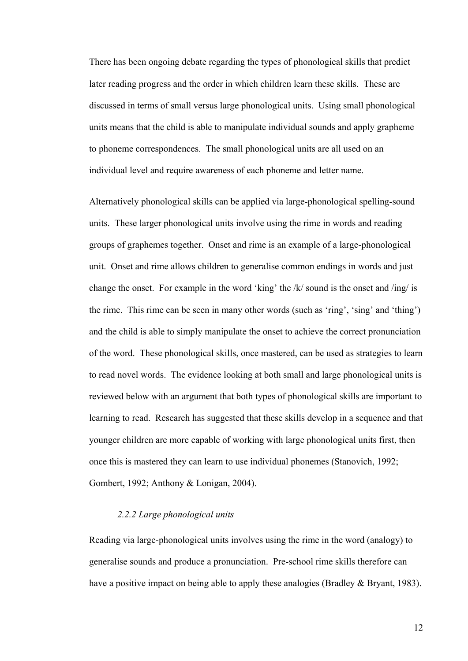There has been ongoing debate regarding the types of phonological skills that predict later reading progress and the order in which children learn these skills. These are discussed in terms of small versus large phonological units. Using small phonological units means that the child is able to manipulate individual sounds and apply grapheme to phoneme correspondences. The small phonological units are all used on an individual level and require awareness of each phoneme and letter name.

Alternatively phonological skills can be applied via large-phonological spelling-sound units. These larger phonological units involve using the rime in words and reading groups of graphemes together. Onset and rime is an example of a large-phonological unit. Onset and rime allows children to generalise common endings in words and just change the onset. For example in the word 'king' the /k/ sound is the onset and /ing/ is the rime. This rime can be seen in many other words (such as 'ring', 'sing' and 'thing') and the child is able to simply manipulate the onset to achieve the correct pronunciation of the word. These phonological skills, once mastered, can be used as strategies to learn to read novel words. The evidence looking at both small and large phonological units is reviewed below with an argument that both types of phonological skills are important to learning to read. Research has suggested that these skills develop in a sequence and that younger children are more capable of working with large phonological units first, then once this is mastered they can learn to use individual phonemes (Stanovich, 1992; Gombert, 1992; Anthony & Lonigan, 2004).

## *2.2.2 Large phonological units*

Reading via large-phonological units involves using the rime in the word (analogy) to generalise sounds and produce a pronunciation. Pre-school rime skills therefore can have a positive impact on being able to apply these analogies (Bradley & Bryant, 1983).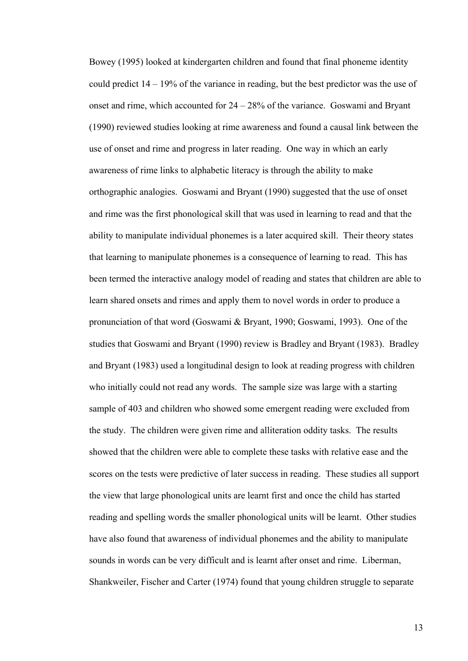Bowey (1995) looked at kindergarten children and found that final phoneme identity could predict 14 – 19% of the variance in reading, but the best predictor was the use of onset and rime, which accounted for 24 – 28% of the variance. Goswami and Bryant (1990) reviewed studies looking at rime awareness and found a causal link between the use of onset and rime and progress in later reading. One way in which an early awareness of rime links to alphabetic literacy is through the ability to make orthographic analogies. Goswami and Bryant (1990) suggested that the use of onset and rime was the first phonological skill that was used in learning to read and that the ability to manipulate individual phonemes is a later acquired skill. Their theory states that learning to manipulate phonemes is a consequence of learning to read. This has been termed the interactive analogy model of reading and states that children are able to learn shared onsets and rimes and apply them to novel words in order to produce a pronunciation of that word (Goswami & Bryant, 1990; Goswami, 1993). One of the studies that Goswami and Bryant (1990) review is Bradley and Bryant (1983). Bradley and Bryant (1983) used a longitudinal design to look at reading progress with children who initially could not read any words. The sample size was large with a starting sample of 403 and children who showed some emergent reading were excluded from the study. The children were given rime and alliteration oddity tasks. The results showed that the children were able to complete these tasks with relative ease and the scores on the tests were predictive of later success in reading. These studies all support the view that large phonological units are learnt first and once the child has started reading and spelling words the smaller phonological units will be learnt. Other studies have also found that awareness of individual phonemes and the ability to manipulate sounds in words can be very difficult and is learnt after onset and rime. Liberman, Shankweiler, Fischer and Carter (1974) found that young children struggle to separate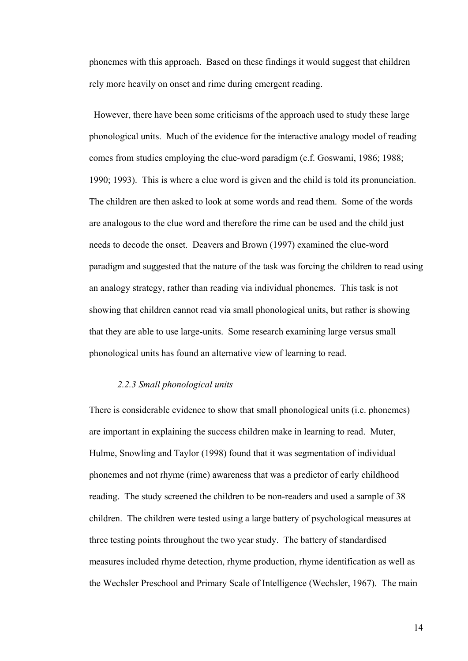phonemes with this approach. Based on these findings it would suggest that children rely more heavily on onset and rime during emergent reading.

 However, there have been some criticisms of the approach used to study these large phonological units. Much of the evidence for the interactive analogy model of reading comes from studies employing the clue-word paradigm (c.f. Goswami, 1986; 1988; 1990; 1993). This is where a clue word is given and the child is told its pronunciation. The children are then asked to look at some words and read them. Some of the words are analogous to the clue word and therefore the rime can be used and the child just needs to decode the onset. Deavers and Brown (1997) examined the clue-word paradigm and suggested that the nature of the task was forcing the children to read using an analogy strategy, rather than reading via individual phonemes. This task is not showing that children cannot read via small phonological units, but rather is showing that they are able to use large-units. Some research examining large versus small phonological units has found an alternative view of learning to read.

#### *2.2.3 Small phonological units*

There is considerable evidence to show that small phonological units (i.e. phonemes) are important in explaining the success children make in learning to read. Muter, Hulme, Snowling and Taylor (1998) found that it was segmentation of individual phonemes and not rhyme (rime) awareness that was a predictor of early childhood reading. The study screened the children to be non-readers and used a sample of 38 children. The children were tested using a large battery of psychological measures at three testing points throughout the two year study. The battery of standardised measures included rhyme detection, rhyme production, rhyme identification as well as the Wechsler Preschool and Primary Scale of Intelligence (Wechsler, 1967). The main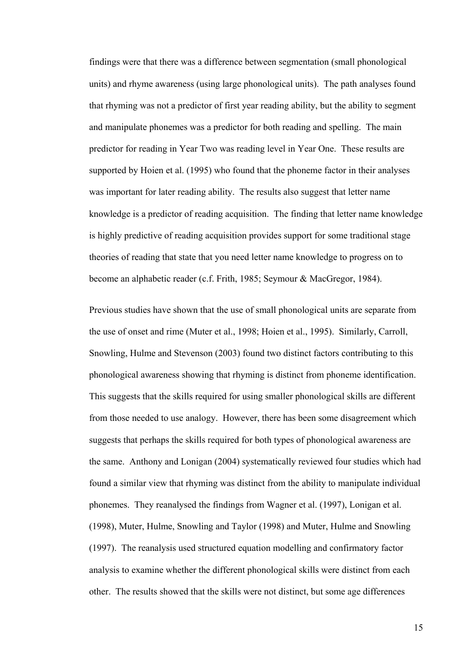findings were that there was a difference between segmentation (small phonological units) and rhyme awareness (using large phonological units). The path analyses found that rhyming was not a predictor of first year reading ability, but the ability to segment and manipulate phonemes was a predictor for both reading and spelling. The main predictor for reading in Year Two was reading level in Year One. These results are supported by Hoien et al. (1995) who found that the phoneme factor in their analyses was important for later reading ability. The results also suggest that letter name knowledge is a predictor of reading acquisition. The finding that letter name knowledge is highly predictive of reading acquisition provides support for some traditional stage theories of reading that state that you need letter name knowledge to progress on to become an alphabetic reader (c.f. Frith, 1985; Seymour & MacGregor, 1984).

Previous studies have shown that the use of small phonological units are separate from the use of onset and rime (Muter et al., 1998; Hoien et al., 1995). Similarly, Carroll, Snowling, Hulme and Stevenson (2003) found two distinct factors contributing to this phonological awareness showing that rhyming is distinct from phoneme identification. This suggests that the skills required for using smaller phonological skills are different from those needed to use analogy. However, there has been some disagreement which suggests that perhaps the skills required for both types of phonological awareness are the same. Anthony and Lonigan (2004) systematically reviewed four studies which had found a similar view that rhyming was distinct from the ability to manipulate individual phonemes. They reanalysed the findings from Wagner et al. (1997), Lonigan et al. (1998), Muter, Hulme, Snowling and Taylor (1998) and Muter, Hulme and Snowling (1997). The reanalysis used structured equation modelling and confirmatory factor analysis to examine whether the different phonological skills were distinct from each other. The results showed that the skills were not distinct, but some age differences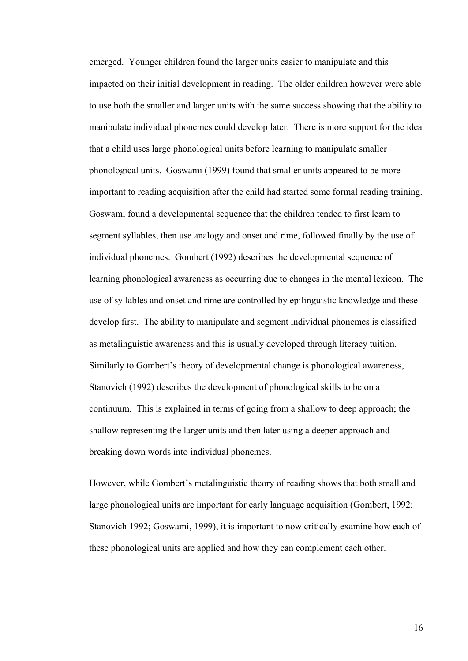emerged. Younger children found the larger units easier to manipulate and this impacted on their initial development in reading. The older children however were able to use both the smaller and larger units with the same success showing that the ability to manipulate individual phonemes could develop later. There is more support for the idea that a child uses large phonological units before learning to manipulate smaller phonological units. Goswami (1999) found that smaller units appeared to be more important to reading acquisition after the child had started some formal reading training. Goswami found a developmental sequence that the children tended to first learn to segment syllables, then use analogy and onset and rime, followed finally by the use of individual phonemes. Gombert (1992) describes the developmental sequence of learning phonological awareness as occurring due to changes in the mental lexicon. The use of syllables and onset and rime are controlled by epilinguistic knowledge and these develop first. The ability to manipulate and segment individual phonemes is classified as metalinguistic awareness and this is usually developed through literacy tuition. Similarly to Gombert's theory of developmental change is phonological awareness, Stanovich (1992) describes the development of phonological skills to be on a continuum. This is explained in terms of going from a shallow to deep approach; the shallow representing the larger units and then later using a deeper approach and breaking down words into individual phonemes.

However, while Gombert's metalinguistic theory of reading shows that both small and large phonological units are important for early language acquisition (Gombert, 1992; Stanovich 1992; Goswami, 1999), it is important to now critically examine how each of these phonological units are applied and how they can complement each other.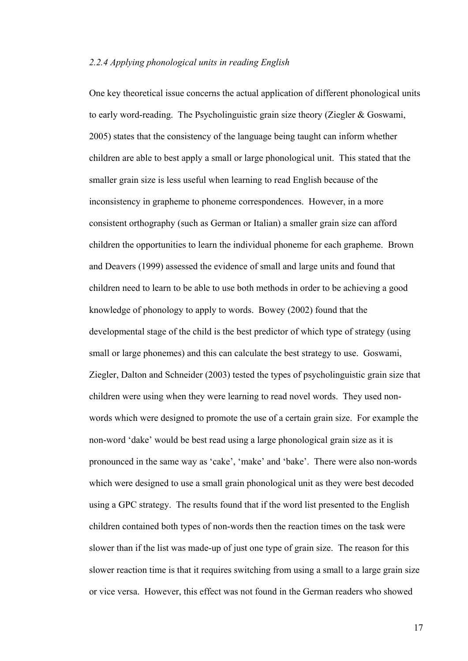## *2.2.4 Applying phonological units in reading English*

One key theoretical issue concerns the actual application of different phonological units to early word-reading. The Psycholinguistic grain size theory (Ziegler & Goswami, 2005) states that the consistency of the language being taught can inform whether children are able to best apply a small or large phonological unit. This stated that the smaller grain size is less useful when learning to read English because of the inconsistency in grapheme to phoneme correspondences. However, in a more consistent orthography (such as German or Italian) a smaller grain size can afford children the opportunities to learn the individual phoneme for each grapheme. Brown and Deavers (1999) assessed the evidence of small and large units and found that children need to learn to be able to use both methods in order to be achieving a good knowledge of phonology to apply to words. Bowey (2002) found that the developmental stage of the child is the best predictor of which type of strategy (using small or large phonemes) and this can calculate the best strategy to use. Goswami, Ziegler, Dalton and Schneider (2003) tested the types of psycholinguistic grain size that children were using when they were learning to read novel words. They used nonwords which were designed to promote the use of a certain grain size. For example the non-word 'dake' would be best read using a large phonological grain size as it is pronounced in the same way as 'cake', 'make' and 'bake'. There were also non-words which were designed to use a small grain phonological unit as they were best decoded using a GPC strategy. The results found that if the word list presented to the English children contained both types of non-words then the reaction times on the task were slower than if the list was made-up of just one type of grain size. The reason for this slower reaction time is that it requires switching from using a small to a large grain size or vice versa. However, this effect was not found in the German readers who showed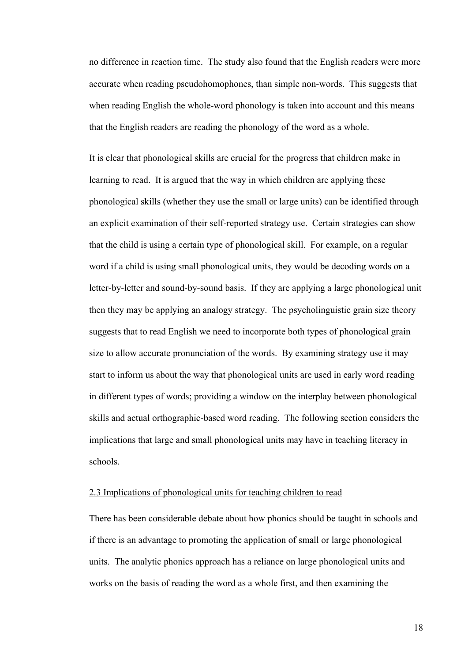no difference in reaction time. The study also found that the English readers were more accurate when reading pseudohomophones, than simple non-words. This suggests that when reading English the whole-word phonology is taken into account and this means that the English readers are reading the phonology of the word as a whole.

It is clear that phonological skills are crucial for the progress that children make in learning to read. It is argued that the way in which children are applying these phonological skills (whether they use the small or large units) can be identified through an explicit examination of their self-reported strategy use. Certain strategies can show that the child is using a certain type of phonological skill. For example, on a regular word if a child is using small phonological units, they would be decoding words on a letter-by-letter and sound-by-sound basis. If they are applying a large phonological unit then they may be applying an analogy strategy. The psycholinguistic grain size theory suggests that to read English we need to incorporate both types of phonological grain size to allow accurate pronunciation of the words. By examining strategy use it may start to inform us about the way that phonological units are used in early word reading in different types of words; providing a window on the interplay between phonological skills and actual orthographic-based word reading. The following section considers the implications that large and small phonological units may have in teaching literacy in schools.

## 2.3 Implications of phonological units for teaching children to read

There has been considerable debate about how phonics should be taught in schools and if there is an advantage to promoting the application of small or large phonological units. The analytic phonics approach has a reliance on large phonological units and works on the basis of reading the word as a whole first, and then examining the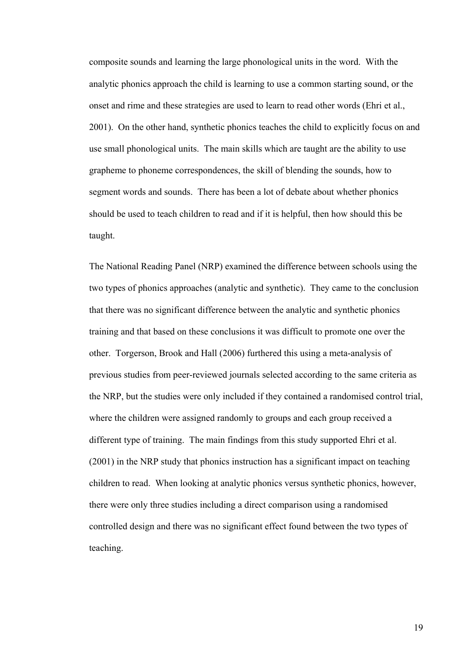composite sounds and learning the large phonological units in the word. With the analytic phonics approach the child is learning to use a common starting sound, or the onset and rime and these strategies are used to learn to read other words (Ehri et al., 2001). On the other hand, synthetic phonics teaches the child to explicitly focus on and use small phonological units. The main skills which are taught are the ability to use grapheme to phoneme correspondences, the skill of blending the sounds, how to segment words and sounds. There has been a lot of debate about whether phonics should be used to teach children to read and if it is helpful, then how should this be taught.

The National Reading Panel (NRP) examined the difference between schools using the two types of phonics approaches (analytic and synthetic). They came to the conclusion that there was no significant difference between the analytic and synthetic phonics training and that based on these conclusions it was difficult to promote one over the other. Torgerson, Brook and Hall (2006) furthered this using a meta-analysis of previous studies from peer-reviewed journals selected according to the same criteria as the NRP, but the studies were only included if they contained a randomised control trial, where the children were assigned randomly to groups and each group received a different type of training. The main findings from this study supported Ehri et al. (2001) in the NRP study that phonics instruction has a significant impact on teaching children to read. When looking at analytic phonics versus synthetic phonics, however, there were only three studies including a direct comparison using a randomised controlled design and there was no significant effect found between the two types of teaching.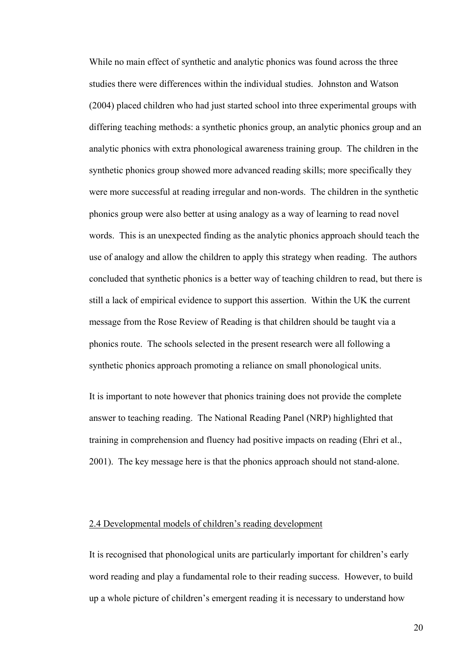While no main effect of synthetic and analytic phonics was found across the three studies there were differences within the individual studies. Johnston and Watson (2004) placed children who had just started school into three experimental groups with differing teaching methods: a synthetic phonics group, an analytic phonics group and an analytic phonics with extra phonological awareness training group. The children in the synthetic phonics group showed more advanced reading skills; more specifically they were more successful at reading irregular and non-words. The children in the synthetic phonics group were also better at using analogy as a way of learning to read novel words. This is an unexpected finding as the analytic phonics approach should teach the use of analogy and allow the children to apply this strategy when reading. The authors concluded that synthetic phonics is a better way of teaching children to read, but there is still a lack of empirical evidence to support this assertion. Within the UK the current message from the Rose Review of Reading is that children should be taught via a phonics route. The schools selected in the present research were all following a synthetic phonics approach promoting a reliance on small phonological units.

It is important to note however that phonics training does not provide the complete answer to teaching reading. The National Reading Panel (NRP) highlighted that training in comprehension and fluency had positive impacts on reading (Ehri et al., 2001). The key message here is that the phonics approach should not stand-alone.

### 2.4 Developmental models of children's reading development

It is recognised that phonological units are particularly important for children's early word reading and play a fundamental role to their reading success. However, to build up a whole picture of children's emergent reading it is necessary to understand how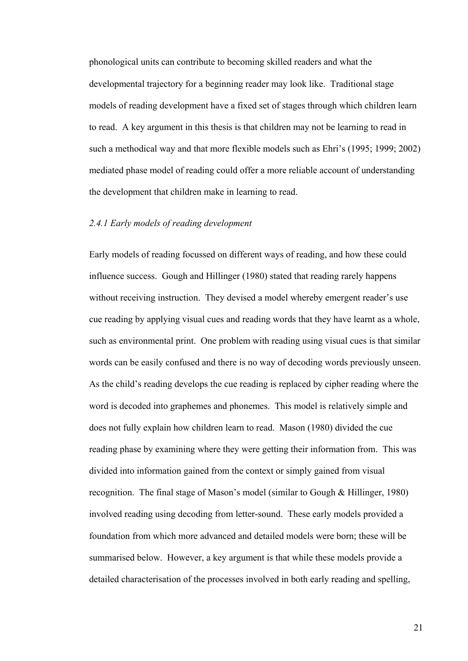phonological units can contribute to becoming skilled readers and what the developmental trajectory for a beginning reader may look like. Traditional stage models of reading development have a fixed set of stages through which children learn to read. A key argument in this thesis is that children may not be learning to read in such a methodical way and that more flexible models such as Ehri's (1995; 1999; 2002) mediated phase model of reading could offer a more reliable account of understanding the development that children make in learning to read.

### *2.4.1 Early models of reading development*

Early models of reading focussed on different ways of reading, and how these could influence success. Gough and Hillinger (1980) stated that reading rarely happens without receiving instruction. They devised a model whereby emergent reader's use cue reading by applying visual cues and reading words that they have learnt as a whole, such as environmental print. One problem with reading using visual cues is that similar words can be easily confused and there is no way of decoding words previously unseen. As the child's reading develops the cue reading is replaced by cipher reading where the word is decoded into graphemes and phonemes. This model is relatively simple and does not fully explain how children learn to read. Mason (1980) divided the cue reading phase by examining where they were getting their information from. This was divided into information gained from the context or simply gained from visual recognition. The final stage of Mason's model (similar to Gough & Hillinger, 1980) involved reading using decoding from letter-sound. These early models provided a foundation from which more advanced and detailed models were born; these will be summarised below. However, a key argument is that while these models provide a detailed characterisation of the processes involved in both early reading and spelling,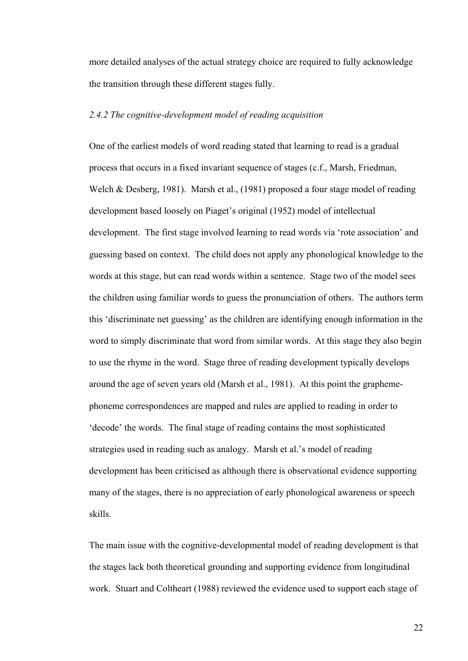more detailed analyses of the actual strategy choice are required to fully acknowledge the transition through these different stages fully.

## *2.4.2 The cognitive-development model of reading acquisition*

One of the earliest models of word reading stated that learning to read is a gradual process that occurs in a fixed invariant sequence of stages (c.f., Marsh, Friedman, Welch & Desberg, 1981). Marsh et al., (1981) proposed a four stage model of reading development based loosely on Piaget's original (1952) model of intellectual development. The first stage involved learning to read words via 'rote association' and guessing based on context. The child does not apply any phonological knowledge to the words at this stage, but can read words within a sentence. Stage two of the model sees the children using familiar words to guess the pronunciation of others. The authors term this 'discriminate net guessing' as the children are identifying enough information in the word to simply discriminate that word from similar words. At this stage they also begin to use the rhyme in the word. Stage three of reading development typically develops around the age of seven years old (Marsh et al., 1981). At this point the graphemephoneme correspondences are mapped and rules are applied to reading in order to 'decode' the words. The final stage of reading contains the most sophisticated strategies used in reading such as analogy. Marsh et al.'s model of reading development has been criticised as although there is observational evidence supporting many of the stages, there is no appreciation of early phonological awareness or speech skills.

The main issue with the cognitive-developmental model of reading development is that the stages lack both theoretical grounding and supporting evidence from longitudinal work. Stuart and Coltheart (1988) reviewed the evidence used to support each stage of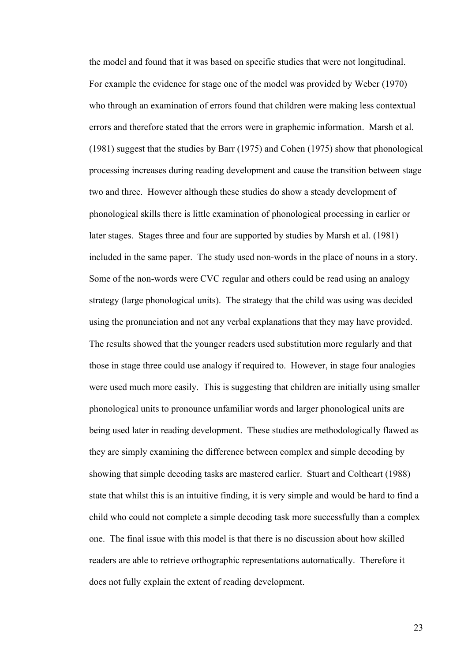the model and found that it was based on specific studies that were not longitudinal. For example the evidence for stage one of the model was provided by Weber (1970) who through an examination of errors found that children were making less contextual errors and therefore stated that the errors were in graphemic information. Marsh et al. (1981) suggest that the studies by Barr (1975) and Cohen (1975) show that phonological processing increases during reading development and cause the transition between stage two and three. However although these studies do show a steady development of phonological skills there is little examination of phonological processing in earlier or later stages. Stages three and four are supported by studies by Marsh et al. (1981) included in the same paper. The study used non-words in the place of nouns in a story. Some of the non-words were CVC regular and others could be read using an analogy strategy (large phonological units). The strategy that the child was using was decided using the pronunciation and not any verbal explanations that they may have provided. The results showed that the younger readers used substitution more regularly and that those in stage three could use analogy if required to. However, in stage four analogies were used much more easily. This is suggesting that children are initially using smaller phonological units to pronounce unfamiliar words and larger phonological units are being used later in reading development. These studies are methodologically flawed as they are simply examining the difference between complex and simple decoding by showing that simple decoding tasks are mastered earlier. Stuart and Coltheart (1988) state that whilst this is an intuitive finding, it is very simple and would be hard to find a child who could not complete a simple decoding task more successfully than a complex one. The final issue with this model is that there is no discussion about how skilled readers are able to retrieve orthographic representations automatically. Therefore it does not fully explain the extent of reading development.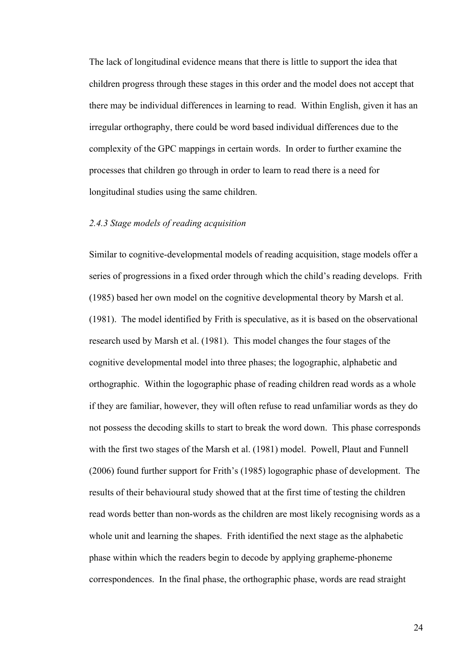The lack of longitudinal evidence means that there is little to support the idea that children progress through these stages in this order and the model does not accept that there may be individual differences in learning to read. Within English, given it has an irregular orthography, there could be word based individual differences due to the complexity of the GPC mappings in certain words. In order to further examine the processes that children go through in order to learn to read there is a need for longitudinal studies using the same children.

### *2.4.3 Stage models of reading acquisition*

Similar to cognitive-developmental models of reading acquisition, stage models offer a series of progressions in a fixed order through which the child's reading develops. Frith (1985) based her own model on the cognitive developmental theory by Marsh et al. (1981). The model identified by Frith is speculative, as it is based on the observational research used by Marsh et al. (1981). This model changes the four stages of the cognitive developmental model into three phases; the logographic, alphabetic and orthographic. Within the logographic phase of reading children read words as a whole if they are familiar, however, they will often refuse to read unfamiliar words as they do not possess the decoding skills to start to break the word down. This phase corresponds with the first two stages of the Marsh et al. (1981) model. Powell, Plaut and Funnell (2006) found further support for Frith's (1985) logographic phase of development. The results of their behavioural study showed that at the first time of testing the children read words better than non-words as the children are most likely recognising words as a whole unit and learning the shapes. Frith identified the next stage as the alphabetic phase within which the readers begin to decode by applying grapheme-phoneme correspondences. In the final phase, the orthographic phase, words are read straight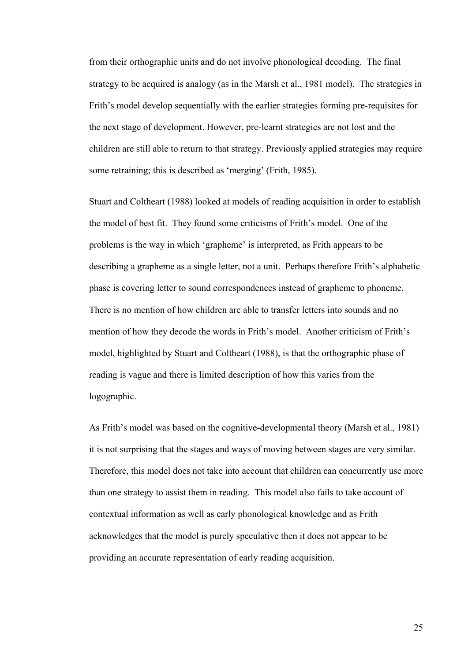from their orthographic units and do not involve phonological decoding. The final strategy to be acquired is analogy (as in the Marsh et al., 1981 model). The strategies in Frith's model develop sequentially with the earlier strategies forming pre-requisites for the next stage of development. However, pre-learnt strategies are not lost and the children are still able to return to that strategy. Previously applied strategies may require some retraining; this is described as 'merging' (Frith, 1985).

Stuart and Coltheart (1988) looked at models of reading acquisition in order to establish the model of best fit. They found some criticisms of Frith's model. One of the problems is the way in which 'grapheme' is interpreted, as Frith appears to be describing a grapheme as a single letter, not a unit. Perhaps therefore Frith's alphabetic phase is covering letter to sound correspondences instead of grapheme to phoneme. There is no mention of how children are able to transfer letters into sounds and no mention of how they decode the words in Frith's model. Another criticism of Frith's model, highlighted by Stuart and Coltheart (1988), is that the orthographic phase of reading is vague and there is limited description of how this varies from the logographic.

As Frith's model was based on the cognitive-developmental theory (Marsh et al., 1981) it is not surprising that the stages and ways of moving between stages are very similar. Therefore, this model does not take into account that children can concurrently use more than one strategy to assist them in reading. This model also fails to take account of contextual information as well as early phonological knowledge and as Frith acknowledges that the model is purely speculative then it does not appear to be providing an accurate representation of early reading acquisition.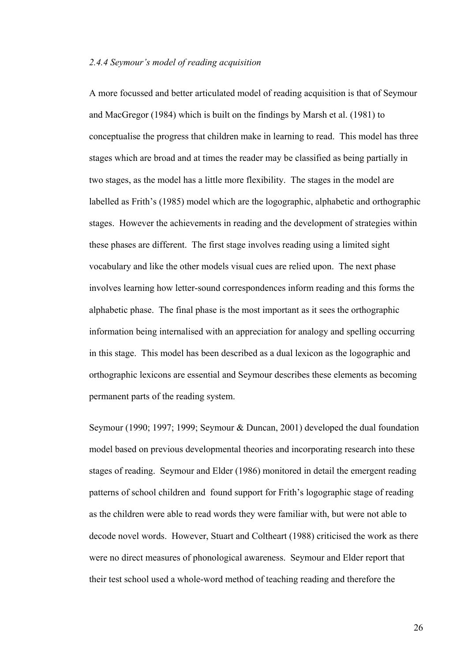### *2.4.4 Seymour's model of reading acquisition*

A more focussed and better articulated model of reading acquisition is that of Seymour and MacGregor (1984) which is built on the findings by Marsh et al. (1981) to conceptualise the progress that children make in learning to read. This model has three stages which are broad and at times the reader may be classified as being partially in two stages, as the model has a little more flexibility. The stages in the model are labelled as Frith's (1985) model which are the logographic, alphabetic and orthographic stages. However the achievements in reading and the development of strategies within these phases are different. The first stage involves reading using a limited sight vocabulary and like the other models visual cues are relied upon. The next phase involves learning how letter-sound correspondences inform reading and this forms the alphabetic phase. The final phase is the most important as it sees the orthographic information being internalised with an appreciation for analogy and spelling occurring in this stage. This model has been described as a dual lexicon as the logographic and orthographic lexicons are essential and Seymour describes these elements as becoming permanent parts of the reading system.

Seymour (1990; 1997; 1999; Seymour & Duncan, 2001) developed the dual foundation model based on previous developmental theories and incorporating research into these stages of reading. Seymour and Elder (1986) monitored in detail the emergent reading patterns of school children and found support for Frith's logographic stage of reading as the children were able to read words they were familiar with, but were not able to decode novel words. However, Stuart and Coltheart (1988) criticised the work as there were no direct measures of phonological awareness. Seymour and Elder report that their test school used a whole-word method of teaching reading and therefore the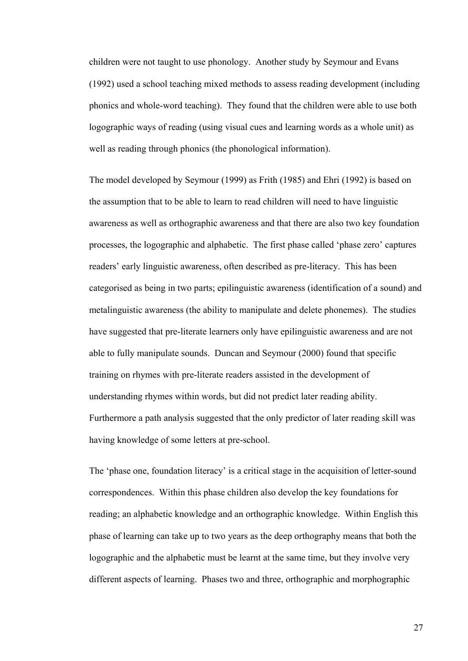children were not taught to use phonology. Another study by Seymour and Evans (1992) used a school teaching mixed methods to assess reading development (including phonics and whole-word teaching). They found that the children were able to use both logographic ways of reading (using visual cues and learning words as a whole unit) as well as reading through phonics (the phonological information).

The model developed by Seymour (1999) as Frith (1985) and Ehri (1992) is based on the assumption that to be able to learn to read children will need to have linguistic awareness as well as orthographic awareness and that there are also two key foundation processes, the logographic and alphabetic. The first phase called 'phase zero' captures readers' early linguistic awareness, often described as pre-literacy. This has been categorised as being in two parts; epilinguistic awareness (identification of a sound) and metalinguistic awareness (the ability to manipulate and delete phonemes). The studies have suggested that pre-literate learners only have epilinguistic awareness and are not able to fully manipulate sounds. Duncan and Seymour (2000) found that specific training on rhymes with pre-literate readers assisted in the development of understanding rhymes within words, but did not predict later reading ability. Furthermore a path analysis suggested that the only predictor of later reading skill was having knowledge of some letters at pre-school.

The 'phase one, foundation literacy' is a critical stage in the acquisition of letter-sound correspondences. Within this phase children also develop the key foundations for reading; an alphabetic knowledge and an orthographic knowledge. Within English this phase of learning can take up to two years as the deep orthography means that both the logographic and the alphabetic must be learnt at the same time, but they involve very different aspects of learning. Phases two and three, orthographic and morphographic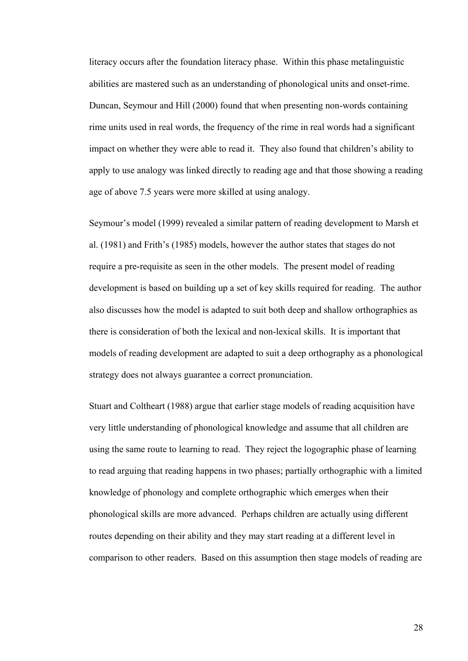literacy occurs after the foundation literacy phase. Within this phase metalinguistic abilities are mastered such as an understanding of phonological units and onset-rime. Duncan, Seymour and Hill (2000) found that when presenting non-words containing rime units used in real words, the frequency of the rime in real words had a significant impact on whether they were able to read it. They also found that children's ability to apply to use analogy was linked directly to reading age and that those showing a reading age of above 7.5 years were more skilled at using analogy.

Seymour's model (1999) revealed a similar pattern of reading development to Marsh et al. (1981) and Frith's (1985) models, however the author states that stages do not require a pre-requisite as seen in the other models. The present model of reading development is based on building up a set of key skills required for reading. The author also discusses how the model is adapted to suit both deep and shallow orthographies as there is consideration of both the lexical and non-lexical skills. It is important that models of reading development are adapted to suit a deep orthography as a phonological strategy does not always guarantee a correct pronunciation.

Stuart and Coltheart (1988) argue that earlier stage models of reading acquisition have very little understanding of phonological knowledge and assume that all children are using the same route to learning to read. They reject the logographic phase of learning to read arguing that reading happens in two phases; partially orthographic with a limited knowledge of phonology and complete orthographic which emerges when their phonological skills are more advanced. Perhaps children are actually using different routes depending on their ability and they may start reading at a different level in comparison to other readers. Based on this assumption then stage models of reading are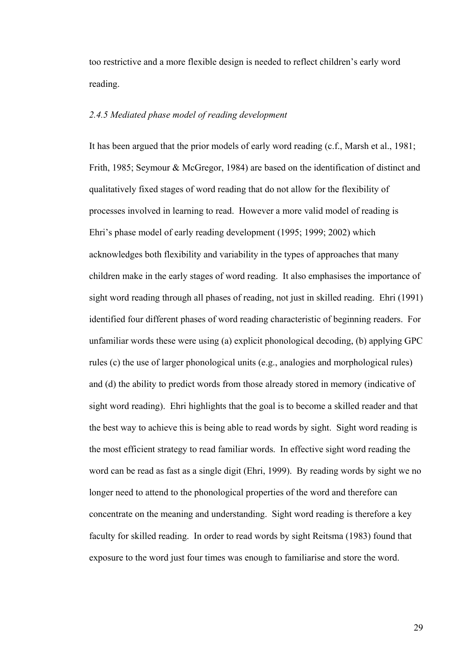too restrictive and a more flexible design is needed to reflect children's early word reading.

## *2.4.5 Mediated phase model of reading development*

It has been argued that the prior models of early word reading (c.f., Marsh et al., 1981; Frith, 1985; Seymour & McGregor, 1984) are based on the identification of distinct and qualitatively fixed stages of word reading that do not allow for the flexibility of processes involved in learning to read. However a more valid model of reading is Ehri's phase model of early reading development (1995; 1999; 2002) which acknowledges both flexibility and variability in the types of approaches that many children make in the early stages of word reading. It also emphasises the importance of sight word reading through all phases of reading, not just in skilled reading. Ehri (1991) identified four different phases of word reading characteristic of beginning readers. For unfamiliar words these were using (a) explicit phonological decoding, (b) applying GPC rules (c) the use of larger phonological units (e.g., analogies and morphological rules) and (d) the ability to predict words from those already stored in memory (indicative of sight word reading). Ehri highlights that the goal is to become a skilled reader and that the best way to achieve this is being able to read words by sight. Sight word reading is the most efficient strategy to read familiar words. In effective sight word reading the word can be read as fast as a single digit (Ehri, 1999). By reading words by sight we no longer need to attend to the phonological properties of the word and therefore can concentrate on the meaning and understanding. Sight word reading is therefore a key faculty for skilled reading. In order to read words by sight Reitsma (1983) found that exposure to the word just four times was enough to familiarise and store the word.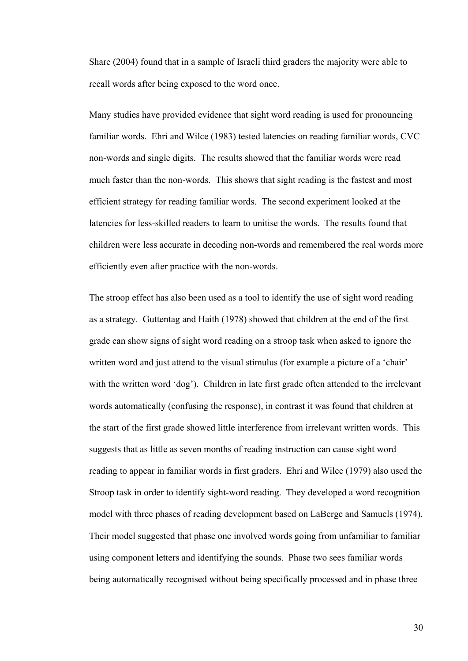Share (2004) found that in a sample of Israeli third graders the majority were able to recall words after being exposed to the word once.

Many studies have provided evidence that sight word reading is used for pronouncing familiar words. Ehri and Wilce (1983) tested latencies on reading familiar words, CVC non-words and single digits. The results showed that the familiar words were read much faster than the non-words. This shows that sight reading is the fastest and most efficient strategy for reading familiar words. The second experiment looked at the latencies for less-skilled readers to learn to unitise the words. The results found that children were less accurate in decoding non-words and remembered the real words more efficiently even after practice with the non-words.

The stroop effect has also been used as a tool to identify the use of sight word reading as a strategy. Guttentag and Haith (1978) showed that children at the end of the first grade can show signs of sight word reading on a stroop task when asked to ignore the written word and just attend to the visual stimulus (for example a picture of a 'chair' with the written word 'dog'). Children in late first grade often attended to the irrelevant words automatically (confusing the response), in contrast it was found that children at the start of the first grade showed little interference from irrelevant written words. This suggests that as little as seven months of reading instruction can cause sight word reading to appear in familiar words in first graders. Ehri and Wilce (1979) also used the Stroop task in order to identify sight-word reading. They developed a word recognition model with three phases of reading development based on LaBerge and Samuels (1974). Their model suggested that phase one involved words going from unfamiliar to familiar using component letters and identifying the sounds. Phase two sees familiar words being automatically recognised without being specifically processed and in phase three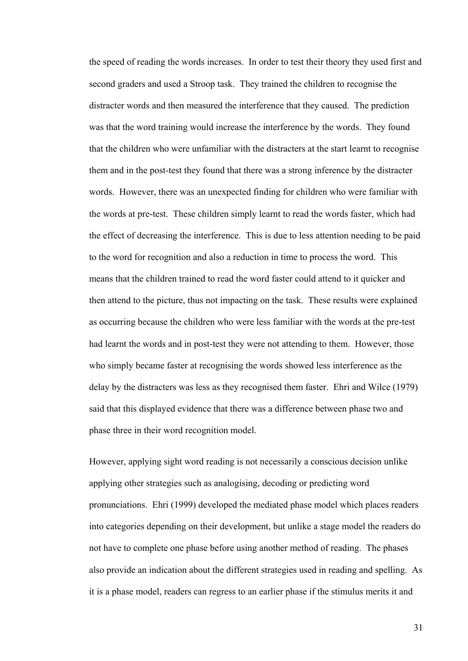the speed of reading the words increases. In order to test their theory they used first and second graders and used a Stroop task. They trained the children to recognise the distracter words and then measured the interference that they caused. The prediction was that the word training would increase the interference by the words. They found that the children who were unfamiliar with the distracters at the start learnt to recognise them and in the post-test they found that there was a strong inference by the distracter words. However, there was an unexpected finding for children who were familiar with the words at pre-test. These children simply learnt to read the words faster, which had the effect of decreasing the interference. This is due to less attention needing to be paid to the word for recognition and also a reduction in time to process the word. This means that the children trained to read the word faster could attend to it quicker and then attend to the picture, thus not impacting on the task. These results were explained as occurring because the children who were less familiar with the words at the pre-test had learnt the words and in post-test they were not attending to them. However, those who simply became faster at recognising the words showed less interference as the delay by the distracters was less as they recognised them faster. Ehri and Wilce (1979) said that this displayed evidence that there was a difference between phase two and phase three in their word recognition model.

However, applying sight word reading is not necessarily a conscious decision unlike applying other strategies such as analogising, decoding or predicting word pronunciations. Ehri (1999) developed the mediated phase model which places readers into categories depending on their development, but unlike a stage model the readers do not have to complete one phase before using another method of reading. The phases also provide an indication about the different strategies used in reading and spelling. As it is a phase model, readers can regress to an earlier phase if the stimulus merits it and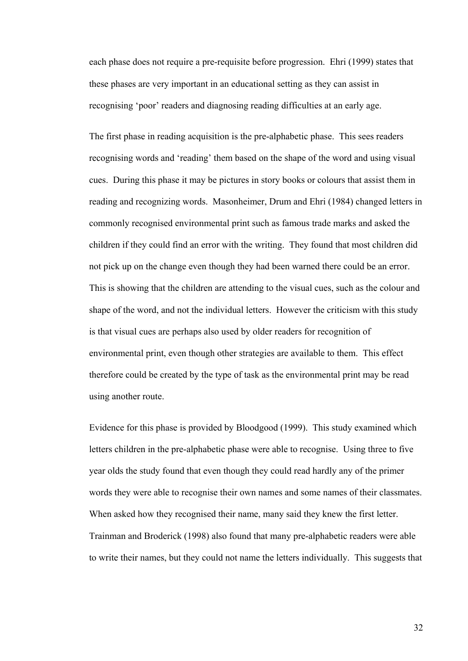each phase does not require a pre-requisite before progression. Ehri (1999) states that these phases are very important in an educational setting as they can assist in recognising 'poor' readers and diagnosing reading difficulties at an early age.

The first phase in reading acquisition is the pre-alphabetic phase. This sees readers recognising words and 'reading' them based on the shape of the word and using visual cues. During this phase it may be pictures in story books or colours that assist them in reading and recognizing words. Masonheimer, Drum and Ehri (1984) changed letters in commonly recognised environmental print such as famous trade marks and asked the children if they could find an error with the writing. They found that most children did not pick up on the change even though they had been warned there could be an error. This is showing that the children are attending to the visual cues, such as the colour and shape of the word, and not the individual letters. However the criticism with this study is that visual cues are perhaps also used by older readers for recognition of environmental print, even though other strategies are available to them. This effect therefore could be created by the type of task as the environmental print may be read using another route.

Evidence for this phase is provided by Bloodgood (1999). This study examined which letters children in the pre-alphabetic phase were able to recognise. Using three to five year olds the study found that even though they could read hardly any of the primer words they were able to recognise their own names and some names of their classmates. When asked how they recognised their name, many said they knew the first letter. Trainman and Broderick (1998) also found that many pre-alphabetic readers were able to write their names, but they could not name the letters individually. This suggests that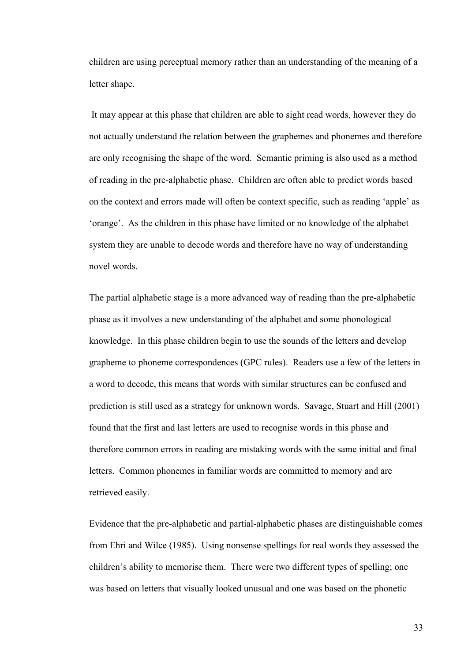children are using perceptual memory rather than an understanding of the meaning of a letter shape.

 It may appear at this phase that children are able to sight read words, however they do not actually understand the relation between the graphemes and phonemes and therefore are only recognising the shape of the word. Semantic priming is also used as a method of reading in the pre-alphabetic phase. Children are often able to predict words based on the context and errors made will often be context specific, such as reading 'apple' as 'orange'. As the children in this phase have limited or no knowledge of the alphabet system they are unable to decode words and therefore have no way of understanding novel words.

The partial alphabetic stage is a more advanced way of reading than the pre-alphabetic phase as it involves a new understanding of the alphabet and some phonological knowledge. In this phase children begin to use the sounds of the letters and develop grapheme to phoneme correspondences (GPC rules). Readers use a few of the letters in a word to decode, this means that words with similar structures can be confused and prediction is still used as a strategy for unknown words. Savage, Stuart and Hill (2001) found that the first and last letters are used to recognise words in this phase and therefore common errors in reading are mistaking words with the same initial and final letters. Common phonemes in familiar words are committed to memory and are retrieved easily.

Evidence that the pre-alphabetic and partial-alphabetic phases are distinguishable comes from Ehri and Wilce (1985). Using nonsense spellings for real words they assessed the children's ability to memorise them. There were two different types of spelling; one was based on letters that visually looked unusual and one was based on the phonetic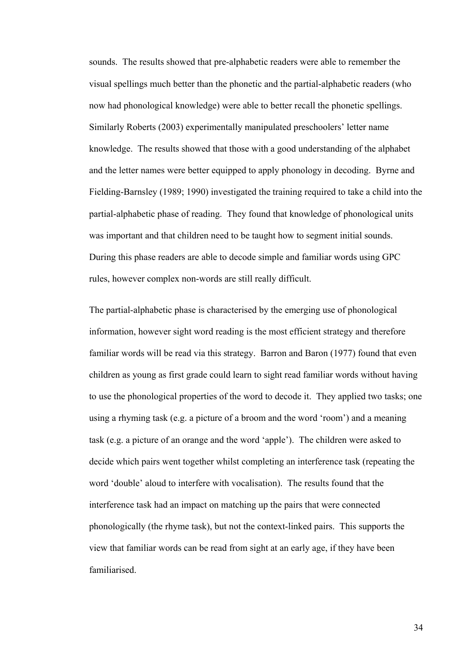sounds. The results showed that pre-alphabetic readers were able to remember the visual spellings much better than the phonetic and the partial-alphabetic readers (who now had phonological knowledge) were able to better recall the phonetic spellings. Similarly Roberts (2003) experimentally manipulated preschoolers' letter name knowledge. The results showed that those with a good understanding of the alphabet and the letter names were better equipped to apply phonology in decoding. Byrne and Fielding-Barnsley (1989; 1990) investigated the training required to take a child into the partial-alphabetic phase of reading. They found that knowledge of phonological units was important and that children need to be taught how to segment initial sounds. During this phase readers are able to decode simple and familiar words using GPC rules, however complex non-words are still really difficult.

The partial-alphabetic phase is characterised by the emerging use of phonological information, however sight word reading is the most efficient strategy and therefore familiar words will be read via this strategy. Barron and Baron (1977) found that even children as young as first grade could learn to sight read familiar words without having to use the phonological properties of the word to decode it. They applied two tasks; one using a rhyming task (e.g. a picture of a broom and the word 'room') and a meaning task (e.g. a picture of an orange and the word 'apple'). The children were asked to decide which pairs went together whilst completing an interference task (repeating the word 'double' aloud to interfere with vocalisation). The results found that the interference task had an impact on matching up the pairs that were connected phonologically (the rhyme task), but not the context-linked pairs. This supports the view that familiar words can be read from sight at an early age, if they have been familiarised.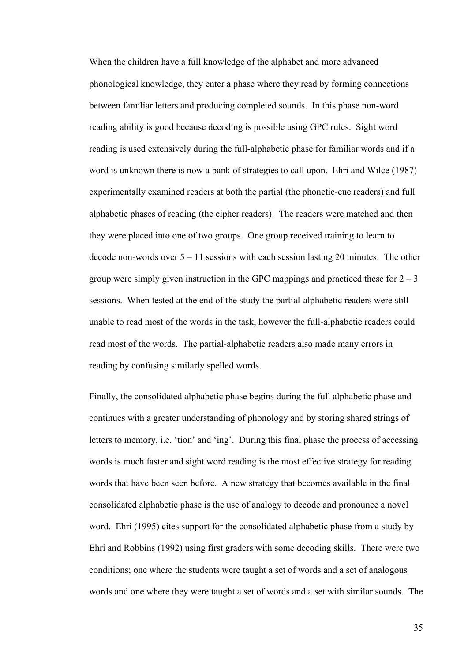When the children have a full knowledge of the alphabet and more advanced phonological knowledge, they enter a phase where they read by forming connections between familiar letters and producing completed sounds. In this phase non-word reading ability is good because decoding is possible using GPC rules. Sight word reading is used extensively during the full-alphabetic phase for familiar words and if a word is unknown there is now a bank of strategies to call upon. Ehri and Wilce (1987) experimentally examined readers at both the partial (the phonetic-cue readers) and full alphabetic phases of reading (the cipher readers). The readers were matched and then they were placed into one of two groups. One group received training to learn to decode non-words over  $5 - 11$  sessions with each session lasting 20 minutes. The other group were simply given instruction in the GPC mappings and practiced these for  $2 - 3$ sessions. When tested at the end of the study the partial-alphabetic readers were still unable to read most of the words in the task, however the full-alphabetic readers could read most of the words. The partial-alphabetic readers also made many errors in reading by confusing similarly spelled words.

Finally, the consolidated alphabetic phase begins during the full alphabetic phase and continues with a greater understanding of phonology and by storing shared strings of letters to memory, i.e. 'tion' and 'ing'. During this final phase the process of accessing words is much faster and sight word reading is the most effective strategy for reading words that have been seen before. A new strategy that becomes available in the final consolidated alphabetic phase is the use of analogy to decode and pronounce a novel word. Ehri (1995) cites support for the consolidated alphabetic phase from a study by Ehri and Robbins (1992) using first graders with some decoding skills. There were two conditions; one where the students were taught a set of words and a set of analogous words and one where they were taught a set of words and a set with similar sounds. The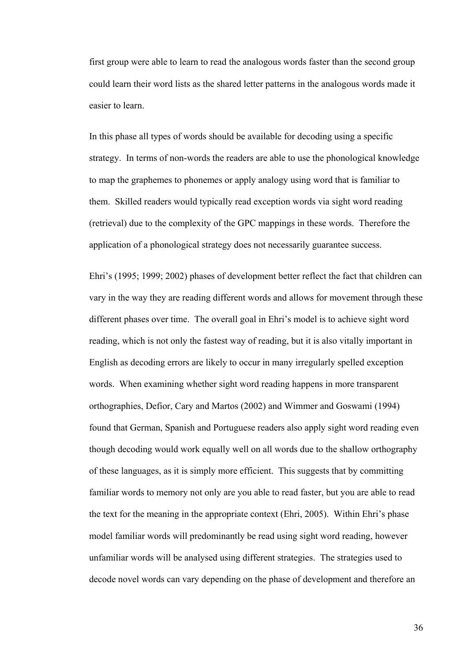first group were able to learn to read the analogous words faster than the second group could learn their word lists as the shared letter patterns in the analogous words made it easier to learn.

In this phase all types of words should be available for decoding using a specific strategy. In terms of non-words the readers are able to use the phonological knowledge to map the graphemes to phonemes or apply analogy using word that is familiar to them. Skilled readers would typically read exception words via sight word reading (retrieval) due to the complexity of the GPC mappings in these words. Therefore the application of a phonological strategy does not necessarily guarantee success.

Ehri's (1995; 1999; 2002) phases of development better reflect the fact that children can vary in the way they are reading different words and allows for movement through these different phases over time. The overall goal in Ehri's model is to achieve sight word reading, which is not only the fastest way of reading, but it is also vitally important in English as decoding errors are likely to occur in many irregularly spelled exception words. When examining whether sight word reading happens in more transparent orthographies, Defior, Cary and Martos (2002) and Wimmer and Goswami (1994) found that German, Spanish and Portuguese readers also apply sight word reading even though decoding would work equally well on all words due to the shallow orthography of these languages, as it is simply more efficient. This suggests that by committing familiar words to memory not only are you able to read faster, but you are able to read the text for the meaning in the appropriate context (Ehri, 2005). Within Ehri's phase model familiar words will predominantly be read using sight word reading, however unfamiliar words will be analysed using different strategies. The strategies used to decode novel words can vary depending on the phase of development and therefore an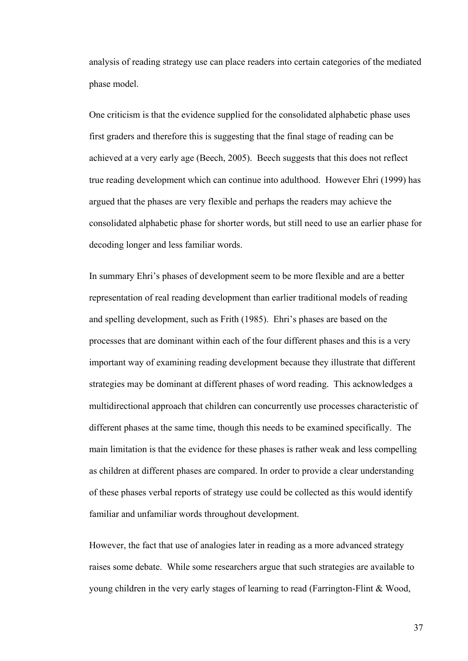analysis of reading strategy use can place readers into certain categories of the mediated phase model.

One criticism is that the evidence supplied for the consolidated alphabetic phase uses first graders and therefore this is suggesting that the final stage of reading can be achieved at a very early age (Beech, 2005). Beech suggests that this does not reflect true reading development which can continue into adulthood. However Ehri (1999) has argued that the phases are very flexible and perhaps the readers may achieve the consolidated alphabetic phase for shorter words, but still need to use an earlier phase for decoding longer and less familiar words.

In summary Ehri's phases of development seem to be more flexible and are a better representation of real reading development than earlier traditional models of reading and spelling development, such as Frith (1985). Ehri's phases are based on the processes that are dominant within each of the four different phases and this is a very important way of examining reading development because they illustrate that different strategies may be dominant at different phases of word reading. This acknowledges a multidirectional approach that children can concurrently use processes characteristic of different phases at the same time, though this needs to be examined specifically. The main limitation is that the evidence for these phases is rather weak and less compelling as children at different phases are compared. In order to provide a clear understanding of these phases verbal reports of strategy use could be collected as this would identify familiar and unfamiliar words throughout development.

However, the fact that use of analogies later in reading as a more advanced strategy raises some debate. While some researchers argue that such strategies are available to young children in the very early stages of learning to read (Farrington-Flint & Wood,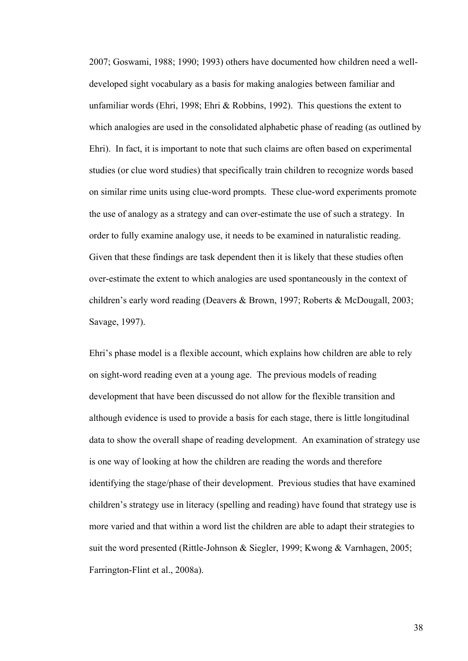2007; Goswami, 1988; 1990; 1993) others have documented how children need a welldeveloped sight vocabulary as a basis for making analogies between familiar and unfamiliar words (Ehri, 1998; Ehri & Robbins, 1992). This questions the extent to which analogies are used in the consolidated alphabetic phase of reading (as outlined by Ehri). In fact, it is important to note that such claims are often based on experimental studies (or clue word studies) that specifically train children to recognize words based on similar rime units using clue-word prompts. These clue-word experiments promote the use of analogy as a strategy and can over-estimate the use of such a strategy. In order to fully examine analogy use, it needs to be examined in naturalistic reading. Given that these findings are task dependent then it is likely that these studies often over-estimate the extent to which analogies are used spontaneously in the context of children's early word reading (Deavers & Brown, 1997; Roberts & McDougall, 2003; Savage, 1997).

Ehri's phase model is a flexible account, which explains how children are able to rely on sight-word reading even at a young age. The previous models of reading development that have been discussed do not allow for the flexible transition and although evidence is used to provide a basis for each stage, there is little longitudinal data to show the overall shape of reading development. An examination of strategy use is one way of looking at how the children are reading the words and therefore identifying the stage/phase of their development. Previous studies that have examined children's strategy use in literacy (spelling and reading) have found that strategy use is more varied and that within a word list the children are able to adapt their strategies to suit the word presented (Rittle-Johnson & Siegler, 1999; Kwong & Varnhagen, 2005; Farrington-Flint et al., 2008a).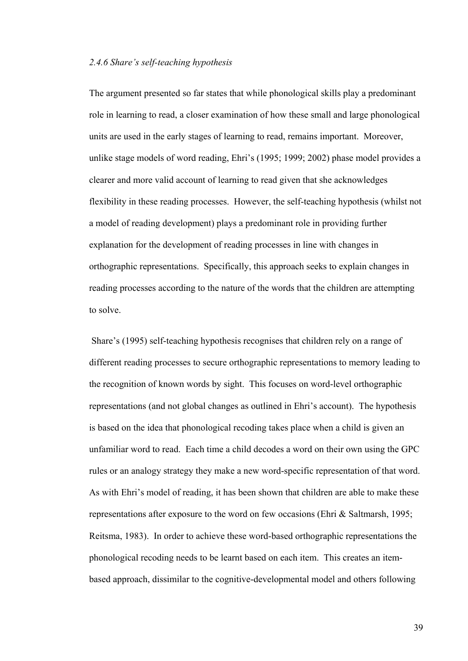### *2.4.6 Share's self-teaching hypothesis*

The argument presented so far states that while phonological skills play a predominant role in learning to read, a closer examination of how these small and large phonological units are used in the early stages of learning to read, remains important. Moreover, unlike stage models of word reading, Ehri's (1995; 1999; 2002) phase model provides a clearer and more valid account of learning to read given that she acknowledges flexibility in these reading processes. However, the self-teaching hypothesis (whilst not a model of reading development) plays a predominant role in providing further explanation for the development of reading processes in line with changes in orthographic representations. Specifically, this approach seeks to explain changes in reading processes according to the nature of the words that the children are attempting to solve.

 Share's (1995) self-teaching hypothesis recognises that children rely on a range of different reading processes to secure orthographic representations to memory leading to the recognition of known words by sight. This focuses on word-level orthographic representations (and not global changes as outlined in Ehri's account). The hypothesis is based on the idea that phonological recoding takes place when a child is given an unfamiliar word to read. Each time a child decodes a word on their own using the GPC rules or an analogy strategy they make a new word-specific representation of that word. As with Ehri's model of reading, it has been shown that children are able to make these representations after exposure to the word on few occasions (Ehri & Saltmarsh, 1995; Reitsma, 1983). In order to achieve these word-based orthographic representations the phonological recoding needs to be learnt based on each item. This creates an itembased approach, dissimilar to the cognitive-developmental model and others following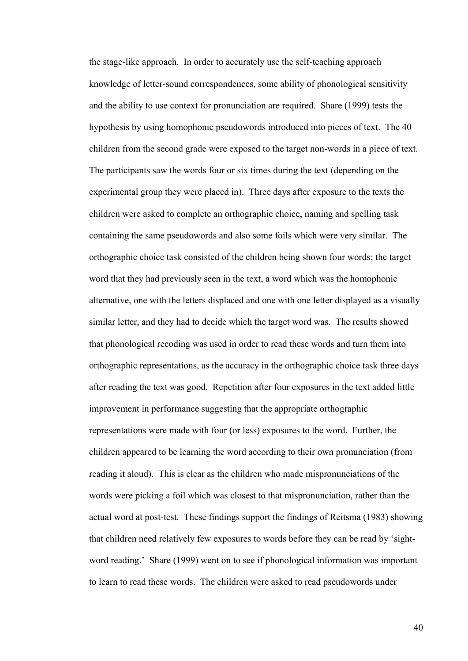the stage-like approach. In order to accurately use the self-teaching approach knowledge of letter-sound correspondences, some ability of phonological sensitivity and the ability to use context for pronunciation are required. Share (1999) tests the hypothesis by using homophonic pseudowords introduced into pieces of text. The 40 children from the second grade were exposed to the target non-words in a piece of text. The participants saw the words four or six times during the text (depending on the experimental group they were placed in). Three days after exposure to the texts the children were asked to complete an orthographic choice, naming and spelling task containing the same pseudowords and also some foils which were very similar. The orthographic choice task consisted of the children being shown four words; the target word that they had previously seen in the text, a word which was the homophonic alternative, one with the letters displaced and one with one letter displayed as a visually similar letter, and they had to decide which the target word was. The results showed that phonological recoding was used in order to read these words and turn them into orthographic representations, as the accuracy in the orthographic choice task three days after reading the text was good. Repetition after four exposures in the text added little improvement in performance suggesting that the appropriate orthographic representations were made with four (or less) exposures to the word. Further, the children appeared to be learning the word according to their own pronunciation (from reading it aloud). This is clear as the children who made mispronunciations of the words were picking a foil which was closest to that mispronunciation, rather than the actual word at post-test. These findings support the findings of Reitsma (1983) showing that children need relatively few exposures to words before they can be read by 'sightword reading.' Share (1999) went on to see if phonological information was important to learn to read these words. The children were asked to read pseudowords under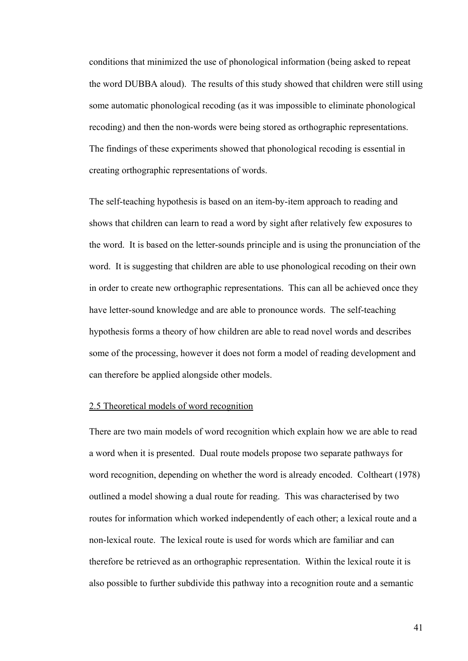conditions that minimized the use of phonological information (being asked to repeat the word DUBBA aloud). The results of this study showed that children were still using some automatic phonological recoding (as it was impossible to eliminate phonological recoding) and then the non-words were being stored as orthographic representations. The findings of these experiments showed that phonological recoding is essential in creating orthographic representations of words.

The self-teaching hypothesis is based on an item-by-item approach to reading and shows that children can learn to read a word by sight after relatively few exposures to the word. It is based on the letter-sounds principle and is using the pronunciation of the word. It is suggesting that children are able to use phonological recoding on their own in order to create new orthographic representations. This can all be achieved once they have letter-sound knowledge and are able to pronounce words. The self-teaching hypothesis forms a theory of how children are able to read novel words and describes some of the processing, however it does not form a model of reading development and can therefore be applied alongside other models.

### 2.5 Theoretical models of word recognition

There are two main models of word recognition which explain how we are able to read a word when it is presented. Dual route models propose two separate pathways for word recognition, depending on whether the word is already encoded. Coltheart (1978) outlined a model showing a dual route for reading. This was characterised by two routes for information which worked independently of each other; a lexical route and a non-lexical route. The lexical route is used for words which are familiar and can therefore be retrieved as an orthographic representation. Within the lexical route it is also possible to further subdivide this pathway into a recognition route and a semantic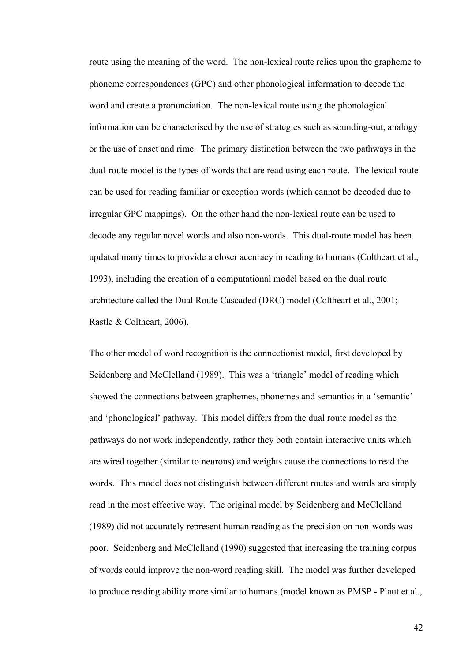route using the meaning of the word. The non-lexical route relies upon the grapheme to phoneme correspondences (GPC) and other phonological information to decode the word and create a pronunciation. The non-lexical route using the phonological information can be characterised by the use of strategies such as sounding-out, analogy or the use of onset and rime. The primary distinction between the two pathways in the dual-route model is the types of words that are read using each route. The lexical route can be used for reading familiar or exception words (which cannot be decoded due to irregular GPC mappings). On the other hand the non-lexical route can be used to decode any regular novel words and also non-words. This dual-route model has been updated many times to provide a closer accuracy in reading to humans (Coltheart et al., 1993), including the creation of a computational model based on the dual route architecture called the Dual Route Cascaded (DRC) model (Coltheart et al., 2001; Rastle & Coltheart, 2006).

The other model of word recognition is the connectionist model, first developed by Seidenberg and McClelland (1989). This was a 'triangle' model of reading which showed the connections between graphemes, phonemes and semantics in a 'semantic' and 'phonological' pathway. This model differs from the dual route model as the pathways do not work independently, rather they both contain interactive units which are wired together (similar to neurons) and weights cause the connections to read the words. This model does not distinguish between different routes and words are simply read in the most effective way. The original model by Seidenberg and McClelland (1989) did not accurately represent human reading as the precision on non-words was poor. Seidenberg and McClelland (1990) suggested that increasing the training corpus of words could improve the non-word reading skill. The model was further developed to produce reading ability more similar to humans (model known as PMSP - Plaut et al.,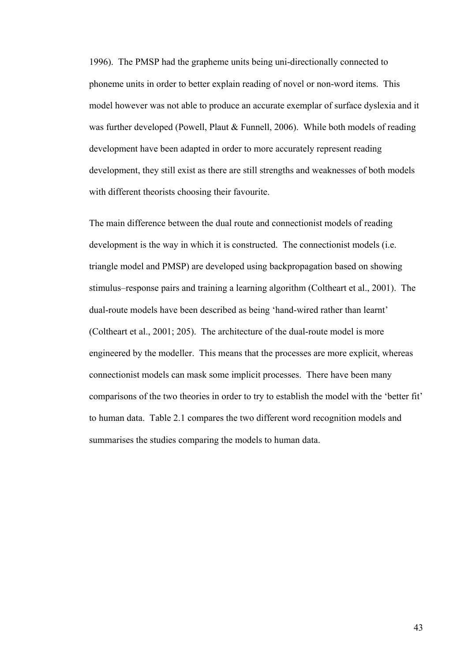1996). The PMSP had the grapheme units being uni-directionally connected to phoneme units in order to better explain reading of novel or non-word items. This model however was not able to produce an accurate exemplar of surface dyslexia and it was further developed (Powell, Plaut & Funnell, 2006). While both models of reading development have been adapted in order to more accurately represent reading development, they still exist as there are still strengths and weaknesses of both models with different theorists choosing their favourite.

The main difference between the dual route and connectionist models of reading development is the way in which it is constructed. The connectionist models (i.e. triangle model and PMSP) are developed using backpropagation based on showing stimulus–response pairs and training a learning algorithm (Coltheart et al., 2001). The dual-route models have been described as being 'hand-wired rather than learnt' (Coltheart et al., 2001; 205). The architecture of the dual-route model is more engineered by the modeller. This means that the processes are more explicit, whereas connectionist models can mask some implicit processes. There have been many comparisons of the two theories in order to try to establish the model with the 'better fit' to human data. Table 2.1 compares the two different word recognition models and summarises the studies comparing the models to human data.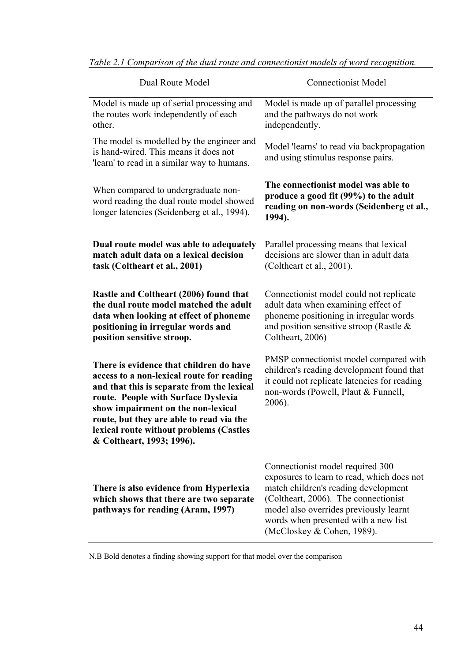| Dual Route Model                                                                                                                                                                                                                                                                                                                    | <b>Connectionist Model</b>                                                                                                                                                                                                                                                     |
|-------------------------------------------------------------------------------------------------------------------------------------------------------------------------------------------------------------------------------------------------------------------------------------------------------------------------------------|--------------------------------------------------------------------------------------------------------------------------------------------------------------------------------------------------------------------------------------------------------------------------------|
| Model is made up of serial processing and<br>the routes work independently of each<br>other.                                                                                                                                                                                                                                        | Model is made up of parallel processing<br>and the pathways do not work<br>independently.                                                                                                                                                                                      |
| The model is modelled by the engineer and<br>is hand-wired. This means it does not<br>'learn' to read in a similar way to humans.                                                                                                                                                                                                   | Model 'learns' to read via backpropagation<br>and using stimulus response pairs.                                                                                                                                                                                               |
| When compared to undergraduate non-<br>word reading the dual route model showed<br>longer latencies (Seidenberg et al., 1994).                                                                                                                                                                                                      | The connectionist model was able to<br>produce a good fit (99%) to the adult<br>reading on non-words (Seidenberg et al.,<br>1994).                                                                                                                                             |
| Dual route model was able to adequately<br>match adult data on a lexical decision<br>task (Coltheart et al., 2001)                                                                                                                                                                                                                  | Parallel processing means that lexical<br>decisions are slower than in adult data<br>(Coltheart et al., 2001).                                                                                                                                                                 |
| Rastle and Coltheart (2006) found that<br>the dual route model matched the adult<br>data when looking at effect of phoneme<br>positioning in irregular words and<br>position sensitive stroop.                                                                                                                                      | Connectionist model could not replicate<br>adult data when examining effect of<br>phoneme positioning in irregular words<br>and position sensitive stroop (Rastle $\&$<br>Coltheart, 2006)                                                                                     |
| There is evidence that children do have<br>access to a non-lexical route for reading<br>and that this is separate from the lexical<br>route. People with Surface Dyslexia<br>show impairment on the non-lexical<br>route, but they are able to read via the<br>lexical route without problems (Castles<br>& Coltheart, 1993; 1996). | PMSP connectionist model compared with<br>children's reading development found that<br>it could not replicate latencies for reading<br>non-words (Powell, Plaut & Funnell,<br>2006).                                                                                           |
| There is also evidence from Hyperlexia<br>which shows that there are two separate<br>pathways for reading (Aram, 1997)                                                                                                                                                                                                              | Connectionist model required 300<br>exposures to learn to read, which does not<br>match children's reading development<br>(Coltheart, 2006). The connectionist<br>model also overrides previously learnt<br>words when presented with a new list<br>(McCloskey & Cohen, 1989). |

*Table 2.1 Comparison of the dual route and connectionist models of word recognition.* 

N.B Bold denotes a finding showing support for that model over the comparison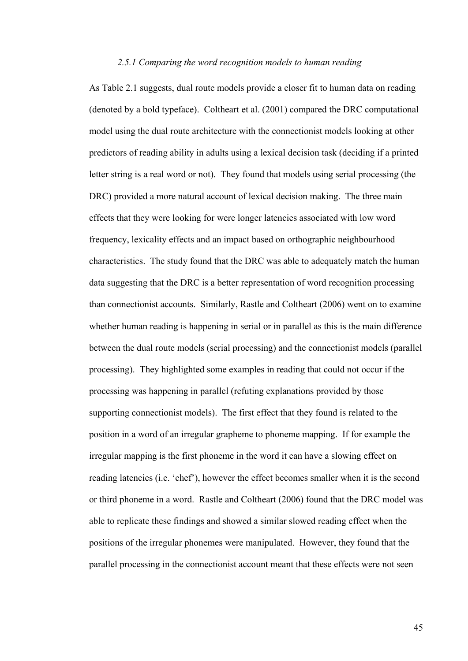### *2.5.1 Comparing the word recognition models to human reading*

As Table 2.1 suggests, dual route models provide a closer fit to human data on reading (denoted by a bold typeface). Coltheart et al. (2001) compared the DRC computational model using the dual route architecture with the connectionist models looking at other predictors of reading ability in adults using a lexical decision task (deciding if a printed letter string is a real word or not). They found that models using serial processing (the DRC) provided a more natural account of lexical decision making. The three main effects that they were looking for were longer latencies associated with low word frequency, lexicality effects and an impact based on orthographic neighbourhood characteristics. The study found that the DRC was able to adequately match the human data suggesting that the DRC is a better representation of word recognition processing than connectionist accounts. Similarly, Rastle and Coltheart (2006) went on to examine whether human reading is happening in serial or in parallel as this is the main difference between the dual route models (serial processing) and the connectionist models (parallel processing). They highlighted some examples in reading that could not occur if the processing was happening in parallel (refuting explanations provided by those supporting connectionist models). The first effect that they found is related to the position in a word of an irregular grapheme to phoneme mapping. If for example the irregular mapping is the first phoneme in the word it can have a slowing effect on reading latencies (i.e. 'chef'), however the effect becomes smaller when it is the second or third phoneme in a word. Rastle and Coltheart (2006) found that the DRC model was able to replicate these findings and showed a similar slowed reading effect when the positions of the irregular phonemes were manipulated. However, they found that the parallel processing in the connectionist account meant that these effects were not seen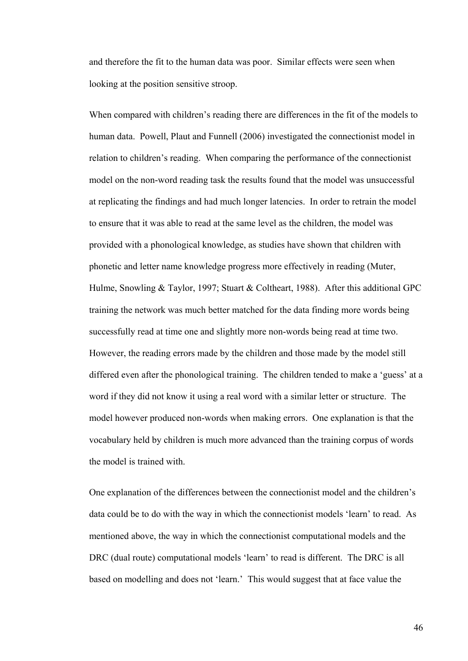and therefore the fit to the human data was poor. Similar effects were seen when looking at the position sensitive stroop.

When compared with children's reading there are differences in the fit of the models to human data. Powell, Plaut and Funnell (2006) investigated the connectionist model in relation to children's reading. When comparing the performance of the connectionist model on the non-word reading task the results found that the model was unsuccessful at replicating the findings and had much longer latencies. In order to retrain the model to ensure that it was able to read at the same level as the children, the model was provided with a phonological knowledge, as studies have shown that children with phonetic and letter name knowledge progress more effectively in reading (Muter, Hulme, Snowling & Taylor, 1997; Stuart & Coltheart, 1988). After this additional GPC training the network was much better matched for the data finding more words being successfully read at time one and slightly more non-words being read at time two. However, the reading errors made by the children and those made by the model still differed even after the phonological training. The children tended to make a 'guess' at a word if they did not know it using a real word with a similar letter or structure. The model however produced non-words when making errors. One explanation is that the vocabulary held by children is much more advanced than the training corpus of words the model is trained with.

One explanation of the differences between the connectionist model and the children's data could be to do with the way in which the connectionist models 'learn' to read. As mentioned above, the way in which the connectionist computational models and the DRC (dual route) computational models 'learn' to read is different. The DRC is all based on modelling and does not 'learn.' This would suggest that at face value the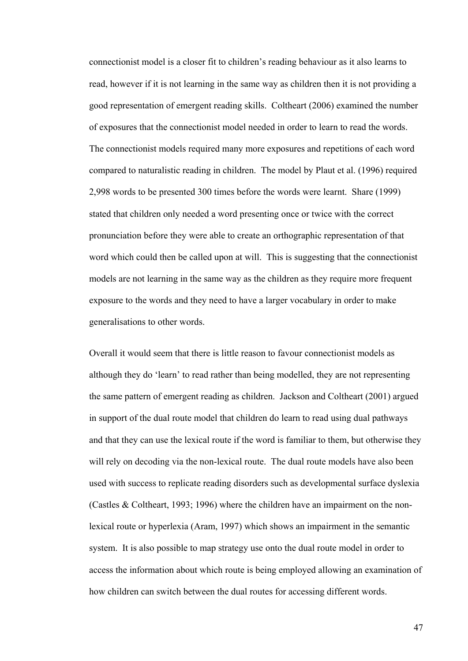connectionist model is a closer fit to children's reading behaviour as it also learns to read, however if it is not learning in the same way as children then it is not providing a good representation of emergent reading skills. Coltheart (2006) examined the number of exposures that the connectionist model needed in order to learn to read the words. The connectionist models required many more exposures and repetitions of each word compared to naturalistic reading in children. The model by Plaut et al. (1996) required 2,998 words to be presented 300 times before the words were learnt. Share (1999) stated that children only needed a word presenting once or twice with the correct pronunciation before they were able to create an orthographic representation of that word which could then be called upon at will. This is suggesting that the connectionist models are not learning in the same way as the children as they require more frequent exposure to the words and they need to have a larger vocabulary in order to make generalisations to other words.

Overall it would seem that there is little reason to favour connectionist models as although they do 'learn' to read rather than being modelled, they are not representing the same pattern of emergent reading as children. Jackson and Coltheart (2001) argued in support of the dual route model that children do learn to read using dual pathways and that they can use the lexical route if the word is familiar to them, but otherwise they will rely on decoding via the non-lexical route. The dual route models have also been used with success to replicate reading disorders such as developmental surface dyslexia (Castles & Coltheart, 1993; 1996) where the children have an impairment on the nonlexical route or hyperlexia (Aram, 1997) which shows an impairment in the semantic system. It is also possible to map strategy use onto the dual route model in order to access the information about which route is being employed allowing an examination of how children can switch between the dual routes for accessing different words.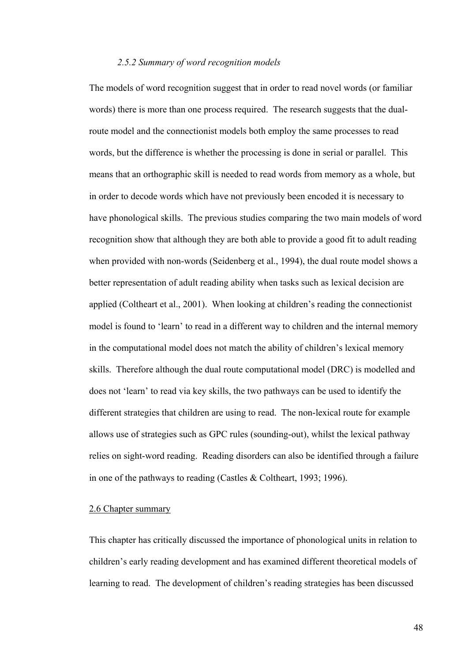## *2.5.2 Summary of word recognition models*

The models of word recognition suggest that in order to read novel words (or familiar words) there is more than one process required. The research suggests that the dualroute model and the connectionist models both employ the same processes to read words, but the difference is whether the processing is done in serial or parallel. This means that an orthographic skill is needed to read words from memory as a whole, but in order to decode words which have not previously been encoded it is necessary to have phonological skills. The previous studies comparing the two main models of word recognition show that although they are both able to provide a good fit to adult reading when provided with non-words (Seidenberg et al., 1994), the dual route model shows a better representation of adult reading ability when tasks such as lexical decision are applied (Coltheart et al., 2001). When looking at children's reading the connectionist model is found to 'learn' to read in a different way to children and the internal memory in the computational model does not match the ability of children's lexical memory skills. Therefore although the dual route computational model (DRC) is modelled and does not 'learn' to read via key skills, the two pathways can be used to identify the different strategies that children are using to read. The non-lexical route for example allows use of strategies such as GPC rules (sounding-out), whilst the lexical pathway relies on sight-word reading. Reading disorders can also be identified through a failure in one of the pathways to reading (Castles & Coltheart, 1993; 1996).

### 2.6 Chapter summary

This chapter has critically discussed the importance of phonological units in relation to children's early reading development and has examined different theoretical models of learning to read. The development of children's reading strategies has been discussed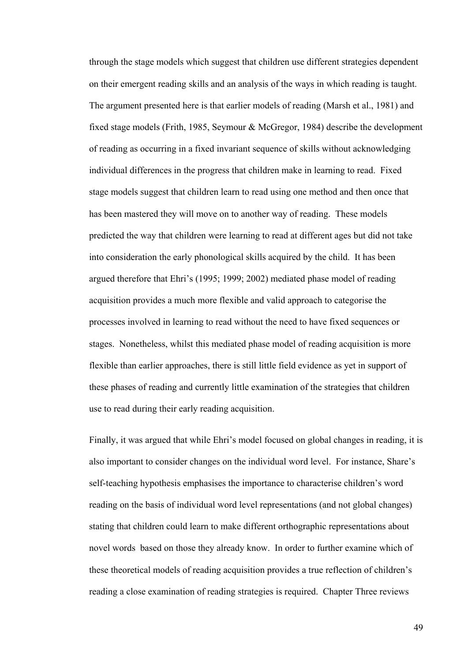through the stage models which suggest that children use different strategies dependent on their emergent reading skills and an analysis of the ways in which reading is taught. The argument presented here is that earlier models of reading (Marsh et al., 1981) and fixed stage models (Frith, 1985, Seymour & McGregor, 1984) describe the development of reading as occurring in a fixed invariant sequence of skills without acknowledging individual differences in the progress that children make in learning to read. Fixed stage models suggest that children learn to read using one method and then once that has been mastered they will move on to another way of reading. These models predicted the way that children were learning to read at different ages but did not take into consideration the early phonological skills acquired by the child. It has been argued therefore that Ehri's (1995; 1999; 2002) mediated phase model of reading acquisition provides a much more flexible and valid approach to categorise the processes involved in learning to read without the need to have fixed sequences or stages. Nonetheless, whilst this mediated phase model of reading acquisition is more flexible than earlier approaches, there is still little field evidence as yet in support of these phases of reading and currently little examination of the strategies that children use to read during their early reading acquisition.

Finally, it was argued that while Ehri's model focused on global changes in reading, it is also important to consider changes on the individual word level. For instance, Share's self-teaching hypothesis emphasises the importance to characterise children's word reading on the basis of individual word level representations (and not global changes) stating that children could learn to make different orthographic representations about novel words based on those they already know. In order to further examine which of these theoretical models of reading acquisition provides a true reflection of children's reading a close examination of reading strategies is required. Chapter Three reviews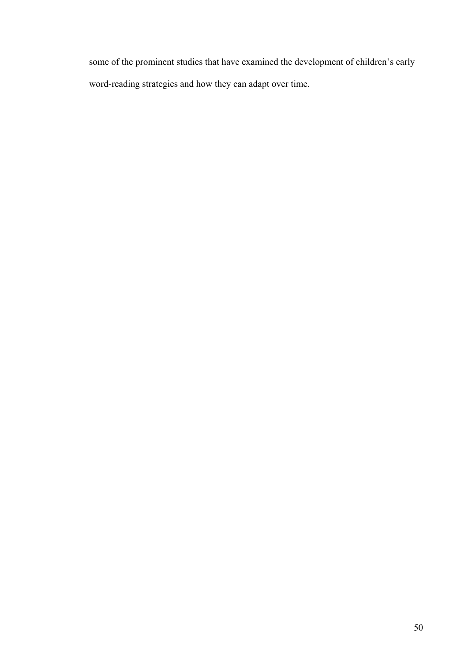some of the prominent studies that have examined the development of children's early word-reading strategies and how they can adapt over time.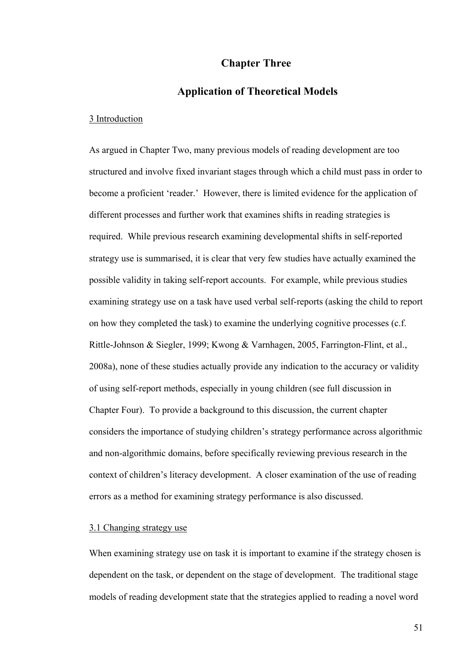# **Chapter Three**

# **Application of Theoretical Models**

### 3 Introduction

As argued in Chapter Two, many previous models of reading development are too structured and involve fixed invariant stages through which a child must pass in order to become a proficient 'reader.' However, there is limited evidence for the application of different processes and further work that examines shifts in reading strategies is required. While previous research examining developmental shifts in self-reported strategy use is summarised, it is clear that very few studies have actually examined the possible validity in taking self-report accounts. For example, while previous studies examining strategy use on a task have used verbal self-reports (asking the child to report on how they completed the task) to examine the underlying cognitive processes (c.f. Rittle-Johnson & Siegler, 1999; Kwong & Varnhagen, 2005, Farrington-Flint, et al., 2008a), none of these studies actually provide any indication to the accuracy or validity of using self-report methods, especially in young children (see full discussion in Chapter Four). To provide a background to this discussion, the current chapter considers the importance of studying children's strategy performance across algorithmic and non-algorithmic domains, before specifically reviewing previous research in the context of children's literacy development. A closer examination of the use of reading errors as a method for examining strategy performance is also discussed.

## 3.1 Changing strategy use

When examining strategy use on task it is important to examine if the strategy chosen is dependent on the task, or dependent on the stage of development. The traditional stage models of reading development state that the strategies applied to reading a novel word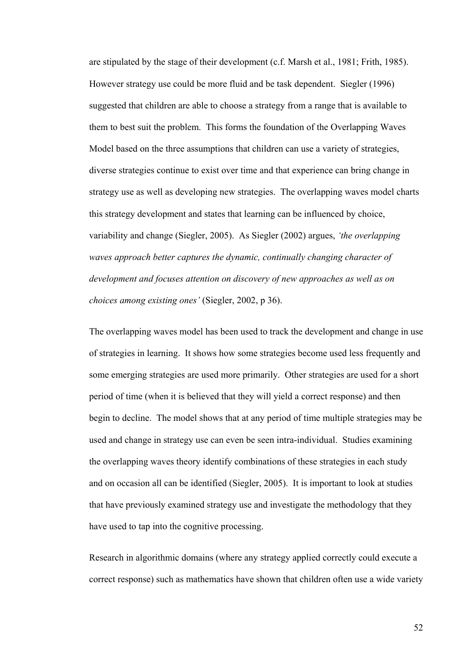are stipulated by the stage of their development (c.f. Marsh et al., 1981; Frith, 1985). However strategy use could be more fluid and be task dependent. Siegler (1996) suggested that children are able to choose a strategy from a range that is available to them to best suit the problem. This forms the foundation of the Overlapping Waves Model based on the three assumptions that children can use a variety of strategies, diverse strategies continue to exist over time and that experience can bring change in strategy use as well as developing new strategies. The overlapping waves model charts this strategy development and states that learning can be influenced by choice, variability and change (Siegler, 2005). As Siegler (2002) argues, *'the overlapping waves approach better captures the dynamic, continually changing character of development and focuses attention on discovery of new approaches as well as on choices among existing ones'* (Siegler, 2002, p 36).

The overlapping waves model has been used to track the development and change in use of strategies in learning. It shows how some strategies become used less frequently and some emerging strategies are used more primarily. Other strategies are used for a short period of time (when it is believed that they will yield a correct response) and then begin to decline. The model shows that at any period of time multiple strategies may be used and change in strategy use can even be seen intra-individual. Studies examining the overlapping waves theory identify combinations of these strategies in each study and on occasion all can be identified (Siegler, 2005). It is important to look at studies that have previously examined strategy use and investigate the methodology that they have used to tap into the cognitive processing.

Research in algorithmic domains (where any strategy applied correctly could execute a correct response) such as mathematics have shown that children often use a wide variety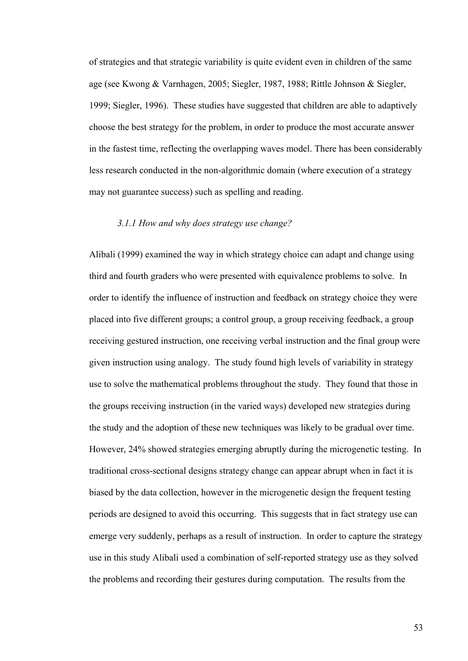of strategies and that strategic variability is quite evident even in children of the same age (see Kwong & Varnhagen, 2005; Siegler, 1987, 1988; Rittle Johnson & Siegler, 1999; Siegler, 1996). These studies have suggested that children are able to adaptively choose the best strategy for the problem, in order to produce the most accurate answer in the fastest time, reflecting the overlapping waves model. There has been considerably less research conducted in the non-algorithmic domain (where execution of a strategy may not guarantee success) such as spelling and reading.

## *3.1.1 How and why does strategy use change?*

Alibali (1999) examined the way in which strategy choice can adapt and change using third and fourth graders who were presented with equivalence problems to solve. In order to identify the influence of instruction and feedback on strategy choice they were placed into five different groups; a control group, a group receiving feedback, a group receiving gestured instruction, one receiving verbal instruction and the final group were given instruction using analogy. The study found high levels of variability in strategy use to solve the mathematical problems throughout the study. They found that those in the groups receiving instruction (in the varied ways) developed new strategies during the study and the adoption of these new techniques was likely to be gradual over time. However, 24% showed strategies emerging abruptly during the microgenetic testing. In traditional cross-sectional designs strategy change can appear abrupt when in fact it is biased by the data collection, however in the microgenetic design the frequent testing periods are designed to avoid this occurring. This suggests that in fact strategy use can emerge very suddenly, perhaps as a result of instruction. In order to capture the strategy use in this study Alibali used a combination of self-reported strategy use as they solved the problems and recording their gestures during computation. The results from the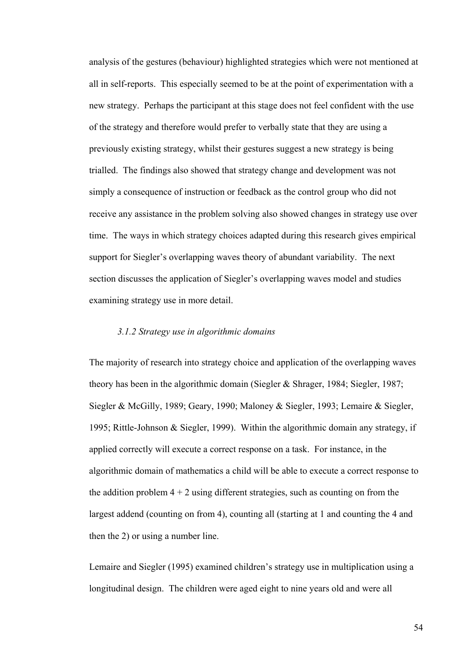analysis of the gestures (behaviour) highlighted strategies which were not mentioned at all in self-reports. This especially seemed to be at the point of experimentation with a new strategy. Perhaps the participant at this stage does not feel confident with the use of the strategy and therefore would prefer to verbally state that they are using a previously existing strategy, whilst their gestures suggest a new strategy is being trialled. The findings also showed that strategy change and development was not simply a consequence of instruction or feedback as the control group who did not receive any assistance in the problem solving also showed changes in strategy use over time. The ways in which strategy choices adapted during this research gives empirical support for Siegler's overlapping waves theory of abundant variability. The next section discusses the application of Siegler's overlapping waves model and studies examining strategy use in more detail.

### *3.1.2 Strategy use in algorithmic domains*

The majority of research into strategy choice and application of the overlapping waves theory has been in the algorithmic domain (Siegler & Shrager, 1984; Siegler, 1987; Siegler & McGilly, 1989; Geary, 1990; Maloney & Siegler, 1993; Lemaire & Siegler, 1995; Rittle-Johnson & Siegler, 1999). Within the algorithmic domain any strategy, if applied correctly will execute a correct response on a task. For instance, in the algorithmic domain of mathematics a child will be able to execute a correct response to the addition problem  $4 + 2$  using different strategies, such as counting on from the largest addend (counting on from 4), counting all (starting at 1 and counting the 4 and then the 2) or using a number line.

Lemaire and Siegler (1995) examined children's strategy use in multiplication using a longitudinal design. The children were aged eight to nine years old and were all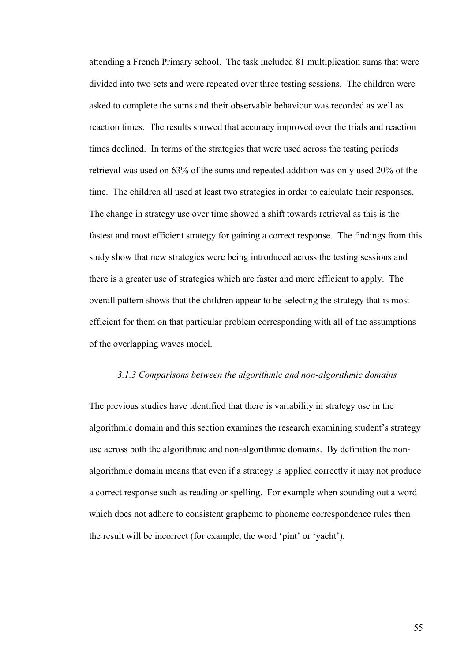attending a French Primary school. The task included 81 multiplication sums that were divided into two sets and were repeated over three testing sessions. The children were asked to complete the sums and their observable behaviour was recorded as well as reaction times. The results showed that accuracy improved over the trials and reaction times declined. In terms of the strategies that were used across the testing periods retrieval was used on 63% of the sums and repeated addition was only used 20% of the time. The children all used at least two strategies in order to calculate their responses. The change in strategy use over time showed a shift towards retrieval as this is the fastest and most efficient strategy for gaining a correct response. The findings from this study show that new strategies were being introduced across the testing sessions and there is a greater use of strategies which are faster and more efficient to apply. The overall pattern shows that the children appear to be selecting the strategy that is most efficient for them on that particular problem corresponding with all of the assumptions of the overlapping waves model.

# *3.1.3 Comparisons between the algorithmic and non-algorithmic domains*

The previous studies have identified that there is variability in strategy use in the algorithmic domain and this section examines the research examining student's strategy use across both the algorithmic and non-algorithmic domains. By definition the nonalgorithmic domain means that even if a strategy is applied correctly it may not produce a correct response such as reading or spelling. For example when sounding out a word which does not adhere to consistent grapheme to phoneme correspondence rules then the result will be incorrect (for example, the word 'pint' or 'yacht').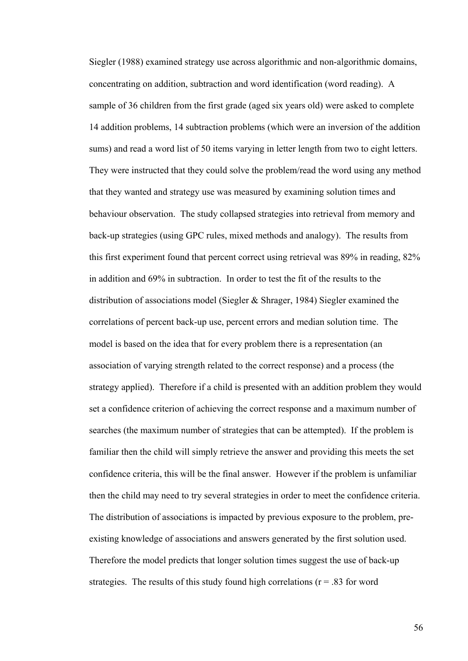Siegler (1988) examined strategy use across algorithmic and non-algorithmic domains, concentrating on addition, subtraction and word identification (word reading). A sample of 36 children from the first grade (aged six years old) were asked to complete 14 addition problems, 14 subtraction problems (which were an inversion of the addition sums) and read a word list of 50 items varying in letter length from two to eight letters. They were instructed that they could solve the problem/read the word using any method that they wanted and strategy use was measured by examining solution times and behaviour observation. The study collapsed strategies into retrieval from memory and back-up strategies (using GPC rules, mixed methods and analogy). The results from this first experiment found that percent correct using retrieval was 89% in reading, 82% in addition and 69% in subtraction. In order to test the fit of the results to the distribution of associations model (Siegler & Shrager, 1984) Siegler examined the correlations of percent back-up use, percent errors and median solution time. The model is based on the idea that for every problem there is a representation (an association of varying strength related to the correct response) and a process (the strategy applied). Therefore if a child is presented with an addition problem they would set a confidence criterion of achieving the correct response and a maximum number of searches (the maximum number of strategies that can be attempted). If the problem is familiar then the child will simply retrieve the answer and providing this meets the set confidence criteria, this will be the final answer. However if the problem is unfamiliar then the child may need to try several strategies in order to meet the confidence criteria. The distribution of associations is impacted by previous exposure to the problem, preexisting knowledge of associations and answers generated by the first solution used. Therefore the model predicts that longer solution times suggest the use of back-up strategies. The results of this study found high correlations ( $r = .83$  for word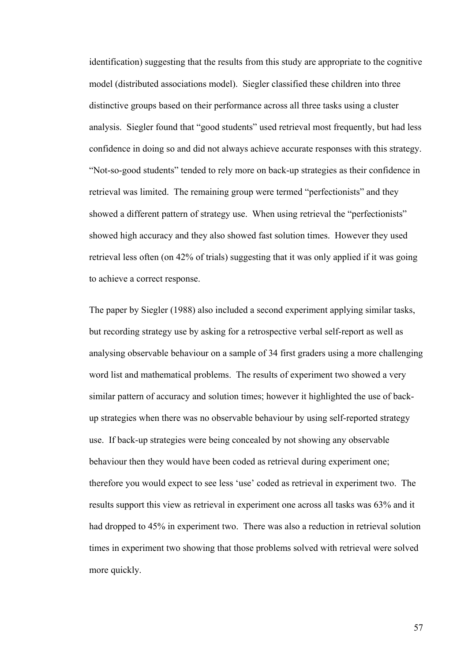identification) suggesting that the results from this study are appropriate to the cognitive model (distributed associations model). Siegler classified these children into three distinctive groups based on their performance across all three tasks using a cluster analysis. Siegler found that "good students" used retrieval most frequently, but had less confidence in doing so and did not always achieve accurate responses with this strategy. "Not-so-good students" tended to rely more on back-up strategies as their confidence in retrieval was limited. The remaining group were termed "perfectionists" and they showed a different pattern of strategy use. When using retrieval the "perfectionists" showed high accuracy and they also showed fast solution times. However they used retrieval less often (on 42% of trials) suggesting that it was only applied if it was going to achieve a correct response.

The paper by Siegler (1988) also included a second experiment applying similar tasks, but recording strategy use by asking for a retrospective verbal self-report as well as analysing observable behaviour on a sample of 34 first graders using a more challenging word list and mathematical problems. The results of experiment two showed a very similar pattern of accuracy and solution times; however it highlighted the use of backup strategies when there was no observable behaviour by using self-reported strategy use. If back-up strategies were being concealed by not showing any observable behaviour then they would have been coded as retrieval during experiment one; therefore you would expect to see less 'use' coded as retrieval in experiment two. The results support this view as retrieval in experiment one across all tasks was 63% and it had dropped to 45% in experiment two. There was also a reduction in retrieval solution times in experiment two showing that those problems solved with retrieval were solved more quickly.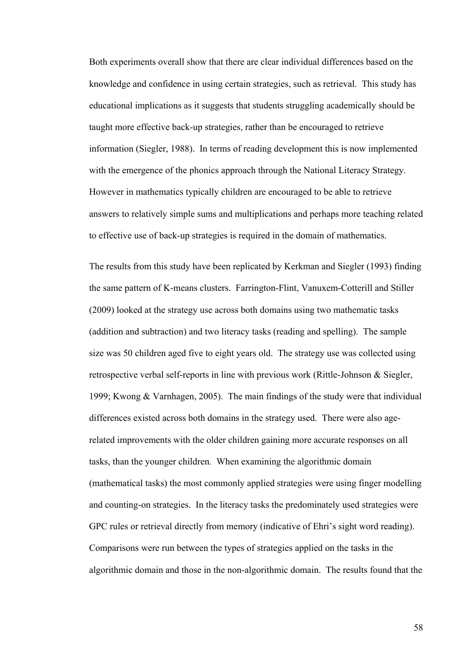Both experiments overall show that there are clear individual differences based on the knowledge and confidence in using certain strategies, such as retrieval. This study has educational implications as it suggests that students struggling academically should be taught more effective back-up strategies, rather than be encouraged to retrieve information (Siegler, 1988). In terms of reading development this is now implemented with the emergence of the phonics approach through the National Literacy Strategy. However in mathematics typically children are encouraged to be able to retrieve answers to relatively simple sums and multiplications and perhaps more teaching related to effective use of back-up strategies is required in the domain of mathematics.

The results from this study have been replicated by Kerkman and Siegler (1993) finding the same pattern of K-means clusters. Farrington-Flint, Vanuxem-Cotterill and Stiller (2009) looked at the strategy use across both domains using two mathematic tasks (addition and subtraction) and two literacy tasks (reading and spelling). The sample size was 50 children aged five to eight years old. The strategy use was collected using retrospective verbal self-reports in line with previous work (Rittle-Johnson & Siegler, 1999; Kwong & Varnhagen, 2005). The main findings of the study were that individual differences existed across both domains in the strategy used. There were also agerelated improvements with the older children gaining more accurate responses on all tasks, than the younger children. When examining the algorithmic domain (mathematical tasks) the most commonly applied strategies were using finger modelling and counting-on strategies. In the literacy tasks the predominately used strategies were GPC rules or retrieval directly from memory (indicative of Ehri's sight word reading). Comparisons were run between the types of strategies applied on the tasks in the algorithmic domain and those in the non-algorithmic domain. The results found that the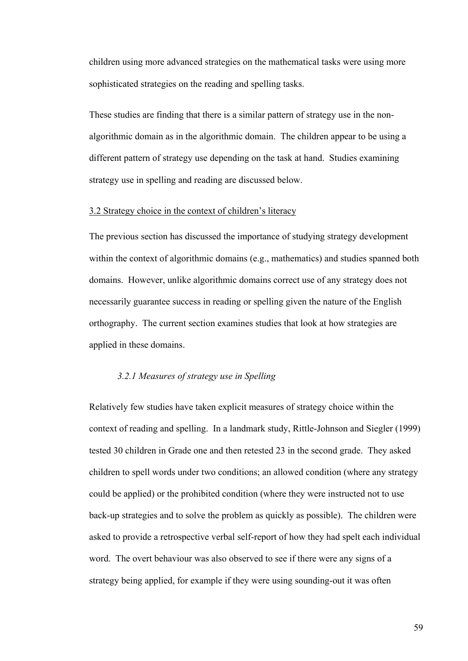children using more advanced strategies on the mathematical tasks were using more sophisticated strategies on the reading and spelling tasks.

These studies are finding that there is a similar pattern of strategy use in the nonalgorithmic domain as in the algorithmic domain. The children appear to be using a different pattern of strategy use depending on the task at hand. Studies examining strategy use in spelling and reading are discussed below.

### 3.2 Strategy choice in the context of children's literacy

The previous section has discussed the importance of studying strategy development within the context of algorithmic domains (e.g., mathematics) and studies spanned both domains. However, unlike algorithmic domains correct use of any strategy does not necessarily guarantee success in reading or spelling given the nature of the English orthography. The current section examines studies that look at how strategies are applied in these domains.

## *3.2.1 Measures of strategy use in Spelling*

Relatively few studies have taken explicit measures of strategy choice within the context of reading and spelling. In a landmark study, Rittle-Johnson and Siegler (1999) tested 30 children in Grade one and then retested 23 in the second grade. They asked children to spell words under two conditions; an allowed condition (where any strategy could be applied) or the prohibited condition (where they were instructed not to use back-up strategies and to solve the problem as quickly as possible). The children were asked to provide a retrospective verbal self-report of how they had spelt each individual word. The overt behaviour was also observed to see if there were any signs of a strategy being applied, for example if they were using sounding-out it was often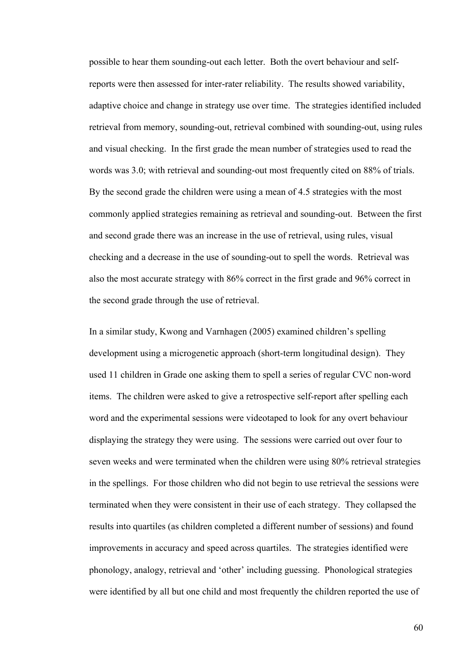possible to hear them sounding-out each letter. Both the overt behaviour and selfreports were then assessed for inter-rater reliability. The results showed variability, adaptive choice and change in strategy use over time. The strategies identified included retrieval from memory, sounding-out, retrieval combined with sounding-out, using rules and visual checking. In the first grade the mean number of strategies used to read the words was 3.0; with retrieval and sounding-out most frequently cited on 88% of trials. By the second grade the children were using a mean of 4.5 strategies with the most commonly applied strategies remaining as retrieval and sounding-out. Between the first and second grade there was an increase in the use of retrieval, using rules, visual checking and a decrease in the use of sounding-out to spell the words. Retrieval was also the most accurate strategy with 86% correct in the first grade and 96% correct in the second grade through the use of retrieval.

In a similar study, Kwong and Varnhagen (2005) examined children's spelling development using a microgenetic approach (short-term longitudinal design). They used 11 children in Grade one asking them to spell a series of regular CVC non-word items. The children were asked to give a retrospective self-report after spelling each word and the experimental sessions were videotaped to look for any overt behaviour displaying the strategy they were using. The sessions were carried out over four to seven weeks and were terminated when the children were using 80% retrieval strategies in the spellings. For those children who did not begin to use retrieval the sessions were terminated when they were consistent in their use of each strategy. They collapsed the results into quartiles (as children completed a different number of sessions) and found improvements in accuracy and speed across quartiles. The strategies identified were phonology, analogy, retrieval and 'other' including guessing. Phonological strategies were identified by all but one child and most frequently the children reported the use of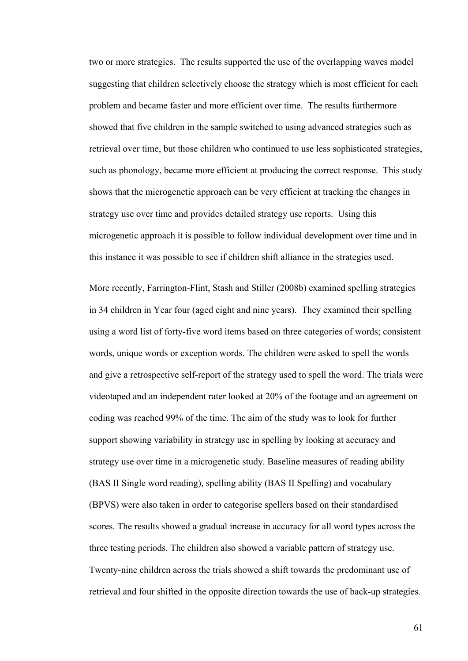two or more strategies. The results supported the use of the overlapping waves model suggesting that children selectively choose the strategy which is most efficient for each problem and became faster and more efficient over time. The results furthermore showed that five children in the sample switched to using advanced strategies such as retrieval over time, but those children who continued to use less sophisticated strategies, such as phonology, became more efficient at producing the correct response. This study shows that the microgenetic approach can be very efficient at tracking the changes in strategy use over time and provides detailed strategy use reports. Using this microgenetic approach it is possible to follow individual development over time and in this instance it was possible to see if children shift alliance in the strategies used.

More recently, Farrington-Flint, Stash and Stiller (2008b) examined spelling strategies in 34 children in Year four (aged eight and nine years). They examined their spelling using a word list of forty-five word items based on three categories of words; consistent words, unique words or exception words. The children were asked to spell the words and give a retrospective self-report of the strategy used to spell the word. The trials were videotaped and an independent rater looked at 20% of the footage and an agreement on coding was reached 99% of the time. The aim of the study was to look for further support showing variability in strategy use in spelling by looking at accuracy and strategy use over time in a microgenetic study. Baseline measures of reading ability (BAS II Single word reading), spelling ability (BAS II Spelling) and vocabulary (BPVS) were also taken in order to categorise spellers based on their standardised scores. The results showed a gradual increase in accuracy for all word types across the three testing periods. The children also showed a variable pattern of strategy use. Twenty-nine children across the trials showed a shift towards the predominant use of retrieval and four shifted in the opposite direction towards the use of back-up strategies.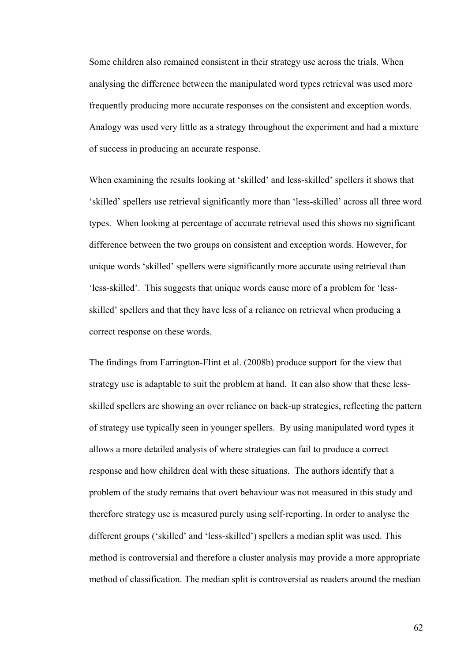Some children also remained consistent in their strategy use across the trials. When analysing the difference between the manipulated word types retrieval was used more frequently producing more accurate responses on the consistent and exception words. Analogy was used very little as a strategy throughout the experiment and had a mixture of success in producing an accurate response.

When examining the results looking at 'skilled' and less-skilled' spellers it shows that 'skilled' spellers use retrieval significantly more than 'less-skilled' across all three word types. When looking at percentage of accurate retrieval used this shows no significant difference between the two groups on consistent and exception words. However, for unique words 'skilled' spellers were significantly more accurate using retrieval than 'less-skilled'. This suggests that unique words cause more of a problem for 'lessskilled' spellers and that they have less of a reliance on retrieval when producing a correct response on these words.

The findings from Farrington-Flint et al. (2008b) produce support for the view that strategy use is adaptable to suit the problem at hand. It can also show that these lessskilled spellers are showing an over reliance on back-up strategies, reflecting the pattern of strategy use typically seen in younger spellers. By using manipulated word types it allows a more detailed analysis of where strategies can fail to produce a correct response and how children deal with these situations. The authors identify that a problem of the study remains that overt behaviour was not measured in this study and therefore strategy use is measured purely using self-reporting. In order to analyse the different groups ('skilled' and 'less-skilled') spellers a median split was used. This method is controversial and therefore a cluster analysis may provide a more appropriate method of classification. The median split is controversial as readers around the median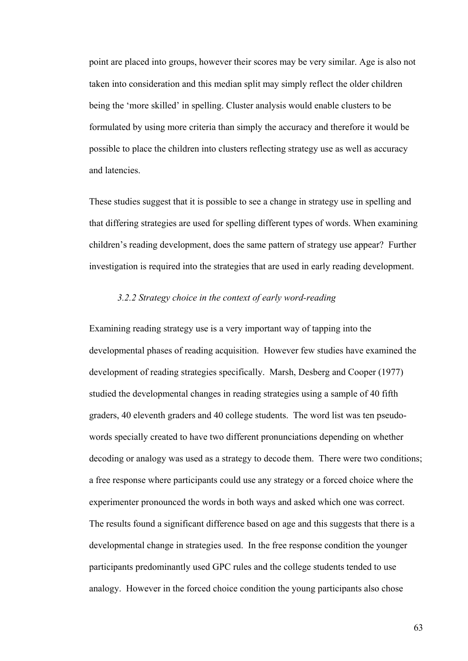point are placed into groups, however their scores may be very similar. Age is also not taken into consideration and this median split may simply reflect the older children being the 'more skilled' in spelling. Cluster analysis would enable clusters to be formulated by using more criteria than simply the accuracy and therefore it would be possible to place the children into clusters reflecting strategy use as well as accuracy and latencies.

These studies suggest that it is possible to see a change in strategy use in spelling and that differing strategies are used for spelling different types of words. When examining children's reading development, does the same pattern of strategy use appear? Further investigation is required into the strategies that are used in early reading development.

## *3.2.2 Strategy choice in the context of early word-reading*

Examining reading strategy use is a very important way of tapping into the developmental phases of reading acquisition. However few studies have examined the development of reading strategies specifically. Marsh, Desberg and Cooper (1977) studied the developmental changes in reading strategies using a sample of 40 fifth graders, 40 eleventh graders and 40 college students. The word list was ten pseudowords specially created to have two different pronunciations depending on whether decoding or analogy was used as a strategy to decode them. There were two conditions; a free response where participants could use any strategy or a forced choice where the experimenter pronounced the words in both ways and asked which one was correct. The results found a significant difference based on age and this suggests that there is a developmental change in strategies used. In the free response condition the younger participants predominantly used GPC rules and the college students tended to use analogy. However in the forced choice condition the young participants also chose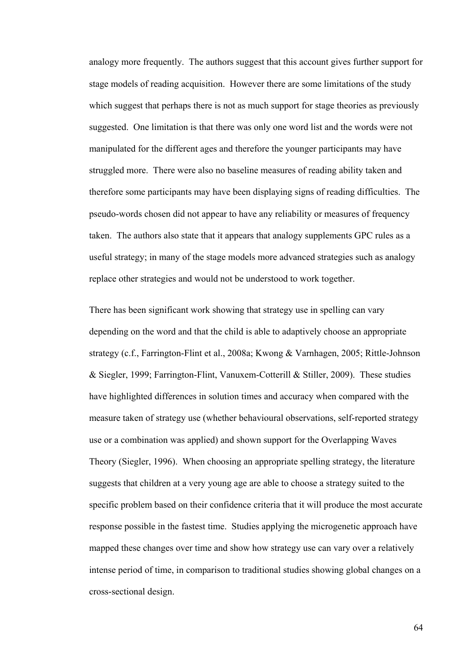analogy more frequently. The authors suggest that this account gives further support for stage models of reading acquisition. However there are some limitations of the study which suggest that perhaps there is not as much support for stage theories as previously suggested. One limitation is that there was only one word list and the words were not manipulated for the different ages and therefore the younger participants may have struggled more. There were also no baseline measures of reading ability taken and therefore some participants may have been displaying signs of reading difficulties. The pseudo-words chosen did not appear to have any reliability or measures of frequency taken. The authors also state that it appears that analogy supplements GPC rules as a useful strategy; in many of the stage models more advanced strategies such as analogy replace other strategies and would not be understood to work together.

There has been significant work showing that strategy use in spelling can vary depending on the word and that the child is able to adaptively choose an appropriate strategy (c.f., Farrington-Flint et al., 2008a; Kwong & Varnhagen, 2005; Rittle-Johnson & Siegler, 1999; Farrington-Flint, Vanuxem-Cotterill & Stiller, 2009). These studies have highlighted differences in solution times and accuracy when compared with the measure taken of strategy use (whether behavioural observations, self-reported strategy use or a combination was applied) and shown support for the Overlapping Waves Theory (Siegler, 1996). When choosing an appropriate spelling strategy, the literature suggests that children at a very young age are able to choose a strategy suited to the specific problem based on their confidence criteria that it will produce the most accurate response possible in the fastest time. Studies applying the microgenetic approach have mapped these changes over time and show how strategy use can vary over a relatively intense period of time, in comparison to traditional studies showing global changes on a cross-sectional design.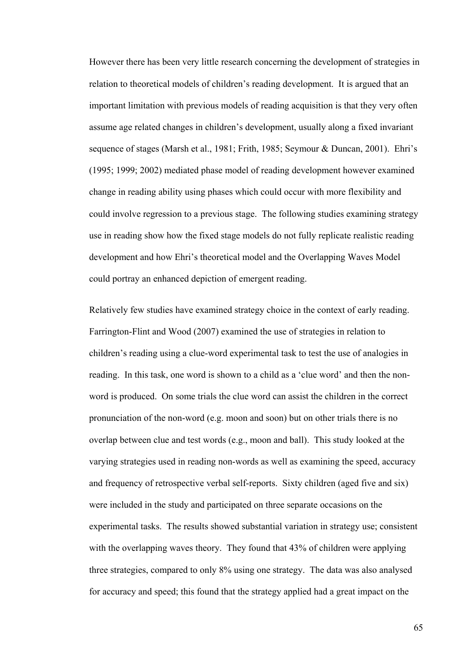However there has been very little research concerning the development of strategies in relation to theoretical models of children's reading development. It is argued that an important limitation with previous models of reading acquisition is that they very often assume age related changes in children's development, usually along a fixed invariant sequence of stages (Marsh et al., 1981; Frith, 1985; Seymour & Duncan, 2001). Ehri's (1995; 1999; 2002) mediated phase model of reading development however examined change in reading ability using phases which could occur with more flexibility and could involve regression to a previous stage. The following studies examining strategy use in reading show how the fixed stage models do not fully replicate realistic reading development and how Ehri's theoretical model and the Overlapping Waves Model could portray an enhanced depiction of emergent reading.

Relatively few studies have examined strategy choice in the context of early reading. Farrington-Flint and Wood (2007) examined the use of strategies in relation to children's reading using a clue-word experimental task to test the use of analogies in reading. In this task, one word is shown to a child as a 'clue word' and then the nonword is produced. On some trials the clue word can assist the children in the correct pronunciation of the non-word (e.g. moon and soon) but on other trials there is no overlap between clue and test words (e.g., moon and ball). This study looked at the varying strategies used in reading non-words as well as examining the speed, accuracy and frequency of retrospective verbal self-reports. Sixty children (aged five and six) were included in the study and participated on three separate occasions on the experimental tasks. The results showed substantial variation in strategy use; consistent with the overlapping waves theory. They found that  $43\%$  of children were applying three strategies, compared to only 8% using one strategy. The data was also analysed for accuracy and speed; this found that the strategy applied had a great impact on the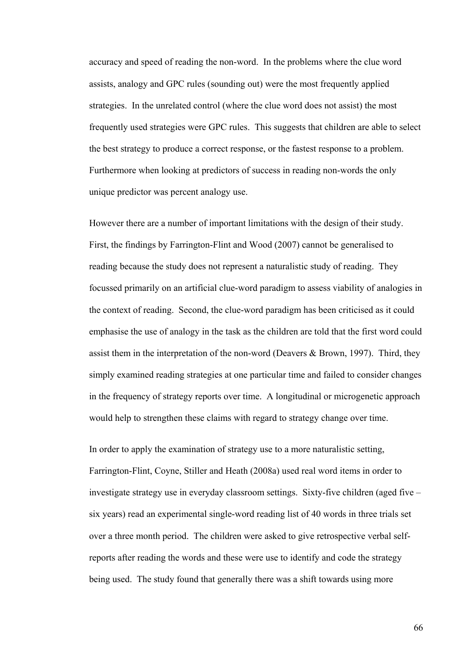accuracy and speed of reading the non-word. In the problems where the clue word assists, analogy and GPC rules (sounding out) were the most frequently applied strategies. In the unrelated control (where the clue word does not assist) the most frequently used strategies were GPC rules. This suggests that children are able to select the best strategy to produce a correct response, or the fastest response to a problem. Furthermore when looking at predictors of success in reading non-words the only unique predictor was percent analogy use.

However there are a number of important limitations with the design of their study. First, the findings by Farrington-Flint and Wood (2007) cannot be generalised to reading because the study does not represent a naturalistic study of reading. They focussed primarily on an artificial clue-word paradigm to assess viability of analogies in the context of reading. Second, the clue-word paradigm has been criticised as it could emphasise the use of analogy in the task as the children are told that the first word could assist them in the interpretation of the non-word (Deavers & Brown, 1997). Third, they simply examined reading strategies at one particular time and failed to consider changes in the frequency of strategy reports over time. A longitudinal or microgenetic approach would help to strengthen these claims with regard to strategy change over time.

In order to apply the examination of strategy use to a more naturalistic setting, Farrington-Flint, Coyne, Stiller and Heath (2008a) used real word items in order to investigate strategy use in everyday classroom settings. Sixty-five children (aged five – six years) read an experimental single-word reading list of 40 words in three trials set over a three month period. The children were asked to give retrospective verbal selfreports after reading the words and these were use to identify and code the strategy being used. The study found that generally there was a shift towards using more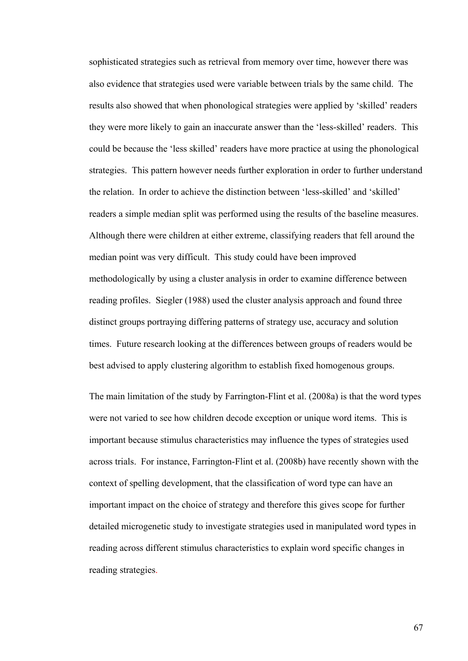sophisticated strategies such as retrieval from memory over time, however there was also evidence that strategies used were variable between trials by the same child. The results also showed that when phonological strategies were applied by 'skilled' readers they were more likely to gain an inaccurate answer than the 'less-skilled' readers. This could be because the 'less skilled' readers have more practice at using the phonological strategies. This pattern however needs further exploration in order to further understand the relation. In order to achieve the distinction between 'less-skilled' and 'skilled' readers a simple median split was performed using the results of the baseline measures. Although there were children at either extreme, classifying readers that fell around the median point was very difficult. This study could have been improved methodologically by using a cluster analysis in order to examine difference between reading profiles. Siegler (1988) used the cluster analysis approach and found three distinct groups portraying differing patterns of strategy use, accuracy and solution times. Future research looking at the differences between groups of readers would be best advised to apply clustering algorithm to establish fixed homogenous groups.

The main limitation of the study by Farrington-Flint et al. (2008a) is that the word types were not varied to see how children decode exception or unique word items. This is important because stimulus characteristics may influence the types of strategies used across trials. For instance, Farrington-Flint et al. (2008b) have recently shown with the context of spelling development, that the classification of word type can have an important impact on the choice of strategy and therefore this gives scope for further detailed microgenetic study to investigate strategies used in manipulated word types in reading across different stimulus characteristics to explain word specific changes in reading strategies.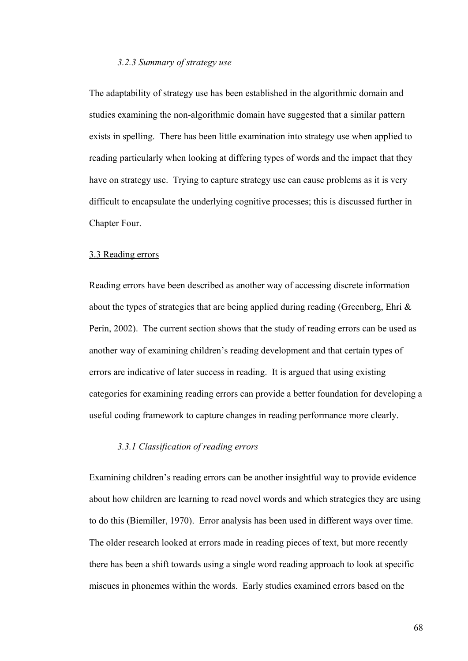## *3.2.3 Summary of strategy use*

The adaptability of strategy use has been established in the algorithmic domain and studies examining the non-algorithmic domain have suggested that a similar pattern exists in spelling. There has been little examination into strategy use when applied to reading particularly when looking at differing types of words and the impact that they have on strategy use. Trying to capture strategy use can cause problems as it is very difficult to encapsulate the underlying cognitive processes; this is discussed further in Chapter Four.

## 3.3 Reading errors

Reading errors have been described as another way of accessing discrete information about the types of strategies that are being applied during reading (Greenberg, Ehri & Perin, 2002). The current section shows that the study of reading errors can be used as another way of examining children's reading development and that certain types of errors are indicative of later success in reading. It is argued that using existing categories for examining reading errors can provide a better foundation for developing a useful coding framework to capture changes in reading performance more clearly.

## *3.3.1 Classification of reading errors*

Examining children's reading errors can be another insightful way to provide evidence about how children are learning to read novel words and which strategies they are using to do this (Biemiller, 1970). Error analysis has been used in different ways over time. The older research looked at errors made in reading pieces of text, but more recently there has been a shift towards using a single word reading approach to look at specific miscues in phonemes within the words. Early studies examined errors based on the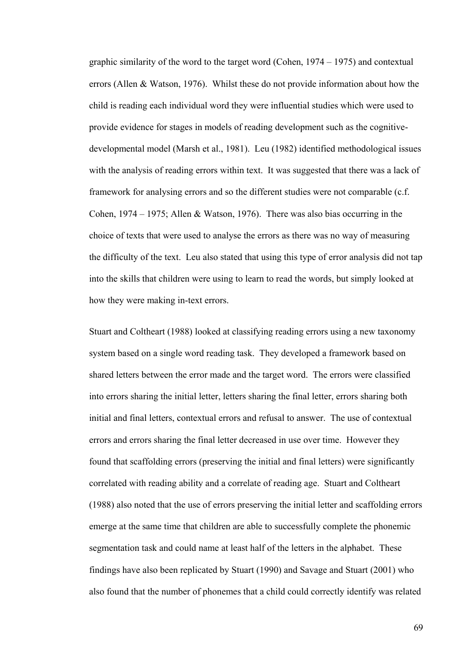graphic similarity of the word to the target word (Cohen, 1974 – 1975) and contextual errors (Allen & Watson, 1976). Whilst these do not provide information about how the child is reading each individual word they were influential studies which were used to provide evidence for stages in models of reading development such as the cognitivedevelopmental model (Marsh et al., 1981). Leu (1982) identified methodological issues with the analysis of reading errors within text. It was suggested that there was a lack of framework for analysing errors and so the different studies were not comparable (c.f. Cohen, 1974 – 1975; Allen & Watson, 1976). There was also bias occurring in the choice of texts that were used to analyse the errors as there was no way of measuring the difficulty of the text. Leu also stated that using this type of error analysis did not tap into the skills that children were using to learn to read the words, but simply looked at how they were making in-text errors.

Stuart and Coltheart (1988) looked at classifying reading errors using a new taxonomy system based on a single word reading task. They developed a framework based on shared letters between the error made and the target word. The errors were classified into errors sharing the initial letter, letters sharing the final letter, errors sharing both initial and final letters, contextual errors and refusal to answer. The use of contextual errors and errors sharing the final letter decreased in use over time. However they found that scaffolding errors (preserving the initial and final letters) were significantly correlated with reading ability and a correlate of reading age. Stuart and Coltheart (1988) also noted that the use of errors preserving the initial letter and scaffolding errors emerge at the same time that children are able to successfully complete the phonemic segmentation task and could name at least half of the letters in the alphabet. These findings have also been replicated by Stuart (1990) and Savage and Stuart (2001) who also found that the number of phonemes that a child could correctly identify was related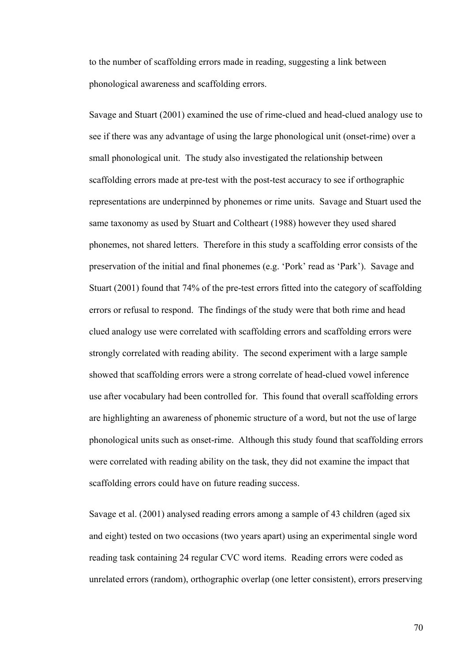to the number of scaffolding errors made in reading, suggesting a link between phonological awareness and scaffolding errors.

Savage and Stuart (2001) examined the use of rime-clued and head-clued analogy use to see if there was any advantage of using the large phonological unit (onset-rime) over a small phonological unit. The study also investigated the relationship between scaffolding errors made at pre-test with the post-test accuracy to see if orthographic representations are underpinned by phonemes or rime units. Savage and Stuart used the same taxonomy as used by Stuart and Coltheart (1988) however they used shared phonemes, not shared letters. Therefore in this study a scaffolding error consists of the preservation of the initial and final phonemes (e.g. 'Pork' read as 'Park'). Savage and Stuart (2001) found that 74% of the pre-test errors fitted into the category of scaffolding errors or refusal to respond. The findings of the study were that both rime and head clued analogy use were correlated with scaffolding errors and scaffolding errors were strongly correlated with reading ability. The second experiment with a large sample showed that scaffolding errors were a strong correlate of head-clued vowel inference use after vocabulary had been controlled for. This found that overall scaffolding errors are highlighting an awareness of phonemic structure of a word, but not the use of large phonological units such as onset-rime. Although this study found that scaffolding errors were correlated with reading ability on the task, they did not examine the impact that scaffolding errors could have on future reading success.

Savage et al. (2001) analysed reading errors among a sample of 43 children (aged six and eight) tested on two occasions (two years apart) using an experimental single word reading task containing 24 regular CVC word items. Reading errors were coded as unrelated errors (random), orthographic overlap (one letter consistent), errors preserving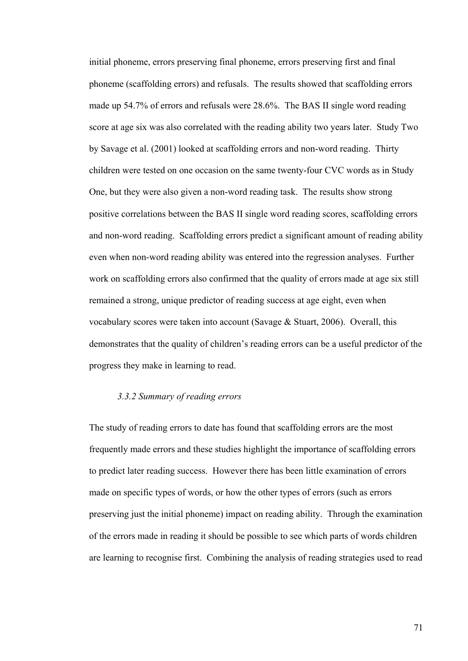initial phoneme, errors preserving final phoneme, errors preserving first and final phoneme (scaffolding errors) and refusals. The results showed that scaffolding errors made up 54.7% of errors and refusals were 28.6%. The BAS II single word reading score at age six was also correlated with the reading ability two years later. Study Two by Savage et al. (2001) looked at scaffolding errors and non-word reading. Thirty children were tested on one occasion on the same twenty-four CVC words as in Study One, but they were also given a non-word reading task. The results show strong positive correlations between the BAS II single word reading scores, scaffolding errors and non-word reading. Scaffolding errors predict a significant amount of reading ability even when non-word reading ability was entered into the regression analyses. Further work on scaffolding errors also confirmed that the quality of errors made at age six still remained a strong, unique predictor of reading success at age eight, even when vocabulary scores were taken into account (Savage & Stuart, 2006). Overall, this demonstrates that the quality of children's reading errors can be a useful predictor of the progress they make in learning to read.

## *3.3.2 Summary of reading errors*

The study of reading errors to date has found that scaffolding errors are the most frequently made errors and these studies highlight the importance of scaffolding errors to predict later reading success. However there has been little examination of errors made on specific types of words, or how the other types of errors (such as errors preserving just the initial phoneme) impact on reading ability. Through the examination of the errors made in reading it should be possible to see which parts of words children are learning to recognise first. Combining the analysis of reading strategies used to read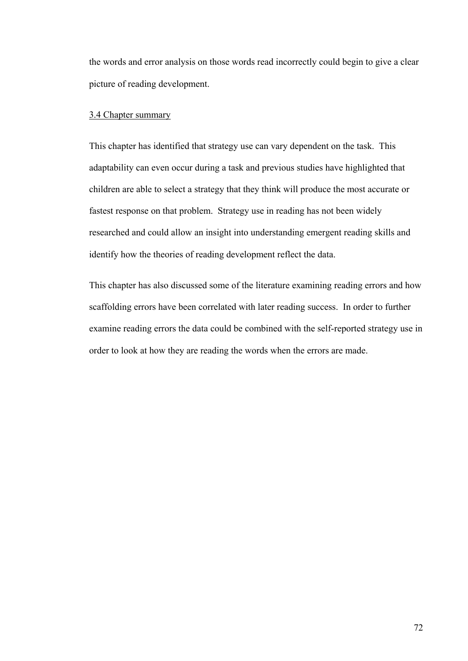the words and error analysis on those words read incorrectly could begin to give a clear picture of reading development.

## 3.4 Chapter summary

This chapter has identified that strategy use can vary dependent on the task. This adaptability can even occur during a task and previous studies have highlighted that children are able to select a strategy that they think will produce the most accurate or fastest response on that problem. Strategy use in reading has not been widely researched and could allow an insight into understanding emergent reading skills and identify how the theories of reading development reflect the data.

This chapter has also discussed some of the literature examining reading errors and how scaffolding errors have been correlated with later reading success. In order to further examine reading errors the data could be combined with the self-reported strategy use in order to look at how they are reading the words when the errors are made.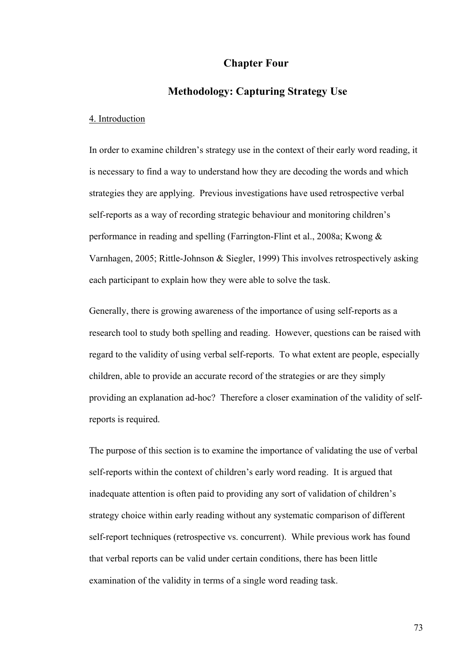# **Chapter Four**

# **Methodology: Capturing Strategy Use**

## 4. Introduction

In order to examine children's strategy use in the context of their early word reading, it is necessary to find a way to understand how they are decoding the words and which strategies they are applying. Previous investigations have used retrospective verbal self-reports as a way of recording strategic behaviour and monitoring children's performance in reading and spelling (Farrington-Flint et al., 2008a; Kwong & Varnhagen, 2005; Rittle-Johnson & Siegler, 1999) This involves retrospectively asking each participant to explain how they were able to solve the task.

Generally, there is growing awareness of the importance of using self-reports as a research tool to study both spelling and reading. However, questions can be raised with regard to the validity of using verbal self-reports. To what extent are people, especially children, able to provide an accurate record of the strategies or are they simply providing an explanation ad-hoc? Therefore a closer examination of the validity of selfreports is required.

The purpose of this section is to examine the importance of validating the use of verbal self-reports within the context of children's early word reading. It is argued that inadequate attention is often paid to providing any sort of validation of children's strategy choice within early reading without any systematic comparison of different self-report techniques (retrospective vs. concurrent). While previous work has found that verbal reports can be valid under certain conditions, there has been little examination of the validity in terms of a single word reading task.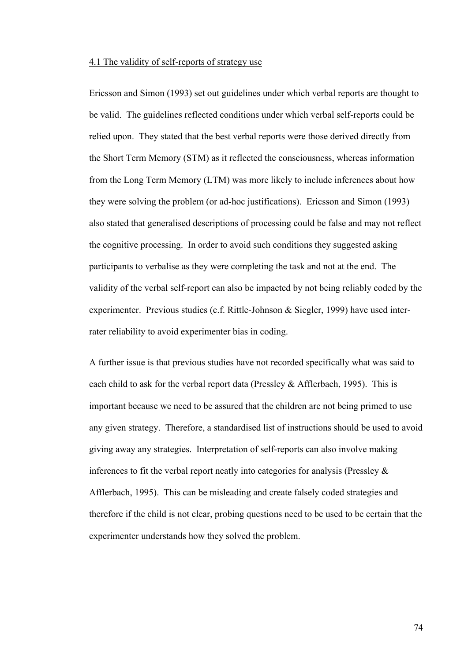## 4.1 The validity of self-reports of strategy use

Ericsson and Simon (1993) set out guidelines under which verbal reports are thought to be valid. The guidelines reflected conditions under which verbal self-reports could be relied upon. They stated that the best verbal reports were those derived directly from the Short Term Memory (STM) as it reflected the consciousness, whereas information from the Long Term Memory (LTM) was more likely to include inferences about how they were solving the problem (or ad-hoc justifications). Ericsson and Simon (1993) also stated that generalised descriptions of processing could be false and may not reflect the cognitive processing. In order to avoid such conditions they suggested asking participants to verbalise as they were completing the task and not at the end. The validity of the verbal self-report can also be impacted by not being reliably coded by the experimenter. Previous studies (c.f. Rittle-Johnson & Siegler, 1999) have used interrater reliability to avoid experimenter bias in coding.

A further issue is that previous studies have not recorded specifically what was said to each child to ask for the verbal report data (Pressley & Afflerbach, 1995). This is important because we need to be assured that the children are not being primed to use any given strategy. Therefore, a standardised list of instructions should be used to avoid giving away any strategies. Interpretation of self-reports can also involve making inferences to fit the verbal report neatly into categories for analysis (Pressley & Afflerbach, 1995). This can be misleading and create falsely coded strategies and therefore if the child is not clear, probing questions need to be used to be certain that the experimenter understands how they solved the problem.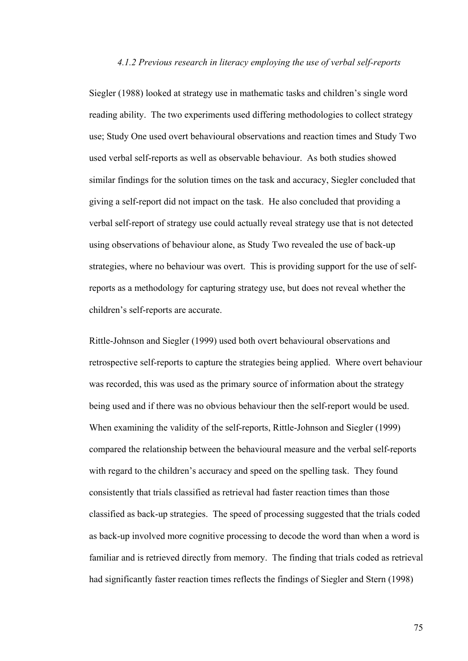## *4.1.2 Previous research in literacy employing the use of verbal self-reports*

Siegler (1988) looked at strategy use in mathematic tasks and children's single word reading ability. The two experiments used differing methodologies to collect strategy use; Study One used overt behavioural observations and reaction times and Study Two used verbal self-reports as well as observable behaviour. As both studies showed similar findings for the solution times on the task and accuracy, Siegler concluded that giving a self-report did not impact on the task. He also concluded that providing a verbal self-report of strategy use could actually reveal strategy use that is not detected using observations of behaviour alone, as Study Two revealed the use of back-up strategies, where no behaviour was overt. This is providing support for the use of selfreports as a methodology for capturing strategy use, but does not reveal whether the children's self-reports are accurate.

Rittle-Johnson and Siegler (1999) used both overt behavioural observations and retrospective self-reports to capture the strategies being applied. Where overt behaviour was recorded, this was used as the primary source of information about the strategy being used and if there was no obvious behaviour then the self-report would be used. When examining the validity of the self-reports, Rittle-Johnson and Siegler (1999) compared the relationship between the behavioural measure and the verbal self-reports with regard to the children's accuracy and speed on the spelling task. They found consistently that trials classified as retrieval had faster reaction times than those classified as back-up strategies. The speed of processing suggested that the trials coded as back-up involved more cognitive processing to decode the word than when a word is familiar and is retrieved directly from memory. The finding that trials coded as retrieval had significantly faster reaction times reflects the findings of Siegler and Stern (1998)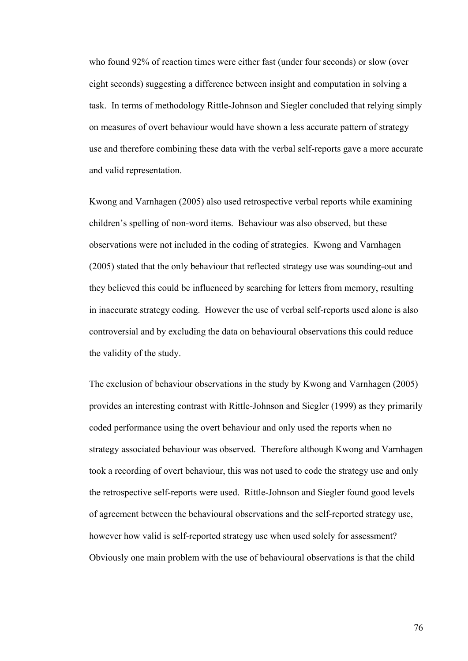who found 92% of reaction times were either fast (under four seconds) or slow (over eight seconds) suggesting a difference between insight and computation in solving a task. In terms of methodology Rittle-Johnson and Siegler concluded that relying simply on measures of overt behaviour would have shown a less accurate pattern of strategy use and therefore combining these data with the verbal self-reports gave a more accurate and valid representation.

Kwong and Varnhagen (2005) also used retrospective verbal reports while examining children's spelling of non-word items. Behaviour was also observed, but these observations were not included in the coding of strategies. Kwong and Varnhagen (2005) stated that the only behaviour that reflected strategy use was sounding-out and they believed this could be influenced by searching for letters from memory, resulting in inaccurate strategy coding. However the use of verbal self-reports used alone is also controversial and by excluding the data on behavioural observations this could reduce the validity of the study.

The exclusion of behaviour observations in the study by Kwong and Varnhagen (2005) provides an interesting contrast with Rittle-Johnson and Siegler (1999) as they primarily coded performance using the overt behaviour and only used the reports when no strategy associated behaviour was observed. Therefore although Kwong and Varnhagen took a recording of overt behaviour, this was not used to code the strategy use and only the retrospective self-reports were used. Rittle-Johnson and Siegler found good levels of agreement between the behavioural observations and the self-reported strategy use, however how valid is self-reported strategy use when used solely for assessment? Obviously one main problem with the use of behavioural observations is that the child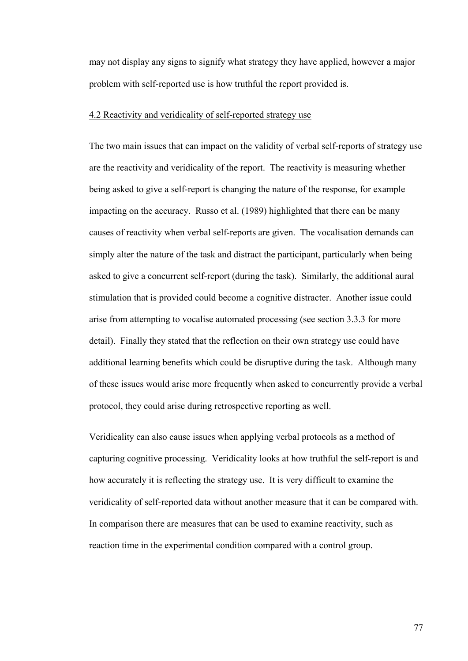may not display any signs to signify what strategy they have applied, however a major problem with self-reported use is how truthful the report provided is.

## 4.2 Reactivity and veridicality of self-reported strategy use

The two main issues that can impact on the validity of verbal self-reports of strategy use are the reactivity and veridicality of the report. The reactivity is measuring whether being asked to give a self-report is changing the nature of the response, for example impacting on the accuracy. Russo et al. (1989) highlighted that there can be many causes of reactivity when verbal self-reports are given. The vocalisation demands can simply alter the nature of the task and distract the participant, particularly when being asked to give a concurrent self-report (during the task). Similarly, the additional aural stimulation that is provided could become a cognitive distracter. Another issue could arise from attempting to vocalise automated processing (see section 3.3.3 for more detail). Finally they stated that the reflection on their own strategy use could have additional learning benefits which could be disruptive during the task. Although many of these issues would arise more frequently when asked to concurrently provide a verbal protocol, they could arise during retrospective reporting as well.

Veridicality can also cause issues when applying verbal protocols as a method of capturing cognitive processing. Veridicality looks at how truthful the self-report is and how accurately it is reflecting the strategy use. It is very difficult to examine the veridicality of self-reported data without another measure that it can be compared with. In comparison there are measures that can be used to examine reactivity, such as reaction time in the experimental condition compared with a control group.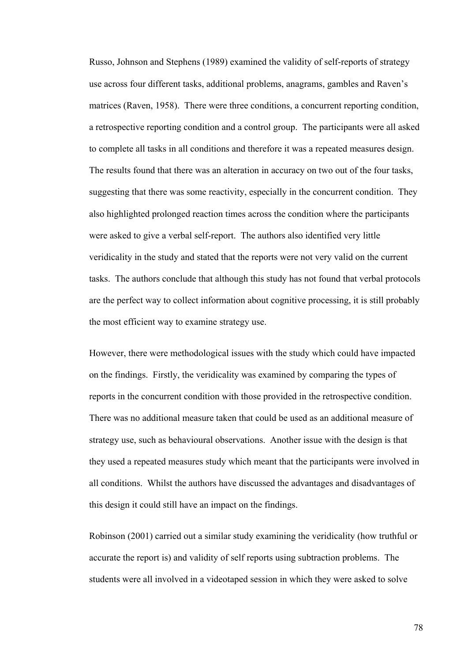Russo, Johnson and Stephens (1989) examined the validity of self-reports of strategy use across four different tasks, additional problems, anagrams, gambles and Raven's matrices (Raven, 1958). There were three conditions, a concurrent reporting condition, a retrospective reporting condition and a control group. The participants were all asked to complete all tasks in all conditions and therefore it was a repeated measures design. The results found that there was an alteration in accuracy on two out of the four tasks, suggesting that there was some reactivity, especially in the concurrent condition. They also highlighted prolonged reaction times across the condition where the participants were asked to give a verbal self-report. The authors also identified very little veridicality in the study and stated that the reports were not very valid on the current tasks. The authors conclude that although this study has not found that verbal protocols are the perfect way to collect information about cognitive processing, it is still probably the most efficient way to examine strategy use.

However, there were methodological issues with the study which could have impacted on the findings. Firstly, the veridicality was examined by comparing the types of reports in the concurrent condition with those provided in the retrospective condition. There was no additional measure taken that could be used as an additional measure of strategy use, such as behavioural observations. Another issue with the design is that they used a repeated measures study which meant that the participants were involved in all conditions. Whilst the authors have discussed the advantages and disadvantages of this design it could still have an impact on the findings.

Robinson (2001) carried out a similar study examining the veridicality (how truthful or accurate the report is) and validity of self reports using subtraction problems. The students were all involved in a videotaped session in which they were asked to solve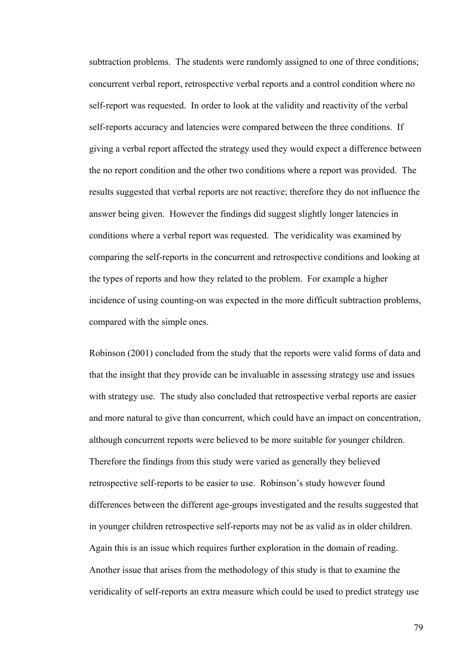subtraction problems. The students were randomly assigned to one of three conditions; concurrent verbal report, retrospective verbal reports and a control condition where no self-report was requested. In order to look at the validity and reactivity of the verbal self-reports accuracy and latencies were compared between the three conditions. If giving a verbal report affected the strategy used they would expect a difference between the no report condition and the other two conditions where a report was provided. The results suggested that verbal reports are not reactive; therefore they do not influence the answer being given. However the findings did suggest slightly longer latencies in conditions where a verbal report was requested. The veridicality was examined by comparing the self-reports in the concurrent and retrospective conditions and looking at the types of reports and how they related to the problem. For example a higher incidence of using counting-on was expected in the more difficult subtraction problems, compared with the simple ones.

Robinson (2001) concluded from the study that the reports were valid forms of data and that the insight that they provide can be invaluable in assessing strategy use and issues with strategy use. The study also concluded that retrospective verbal reports are easier and more natural to give than concurrent, which could have an impact on concentration, although concurrent reports were believed to be more suitable for younger children. Therefore the findings from this study were varied as generally they believed retrospective self-reports to be easier to use. Robinson's study however found differences between the different age-groups investigated and the results suggested that in younger children retrospective self-reports may not be as valid as in older children. Again this is an issue which requires further exploration in the domain of reading. Another issue that arises from the methodology of this study is that to examine the veridicality of self-reports an extra measure which could be used to predict strategy use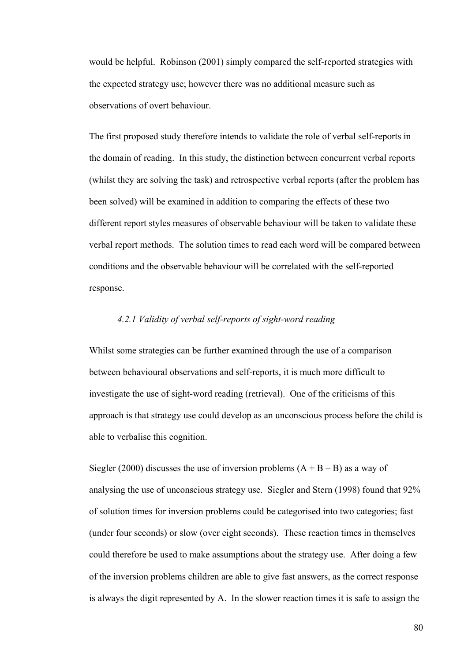would be helpful. Robinson (2001) simply compared the self-reported strategies with the expected strategy use; however there was no additional measure such as observations of overt behaviour.

The first proposed study therefore intends to validate the role of verbal self-reports in the domain of reading. In this study, the distinction between concurrent verbal reports (whilst they are solving the task) and retrospective verbal reports (after the problem has been solved) will be examined in addition to comparing the effects of these two different report styles measures of observable behaviour will be taken to validate these verbal report methods. The solution times to read each word will be compared between conditions and the observable behaviour will be correlated with the self-reported response.

# *4.2.1 Validity of verbal self-reports of sight-word reading*

Whilst some strategies can be further examined through the use of a comparison between behavioural observations and self-reports, it is much more difficult to investigate the use of sight-word reading (retrieval). One of the criticisms of this approach is that strategy use could develop as an unconscious process before the child is able to verbalise this cognition.

Siegler (2000) discusses the use of inversion problems  $(A + B - B)$  as a way of analysing the use of unconscious strategy use. Siegler and Stern (1998) found that 92% of solution times for inversion problems could be categorised into two categories; fast (under four seconds) or slow (over eight seconds). These reaction times in themselves could therefore be used to make assumptions about the strategy use. After doing a few of the inversion problems children are able to give fast answers, as the correct response is always the digit represented by A. In the slower reaction times it is safe to assign the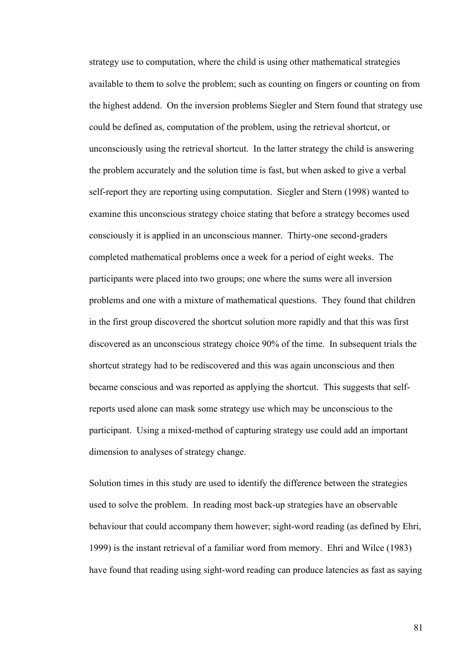strategy use to computation, where the child is using other mathematical strategies available to them to solve the problem; such as counting on fingers or counting on from the highest addend. On the inversion problems Siegler and Stern found that strategy use could be defined as, computation of the problem, using the retrieval shortcut, or unconsciously using the retrieval shortcut. In the latter strategy the child is answering the problem accurately and the solution time is fast, but when asked to give a verbal self-report they are reporting using computation. Siegler and Stern (1998) wanted to examine this unconscious strategy choice stating that before a strategy becomes used consciously it is applied in an unconscious manner. Thirty-one second-graders completed mathematical problems once a week for a period of eight weeks. The participants were placed into two groups; one where the sums were all inversion problems and one with a mixture of mathematical questions. They found that children in the first group discovered the shortcut solution more rapidly and that this was first discovered as an unconscious strategy choice 90% of the time. In subsequent trials the shortcut strategy had to be rediscovered and this was again unconscious and then became conscious and was reported as applying the shortcut. This suggests that selfreports used alone can mask some strategy use which may be unconscious to the participant. Using a mixed-method of capturing strategy use could add an important dimension to analyses of strategy change.

Solution times in this study are used to identify the difference between the strategies used to solve the problem. In reading most back-up strategies have an observable behaviour that could accompany them however; sight-word reading (as defined by Ehri, 1999) is the instant retrieval of a familiar word from memory. Ehri and Wilce (1983) have found that reading using sight-word reading can produce latencies as fast as saying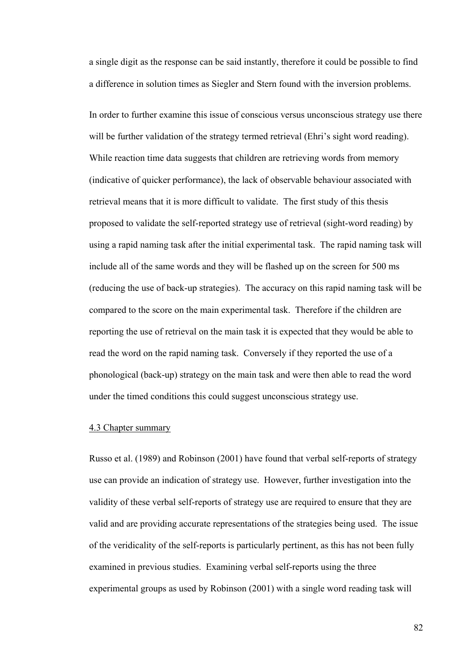a single digit as the response can be said instantly, therefore it could be possible to find a difference in solution times as Siegler and Stern found with the inversion problems.

In order to further examine this issue of conscious versus unconscious strategy use there will be further validation of the strategy termed retrieval (Ehri's sight word reading). While reaction time data suggests that children are retrieving words from memory (indicative of quicker performance), the lack of observable behaviour associated with retrieval means that it is more difficult to validate. The first study of this thesis proposed to validate the self-reported strategy use of retrieval (sight-word reading) by using a rapid naming task after the initial experimental task. The rapid naming task will include all of the same words and they will be flashed up on the screen for 500 ms (reducing the use of back-up strategies). The accuracy on this rapid naming task will be compared to the score on the main experimental task. Therefore if the children are reporting the use of retrieval on the main task it is expected that they would be able to read the word on the rapid naming task. Conversely if they reported the use of a phonological (back-up) strategy on the main task and were then able to read the word under the timed conditions this could suggest unconscious strategy use.

## 4.3 Chapter summary

Russo et al. (1989) and Robinson (2001) have found that verbal self-reports of strategy use can provide an indication of strategy use. However, further investigation into the validity of these verbal self-reports of strategy use are required to ensure that they are valid and are providing accurate representations of the strategies being used. The issue of the veridicality of the self-reports is particularly pertinent, as this has not been fully examined in previous studies. Examining verbal self-reports using the three experimental groups as used by Robinson (2001) with a single word reading task will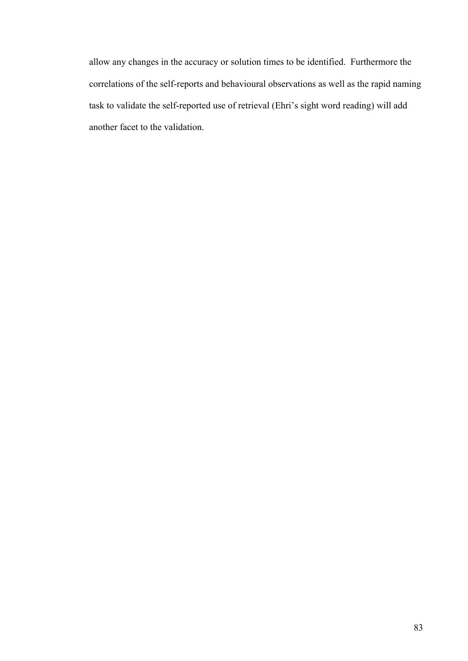allow any changes in the accuracy or solution times to be identified. Furthermore the correlations of the self-reports and behavioural observations as well as the rapid naming task to validate the self-reported use of retrieval (Ehri's sight word reading) will add another facet to the validation.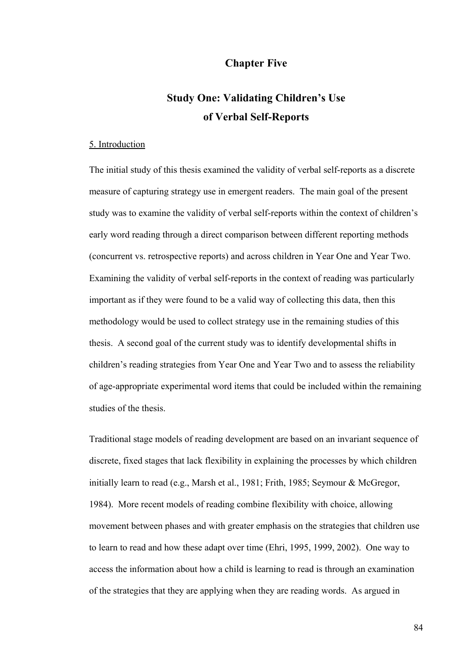# **Chapter Five**

# **Study One: Validating Children's Use of Verbal Self-Reports**

# 5. Introduction

The initial study of this thesis examined the validity of verbal self-reports as a discrete measure of capturing strategy use in emergent readers. The main goal of the present study was to examine the validity of verbal self-reports within the context of children's early word reading through a direct comparison between different reporting methods (concurrent vs. retrospective reports) and across children in Year One and Year Two. Examining the validity of verbal self-reports in the context of reading was particularly important as if they were found to be a valid way of collecting this data, then this methodology would be used to collect strategy use in the remaining studies of this thesis. A second goal of the current study was to identify developmental shifts in children's reading strategies from Year One and Year Two and to assess the reliability of age-appropriate experimental word items that could be included within the remaining studies of the thesis.

Traditional stage models of reading development are based on an invariant sequence of discrete, fixed stages that lack flexibility in explaining the processes by which children initially learn to read (e.g., Marsh et al., 1981; Frith, 1985; Seymour & McGregor, 1984). More recent models of reading combine flexibility with choice, allowing movement between phases and with greater emphasis on the strategies that children use to learn to read and how these adapt over time (Ehri, 1995, 1999, 2002). One way to access the information about how a child is learning to read is through an examination of the strategies that they are applying when they are reading words. As argued in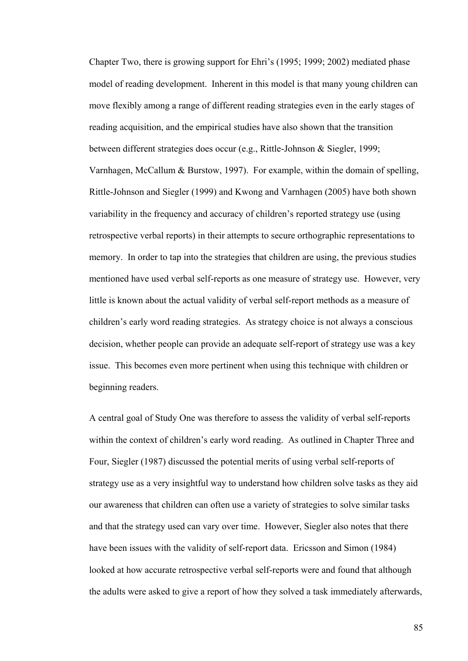Chapter Two, there is growing support for Ehri's (1995; 1999; 2002) mediated phase model of reading development. Inherent in this model is that many young children can move flexibly among a range of different reading strategies even in the early stages of reading acquisition, and the empirical studies have also shown that the transition between different strategies does occur (e.g., Rittle-Johnson & Siegler, 1999; Varnhagen, McCallum & Burstow, 1997). For example, within the domain of spelling, Rittle-Johnson and Siegler (1999) and Kwong and Varnhagen (2005) have both shown variability in the frequency and accuracy of children's reported strategy use (using retrospective verbal reports) in their attempts to secure orthographic representations to memory. In order to tap into the strategies that children are using, the previous studies mentioned have used verbal self-reports as one measure of strategy use. However, very little is known about the actual validity of verbal self-report methods as a measure of children's early word reading strategies. As strategy choice is not always a conscious decision, whether people can provide an adequate self-report of strategy use was a key issue. This becomes even more pertinent when using this technique with children or beginning readers.

A central goal of Study One was therefore to assess the validity of verbal self-reports within the context of children's early word reading. As outlined in Chapter Three and Four, Siegler (1987) discussed the potential merits of using verbal self-reports of strategy use as a very insightful way to understand how children solve tasks as they aid our awareness that children can often use a variety of strategies to solve similar tasks and that the strategy used can vary over time. However, Siegler also notes that there have been issues with the validity of self-report data. Ericsson and Simon (1984) looked at how accurate retrospective verbal self-reports were and found that although the adults were asked to give a report of how they solved a task immediately afterwards,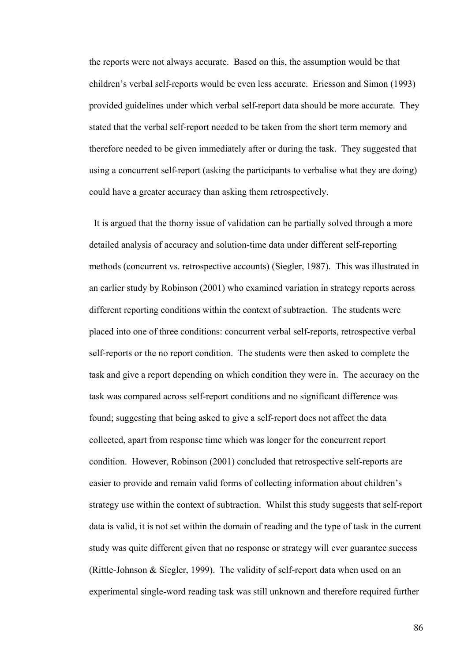the reports were not always accurate. Based on this, the assumption would be that children's verbal self-reports would be even less accurate. Ericsson and Simon (1993) provided guidelines under which verbal self-report data should be more accurate. They stated that the verbal self-report needed to be taken from the short term memory and therefore needed to be given immediately after or during the task. They suggested that using a concurrent self-report (asking the participants to verbalise what they are doing) could have a greater accuracy than asking them retrospectively.

 It is argued that the thorny issue of validation can be partially solved through a more detailed analysis of accuracy and solution-time data under different self-reporting methods (concurrent vs. retrospective accounts) (Siegler, 1987). This was illustrated in an earlier study by Robinson (2001) who examined variation in strategy reports across different reporting conditions within the context of subtraction. The students were placed into one of three conditions: concurrent verbal self-reports, retrospective verbal self-reports or the no report condition. The students were then asked to complete the task and give a report depending on which condition they were in. The accuracy on the task was compared across self-report conditions and no significant difference was found; suggesting that being asked to give a self-report does not affect the data collected, apart from response time which was longer for the concurrent report condition. However, Robinson (2001) concluded that retrospective self-reports are easier to provide and remain valid forms of collecting information about children's strategy use within the context of subtraction. Whilst this study suggests that self-report data is valid, it is not set within the domain of reading and the type of task in the current study was quite different given that no response or strategy will ever guarantee success (Rittle-Johnson & Siegler, 1999). The validity of self-report data when used on an experimental single-word reading task was still unknown and therefore required further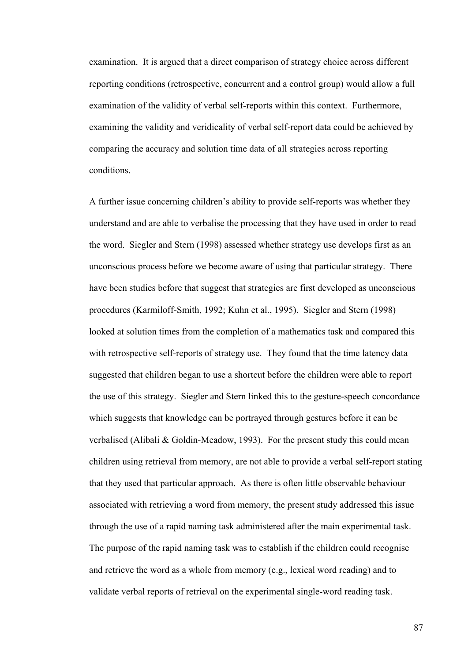examination. It is argued that a direct comparison of strategy choice across different reporting conditions (retrospective, concurrent and a control group) would allow a full examination of the validity of verbal self-reports within this context. Furthermore, examining the validity and veridicality of verbal self-report data could be achieved by comparing the accuracy and solution time data of all strategies across reporting conditions.

A further issue concerning children's ability to provide self-reports was whether they understand and are able to verbalise the processing that they have used in order to read the word. Siegler and Stern (1998) assessed whether strategy use develops first as an unconscious process before we become aware of using that particular strategy. There have been studies before that suggest that strategies are first developed as unconscious procedures (Karmiloff-Smith, 1992; Kuhn et al., 1995). Siegler and Stern (1998) looked at solution times from the completion of a mathematics task and compared this with retrospective self-reports of strategy use. They found that the time latency data suggested that children began to use a shortcut before the children were able to report the use of this strategy. Siegler and Stern linked this to the gesture-speech concordance which suggests that knowledge can be portrayed through gestures before it can be verbalised (Alibali & Goldin-Meadow, 1993). For the present study this could mean children using retrieval from memory, are not able to provide a verbal self-report stating that they used that particular approach. As there is often little observable behaviour associated with retrieving a word from memory, the present study addressed this issue through the use of a rapid naming task administered after the main experimental task. The purpose of the rapid naming task was to establish if the children could recognise and retrieve the word as a whole from memory (e.g., lexical word reading) and to validate verbal reports of retrieval on the experimental single-word reading task.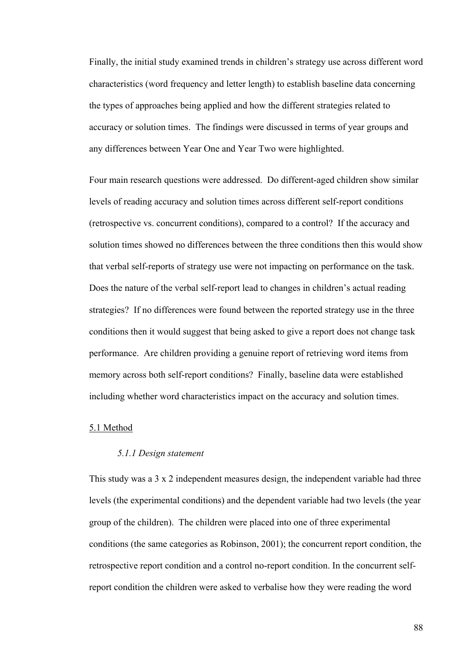Finally, the initial study examined trends in children's strategy use across different word characteristics (word frequency and letter length) to establish baseline data concerning the types of approaches being applied and how the different strategies related to accuracy or solution times. The findings were discussed in terms of year groups and any differences between Year One and Year Two were highlighted.

Four main research questions were addressed. Do different-aged children show similar levels of reading accuracy and solution times across different self-report conditions (retrospective vs. concurrent conditions), compared to a control? If the accuracy and solution times showed no differences between the three conditions then this would show that verbal self-reports of strategy use were not impacting on performance on the task. Does the nature of the verbal self-report lead to changes in children's actual reading strategies? If no differences were found between the reported strategy use in the three conditions then it would suggest that being asked to give a report does not change task performance. Are children providing a genuine report of retrieving word items from memory across both self-report conditions? Finally, baseline data were established including whether word characteristics impact on the accuracy and solution times.

## 5.1 Method

## *5.1.1 Design statement*

This study was a 3 x 2 independent measures design, the independent variable had three levels (the experimental conditions) and the dependent variable had two levels (the year group of the children). The children were placed into one of three experimental conditions (the same categories as Robinson, 2001); the concurrent report condition, the retrospective report condition and a control no-report condition. In the concurrent selfreport condition the children were asked to verbalise how they were reading the word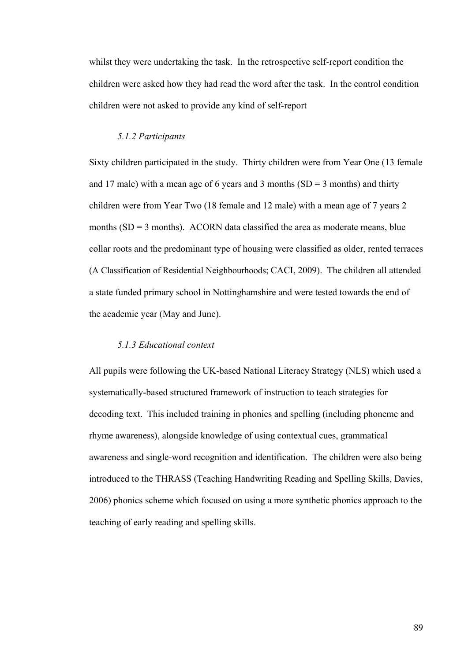whilst they were undertaking the task. In the retrospective self-report condition the children were asked how they had read the word after the task. In the control condition children were not asked to provide any kind of self-report

#### *5.1.2 Participants*

Sixty children participated in the study. Thirty children were from Year One (13 female and 17 male) with a mean age of 6 years and 3 months  $(SD = 3$  months) and thirty children were from Year Two (18 female and 12 male) with a mean age of 7 years 2 months  $(SD = 3$  months). ACORN data classified the area as moderate means, blue collar roots and the predominant type of housing were classified as older, rented terraces (A Classification of Residential Neighbourhoods; CACI, 2009). The children all attended a state funded primary school in Nottinghamshire and were tested towards the end of the academic year (May and June).

## *5.1.3 Educational context*

All pupils were following the UK-based National Literacy Strategy (NLS) which used a systematically-based structured framework of instruction to teach strategies for decoding text. This included training in phonics and spelling (including phoneme and rhyme awareness), alongside knowledge of using contextual cues, grammatical awareness and single-word recognition and identification. The children were also being introduced to the THRASS (Teaching Handwriting Reading and Spelling Skills, Davies, 2006) phonics scheme which focused on using a more synthetic phonics approach to the teaching of early reading and spelling skills.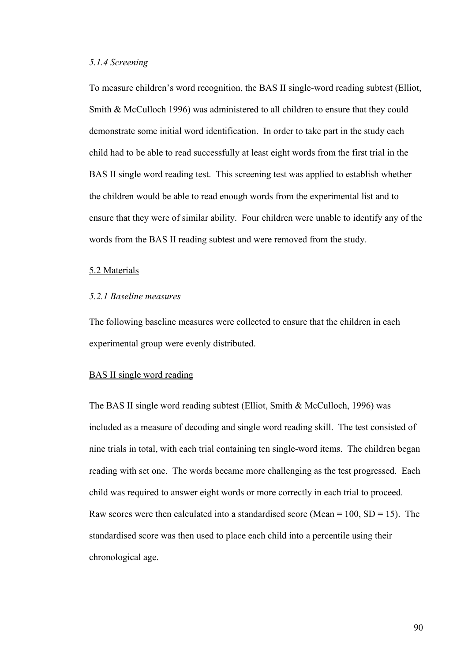# *5.1.4 Screening*

To measure children's word recognition, the BAS II single-word reading subtest (Elliot, Smith & McCulloch 1996) was administered to all children to ensure that they could demonstrate some initial word identification. In order to take part in the study each child had to be able to read successfully at least eight words from the first trial in the BAS II single word reading test. This screening test was applied to establish whether the children would be able to read enough words from the experimental list and to ensure that they were of similar ability. Four children were unable to identify any of the words from the BAS II reading subtest and were removed from the study.

#### 5.2 Materials

# *5.2.1 Baseline measures*

The following baseline measures were collected to ensure that the children in each experimental group were evenly distributed.

# BAS II single word reading

The BAS II single word reading subtest (Elliot, Smith & McCulloch, 1996) was included as a measure of decoding and single word reading skill. The test consisted of nine trials in total, with each trial containing ten single-word items. The children began reading with set one. The words became more challenging as the test progressed. Each child was required to answer eight words or more correctly in each trial to proceed. Raw scores were then calculated into a standardised score (Mean =  $100$ , SD =  $15$ ). The standardised score was then used to place each child into a percentile using their chronological age.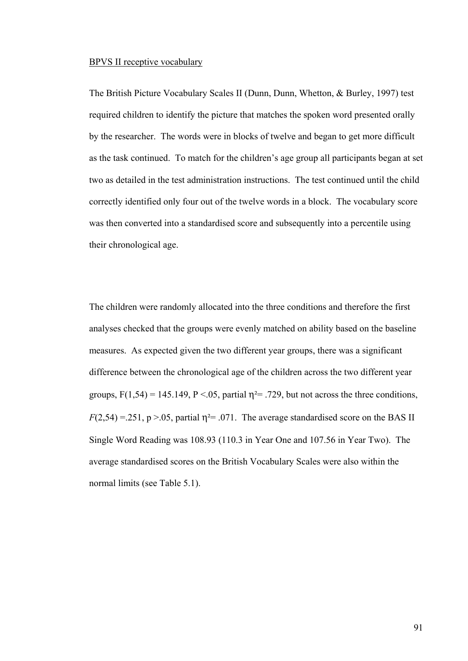#### BPVS II receptive vocabulary

The British Picture Vocabulary Scales II (Dunn, Dunn, Whetton, & Burley, 1997) test required children to identify the picture that matches the spoken word presented orally by the researcher. The words were in blocks of twelve and began to get more difficult as the task continued. To match for the children's age group all participants began at set two as detailed in the test administration instructions. The test continued until the child correctly identified only four out of the twelve words in a block. The vocabulary score was then converted into a standardised score and subsequently into a percentile using their chronological age.

The children were randomly allocated into the three conditions and therefore the first analyses checked that the groups were evenly matched on ability based on the baseline measures. As expected given the two different year groups, there was a significant difference between the chronological age of the children across the two different year groups,  $F(1,54) = 145.149$ ,  $P < 0.05$ , partial  $\eta^2 = .729$ , but not across the three conditions,  $F(2,54) = 0.251$ , p > .05, partial  $\eta^2 = 0.071$ . The average standardised score on the BAS II Single Word Reading was 108.93 (110.3 in Year One and 107.56 in Year Two). The average standardised scores on the British Vocabulary Scales were also within the normal limits (see Table 5.1).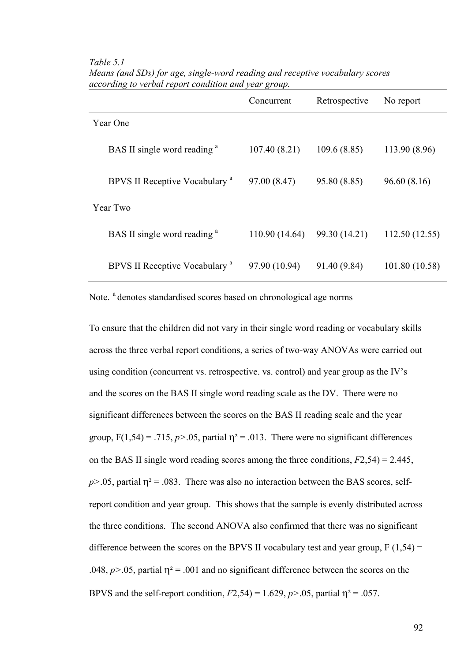|                                           | Concurrent     | Retrospective | No report      |
|-------------------------------------------|----------------|---------------|----------------|
| Year One                                  |                |               |                |
| BAS II single word reading <sup>a</sup>   | 107.40(8.21)   | 109.6(8.85)   | 113.90 (8.96)  |
| BPVS II Receptive Vocabulary <sup>a</sup> | 97.00 (8.47)   | 95.80 (8.85)  | 96.60(8.16)    |
| Year Two                                  |                |               |                |
| BAS II single word reading <sup>a</sup>   | 110.90 (14.64) | 99.30 (14.21) | 112.50 (12.55) |
| BPVS II Receptive Vocabulary <sup>a</sup> | 97.90 (10.94)  | 91.40 (9.84)  | 101.80 (10.58) |

*Table 5.1 Means (and SDs) for age, single-word reading and receptive vocabulary scores according to verbal report condition and year group.* 

Note. <sup>a</sup> denotes standardised scores based on chronological age norms

To ensure that the children did not vary in their single word reading or vocabulary skills across the three verbal report conditions, a series of two-way ANOVAs were carried out using condition (concurrent vs. retrospective. vs. control) and year group as the IV's and the scores on the BAS II single word reading scale as the DV. There were no significant differences between the scores on the BAS II reading scale and the year group,  $F(1,54) = .715$ ,  $p > .05$ , partial  $\eta^2 = .013$ . There were no significant differences on the BAS II single word reading scores among the three conditions, *F*2,54) = 2.445,  $p$ >.05, partial  $\eta$ <sup>2</sup> = .083. There was also no interaction between the BAS scores, selfreport condition and year group. This shows that the sample is evenly distributed across the three conditions. The second ANOVA also confirmed that there was no significant difference between the scores on the BPVS II vocabulary test and year group,  $F(1,54) =$ .048,  $p > 0.05$ , partial  $\eta^2 = 0.001$  and no significant difference between the scores on the BPVS and the self-report condition,  $F2,54$ ) = 1.629,  $p > 0.05$ , partial  $\eta^2 = 0.057$ .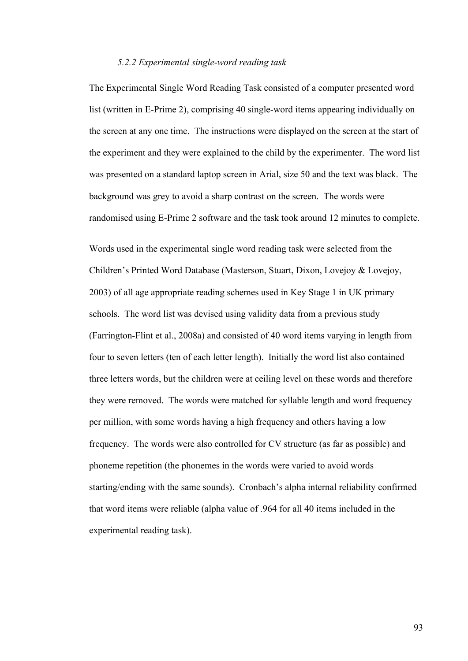## *5.2.2 Experimental single-word reading task*

The Experimental Single Word Reading Task consisted of a computer presented word list (written in E-Prime 2), comprising 40 single-word items appearing individually on the screen at any one time. The instructions were displayed on the screen at the start of the experiment and they were explained to the child by the experimenter. The word list was presented on a standard laptop screen in Arial, size 50 and the text was black. The background was grey to avoid a sharp contrast on the screen. The words were randomised using E-Prime 2 software and the task took around 12 minutes to complete.

Words used in the experimental single word reading task were selected from the Children's Printed Word Database (Masterson, Stuart, Dixon, Lovejoy & Lovejoy, 2003) of all age appropriate reading schemes used in Key Stage 1 in UK primary schools. The word list was devised using validity data from a previous study (Farrington-Flint et al., 2008a) and consisted of 40 word items varying in length from four to seven letters (ten of each letter length). Initially the word list also contained three letters words, but the children were at ceiling level on these words and therefore they were removed. The words were matched for syllable length and word frequency per million, with some words having a high frequency and others having a low frequency. The words were also controlled for CV structure (as far as possible) and phoneme repetition (the phonemes in the words were varied to avoid words starting/ending with the same sounds). Cronbach's alpha internal reliability confirmed that word items were reliable (alpha value of .964 for all 40 items included in the experimental reading task).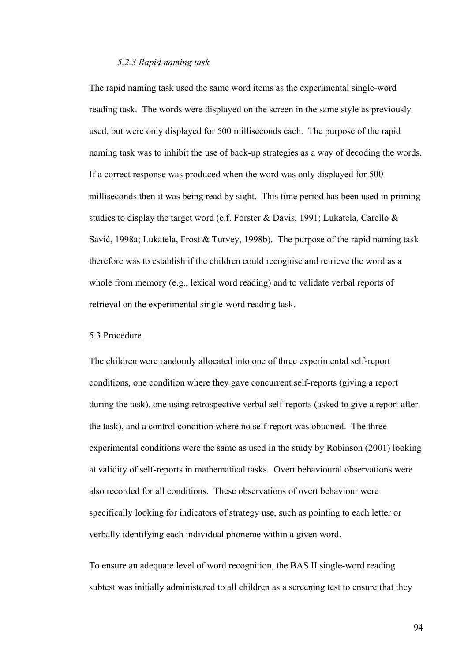# *5.2.3 Rapid naming task*

The rapid naming task used the same word items as the experimental single-word reading task. The words were displayed on the screen in the same style as previously used, but were only displayed for 500 milliseconds each. The purpose of the rapid naming task was to inhibit the use of back-up strategies as a way of decoding the words. If a correct response was produced when the word was only displayed for 500 milliseconds then it was being read by sight. This time period has been used in priming studies to display the target word (c.f. Forster & Davis, 1991; Lukatela, Carello & Savić, 1998a; Lukatela, Frost & Turvey, 1998b). The purpose of the rapid naming task therefore was to establish if the children could recognise and retrieve the word as a whole from memory (e.g., lexical word reading) and to validate verbal reports of retrieval on the experimental single-word reading task.

#### 5.3 Procedure

The children were randomly allocated into one of three experimental self-report conditions, one condition where they gave concurrent self-reports (giving a report during the task), one using retrospective verbal self-reports (asked to give a report after the task), and a control condition where no self-report was obtained. The three experimental conditions were the same as used in the study by Robinson (2001) looking at validity of self-reports in mathematical tasks. Overt behavioural observations were also recorded for all conditions. These observations of overt behaviour were specifically looking for indicators of strategy use, such as pointing to each letter or verbally identifying each individual phoneme within a given word.

To ensure an adequate level of word recognition, the BAS II single-word reading subtest was initially administered to all children as a screening test to ensure that they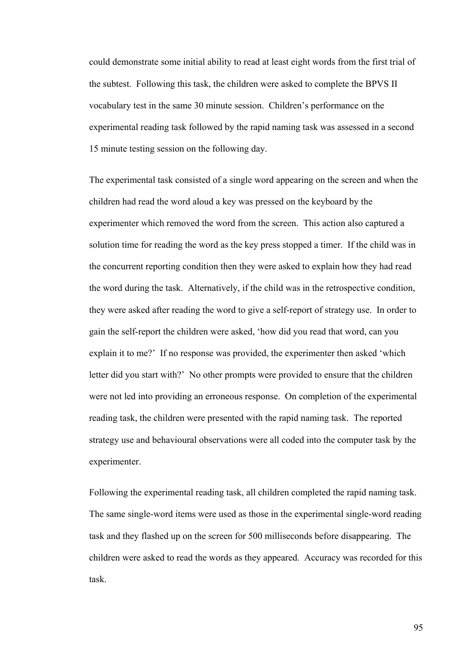could demonstrate some initial ability to read at least eight words from the first trial of the subtest. Following this task, the children were asked to complete the BPVS II vocabulary test in the same 30 minute session. Children's performance on the experimental reading task followed by the rapid naming task was assessed in a second 15 minute testing session on the following day.

The experimental task consisted of a single word appearing on the screen and when the children had read the word aloud a key was pressed on the keyboard by the experimenter which removed the word from the screen. This action also captured a solution time for reading the word as the key press stopped a timer. If the child was in the concurrent reporting condition then they were asked to explain how they had read the word during the task. Alternatively, if the child was in the retrospective condition, they were asked after reading the word to give a self-report of strategy use. In order to gain the self-report the children were asked, 'how did you read that word, can you explain it to me?' If no response was provided, the experimenter then asked 'which letter did you start with?' No other prompts were provided to ensure that the children were not led into providing an erroneous response. On completion of the experimental reading task, the children were presented with the rapid naming task. The reported strategy use and behavioural observations were all coded into the computer task by the experimenter.

Following the experimental reading task, all children completed the rapid naming task. The same single-word items were used as those in the experimental single-word reading task and they flashed up on the screen for 500 milliseconds before disappearing. The children were asked to read the words as they appeared. Accuracy was recorded for this task.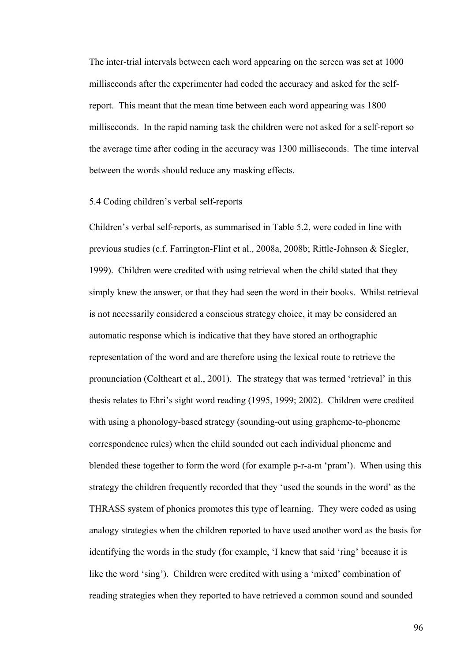The inter-trial intervals between each word appearing on the screen was set at 1000 milliseconds after the experimenter had coded the accuracy and asked for the selfreport. This meant that the mean time between each word appearing was 1800 milliseconds. In the rapid naming task the children were not asked for a self-report so the average time after coding in the accuracy was 1300 milliseconds. The time interval between the words should reduce any masking effects.

# 5.4 Coding children's verbal self-reports

Children's verbal self-reports, as summarised in Table 5.2, were coded in line with previous studies (c.f. Farrington-Flint et al., 2008a, 2008b; Rittle-Johnson & Siegler, 1999). Children were credited with using retrieval when the child stated that they simply knew the answer, or that they had seen the word in their books. Whilst retrieval is not necessarily considered a conscious strategy choice, it may be considered an automatic response which is indicative that they have stored an orthographic representation of the word and are therefore using the lexical route to retrieve the pronunciation (Coltheart et al., 2001). The strategy that was termed 'retrieval' in this thesis relates to Ehri's sight word reading (1995, 1999; 2002). Children were credited with using a phonology-based strategy (sounding-out using grapheme-to-phoneme correspondence rules) when the child sounded out each individual phoneme and blended these together to form the word (for example p-r-a-m 'pram'). When using this strategy the children frequently recorded that they 'used the sounds in the word' as the THRASS system of phonics promotes this type of learning. They were coded as using analogy strategies when the children reported to have used another word as the basis for identifying the words in the study (for example, 'I knew that said 'ring' because it is like the word 'sing'). Children were credited with using a 'mixed' combination of reading strategies when they reported to have retrieved a common sound and sounded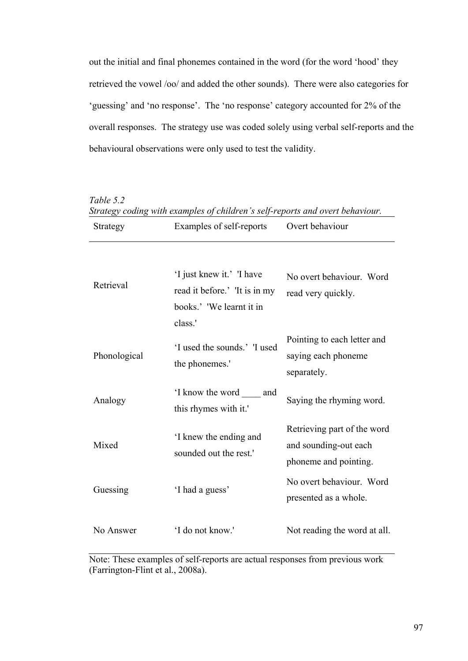out the initial and final phonemes contained in the word (for the word 'hood' they retrieved the vowel /oo/ and added the other sounds). There were also categories for 'guessing' and 'no response'. The 'no response' category accounted for 2% of the overall responses. The strategy use was coded solely using verbal self-reports and the behavioural observations were only used to test the validity.

| Table 5.2<br>Strategy coding with examples of children's self-reports and overt behaviour. |                                                                                                   |                                                                               |  |  |
|--------------------------------------------------------------------------------------------|---------------------------------------------------------------------------------------------------|-------------------------------------------------------------------------------|--|--|
| Strategy                                                                                   | Examples of self-reports                                                                          | Overt behaviour                                                               |  |  |
| Retrieval                                                                                  | 'I just knew it.' 'I have<br>read it before.' 'It is in my<br>books.' 'We learnt it in<br>class.' | No overt behaviour. Word<br>read very quickly.                                |  |  |
| Phonological                                                                               | 'I used the sounds.' I used<br>the phonemes."                                                     | Pointing to each letter and<br>saying each phoneme<br>separately.             |  |  |
| Analogy                                                                                    | I know the word and<br>this rhymes with it.'                                                      | Saying the rhyming word.                                                      |  |  |
| Mixed                                                                                      | I knew the ending and<br>sounded out the rest.'                                                   | Retrieving part of the word<br>and sounding-out each<br>phoneme and pointing. |  |  |
| Guessing                                                                                   | 'I had a guess'                                                                                   | No overt behaviour. Word<br>presented as a whole.                             |  |  |
| No Answer                                                                                  | 'I do not know.'                                                                                  | Not reading the word at all.                                                  |  |  |

Note: These examples of self-reports are actual responses from previous work (Farrington-Flint et al., 2008a).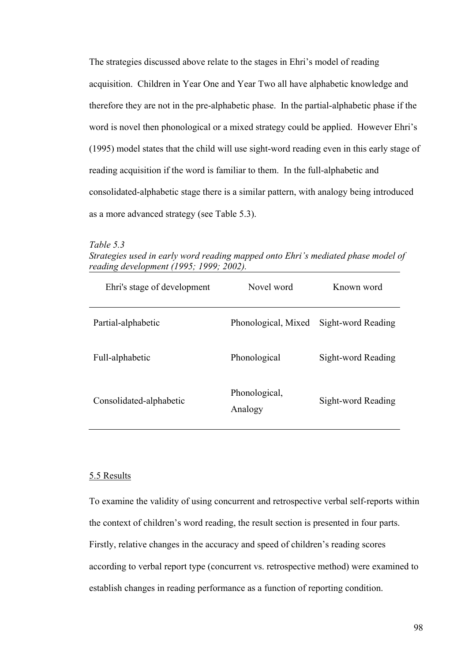The strategies discussed above relate to the stages in Ehri's model of reading acquisition. Children in Year One and Year Two all have alphabetic knowledge and therefore they are not in the pre-alphabetic phase. In the partial-alphabetic phase if the word is novel then phonological or a mixed strategy could be applied. However Ehri's (1995) model states that the child will use sight-word reading even in this early stage of reading acquisition if the word is familiar to them. In the full-alphabetic and consolidated-alphabetic stage there is a similar pattern, with analogy being introduced as a more advanced strategy (see Table 5.3).

*Table 5.3 Strategies used in early word reading mapped onto Ehri's mediated phase model of reading development (1995; 1999; 2002).* 

| Ehri's stage of development | Novel word               | Known word         |
|-----------------------------|--------------------------|--------------------|
| Partial-alphabetic          | Phonological, Mixed      | Sight-word Reading |
| Full-alphabetic             | Phonological             | Sight-word Reading |
| Consolidated-alphabetic     | Phonological,<br>Analogy | Sight-word Reading |

#### 5.5 Results

To examine the validity of using concurrent and retrospective verbal self-reports within the context of children's word reading, the result section is presented in four parts. Firstly, relative changes in the accuracy and speed of children's reading scores according to verbal report type (concurrent vs. retrospective method) were examined to establish changes in reading performance as a function of reporting condition.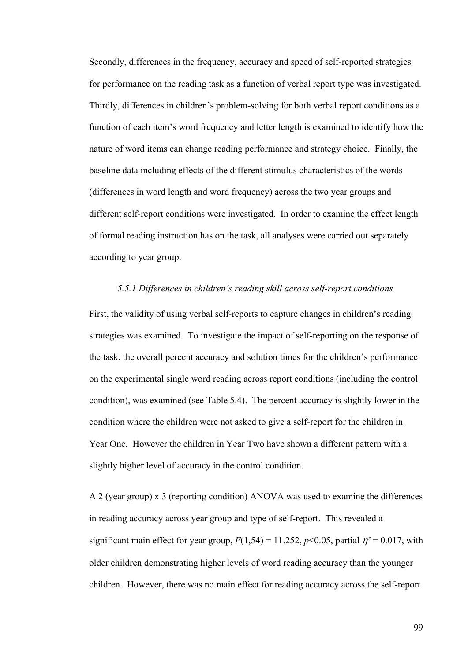Secondly, differences in the frequency, accuracy and speed of self-reported strategies for performance on the reading task as a function of verbal report type was investigated. Thirdly, differences in children's problem-solving for both verbal report conditions as a function of each item's word frequency and letter length is examined to identify how the nature of word items can change reading performance and strategy choice. Finally, the baseline data including effects of the different stimulus characteristics of the words (differences in word length and word frequency) across the two year groups and different self-report conditions were investigated. In order to examine the effect length of formal reading instruction has on the task, all analyses were carried out separately according to year group.

# *5.5.1 Differences in children's reading skill across self-report conditions*

First, the validity of using verbal self-reports to capture changes in children's reading strategies was examined. To investigate the impact of self-reporting on the response of the task, the overall percent accuracy and solution times for the children's performance on the experimental single word reading across report conditions (including the control condition), was examined (see Table 5.4). The percent accuracy is slightly lower in the condition where the children were not asked to give a self-report for the children in Year One. However the children in Year Two have shown a different pattern with a slightly higher level of accuracy in the control condition.

A 2 (year group) x 3 (reporting condition) ANOVA was used to examine the differences in reading accuracy across year group and type of self-report. This revealed a significant main effect for year group,  $F(1,54) = 11.252$ ,  $p<0.05$ , partial  $\eta^2 = 0.017$ , with older children demonstrating higher levels of word reading accuracy than the younger children. However, there was no main effect for reading accuracy across the self-report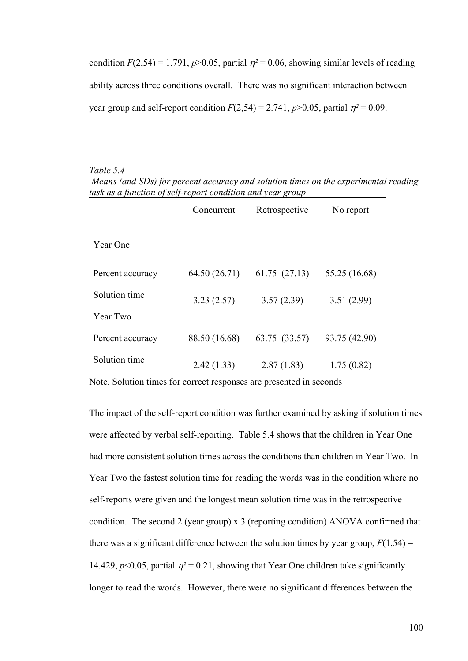condition  $F(2,54) = 1.791$ ,  $p > 0.05$ , partial  $\eta^2 = 0.06$ , showing similar levels of reading ability across three conditions overall. There was no significant interaction between year group and self-report condition  $F(2,54) = 2.741$ ,  $p > 0.05$ , partial  $\eta^2 = 0.09$ .

*Table 5.4 Means (and SDs) for percent accuracy and solution times on the experimental reading task as a function of self-report condition and year group* 

|                  | Concurrent    | Retrospective | No report     |
|------------------|---------------|---------------|---------------|
| Year One         |               |               |               |
| Percent accuracy | 64.50 (26.71) | 61.75 (27.13) | 55.25 (16.68) |
| Solution time    | 3.23(2.57)    | 3.57(2.39)    | 3.51(2.99)    |
| Year Two         |               |               |               |
| Percent accuracy | 88.50 (16.68) | 63.75 (33.57) | 93.75 (42.90) |
| Solution time    | 2.42(1.33)    | 2.87(1.83)    | 1.75(0.82)    |

Note. Solution times for correct responses are presented in seconds

The impact of the self-report condition was further examined by asking if solution times were affected by verbal self-reporting. Table 5.4 shows that the children in Year One had more consistent solution times across the conditions than children in Year Two. In Year Two the fastest solution time for reading the words was in the condition where no self-reports were given and the longest mean solution time was in the retrospective condition. The second 2 (year group) x 3 (reporting condition) ANOVA confirmed that there was a significant difference between the solution times by year group,  $F(1,54)$  = 14.429,  $p$ <0.05, partial  $\eta$ <sup>2</sup> = 0.21, showing that Year One children take significantly longer to read the words. However, there were no significant differences between the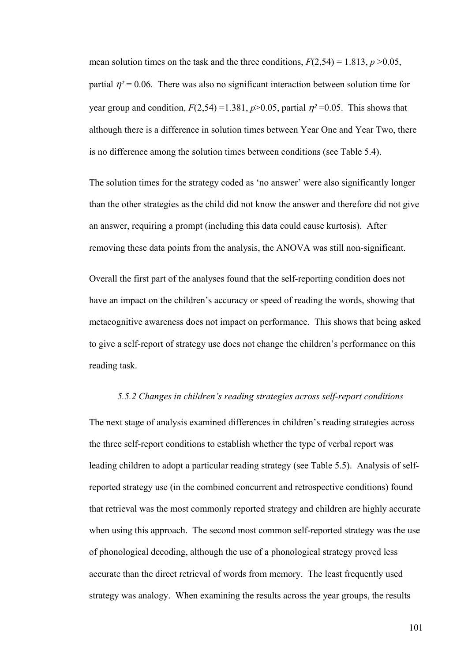mean solution times on the task and the three conditions,  $F(2,54) = 1.813$ ,  $p > 0.05$ , partial  $\eta^2$  = 0.06. There was also no significant interaction between solution time for year group and condition,  $F(2,54) = 1.381$ ,  $p > 0.05$ , partial  $\eta^2 = 0.05$ . This shows that although there is a difference in solution times between Year One and Year Two, there is no difference among the solution times between conditions (see Table 5.4).

The solution times for the strategy coded as 'no answer' were also significantly longer than the other strategies as the child did not know the answer and therefore did not give an answer, requiring a prompt (including this data could cause kurtosis). After removing these data points from the analysis, the ANOVA was still non-significant.

Overall the first part of the analyses found that the self-reporting condition does not have an impact on the children's accuracy or speed of reading the words, showing that metacognitive awareness does not impact on performance. This shows that being asked to give a self-report of strategy use does not change the children's performance on this reading task.

#### *5.5.2 Changes in children's reading strategies across self-report conditions*

The next stage of analysis examined differences in children's reading strategies across the three self-report conditions to establish whether the type of verbal report was leading children to adopt a particular reading strategy (see Table 5.5). Analysis of selfreported strategy use (in the combined concurrent and retrospective conditions) found that retrieval was the most commonly reported strategy and children are highly accurate when using this approach. The second most common self-reported strategy was the use of phonological decoding, although the use of a phonological strategy proved less accurate than the direct retrieval of words from memory. The least frequently used strategy was analogy. When examining the results across the year groups, the results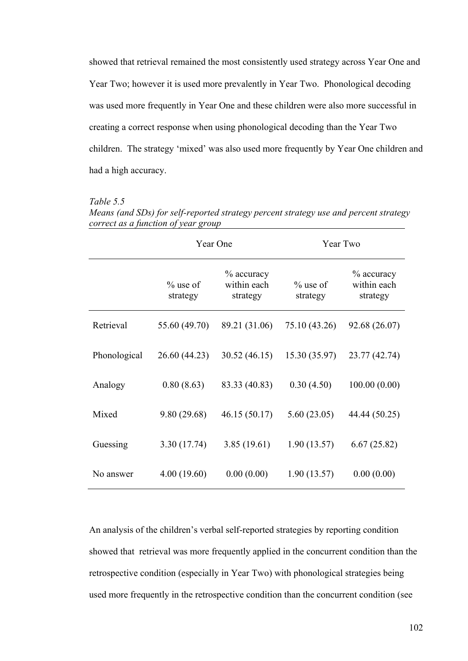showed that retrieval remained the most consistently used strategy across Year One and Year Two; however it is used more prevalently in Year Two. Phonological decoding was used more frequently in Year One and these children were also more successful in creating a correct response when using phonological decoding than the Year Two children. The strategy 'mixed' was also used more frequently by Year One children and had a high accuracy.

# *Table 5.5*

*Means (and SDs) for self-reported strategy percent strategy use and percent strategy correct as a function of year group* 

|              | Year One                |                                          | Year Two                |                                          |
|--------------|-------------------------|------------------------------------------|-------------------------|------------------------------------------|
|              | $\%$ use of<br>strategy | $\%$ accuracy<br>within each<br>strategy | $\%$ use of<br>strategy | $\%$ accuracy<br>within each<br>strategy |
| Retrieval    | 55.60 (49.70)           | 89.21 (31.06)                            | 75.10 (43.26)           | 92.68 (26.07)                            |
| Phonological | 26.60 (44.23)           | 30.52(46.15)                             | 15.30 (35.97)           | 23.77 (42.74)                            |
| Analogy      | 0.80(8.63)              | 83.33 (40.83)                            | 0.30(4.50)              | 100.00(0.00)                             |
| Mixed        | 9.80(29.68)             | 46.15(50.17)                             | 5.60(23.05)             | 44.44 (50.25)                            |
| Guessing     | 3.30(17.74)             | 3.85(19.61)                              | 1.90(13.57)             | 6.67(25.82)                              |
| No answer    | 4.00(19.60)             | 0.00(0.00)                               | 1.90(13.57)             | 0.00(0.00)                               |

An analysis of the children's verbal self-reported strategies by reporting condition showed that retrieval was more frequently applied in the concurrent condition than the retrospective condition (especially in Year Two) with phonological strategies being used more frequently in the retrospective condition than the concurrent condition (see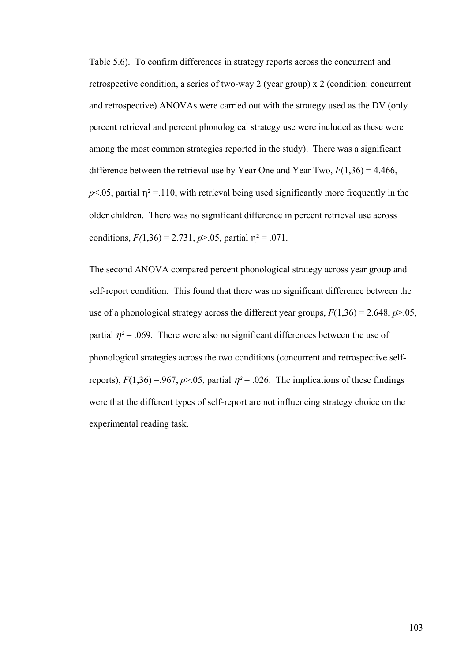Table 5.6). To confirm differences in strategy reports across the concurrent and retrospective condition, a series of two-way 2 (year group) x 2 (condition: concurrent and retrospective) ANOVAs were carried out with the strategy used as the DV (only percent retrieval and percent phonological strategy use were included as these were among the most common strategies reported in the study). There was a significant difference between the retrieval use by Year One and Year Two,  $F(1,36) = 4.466$ ,  $p$ <.05, partial  $\eta$ <sup>2</sup> = 110, with retrieval being used significantly more frequently in the older children. There was no significant difference in percent retrieval use across conditions,  $F(1,36) = 2.731$ ,  $p > .05$ , partial  $p^2 = .071$ .

The second ANOVA compared percent phonological strategy across year group and self-report condition. This found that there was no significant difference between the use of a phonological strategy across the different year groups,  $F(1,36) = 2.648$ ,  $p > .05$ , partial  $\eta^2$  = .069. There were also no significant differences between the use of phonological strategies across the two conditions (concurrent and retrospective selfreports),  $F(1,36) = .967$ ,  $p > .05$ , partial  $\eta^2 = .026$ . The implications of these findings were that the different types of self-report are not influencing strategy choice on the experimental reading task.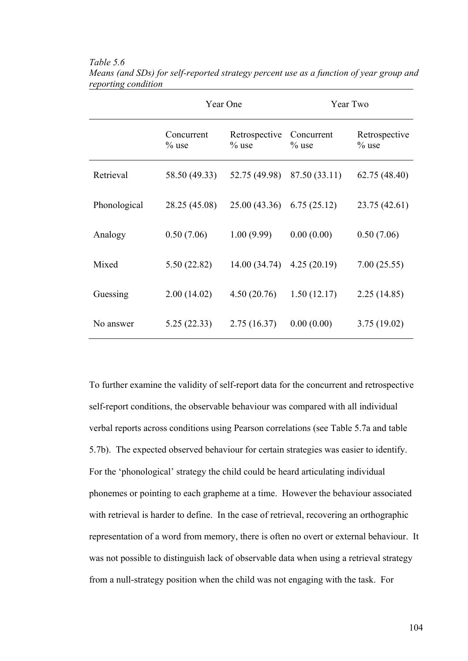|              | Year One               |                           | Year Two               |                           |
|--------------|------------------------|---------------------------|------------------------|---------------------------|
|              | Concurrent<br>$\%$ use | Retrospective<br>$\%$ use | Concurrent<br>$\%$ use | Retrospective<br>$\%$ use |
| Retrieval    | 58.50 (49.33)          | 52.75 (49.98)             | 87.50 (33.11)          | 62.75 (48.40)             |
| Phonological | 28.25 (45.08)          | 25.00(43.36)              | 6.75(25.12)            | 23.75 (42.61)             |
| Analogy      | 0.50(7.06)             | 1.00(9.99)                | 0.00(0.00)             | 0.50(7.06)                |
| Mixed        | 5.50(22.82)            | 14.00 (34.74)             | 4.25(20.19)            | 7.00(25.55)               |
| Guessing     | 2.00(14.02)            | 4.50(20.76)               | 1.50(12.17)            | 2.25(14.85)               |
| No answer    | 5.25(22.33)            | 2.75(16.37)               | 0.00(0.00)             | 3.75(19.02)               |

*Table 5.6 Means (and SDs) for self-reported strategy percent use as a function of year group and reporting condition* 

To further examine the validity of self-report data for the concurrent and retrospective self-report conditions, the observable behaviour was compared with all individual verbal reports across conditions using Pearson correlations (see Table 5.7a and table 5.7b). The expected observed behaviour for certain strategies was easier to identify. For the 'phonological' strategy the child could be heard articulating individual phonemes or pointing to each grapheme at a time. However the behaviour associated with retrieval is harder to define. In the case of retrieval, recovering an orthographic representation of a word from memory, there is often no overt or external behaviour. It was not possible to distinguish lack of observable data when using a retrieval strategy from a null-strategy position when the child was not engaging with the task. For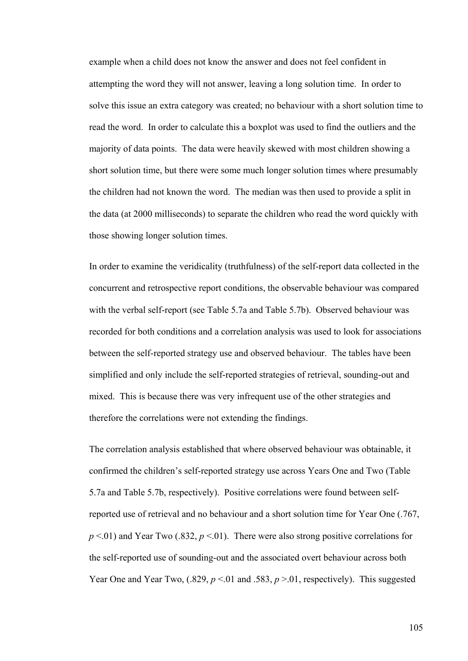example when a child does not know the answer and does not feel confident in attempting the word they will not answer, leaving a long solution time. In order to solve this issue an extra category was created; no behaviour with a short solution time to read the word. In order to calculate this a boxplot was used to find the outliers and the majority of data points. The data were heavily skewed with most children showing a short solution time, but there were some much longer solution times where presumably the children had not known the word. The median was then used to provide a split in the data (at 2000 milliseconds) to separate the children who read the word quickly with those showing longer solution times.

In order to examine the veridicality (truthfulness) of the self-report data collected in the concurrent and retrospective report conditions, the observable behaviour was compared with the verbal self-report (see Table 5.7a and Table 5.7b). Observed behaviour was recorded for both conditions and a correlation analysis was used to look for associations between the self-reported strategy use and observed behaviour. The tables have been simplified and only include the self-reported strategies of retrieval, sounding-out and mixed. This is because there was very infrequent use of the other strategies and therefore the correlations were not extending the findings.

The correlation analysis established that where observed behaviour was obtainable, it confirmed the children's self-reported strategy use across Years One and Two (Table 5.7a and Table 5.7b, respectively). Positive correlations were found between selfreported use of retrieval and no behaviour and a short solution time for Year One (.767,  $p \le 01$ ) and Year Two (.832,  $p \le 01$ ). There were also strong positive correlations for the self-reported use of sounding-out and the associated overt behaviour across both Year One and Year Two,  $(.829, p \le 01$  and  $.583, p \ge 01$ , respectively). This suggested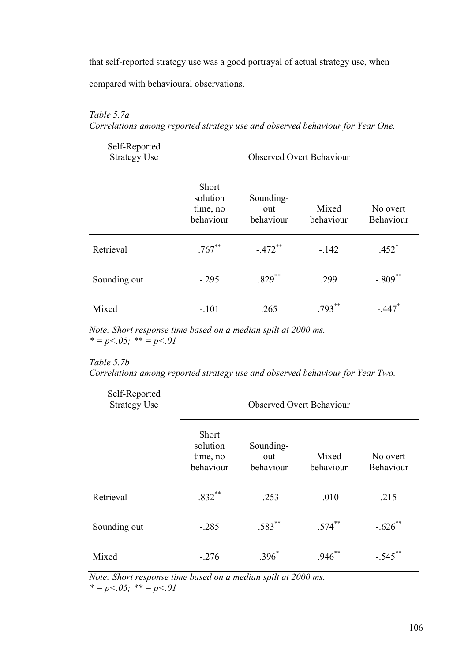that self-reported strategy use was a good portrayal of actual strategy use, when

compared with behavioural observations.

# *Table 5.7a*

*Correlations among reported strategy use and observed behaviour for Year One.* 

| Self-Reported<br><b>Strategy Use</b> | <b>Observed Overt Behaviour</b>                   |                               |                    |                       |
|--------------------------------------|---------------------------------------------------|-------------------------------|--------------------|-----------------------|
|                                      | <b>Short</b><br>solution<br>time, no<br>behaviour | Sounding-<br>out<br>behaviour | Mixed<br>behaviour | No overt<br>Behaviour |
| Retrieval                            | $.767***$                                         | $-.472$ **                    | $-142$             | $.452$ <sup>*</sup>   |
| Sounding out                         | $-.295$                                           | $.829$ <sup>**</sup>          | .299               | $-.809$ <sup>**</sup> |
| Mixed                                | $-.101$                                           | .265                          | $.793***$          | $-.447$               |

*Note: Short response time based on a median spilt at 2000 ms.*   $* = p < 0.05;$   $* = p < 0.01$ 

*Table 5.7b* 

| Correlations among reported strategy use and observed behaviour for Year Two. |  |  |  |  |
|-------------------------------------------------------------------------------|--|--|--|--|
|-------------------------------------------------------------------------------|--|--|--|--|

| Self-Reported<br><b>Strategy Use</b> | <b>Observed Overt Behaviour</b>            |                               |                      |                       |
|--------------------------------------|--------------------------------------------|-------------------------------|----------------------|-----------------------|
|                                      | Short<br>solution<br>time, no<br>behaviour | Sounding-<br>out<br>behaviour | Mixed<br>behaviour   | No overt<br>Behaviour |
| Retrieval                            | $.832**$                                   | $-.253$                       | $-.010$              | .215                  |
| Sounding out                         | $-.285$                                    | $.583$ **                     | $.574$ **            | $-.626$ **            |
| Mixed                                | $-.276$                                    | $.396*$                       | $.946$ <sup>**</sup> | $-.545$ **            |

*Note: Short response time based on a median spilt at 2000 ms.*   $* = p < 0.05$ ;  $* = p < 0.01$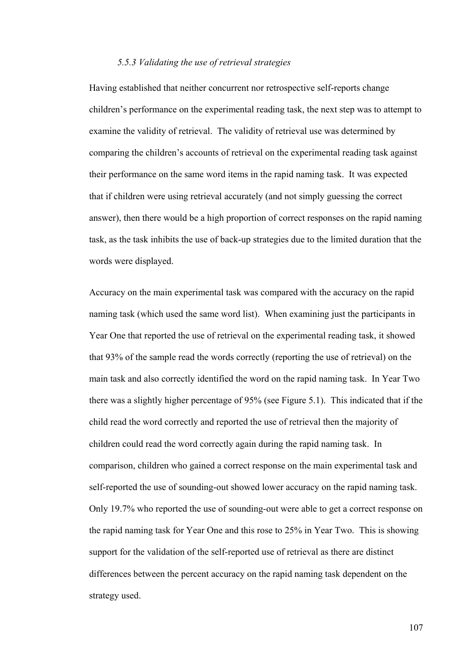# *5.5.3 Validating the use of retrieval strategies*

Having established that neither concurrent nor retrospective self-reports change children's performance on the experimental reading task, the next step was to attempt to examine the validity of retrieval. The validity of retrieval use was determined by comparing the children's accounts of retrieval on the experimental reading task against their performance on the same word items in the rapid naming task. It was expected that if children were using retrieval accurately (and not simply guessing the correct answer), then there would be a high proportion of correct responses on the rapid naming task, as the task inhibits the use of back-up strategies due to the limited duration that the words were displayed.

Accuracy on the main experimental task was compared with the accuracy on the rapid naming task (which used the same word list). When examining just the participants in Year One that reported the use of retrieval on the experimental reading task, it showed that 93% of the sample read the words correctly (reporting the use of retrieval) on the main task and also correctly identified the word on the rapid naming task. In Year Two there was a slightly higher percentage of 95% (see Figure 5.1). This indicated that if the child read the word correctly and reported the use of retrieval then the majority of children could read the word correctly again during the rapid naming task. In comparison, children who gained a correct response on the main experimental task and self-reported the use of sounding-out showed lower accuracy on the rapid naming task. Only 19.7% who reported the use of sounding-out were able to get a correct response on the rapid naming task for Year One and this rose to 25% in Year Two. This is showing support for the validation of the self-reported use of retrieval as there are distinct differences between the percent accuracy on the rapid naming task dependent on the strategy used.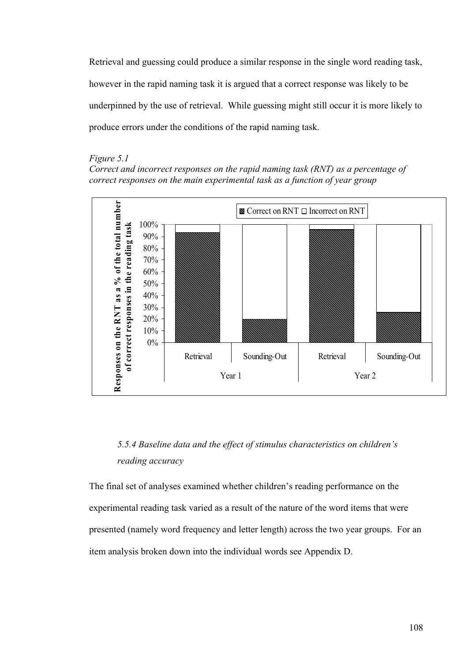Retrieval and guessing could produce a similar response in the single word reading task, however in the rapid naming task it is argued that a correct response was likely to be underpinned by the use of retrieval. While guessing might still occur it is more likely to produce errors under the conditions of the rapid naming task.

#### *Figure 5.1*

*Correct and incorrect responses on the rapid naming task (RNT) as a percentage of correct responses on the main experimental task as a function of year group* 



# *5.5.4 Baseline data and the effect of stimulus characteristics on children's reading accuracy*

The final set of analyses examined whether children's reading performance on the experimental reading task varied as a result of the nature of the word items that were presented (namely word frequency and letter length) across the two year groups. For an item analysis broken down into the individual words see Appendix D.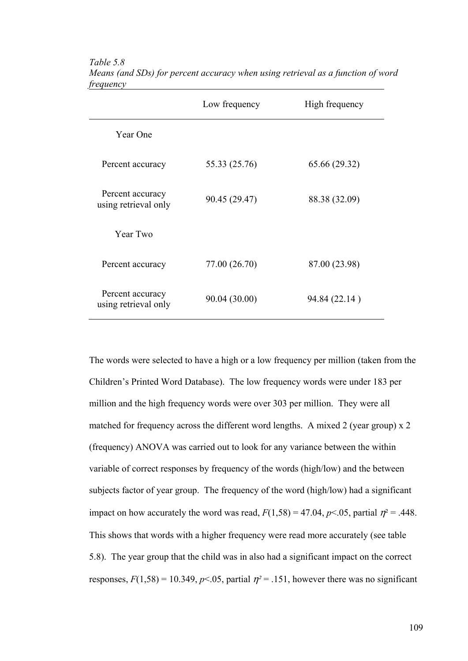|                                          | Low frequency | High frequency |
|------------------------------------------|---------------|----------------|
| Year One                                 |               |                |
| Percent accuracy                         | 55.33 (25.76) | 65.66 (29.32)  |
| Percent accuracy<br>using retrieval only | 90.45 (29.47) | 88.38 (32.09)  |
| Year Two                                 |               |                |
| Percent accuracy                         | 77.00 (26.70) | 87.00 (23.98)  |
| Percent accuracy<br>using retrieval only | 90.04 (30.00) | 94.84 (22.14)  |

*Table 5.8 Means (and SDs) for percent accuracy when using retrieval as a function of word frequency* 

The words were selected to have a high or a low frequency per million (taken from the Children's Printed Word Database). The low frequency words were under 183 per million and the high frequency words were over 303 per million. They were all matched for frequency across the different word lengths. A mixed 2 (year group) x 2 (frequency) ANOVA was carried out to look for any variance between the within variable of correct responses by frequency of the words (high/low) and the between subjects factor of year group. The frequency of the word (high/low) had a significant impact on how accurately the word was read,  $F(1,58) = 47.04$ ,  $p \le 0.05$ , partial  $\eta^2 = .448$ . This shows that words with a higher frequency were read more accurately (see table 5.8). The year group that the child was in also had a significant impact on the correct responses,  $F(1,58) = 10.349$ ,  $p<0.05$ , partial  $\eta^2 = 0.151$ , however there was no significant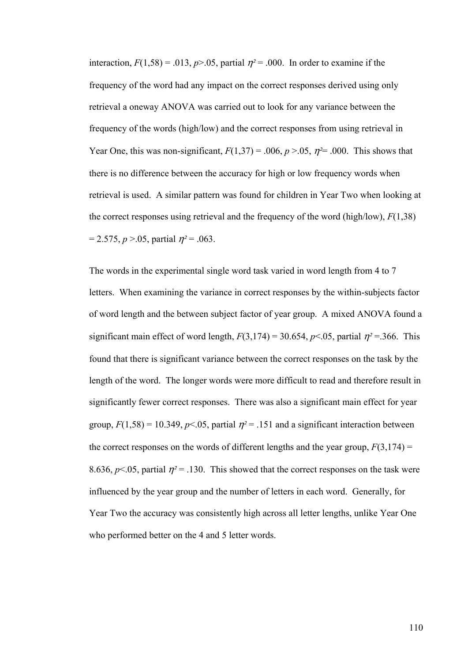interaction,  $F(1,58) = .013$ ,  $p > .05$ , partial  $\eta^2 = .000$ . In order to examine if the frequency of the word had any impact on the correct responses derived using only retrieval a oneway ANOVA was carried out to look for any variance between the frequency of the words (high/low) and the correct responses from using retrieval in Year One, this was non-significant,  $F(1,37) = .006$ ,  $p > .05$ ,  $\eta^2 = .000$ . This shows that there is no difference between the accuracy for high or low frequency words when retrieval is used. A similar pattern was found for children in Year Two when looking at the correct responses using retrieval and the frequency of the word (high/low), *F*(1,38)  $= 2.575$ ,  $p > 0.05$ , partial  $p^2 = 0.063$ .

The words in the experimental single word task varied in word length from 4 to 7 letters. When examining the variance in correct responses by the within-subjects factor of word length and the between subject factor of year group. A mixed ANOVA found a significant main effect of word length,  $F(3,174) = 30.654$ ,  $p < .05$ , partial  $\eta^2 = .366$ . This found that there is significant variance between the correct responses on the task by the length of the word. The longer words were more difficult to read and therefore result in significantly fewer correct responses. There was also a significant main effect for year group,  $F(1,58) = 10.349$ ,  $p<.05$ , partial  $\eta^2 = .151$  and a significant interaction between the correct responses on the words of different lengths and the year group,  $F(3,174) =$ 8.636,  $p$ <.05, partial  $\eta$ <sup>2</sup> = .130. This showed that the correct responses on the task were influenced by the year group and the number of letters in each word. Generally, for Year Two the accuracy was consistently high across all letter lengths, unlike Year One who performed better on the 4 and 5 letter words.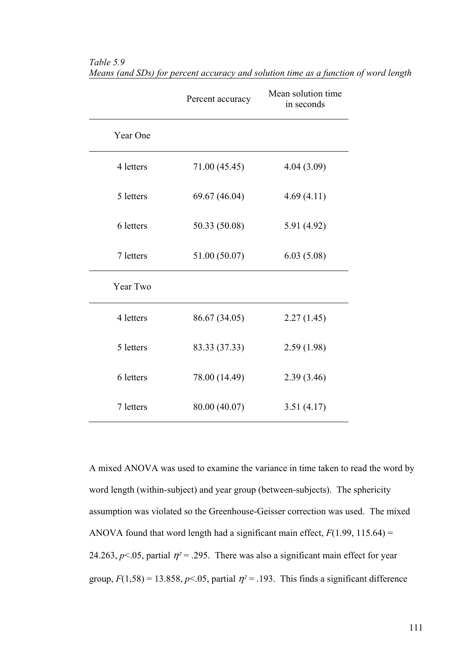|           | Percent accuracy | Mean solution time<br>in seconds |
|-----------|------------------|----------------------------------|
| Year One  |                  |                                  |
| 4 letters | 71.00 (45.45)    | 4.04(3.09)                       |
| 5 letters | 69.67 (46.04)    | 4.69(4.11)                       |
| 6 letters | 50.33 (50.08)    | 5.91 (4.92)                      |
| 7 letters | 51.00 (50.07)    | 6.03(5.08)                       |
| Year Two  |                  |                                  |
| 4 letters | 86.67 (34.05)    | 2.27(1.45)                       |
| 5 letters | 83.33 (37.33)    | 2.59(1.98)                       |
| 6 letters | 78.00 (14.49)    | 2.39(3.46)                       |
| 7 letters | 80.00 (40.07)    | 3.51(4.17)                       |

*Table 5.9 Means (and SDs) for percent accuracy and solution time as a function of word length* 

A mixed ANOVA was used to examine the variance in time taken to read the word by word length (within-subject) and year group (between-subjects). The sphericity assumption was violated so the Greenhouse-Geisser correction was used. The mixed ANOVA found that word length had a significant main effect,  $F(1.99, 115.64) =$ 24.263,  $p$ <.05, partial  $\eta$ <sup>2</sup> = .295. There was also a significant main effect for year group,  $F(1,58) = 13.858$ ,  $p \le 0.05$ , partial  $\eta^2 = 0.193$ . This finds a significant difference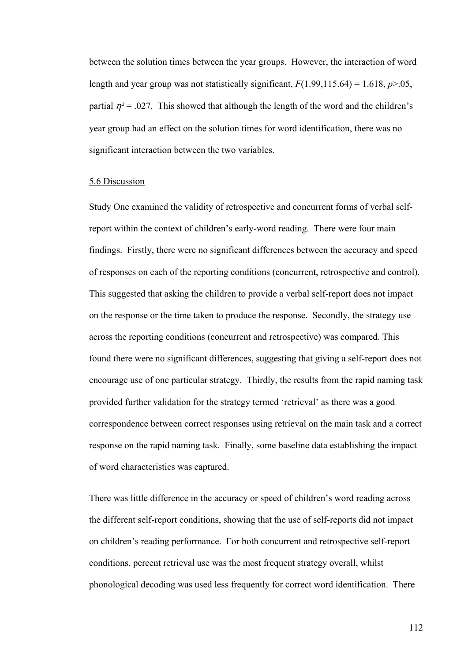between the solution times between the year groups. However, the interaction of word length and year group was not statistically significant,  $F(1.99,115.64) = 1.618$ ,  $p > .05$ , partial  $\eta^2$  = .027. This showed that although the length of the word and the children's year group had an effect on the solution times for word identification, there was no significant interaction between the two variables.

## 5.6 Discussion

Study One examined the validity of retrospective and concurrent forms of verbal selfreport within the context of children's early-word reading. There were four main findings. Firstly, there were no significant differences between the accuracy and speed of responses on each of the reporting conditions (concurrent, retrospective and control). This suggested that asking the children to provide a verbal self-report does not impact on the response or the time taken to produce the response. Secondly, the strategy use across the reporting conditions (concurrent and retrospective) was compared. This found there were no significant differences, suggesting that giving a self-report does not encourage use of one particular strategy. Thirdly, the results from the rapid naming task provided further validation for the strategy termed 'retrieval' as there was a good correspondence between correct responses using retrieval on the main task and a correct response on the rapid naming task. Finally, some baseline data establishing the impact of word characteristics was captured.

There was little difference in the accuracy or speed of children's word reading across the different self-report conditions, showing that the use of self-reports did not impact on children's reading performance. For both concurrent and retrospective self-report conditions, percent retrieval use was the most frequent strategy overall, whilst phonological decoding was used less frequently for correct word identification. There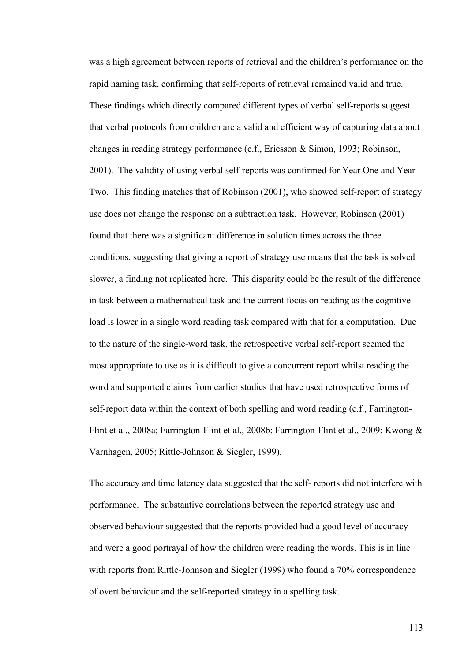was a high agreement between reports of retrieval and the children's performance on the rapid naming task, confirming that self-reports of retrieval remained valid and true. These findings which directly compared different types of verbal self-reports suggest that verbal protocols from children are a valid and efficient way of capturing data about changes in reading strategy performance (c.f., Ericsson & Simon, 1993; Robinson, 2001). The validity of using verbal self-reports was confirmed for Year One and Year Two. This finding matches that of Robinson (2001), who showed self-report of strategy use does not change the response on a subtraction task. However, Robinson (2001) found that there was a significant difference in solution times across the three conditions, suggesting that giving a report of strategy use means that the task is solved slower, a finding not replicated here. This disparity could be the result of the difference in task between a mathematical task and the current focus on reading as the cognitive load is lower in a single word reading task compared with that for a computation. Due to the nature of the single-word task, the retrospective verbal self-report seemed the most appropriate to use as it is difficult to give a concurrent report whilst reading the word and supported claims from earlier studies that have used retrospective forms of self-report data within the context of both spelling and word reading (c.f., Farrington-Flint et al., 2008a; Farrington-Flint et al., 2008b; Farrington-Flint et al., 2009; Kwong & Varnhagen, 2005; Rittle-Johnson & Siegler, 1999).

The accuracy and time latency data suggested that the self- reports did not interfere with performance. The substantive correlations between the reported strategy use and observed behaviour suggested that the reports provided had a good level of accuracy and were a good portrayal of how the children were reading the words. This is in line with reports from Rittle-Johnson and Siegler (1999) who found a 70% correspondence of overt behaviour and the self-reported strategy in a spelling task.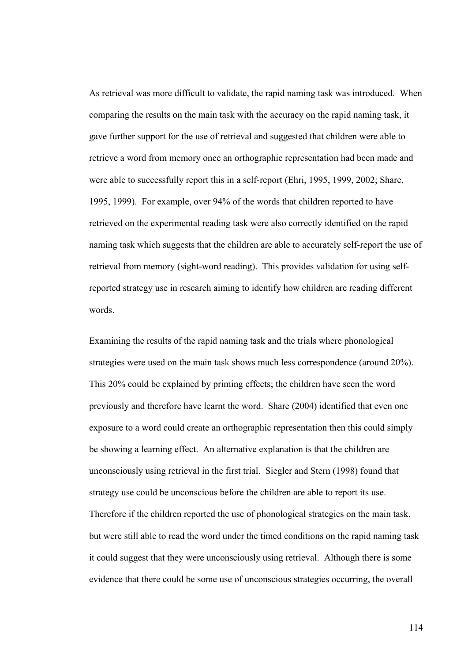As retrieval was more difficult to validate, the rapid naming task was introduced. When comparing the results on the main task with the accuracy on the rapid naming task, it gave further support for the use of retrieval and suggested that children were able to retrieve a word from memory once an orthographic representation had been made and were able to successfully report this in a self-report (Ehri, 1995, 1999, 2002; Share, 1995, 1999). For example, over 94% of the words that children reported to have retrieved on the experimental reading task were also correctly identified on the rapid naming task which suggests that the children are able to accurately self-report the use of retrieval from memory (sight-word reading). This provides validation for using selfreported strategy use in research aiming to identify how children are reading different words.

Examining the results of the rapid naming task and the trials where phonological strategies were used on the main task shows much less correspondence (around 20%). This 20% could be explained by priming effects; the children have seen the word previously and therefore have learnt the word. Share (2004) identified that even one exposure to a word could create an orthographic representation then this could simply be showing a learning effect. An alternative explanation is that the children are unconsciously using retrieval in the first trial. Siegler and Stern (1998) found that strategy use could be unconscious before the children are able to report its use. Therefore if the children reported the use of phonological strategies on the main task, but were still able to read the word under the timed conditions on the rapid naming task it could suggest that they were unconsciously using retrieval. Although there is some evidence that there could be some use of unconscious strategies occurring, the overall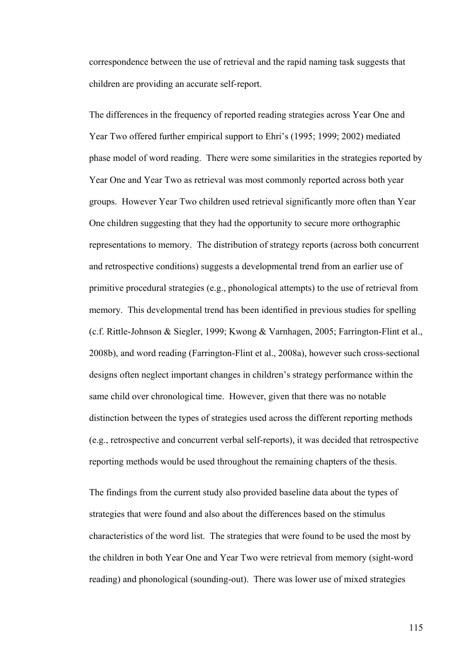correspondence between the use of retrieval and the rapid naming task suggests that children are providing an accurate self-report.

The differences in the frequency of reported reading strategies across Year One and Year Two offered further empirical support to Ehri's (1995; 1999; 2002) mediated phase model of word reading. There were some similarities in the strategies reported by Year One and Year Two as retrieval was most commonly reported across both year groups. However Year Two children used retrieval significantly more often than Year One children suggesting that they had the opportunity to secure more orthographic representations to memory. The distribution of strategy reports (across both concurrent and retrospective conditions) suggests a developmental trend from an earlier use of primitive procedural strategies (e.g., phonological attempts) to the use of retrieval from memory. This developmental trend has been identified in previous studies for spelling (c.f. Rittle-Johnson & Siegler, 1999; Kwong & Varnhagen, 2005; Farrington-Flint et al., 2008b), and word reading (Farrington-Flint et al., 2008a), however such cross-sectional designs often neglect important changes in children's strategy performance within the same child over chronological time. However, given that there was no notable distinction between the types of strategies used across the different reporting methods (e.g., retrospective and concurrent verbal self-reports), it was decided that retrospective reporting methods would be used throughout the remaining chapters of the thesis.

The findings from the current study also provided baseline data about the types of strategies that were found and also about the differences based on the stimulus characteristics of the word list. The strategies that were found to be used the most by the children in both Year One and Year Two were retrieval from memory (sight-word reading) and phonological (sounding-out). There was lower use of mixed strategies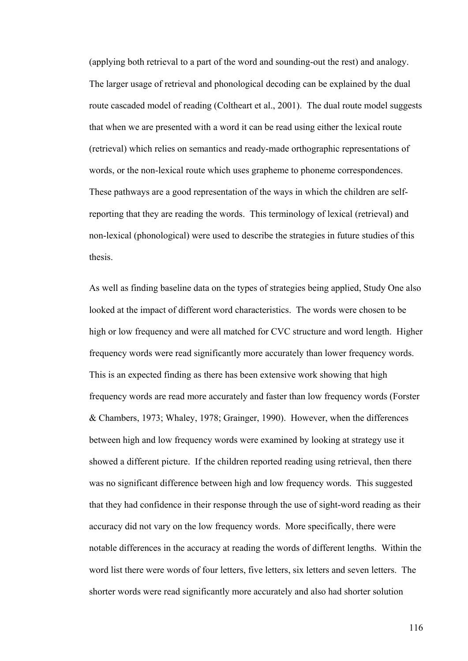(applying both retrieval to a part of the word and sounding-out the rest) and analogy. The larger usage of retrieval and phonological decoding can be explained by the dual route cascaded model of reading (Coltheart et al., 2001). The dual route model suggests that when we are presented with a word it can be read using either the lexical route (retrieval) which relies on semantics and ready-made orthographic representations of words, or the non-lexical route which uses grapheme to phoneme correspondences. These pathways are a good representation of the ways in which the children are selfreporting that they are reading the words. This terminology of lexical (retrieval) and non-lexical (phonological) were used to describe the strategies in future studies of this thesis.

As well as finding baseline data on the types of strategies being applied, Study One also looked at the impact of different word characteristics. The words were chosen to be high or low frequency and were all matched for CVC structure and word length. Higher frequency words were read significantly more accurately than lower frequency words. This is an expected finding as there has been extensive work showing that high frequency words are read more accurately and faster than low frequency words (Forster & Chambers, 1973; Whaley, 1978; Grainger, 1990). However, when the differences between high and low frequency words were examined by looking at strategy use it showed a different picture. If the children reported reading using retrieval, then there was no significant difference between high and low frequency words. This suggested that they had confidence in their response through the use of sight-word reading as their accuracy did not vary on the low frequency words. More specifically, there were notable differences in the accuracy at reading the words of different lengths. Within the word list there were words of four letters, five letters, six letters and seven letters. The shorter words were read significantly more accurately and also had shorter solution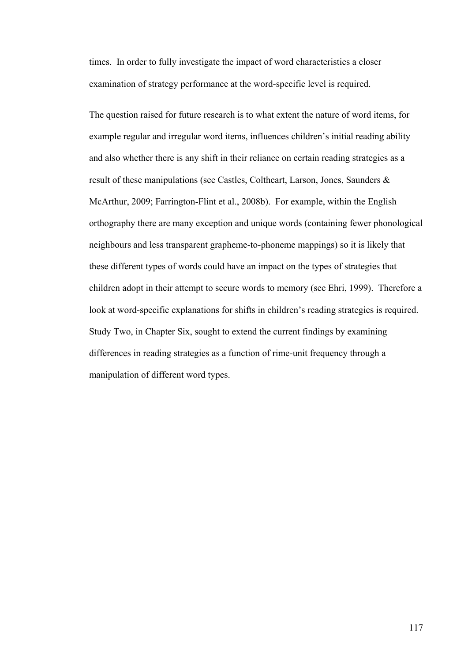times. In order to fully investigate the impact of word characteristics a closer examination of strategy performance at the word-specific level is required.

The question raised for future research is to what extent the nature of word items, for example regular and irregular word items, influences children's initial reading ability and also whether there is any shift in their reliance on certain reading strategies as a result of these manipulations (see Castles, Coltheart, Larson, Jones, Saunders & McArthur, 2009; Farrington-Flint et al., 2008b). For example, within the English orthography there are many exception and unique words (containing fewer phonological neighbours and less transparent grapheme-to-phoneme mappings) so it is likely that these different types of words could have an impact on the types of strategies that children adopt in their attempt to secure words to memory (see Ehri, 1999). Therefore a look at word-specific explanations for shifts in children's reading strategies is required. Study Two, in Chapter Six, sought to extend the current findings by examining differences in reading strategies as a function of rime-unit frequency through a manipulation of different word types.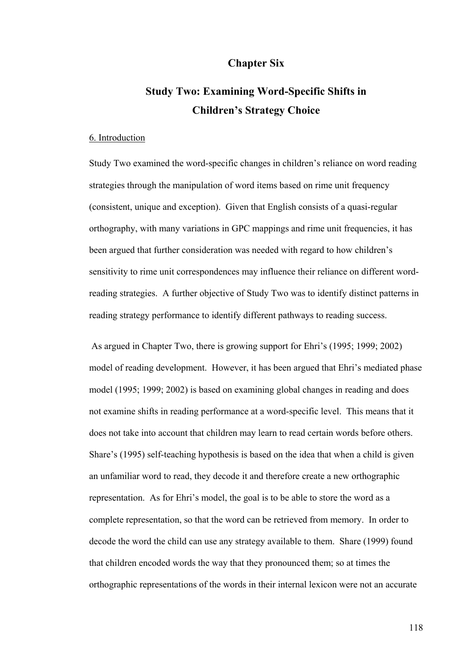# **Chapter Six**

# **Study Two: Examining Word-Specific Shifts in Children's Strategy Choice**

#### 6. Introduction

Study Two examined the word-specific changes in children's reliance on word reading strategies through the manipulation of word items based on rime unit frequency (consistent, unique and exception). Given that English consists of a quasi-regular orthography, with many variations in GPC mappings and rime unit frequencies, it has been argued that further consideration was needed with regard to how children's sensitivity to rime unit correspondences may influence their reliance on different wordreading strategies. A further objective of Study Two was to identify distinct patterns in reading strategy performance to identify different pathways to reading success.

 As argued in Chapter Two, there is growing support for Ehri's (1995; 1999; 2002) model of reading development. However, it has been argued that Ehri's mediated phase model (1995; 1999; 2002) is based on examining global changes in reading and does not examine shifts in reading performance at a word-specific level. This means that it does not take into account that children may learn to read certain words before others. Share's (1995) self-teaching hypothesis is based on the idea that when a child is given an unfamiliar word to read, they decode it and therefore create a new orthographic representation. As for Ehri's model, the goal is to be able to store the word as a complete representation, so that the word can be retrieved from memory. In order to decode the word the child can use any strategy available to them. Share (1999) found that children encoded words the way that they pronounced them; so at times the orthographic representations of the words in their internal lexicon were not an accurate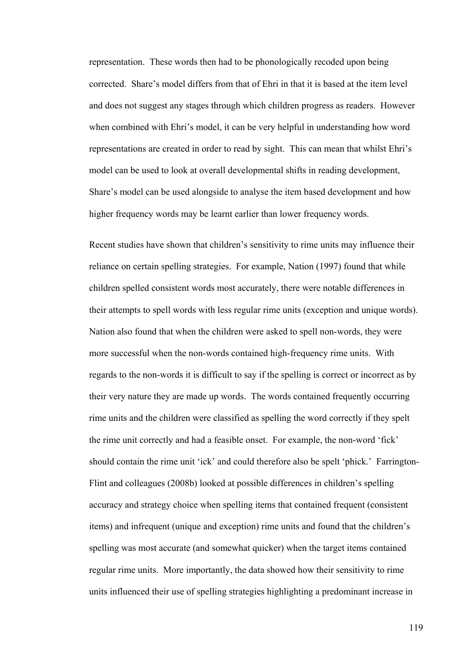representation. These words then had to be phonologically recoded upon being corrected. Share's model differs from that of Ehri in that it is based at the item level and does not suggest any stages through which children progress as readers. However when combined with Ehri's model, it can be very helpful in understanding how word representations are created in order to read by sight. This can mean that whilst Ehri's model can be used to look at overall developmental shifts in reading development, Share's model can be used alongside to analyse the item based development and how higher frequency words may be learnt earlier than lower frequency words.

Recent studies have shown that children's sensitivity to rime units may influence their reliance on certain spelling strategies. For example, Nation (1997) found that while children spelled consistent words most accurately, there were notable differences in their attempts to spell words with less regular rime units (exception and unique words). Nation also found that when the children were asked to spell non-words, they were more successful when the non-words contained high-frequency rime units. With regards to the non-words it is difficult to say if the spelling is correct or incorrect as by their very nature they are made up words. The words contained frequently occurring rime units and the children were classified as spelling the word correctly if they spelt the rime unit correctly and had a feasible onset. For example, the non-word 'fick' should contain the rime unit 'ick' and could therefore also be spelt 'phick.' Farrington-Flint and colleagues (2008b) looked at possible differences in children's spelling accuracy and strategy choice when spelling items that contained frequent (consistent items) and infrequent (unique and exception) rime units and found that the children's spelling was most accurate (and somewhat quicker) when the target items contained regular rime units. More importantly, the data showed how their sensitivity to rime units influenced their use of spelling strategies highlighting a predominant increase in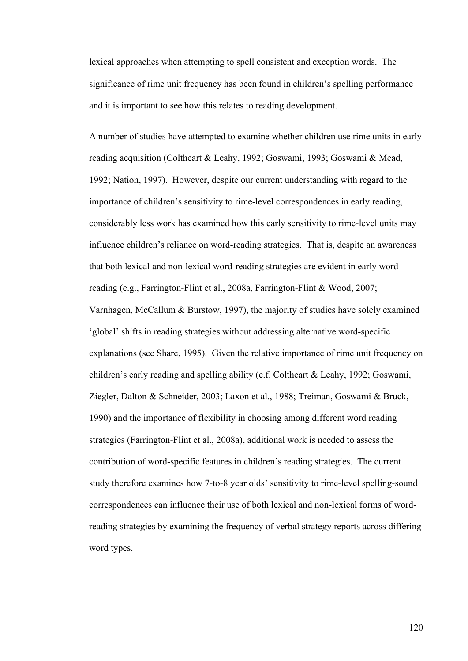lexical approaches when attempting to spell consistent and exception words. The significance of rime unit frequency has been found in children's spelling performance and it is important to see how this relates to reading development.

A number of studies have attempted to examine whether children use rime units in early reading acquisition (Coltheart & Leahy, 1992; Goswami, 1993; Goswami & Mead, 1992; Nation, 1997). However, despite our current understanding with regard to the importance of children's sensitivity to rime-level correspondences in early reading, considerably less work has examined how this early sensitivity to rime-level units may influence children's reliance on word-reading strategies. That is, despite an awareness that both lexical and non-lexical word-reading strategies are evident in early word reading (e.g., Farrington-Flint et al., 2008a, Farrington-Flint & Wood, 2007; Varnhagen, McCallum & Burstow, 1997), the majority of studies have solely examined 'global' shifts in reading strategies without addressing alternative word-specific explanations (see Share, 1995). Given the relative importance of rime unit frequency on children's early reading and spelling ability (c.f. Coltheart & Leahy, 1992; Goswami, Ziegler, Dalton & Schneider, 2003; Laxon et al., 1988; Treiman, Goswami & Bruck, 1990) and the importance of flexibility in choosing among different word reading strategies (Farrington-Flint et al., 2008a), additional work is needed to assess the contribution of word-specific features in children's reading strategies. The current study therefore examines how 7-to-8 year olds' sensitivity to rime-level spelling-sound correspondences can influence their use of both lexical and non-lexical forms of wordreading strategies by examining the frequency of verbal strategy reports across differing word types.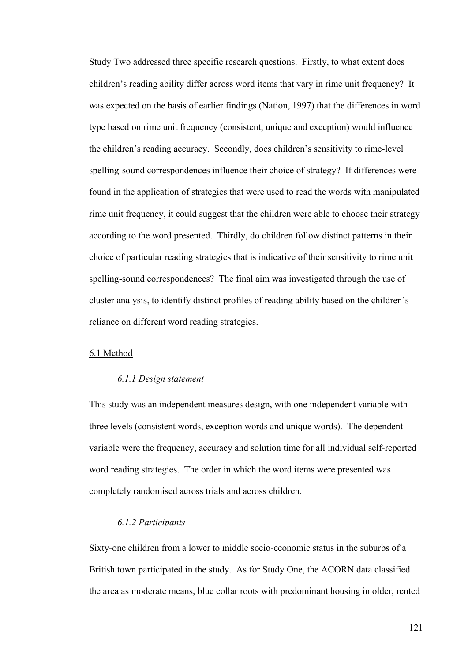Study Two addressed three specific research questions. Firstly, to what extent does children's reading ability differ across word items that vary in rime unit frequency? It was expected on the basis of earlier findings (Nation, 1997) that the differences in word type based on rime unit frequency (consistent, unique and exception) would influence the children's reading accuracy. Secondly, does children's sensitivity to rime-level spelling-sound correspondences influence their choice of strategy? If differences were found in the application of strategies that were used to read the words with manipulated rime unit frequency, it could suggest that the children were able to choose their strategy according to the word presented. Thirdly, do children follow distinct patterns in their choice of particular reading strategies that is indicative of their sensitivity to rime unit spelling-sound correspondences? The final aim was investigated through the use of cluster analysis, to identify distinct profiles of reading ability based on the children's reliance on different word reading strategies.

### 6.1 Method

#### *6.1.1 Design statement*

This study was an independent measures design, with one independent variable with three levels (consistent words, exception words and unique words). The dependent variable were the frequency, accuracy and solution time for all individual self-reported word reading strategies. The order in which the word items were presented was completely randomised across trials and across children.

# *6.1.2 Participants*

Sixty-one children from a lower to middle socio-economic status in the suburbs of a British town participated in the study. As for Study One, the ACORN data classified the area as moderate means, blue collar roots with predominant housing in older, rented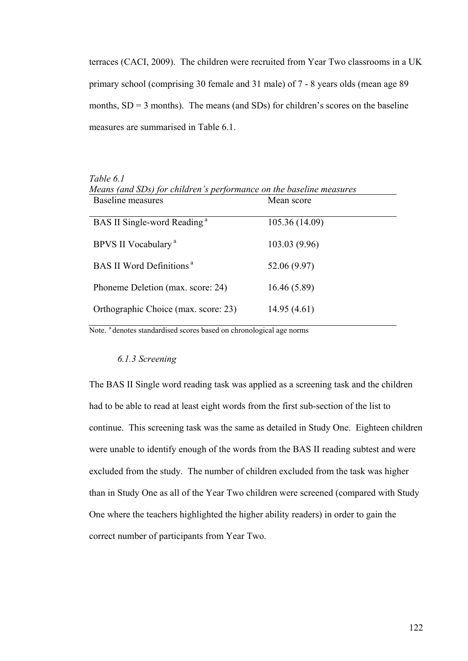terraces (CACI, 2009). The children were recruited from Year Two classrooms in a UK primary school (comprising 30 female and 31 male) of 7 - 8 years olds (mean age 89 months,  $SD = 3$  months). The means (and  $SDs$ ) for children's scores on the baseline measures are summarised in Table 6.1.

| Table 6.1                                                           |                |  |  |  |
|---------------------------------------------------------------------|----------------|--|--|--|
| Means (and SDs) for children's performance on the baseline measures |                |  |  |  |
| Baseline measures                                                   | Mean score     |  |  |  |
|                                                                     |                |  |  |  |
| BAS II Single-word Reading <sup>a</sup>                             | 105.36 (14.09) |  |  |  |
|                                                                     |                |  |  |  |
| BPVS II Vocabulary <sup>a</sup>                                     | 103.03(9.96)   |  |  |  |
|                                                                     |                |  |  |  |
| BAS II Word Definitions <sup>a</sup>                                | 52.06 (9.97)   |  |  |  |
| Phoneme Deletion (max. score: 24)                                   | 16.46(5.89)    |  |  |  |
|                                                                     |                |  |  |  |
| Orthographic Choice (max. score: 23)                                | 14.95(4.61)    |  |  |  |
|                                                                     |                |  |  |  |

*Table 6.1* 

Note. <sup>a</sup> denotes standardised scores based on chronological age norms

#### *6.1.3 Screening*

The BAS II Single word reading task was applied as a screening task and the children had to be able to read at least eight words from the first sub-section of the list to continue. This screening task was the same as detailed in Study One. Eighteen children were unable to identify enough of the words from the BAS II reading subtest and were excluded from the study. The number of children excluded from the task was higher than in Study One as all of the Year Two children were screened (compared with Study One where the teachers highlighted the higher ability readers) in order to gain the correct number of participants from Year Two.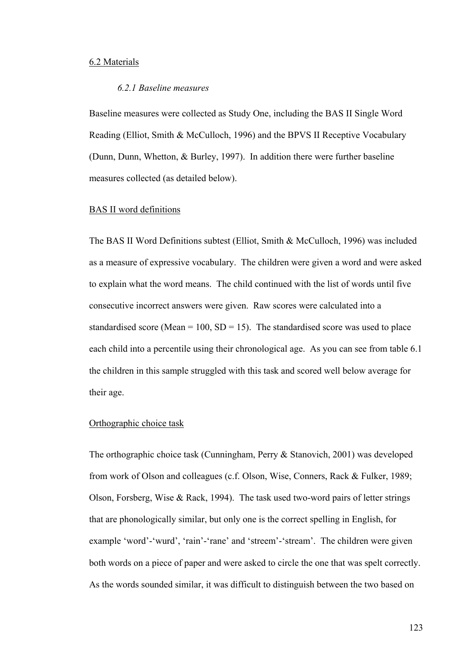#### 6.2 Materials

## *6.2.1 Baseline measures*

Baseline measures were collected as Study One, including the BAS II Single Word Reading (Elliot, Smith & McCulloch, 1996) and the BPVS II Receptive Vocabulary (Dunn, Dunn, Whetton, & Burley, 1997). In addition there were further baseline measures collected (as detailed below).

#### BAS II word definitions

The BAS II Word Definitions subtest (Elliot, Smith & McCulloch, 1996) was included as a measure of expressive vocabulary. The children were given a word and were asked to explain what the word means. The child continued with the list of words until five consecutive incorrect answers were given. Raw scores were calculated into a standardised score (Mean =  $100$ , SD =  $15$ ). The standardised score was used to place each child into a percentile using their chronological age. As you can see from table 6.1 the children in this sample struggled with this task and scored well below average for their age.

#### Orthographic choice task

The orthographic choice task (Cunningham, Perry & Stanovich, 2001) was developed from work of Olson and colleagues (c.f. Olson, Wise, Conners, Rack & Fulker, 1989; Olson, Forsberg, Wise & Rack, 1994). The task used two-word pairs of letter strings that are phonologically similar, but only one is the correct spelling in English, for example 'word'-'wurd', 'rain'-'rane' and 'streem'-'stream'. The children were given both words on a piece of paper and were asked to circle the one that was spelt correctly. As the words sounded similar, it was difficult to distinguish between the two based on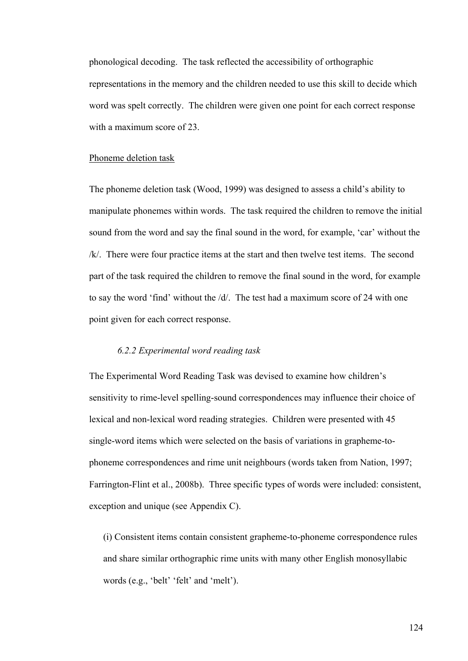phonological decoding. The task reflected the accessibility of orthographic representations in the memory and the children needed to use this skill to decide which word was spelt correctly. The children were given one point for each correct response with a maximum score of 23.

#### Phoneme deletion task

The phoneme deletion task (Wood, 1999) was designed to assess a child's ability to manipulate phonemes within words. The task required the children to remove the initial sound from the word and say the final sound in the word, for example, 'car' without the /k/. There were four practice items at the start and then twelve test items. The second part of the task required the children to remove the final sound in the word, for example to say the word 'find' without the  $\frac{d}{$ . The test had a maximum score of 24 with one point given for each correct response.

#### *6.2.2 Experimental word reading task*

The Experimental Word Reading Task was devised to examine how children's sensitivity to rime-level spelling-sound correspondences may influence their choice of lexical and non-lexical word reading strategies. Children were presented with 45 single-word items which were selected on the basis of variations in grapheme-tophoneme correspondences and rime unit neighbours (words taken from Nation, 1997; Farrington-Flint et al., 2008b). Three specific types of words were included: consistent, exception and unique (see Appendix C).

(i) Consistent items contain consistent grapheme-to-phoneme correspondence rules and share similar orthographic rime units with many other English monosyllabic words (e.g., 'belt' 'felt' and 'melt').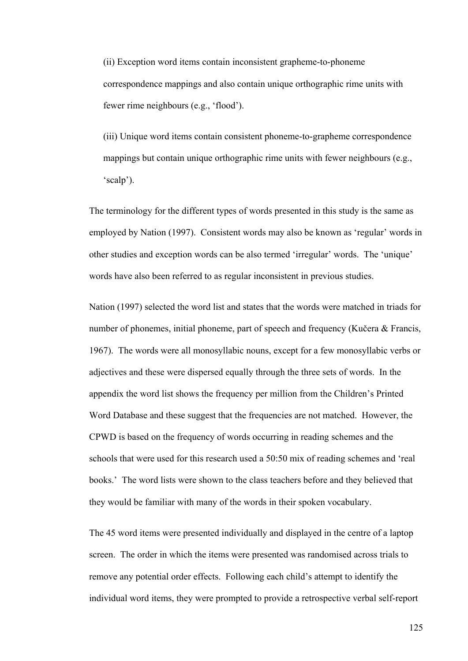(ii) Exception word items contain inconsistent grapheme-to-phoneme correspondence mappings and also contain unique orthographic rime units with fewer rime neighbours (e.g., 'flood').

(iii) Unique word items contain consistent phoneme-to-grapheme correspondence mappings but contain unique orthographic rime units with fewer neighbours (e.g., 'scalp').

The terminology for the different types of words presented in this study is the same as employed by Nation (1997). Consistent words may also be known as 'regular' words in other studies and exception words can be also termed 'irregular' words. The 'unique' words have also been referred to as regular inconsistent in previous studies.

Nation (1997) selected the word list and states that the words were matched in triads for number of phonemes, initial phoneme, part of speech and frequency (Kučera & Francis, 1967). The words were all monosyllabic nouns, except for a few monosyllabic verbs or adjectives and these were dispersed equally through the three sets of words. In the appendix the word list shows the frequency per million from the Children's Printed Word Database and these suggest that the frequencies are not matched. However, the CPWD is based on the frequency of words occurring in reading schemes and the schools that were used for this research used a 50:50 mix of reading schemes and 'real books.' The word lists were shown to the class teachers before and they believed that they would be familiar with many of the words in their spoken vocabulary.

The 45 word items were presented individually and displayed in the centre of a laptop screen. The order in which the items were presented was randomised across trials to remove any potential order effects. Following each child's attempt to identify the individual word items, they were prompted to provide a retrospective verbal self-report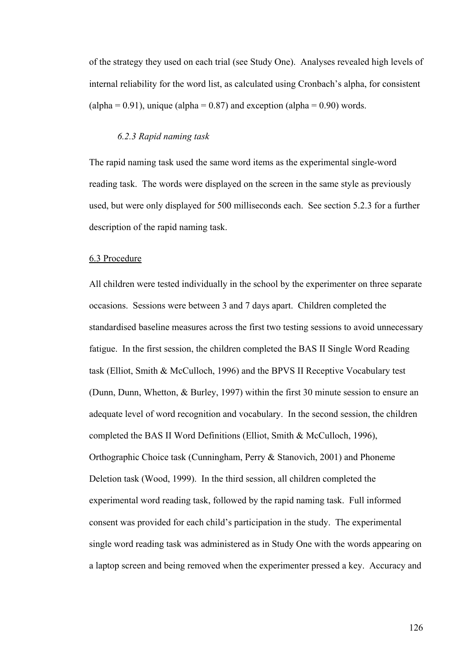of the strategy they used on each trial (see Study One). Analyses revealed high levels of internal reliability for the word list, as calculated using Cronbach's alpha, for consistent (alpha =  $0.91$ ), unique (alpha =  $0.87$ ) and exception (alpha =  $0.90$ ) words.

#### *6.2.3 Rapid naming task*

The rapid naming task used the same word items as the experimental single-word reading task. The words were displayed on the screen in the same style as previously used, but were only displayed for 500 milliseconds each. See section 5.2.3 for a further description of the rapid naming task.

## 6.3 Procedure

All children were tested individually in the school by the experimenter on three separate occasions. Sessions were between 3 and 7 days apart. Children completed the standardised baseline measures across the first two testing sessions to avoid unnecessary fatigue. In the first session, the children completed the BAS II Single Word Reading task (Elliot, Smith & McCulloch, 1996) and the BPVS II Receptive Vocabulary test (Dunn, Dunn, Whetton, & Burley, 1997) within the first 30 minute session to ensure an adequate level of word recognition and vocabulary. In the second session, the children completed the BAS II Word Definitions (Elliot, Smith & McCulloch, 1996), Orthographic Choice task (Cunningham, Perry & Stanovich, 2001) and Phoneme Deletion task (Wood, 1999). In the third session, all children completed the experimental word reading task, followed by the rapid naming task. Full informed consent was provided for each child's participation in the study. The experimental single word reading task was administered as in Study One with the words appearing on a laptop screen and being removed when the experimenter pressed a key. Accuracy and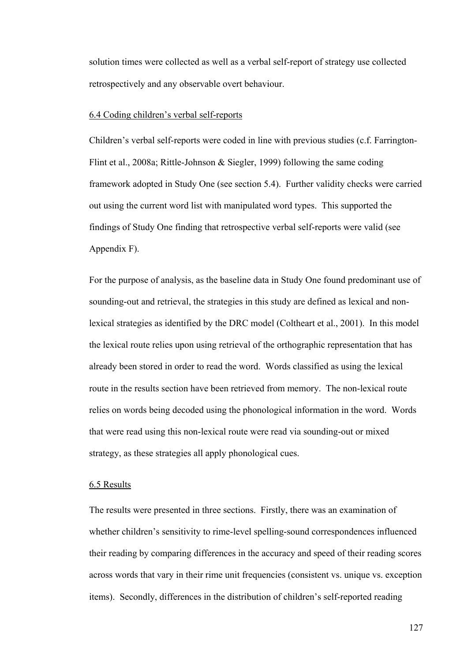solution times were collected as well as a verbal self-report of strategy use collected retrospectively and any observable overt behaviour.

#### 6.4 Coding children's verbal self-reports

Children's verbal self-reports were coded in line with previous studies (c.f. Farrington-Flint et al., 2008a; Rittle-Johnson & Siegler, 1999) following the same coding framework adopted in Study One (see section 5.4). Further validity checks were carried out using the current word list with manipulated word types. This supported the findings of Study One finding that retrospective verbal self-reports were valid (see Appendix F).

For the purpose of analysis, as the baseline data in Study One found predominant use of sounding-out and retrieval, the strategies in this study are defined as lexical and nonlexical strategies as identified by the DRC model (Coltheart et al., 2001). In this model the lexical route relies upon using retrieval of the orthographic representation that has already been stored in order to read the word. Words classified as using the lexical route in the results section have been retrieved from memory. The non-lexical route relies on words being decoded using the phonological information in the word. Words that were read using this non-lexical route were read via sounding-out or mixed strategy, as these strategies all apply phonological cues.

## 6.5 Results

The results were presented in three sections. Firstly, there was an examination of whether children's sensitivity to rime-level spelling-sound correspondences influenced their reading by comparing differences in the accuracy and speed of their reading scores across words that vary in their rime unit frequencies (consistent vs. unique vs. exception items). Secondly, differences in the distribution of children's self-reported reading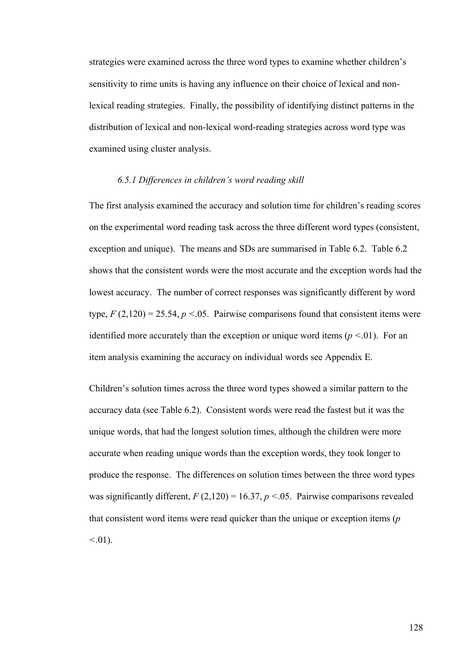strategies were examined across the three word types to examine whether children's sensitivity to rime units is having any influence on their choice of lexical and nonlexical reading strategies. Finally, the possibility of identifying distinct patterns in the distribution of lexical and non-lexical word-reading strategies across word type was examined using cluster analysis.

#### *6.5.1 Differences in children's word reading skill*

The first analysis examined the accuracy and solution time for children's reading scores on the experimental word reading task across the three different word types (consistent, exception and unique). The means and SDs are summarised in Table 6.2. Table 6.2 shows that the consistent words were the most accurate and the exception words had the lowest accuracy. The number of correct responses was significantly different by word type,  $F(2,120) = 25.54$ ,  $p < 0.05$ . Pairwise comparisons found that consistent items were identified more accurately than the exception or unique word items (*p <*.01). For an item analysis examining the accuracy on individual words see Appendix E.

Children's solution times across the three word types showed a similar pattern to the accuracy data (see Table 6.2). Consistent words were read the fastest but it was the unique words, that had the longest solution times, although the children were more accurate when reading unique words than the exception words, they took longer to produce the response. The differences on solution times between the three word types was significantly different,  $F(2,120) = 16.37$ ,  $p < 0.05$ . Pairwise comparisons revealed that consistent word items were read quicker than the unique or exception items (*p <*.01).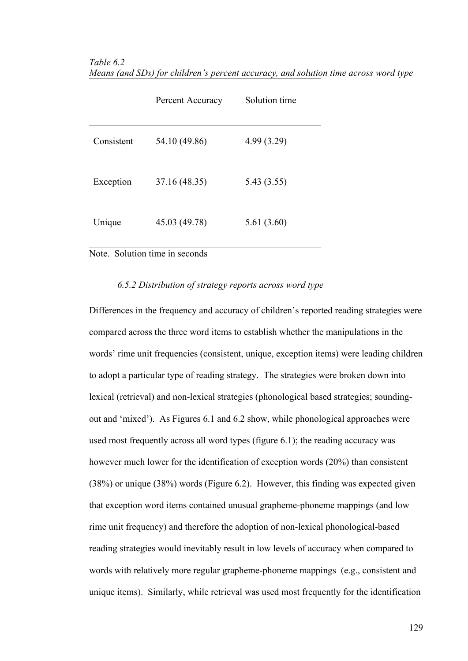*Table 6.2 Means (and SDs) for children's percent accuracy, and solution time across word type* 

|            | Percent Accuracy | Solution time |
|------------|------------------|---------------|
| Consistent | 54.10 (49.86)    | 4.99(3.29)    |
| Exception  | 37.16 (48.35)    | 5.43 (3.55)   |
| Unique     | 45.03 (49.78)    | 5.61(3.60)    |

# Note. Solution time in seconds

# *6.5.2 Distribution of strategy reports across word type*

Differences in the frequency and accuracy of children's reported reading strategies were compared across the three word items to establish whether the manipulations in the words' rime unit frequencies (consistent, unique, exception items) were leading children to adopt a particular type of reading strategy. The strategies were broken down into lexical (retrieval) and non-lexical strategies (phonological based strategies; soundingout and 'mixed'). As Figures 6.1 and 6.2 show, while phonological approaches were used most frequently across all word types (figure 6.1); the reading accuracy was however much lower for the identification of exception words (20%) than consistent (38%) or unique (38%) words (Figure 6.2). However, this finding was expected given that exception word items contained unusual grapheme-phoneme mappings (and low rime unit frequency) and therefore the adoption of non-lexical phonological-based reading strategies would inevitably result in low levels of accuracy when compared to words with relatively more regular grapheme-phoneme mappings (e.g., consistent and unique items). Similarly, while retrieval was used most frequently for the identification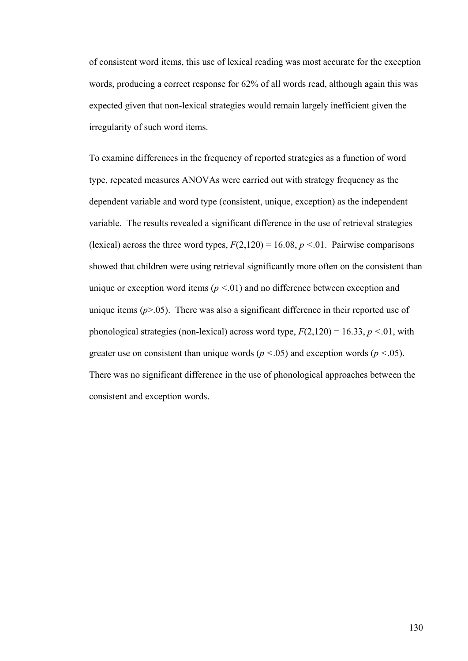of consistent word items, this use of lexical reading was most accurate for the exception words, producing a correct response for 62% of all words read, although again this was expected given that non-lexical strategies would remain largely inefficient given the irregularity of such word items.

To examine differences in the frequency of reported strategies as a function of word type, repeated measures ANOVAs were carried out with strategy frequency as the dependent variable and word type (consistent, unique, exception) as the independent variable. The results revealed a significant difference in the use of retrieval strategies (lexical) across the three word types,  $F(2,120) = 16.08$ ,  $p < 0.01$ . Pairwise comparisons showed that children were using retrieval significantly more often on the consistent than unique or exception word items (*p <*.01) and no difference between exception and unique items  $(p>0.05)$ . There was also a significant difference in their reported use of phonological strategies (non-lexical) across word type,  $F(2,120) = 16.33$ ,  $p < 0.01$ , with greater use on consistent than unique words (*p <*.05) and exception words (*p <*.05). There was no significant difference in the use of phonological approaches between the consistent and exception words.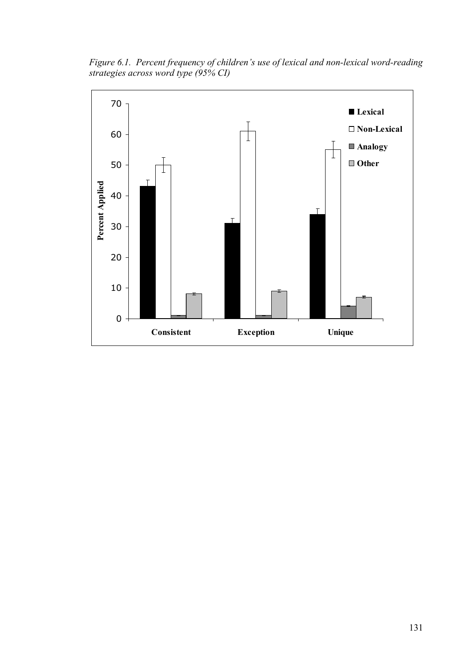*Figure 6.1. Percent frequency of children's use of lexical and non-lexical word-reading strategies across word type (95% CI)* 

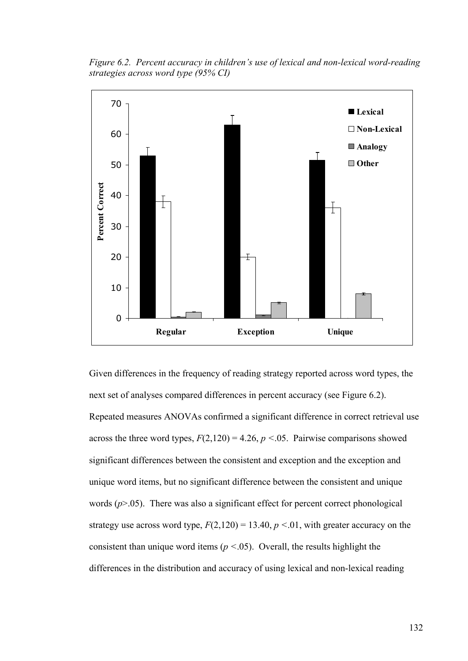*Figure 6.2. Percent accuracy in children's use of lexical and non-lexical word-reading strategies across word type (95% CI)* 



Given differences in the frequency of reading strategy reported across word types, the next set of analyses compared differences in percent accuracy (see Figure 6.2). Repeated measures ANOVAs confirmed a significant difference in correct retrieval use across the three word types,  $F(2,120) = 4.26$ ,  $p < 0.05$ . Pairwise comparisons showed significant differences between the consistent and exception and the exception and unique word items, but no significant difference between the consistent and unique words  $(p>0.05)$ . There was also a significant effect for percent correct phonological strategy use across word type,  $F(2,120) = 13.40$ ,  $p < 0.01$ , with greater accuracy on the consistent than unique word items ( $p < .05$ ). Overall, the results highlight the differences in the distribution and accuracy of using lexical and non-lexical reading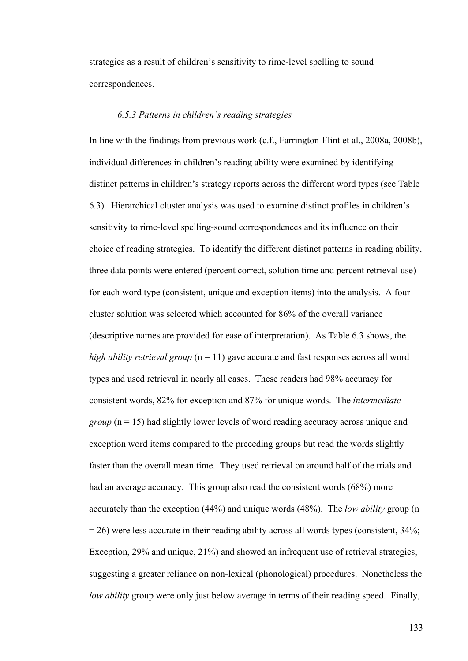strategies as a result of children's sensitivity to rime-level spelling to sound correspondences.

#### *6.5.3 Patterns in children's reading strategies*

In line with the findings from previous work (c.f., Farrington-Flint et al., 2008a, 2008b), individual differences in children's reading ability were examined by identifying distinct patterns in children's strategy reports across the different word types (see Table 6.3). Hierarchical cluster analysis was used to examine distinct profiles in children's sensitivity to rime-level spelling-sound correspondences and its influence on their choice of reading strategies. To identify the different distinct patterns in reading ability, three data points were entered (percent correct, solution time and percent retrieval use) for each word type (consistent, unique and exception items) into the analysis. A fourcluster solution was selected which accounted for 86% of the overall variance (descriptive names are provided for ease of interpretation). As Table 6.3 shows, the *high ability retrieval group*  $(n = 11)$  gave accurate and fast responses across all word types and used retrieval in nearly all cases. These readers had 98% accuracy for consistent words, 82% for exception and 87% for unique words. The *intermediate group* (n = 15) had slightly lower levels of word reading accuracy across unique and exception word items compared to the preceding groups but read the words slightly faster than the overall mean time. They used retrieval on around half of the trials and had an average accuracy. This group also read the consistent words (68%) more accurately than the exception (44%) and unique words (48%). The *low ability* group (n  $= 26$ ) were less accurate in their reading ability across all words types (consistent,  $34\%$ ; Exception, 29% and unique, 21%) and showed an infrequent use of retrieval strategies, suggesting a greater reliance on non-lexical (phonological) procedures. Nonetheless the *low ability* group were only just below average in terms of their reading speed. Finally,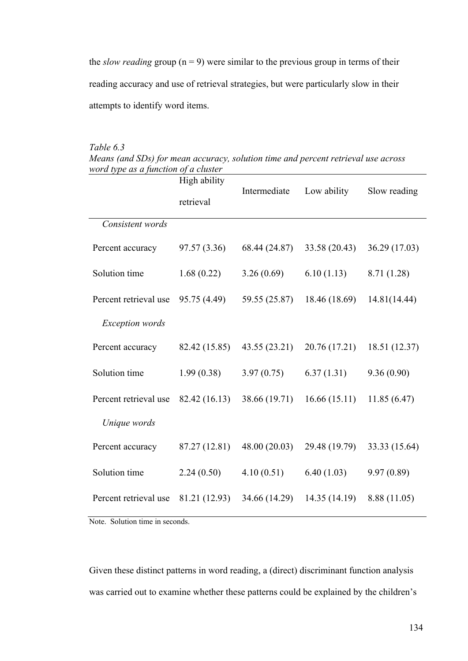the *slow reading* group  $(n = 9)$  were similar to the previous group in terms of their reading accuracy and use of retrieval strategies, but were particularly slow in their attempts to identify word items.

| Table 6.3                                                                         |
|-----------------------------------------------------------------------------------|
| Means (and SDs) for mean accuracy, solution time and percent retrieval use across |
| word type as a function of a cluster                                              |

|                        | High ability  | Intermediate  | Low ability   | Slow reading  |  |
|------------------------|---------------|---------------|---------------|---------------|--|
|                        | retrieval     |               |               |               |  |
| Consistent words       |               |               |               |               |  |
| Percent accuracy       | 97.57 (3.36)  | 68.44 (24.87) | 33.58 (20.43) | 36.29 (17.03) |  |
| Solution time          | 1.68(0.22)    | 3.26(0.69)    | 6.10(1.13)    | 8.71 (1.28)   |  |
| Percent retrieval use  | 95.75 (4.49)  | 59.55 (25.87) | 18.46 (18.69) | 14.81(14.44)  |  |
| <b>Exception</b> words |               |               |               |               |  |
| Percent accuracy       | 82.42 (15.85) | 43.55 (23.21) | 20.76 (17.21) | 18.51 (12.37) |  |
| Solution time          | 1.99(0.38)    | 3.97(0.75)    | 6.37(1.31)    | 9.36(0.90)    |  |
| Percent retrieval use  | 82.42 (16.13) | 38.66 (19.71) | 16.66(15.11)  | 11.85(6.47)   |  |
| Unique words           |               |               |               |               |  |
| Percent accuracy       | 87.27 (12.81) | 48.00 (20.03) | 29.48 (19.79) | 33.33 (15.64) |  |
| Solution time          | 2.24(0.50)    | 4.10(0.51)    | 6.40(1.03)    | 9.97(0.89)    |  |
| Percent retrieval use  | 81.21 (12.93) | 34.66 (14.29) | 14.35 (14.19) | 8.88 (11.05)  |  |

Note. Solution time in seconds.

Given these distinct patterns in word reading, a (direct) discriminant function analysis was carried out to examine whether these patterns could be explained by the children's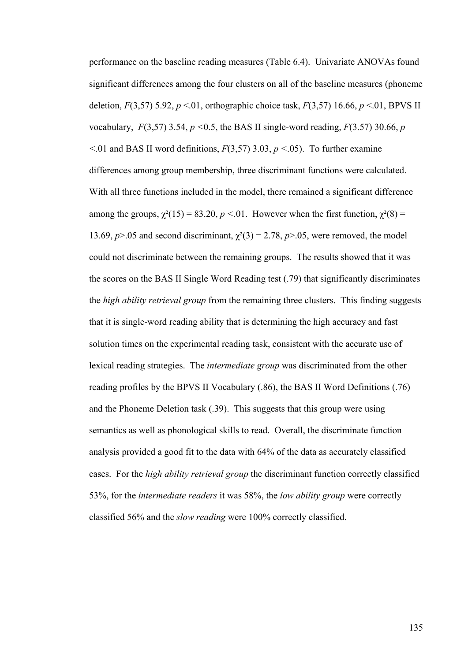performance on the baseline reading measures (Table 6.4). Univariate ANOVAs found significant differences among the four clusters on all of the baseline measures (phoneme deletion, *F*(3,57) 5.92, *p* <.01, orthographic choice task, *F*(3,57) 16.66, *p* <.01, BPVS II vocabulary, *F*(3,57) 3.54, *p <*0.5, the BAS II single-word reading, *F*(3.57) 30.66, *p*   $\leq$ .01 and BAS II word definitions, *F*(3,57) 3.03, *p*  $\leq$ .05). To further examine differences among group membership, three discriminant functions were calculated. With all three functions included in the model, there remained a significant difference among the groups,  $\gamma^2(15) = 83.20$ ,  $p < 0.01$ . However when the first function,  $\gamma^2(8) =$ 13.69,  $p > 05$  and second discriminant,  $\chi^2(3) = 2.78$ ,  $p > 05$ , were removed, the model could not discriminate between the remaining groups. The results showed that it was the scores on the BAS II Single Word Reading test (.79) that significantly discriminates the *high ability retrieval group* from the remaining three clusters. This finding suggests that it is single-word reading ability that is determining the high accuracy and fast solution times on the experimental reading task, consistent with the accurate use of lexical reading strategies. The *intermediate group* was discriminated from the other reading profiles by the BPVS II Vocabulary (.86), the BAS II Word Definitions (.76) and the Phoneme Deletion task (.39). This suggests that this group were using semantics as well as phonological skills to read. Overall, the discriminate function analysis provided a good fit to the data with 64% of the data as accurately classified cases. For the *high ability retrieval group* the discriminant function correctly classified 53%, for the *intermediate readers* it was 58%, the *low ability group* were correctly classified 56% and the *slow reading* were 100% correctly classified.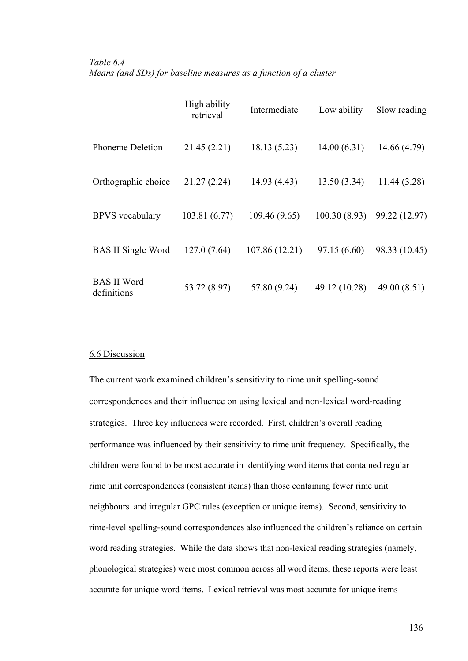|                                   | High ability<br>retrieval | Intermediate   | Low ability   | Slow reading  |
|-----------------------------------|---------------------------|----------------|---------------|---------------|
| <b>Phoneme Deletion</b>           | 21.45 (2.21)              | 18.13(5.23)    | 14.00(6.31)   | 14.66 (4.79)  |
| Orthographic choice               | 21.27(2.24)               | 14.93(4.43)    | 13.50(3.34)   | 11.44 (3.28)  |
| <b>BPVS</b> vocabulary            | 103.81 (6.77)             | 109.46 (9.65)  | 100.30(8.93)  | 99.22 (12.97) |
| <b>BAS II Single Word</b>         | 127.0(7.64)               | 107.86 (12.21) | 97.15 (6.60)  | 98.33 (10.45) |
| <b>BAS II Word</b><br>definitions | 53.72 (8.97)              | 57.80 (9.24)   | 49.12 (10.28) | 49.00 (8.51)  |

## *Table 6.4 Means (and SDs) for baseline measures as a function of a cluster*

#### 6.6 Discussion

The current work examined children's sensitivity to rime unit spelling-sound correspondences and their influence on using lexical and non-lexical word-reading strategies. Three key influences were recorded. First, children's overall reading performance was influenced by their sensitivity to rime unit frequency. Specifically, the children were found to be most accurate in identifying word items that contained regular rime unit correspondences (consistent items) than those containing fewer rime unit neighbours and irregular GPC rules (exception or unique items). Second, sensitivity to rime-level spelling-sound correspondences also influenced the children's reliance on certain word reading strategies. While the data shows that non-lexical reading strategies (namely, phonological strategies) were most common across all word items, these reports were least accurate for unique word items. Lexical retrieval was most accurate for unique items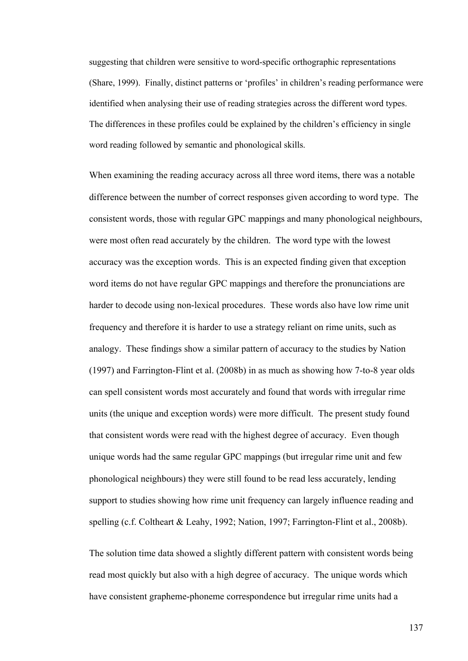suggesting that children were sensitive to word-specific orthographic representations (Share, 1999). Finally, distinct patterns or 'profiles' in children's reading performance were identified when analysing their use of reading strategies across the different word types. The differences in these profiles could be explained by the children's efficiency in single word reading followed by semantic and phonological skills.

When examining the reading accuracy across all three word items, there was a notable difference between the number of correct responses given according to word type. The consistent words, those with regular GPC mappings and many phonological neighbours, were most often read accurately by the children. The word type with the lowest accuracy was the exception words. This is an expected finding given that exception word items do not have regular GPC mappings and therefore the pronunciations are harder to decode using non-lexical procedures. These words also have low rime unit frequency and therefore it is harder to use a strategy reliant on rime units, such as analogy. These findings show a similar pattern of accuracy to the studies by Nation (1997) and Farrington-Flint et al. (2008b) in as much as showing how 7-to-8 year olds can spell consistent words most accurately and found that words with irregular rime units (the unique and exception words) were more difficult. The present study found that consistent words were read with the highest degree of accuracy. Even though unique words had the same regular GPC mappings (but irregular rime unit and few phonological neighbours) they were still found to be read less accurately, lending support to studies showing how rime unit frequency can largely influence reading and spelling (c.f. Coltheart & Leahy, 1992; Nation, 1997; Farrington-Flint et al., 2008b).

The solution time data showed a slightly different pattern with consistent words being read most quickly but also with a high degree of accuracy. The unique words which have consistent grapheme-phoneme correspondence but irregular rime units had a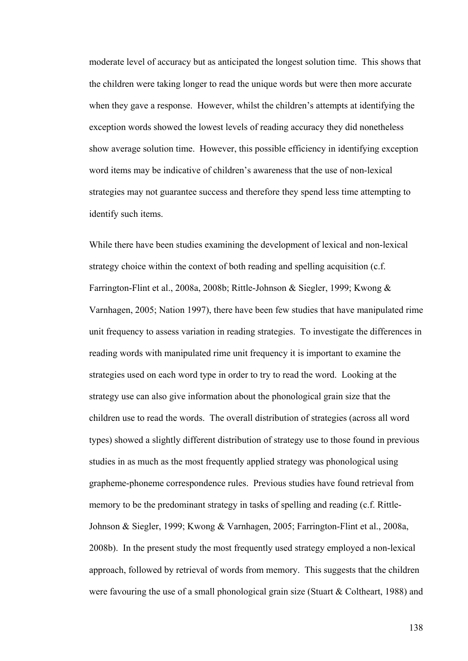moderate level of accuracy but as anticipated the longest solution time. This shows that the children were taking longer to read the unique words but were then more accurate when they gave a response. However, whilst the children's attempts at identifying the exception words showed the lowest levels of reading accuracy they did nonetheless show average solution time. However, this possible efficiency in identifying exception word items may be indicative of children's awareness that the use of non-lexical strategies may not guarantee success and therefore they spend less time attempting to identify such items.

While there have been studies examining the development of lexical and non-lexical strategy choice within the context of both reading and spelling acquisition (c.f. Farrington-Flint et al., 2008a, 2008b; Rittle-Johnson & Siegler, 1999; Kwong & Varnhagen, 2005; Nation 1997), there have been few studies that have manipulated rime unit frequency to assess variation in reading strategies. To investigate the differences in reading words with manipulated rime unit frequency it is important to examine the strategies used on each word type in order to try to read the word. Looking at the strategy use can also give information about the phonological grain size that the children use to read the words. The overall distribution of strategies (across all word types) showed a slightly different distribution of strategy use to those found in previous studies in as much as the most frequently applied strategy was phonological using grapheme-phoneme correspondence rules. Previous studies have found retrieval from memory to be the predominant strategy in tasks of spelling and reading (c.f. Rittle-Johnson & Siegler, 1999; Kwong & Varnhagen, 2005; Farrington-Flint et al., 2008a, 2008b). In the present study the most frequently used strategy employed a non-lexical approach, followed by retrieval of words from memory. This suggests that the children were favouring the use of a small phonological grain size (Stuart & Coltheart, 1988) and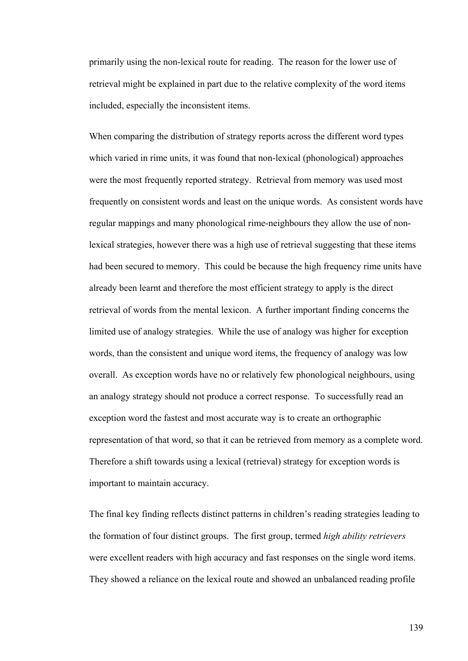primarily using the non-lexical route for reading. The reason for the lower use of retrieval might be explained in part due to the relative complexity of the word items included, especially the inconsistent items.

When comparing the distribution of strategy reports across the different word types which varied in rime units, it was found that non-lexical (phonological) approaches were the most frequently reported strategy. Retrieval from memory was used most frequently on consistent words and least on the unique words. As consistent words have regular mappings and many phonological rime-neighbours they allow the use of nonlexical strategies, however there was a high use of retrieval suggesting that these items had been secured to memory. This could be because the high frequency rime units have already been learnt and therefore the most efficient strategy to apply is the direct retrieval of words from the mental lexicon. A further important finding concerns the limited use of analogy strategies. While the use of analogy was higher for exception words, than the consistent and unique word items, the frequency of analogy was low overall. As exception words have no or relatively few phonological neighbours, using an analogy strategy should not produce a correct response. To successfully read an exception word the fastest and most accurate way is to create an orthographic representation of that word, so that it can be retrieved from memory as a complete word. Therefore a shift towards using a lexical (retrieval) strategy for exception words is important to maintain accuracy.

The final key finding reflects distinct patterns in children's reading strategies leading to the formation of four distinct groups. The first group, termed *high ability retrievers*  were excellent readers with high accuracy and fast responses on the single word items. They showed a reliance on the lexical route and showed an unbalanced reading profile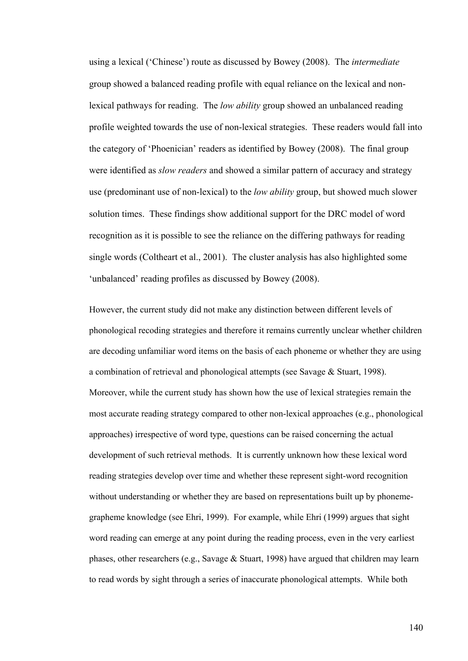using a lexical ('Chinese') route as discussed by Bowey (2008). The *intermediate* group showed a balanced reading profile with equal reliance on the lexical and nonlexical pathways for reading. The *low ability* group showed an unbalanced reading profile weighted towards the use of non-lexical strategies. These readers would fall into the category of 'Phoenician' readers as identified by Bowey (2008). The final group were identified as *slow readers* and showed a similar pattern of accuracy and strategy use (predominant use of non-lexical) to the *low ability* group, but showed much slower solution times. These findings show additional support for the DRC model of word recognition as it is possible to see the reliance on the differing pathways for reading single words (Coltheart et al., 2001). The cluster analysis has also highlighted some 'unbalanced' reading profiles as discussed by Bowey (2008).

However, the current study did not make any distinction between different levels of phonological recoding strategies and therefore it remains currently unclear whether children are decoding unfamiliar word items on the basis of each phoneme or whether they are using a combination of retrieval and phonological attempts (see Savage & Stuart, 1998). Moreover, while the current study has shown how the use of lexical strategies remain the most accurate reading strategy compared to other non-lexical approaches (e.g., phonological approaches) irrespective of word type, questions can be raised concerning the actual development of such retrieval methods. It is currently unknown how these lexical word reading strategies develop over time and whether these represent sight-word recognition without understanding or whether they are based on representations built up by phonemegrapheme knowledge (see Ehri, 1999). For example, while Ehri (1999) argues that sight word reading can emerge at any point during the reading process, even in the very earliest phases, other researchers (e.g., Savage & Stuart, 1998) have argued that children may learn to read words by sight through a series of inaccurate phonological attempts. While both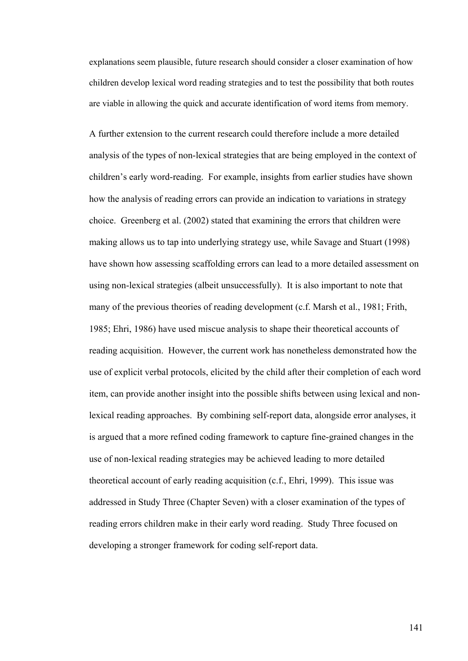explanations seem plausible, future research should consider a closer examination of how children develop lexical word reading strategies and to test the possibility that both routes are viable in allowing the quick and accurate identification of word items from memory.

A further extension to the current research could therefore include a more detailed analysis of the types of non-lexical strategies that are being employed in the context of children's early word-reading. For example, insights from earlier studies have shown how the analysis of reading errors can provide an indication to variations in strategy choice. Greenberg et al. (2002) stated that examining the errors that children were making allows us to tap into underlying strategy use, while Savage and Stuart (1998) have shown how assessing scaffolding errors can lead to a more detailed assessment on using non-lexical strategies (albeit unsuccessfully). It is also important to note that many of the previous theories of reading development (c.f. Marsh et al., 1981; Frith, 1985; Ehri, 1986) have used miscue analysis to shape their theoretical accounts of reading acquisition. However, the current work has nonetheless demonstrated how the use of explicit verbal protocols, elicited by the child after their completion of each word item, can provide another insight into the possible shifts between using lexical and nonlexical reading approaches. By combining self-report data, alongside error analyses, it is argued that a more refined coding framework to capture fine-grained changes in the use of non-lexical reading strategies may be achieved leading to more detailed theoretical account of early reading acquisition (c.f., Ehri, 1999). This issue was addressed in Study Three (Chapter Seven) with a closer examination of the types of reading errors children make in their early word reading. Study Three focused on developing a stronger framework for coding self-report data.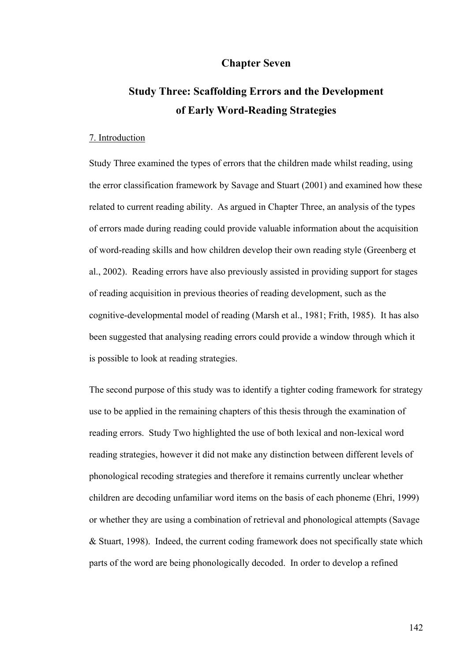## **Chapter Seven**

# **Study Three: Scaffolding Errors and the Development of Early Word-Reading Strategies**

#### 7. Introduction

Study Three examined the types of errors that the children made whilst reading, using the error classification framework by Savage and Stuart (2001) and examined how these related to current reading ability. As argued in Chapter Three, an analysis of the types of errors made during reading could provide valuable information about the acquisition of word-reading skills and how children develop their own reading style (Greenberg et al., 2002). Reading errors have also previously assisted in providing support for stages of reading acquisition in previous theories of reading development, such as the cognitive-developmental model of reading (Marsh et al., 1981; Frith, 1985). It has also been suggested that analysing reading errors could provide a window through which it is possible to look at reading strategies.

The second purpose of this study was to identify a tighter coding framework for strategy use to be applied in the remaining chapters of this thesis through the examination of reading errors. Study Two highlighted the use of both lexical and non-lexical word reading strategies, however it did not make any distinction between different levels of phonological recoding strategies and therefore it remains currently unclear whether children are decoding unfamiliar word items on the basis of each phoneme (Ehri, 1999) or whether they are using a combination of retrieval and phonological attempts (Savage & Stuart, 1998). Indeed, the current coding framework does not specifically state which parts of the word are being phonologically decoded. In order to develop a refined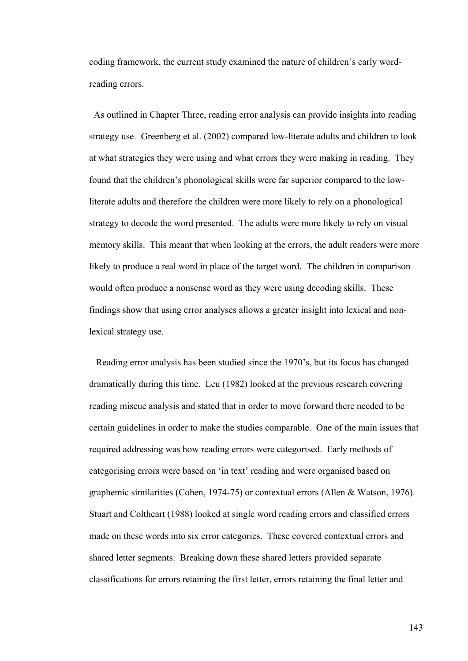coding framework, the current study examined the nature of children's early wordreading errors.

 As outlined in Chapter Three, reading error analysis can provide insights into reading strategy use. Greenberg et al. (2002) compared low-literate adults and children to look at what strategies they were using and what errors they were making in reading. They found that the children's phonological skills were far superior compared to the lowliterate adults and therefore the children were more likely to rely on a phonological strategy to decode the word presented. The adults were more likely to rely on visual memory skills. This meant that when looking at the errors, the adult readers were more likely to produce a real word in place of the target word. The children in comparison would often produce a nonsense word as they were using decoding skills. These findings show that using error analyses allows a greater insight into lexical and nonlexical strategy use.

 Reading error analysis has been studied since the 1970's, but its focus has changed dramatically during this time. Leu (1982) looked at the previous research covering reading miscue analysis and stated that in order to move forward there needed to be certain guidelines in order to make the studies comparable. One of the main issues that required addressing was how reading errors were categorised. Early methods of categorising errors were based on 'in text' reading and were organised based on graphemic similarities (Cohen, 1974-75) or contextual errors (Allen & Watson, 1976). Stuart and Coltheart (1988) looked at single word reading errors and classified errors made on these words into six error categories. These covered contextual errors and shared letter segments. Breaking down these shared letters provided separate classifications for errors retaining the first letter, errors retaining the final letter and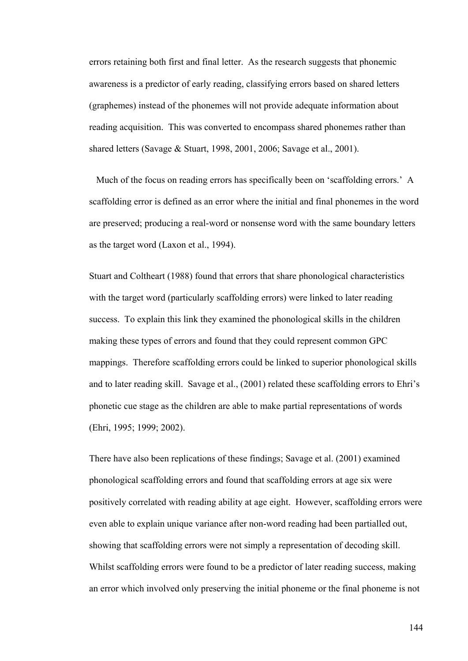errors retaining both first and final letter. As the research suggests that phonemic awareness is a predictor of early reading, classifying errors based on shared letters (graphemes) instead of the phonemes will not provide adequate information about reading acquisition. This was converted to encompass shared phonemes rather than shared letters (Savage & Stuart, 1998, 2001, 2006; Savage et al., 2001).

 Much of the focus on reading errors has specifically been on 'scaffolding errors.' A scaffolding error is defined as an error where the initial and final phonemes in the word are preserved; producing a real-word or nonsense word with the same boundary letters as the target word (Laxon et al., 1994).

Stuart and Coltheart (1988) found that errors that share phonological characteristics with the target word (particularly scaffolding errors) were linked to later reading success. To explain this link they examined the phonological skills in the children making these types of errors and found that they could represent common GPC mappings. Therefore scaffolding errors could be linked to superior phonological skills and to later reading skill. Savage et al., (2001) related these scaffolding errors to Ehri's phonetic cue stage as the children are able to make partial representations of words (Ehri, 1995; 1999; 2002).

There have also been replications of these findings; Savage et al. (2001) examined phonological scaffolding errors and found that scaffolding errors at age six were positively correlated with reading ability at age eight. However, scaffolding errors were even able to explain unique variance after non-word reading had been partialled out, showing that scaffolding errors were not simply a representation of decoding skill. Whilst scaffolding errors were found to be a predictor of later reading success, making an error which involved only preserving the initial phoneme or the final phoneme is not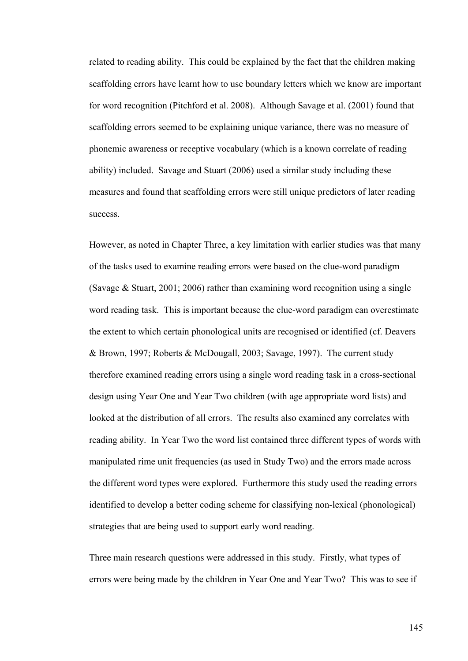related to reading ability. This could be explained by the fact that the children making scaffolding errors have learnt how to use boundary letters which we know are important for word recognition (Pitchford et al. 2008). Although Savage et al. (2001) found that scaffolding errors seemed to be explaining unique variance, there was no measure of phonemic awareness or receptive vocabulary (which is a known correlate of reading ability) included. Savage and Stuart (2006) used a similar study including these measures and found that scaffolding errors were still unique predictors of later reading success.

However, as noted in Chapter Three, a key limitation with earlier studies was that many of the tasks used to examine reading errors were based on the clue-word paradigm (Savage & Stuart, 2001; 2006) rather than examining word recognition using a single word reading task. This is important because the clue-word paradigm can overestimate the extent to which certain phonological units are recognised or identified (cf. Deavers & Brown, 1997; Roberts & McDougall, 2003; Savage, 1997). The current study therefore examined reading errors using a single word reading task in a cross-sectional design using Year One and Year Two children (with age appropriate word lists) and looked at the distribution of all errors. The results also examined any correlates with reading ability. In Year Two the word list contained three different types of words with manipulated rime unit frequencies (as used in Study Two) and the errors made across the different word types were explored. Furthermore this study used the reading errors identified to develop a better coding scheme for classifying non-lexical (phonological) strategies that are being used to support early word reading.

Three main research questions were addressed in this study. Firstly, what types of errors were being made by the children in Year One and Year Two? This was to see if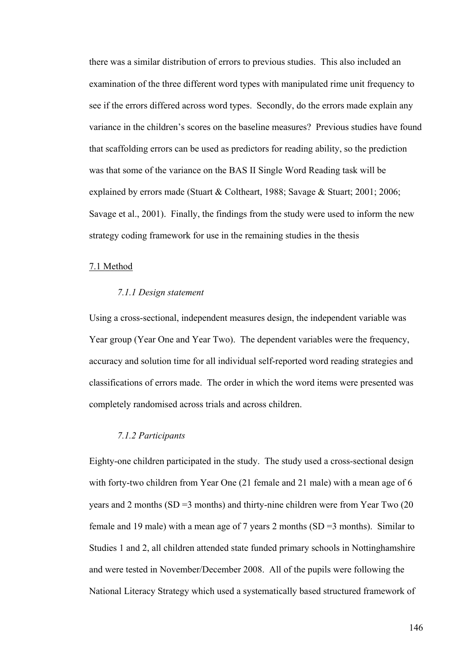there was a similar distribution of errors to previous studies. This also included an examination of the three different word types with manipulated rime unit frequency to see if the errors differed across word types. Secondly, do the errors made explain any variance in the children's scores on the baseline measures? Previous studies have found that scaffolding errors can be used as predictors for reading ability, so the prediction was that some of the variance on the BAS II Single Word Reading task will be explained by errors made (Stuart & Coltheart, 1988; Savage & Stuart; 2001; 2006; Savage et al., 2001). Finally, the findings from the study were used to inform the new strategy coding framework for use in the remaining studies in the thesis

#### 7.1 Method

#### *7.1.1 Design statement*

Using a cross-sectional, independent measures design, the independent variable was Year group (Year One and Year Two). The dependent variables were the frequency, accuracy and solution time for all individual self-reported word reading strategies and classifications of errors made. The order in which the word items were presented was completely randomised across trials and across children.

#### *7.1.2 Participants*

Eighty-one children participated in the study. The study used a cross-sectional design with forty-two children from Year One (21 female and 21 male) with a mean age of 6 years and 2 months ( $SD = 3$  months) and thirty-nine children were from Year Two (20) female and 19 male) with a mean age of 7 years 2 months (SD =3 months). Similar to Studies 1 and 2, all children attended state funded primary schools in Nottinghamshire and were tested in November/December 2008. All of the pupils were following the National Literacy Strategy which used a systematically based structured framework of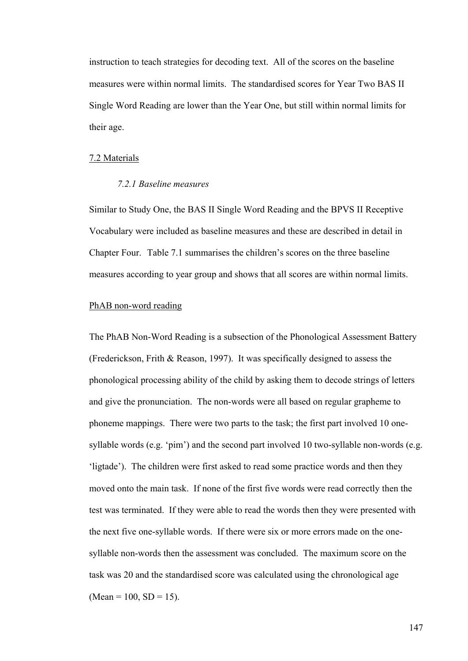instruction to teach strategies for decoding text. All of the scores on the baseline measures were within normal limits. The standardised scores for Year Two BAS II Single Word Reading are lower than the Year One, but still within normal limits for their age.

#### 7.2 Materials

#### *7.2.1 Baseline measures*

Similar to Study One, the BAS II Single Word Reading and the BPVS II Receptive Vocabulary were included as baseline measures and these are described in detail in Chapter Four.Table 7.1 summarises the children's scores on the three baseline measures according to year group and shows that all scores are within normal limits.

## PhAB non-word reading

The PhAB Non-Word Reading is a subsection of the Phonological Assessment Battery (Frederickson, Frith & Reason, 1997). It was specifically designed to assess the phonological processing ability of the child by asking them to decode strings of letters and give the pronunciation. The non-words were all based on regular grapheme to phoneme mappings. There were two parts to the task; the first part involved 10 onesyllable words (e.g. 'pim') and the second part involved 10 two-syllable non-words (e.g. 'ligtade'). The children were first asked to read some practice words and then they moved onto the main task. If none of the first five words were read correctly then the test was terminated. If they were able to read the words then they were presented with the next five one-syllable words. If there were six or more errors made on the onesyllable non-words then the assessment was concluded. The maximum score on the task was 20 and the standardised score was calculated using the chronological age  $(Mean = 100, SD = 15)$ .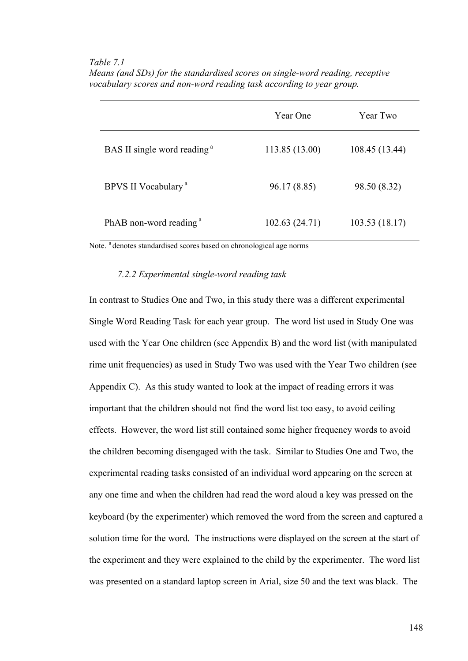*Table 7.1* 

|                                         | Year One       | Year Two       |
|-----------------------------------------|----------------|----------------|
| BAS II single word reading <sup>a</sup> | 113.85 (13.00) | 108.45 (13.44) |
| BPVS II Vocabulary <sup>a</sup>         | 96.17 (8.85)   | 98.50 (8.32)   |
| PhAB non-word reading <sup>a</sup>      | 102.63 (24.71) | 103.53(18.17)  |

*Means (and SDs) for the standardised scores on single-word reading, receptive vocabulary scores and non-word reading task according to year group.* 

Note. <sup>a</sup> denotes standardised scores based on chronological age norms

#### *7.2.2 Experimental single-word reading task*

In contrast to Studies One and Two, in this study there was a different experimental Single Word Reading Task for each year group. The word list used in Study One was used with the Year One children (see Appendix B) and the word list (with manipulated rime unit frequencies) as used in Study Two was used with the Year Two children (see Appendix C). As this study wanted to look at the impact of reading errors it was important that the children should not find the word list too easy, to avoid ceiling effects. However, the word list still contained some higher frequency words to avoid the children becoming disengaged with the task. Similar to Studies One and Two, the experimental reading tasks consisted of an individual word appearing on the screen at any one time and when the children had read the word aloud a key was pressed on the keyboard (by the experimenter) which removed the word from the screen and captured a solution time for the word. The instructions were displayed on the screen at the start of the experiment and they were explained to the child by the experimenter. The word list was presented on a standard laptop screen in Arial, size 50 and the text was black. The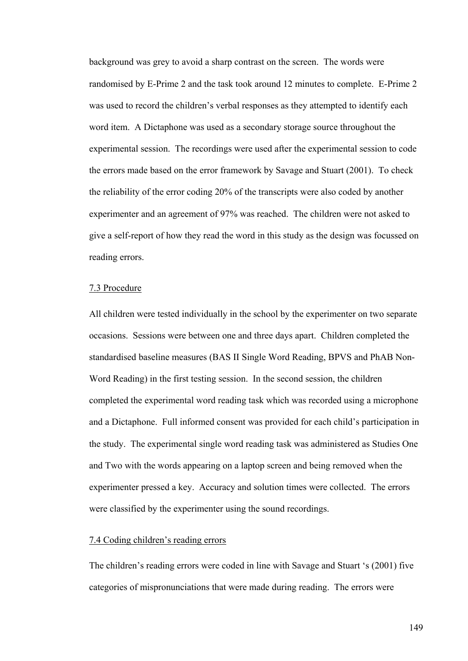background was grey to avoid a sharp contrast on the screen. The words were randomised by E-Prime 2 and the task took around 12 minutes to complete. E-Prime 2 was used to record the children's verbal responses as they attempted to identify each word item. A Dictaphone was used as a secondary storage source throughout the experimental session. The recordings were used after the experimental session to code the errors made based on the error framework by Savage and Stuart (2001). To check the reliability of the error coding 20% of the transcripts were also coded by another experimenter and an agreement of 97% was reached. The children were not asked to give a self-report of how they read the word in this study as the design was focussed on reading errors.

#### 7.3 Procedure

All children were tested individually in the school by the experimenter on two separate occasions. Sessions were between one and three days apart. Children completed the standardised baseline measures (BAS II Single Word Reading, BPVS and PhAB Non-Word Reading) in the first testing session. In the second session, the children completed the experimental word reading task which was recorded using a microphone and a Dictaphone. Full informed consent was provided for each child's participation in the study. The experimental single word reading task was administered as Studies One and Two with the words appearing on a laptop screen and being removed when the experimenter pressed a key. Accuracy and solution times were collected. The errors were classified by the experimenter using the sound recordings.

#### 7.4 Coding children's reading errors

The children's reading errors were coded in line with Savage and Stuart 's (2001) five categories of mispronunciations that were made during reading. The errors were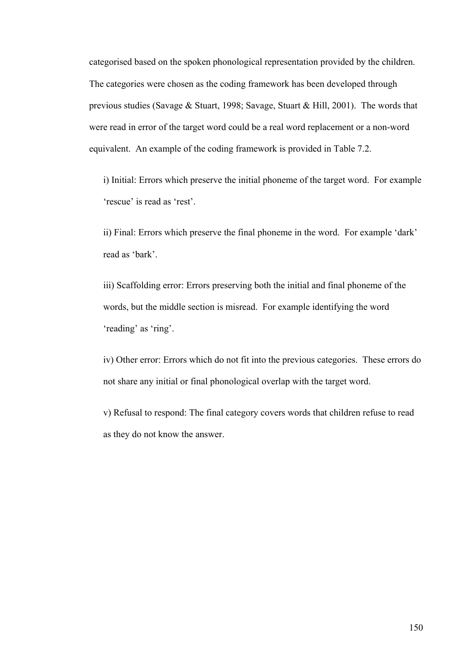categorised based on the spoken phonological representation provided by the children. The categories were chosen as the coding framework has been developed through previous studies (Savage & Stuart, 1998; Savage, Stuart & Hill, 2001). The words that were read in error of the target word could be a real word replacement or a non-word equivalent. An example of the coding framework is provided in Table 7.2.

i) Initial: Errors which preserve the initial phoneme of the target word. For example 'rescue' is read as 'rest'.

ii) Final: Errors which preserve the final phoneme in the word. For example 'dark' read as 'bark'.

iii) Scaffolding error: Errors preserving both the initial and final phoneme of the words, but the middle section is misread. For example identifying the word 'reading' as 'ring'.

iv) Other error: Errors which do not fit into the previous categories. These errors do not share any initial or final phonological overlap with the target word.

v) Refusal to respond: The final category covers words that children refuse to read as they do not know the answer.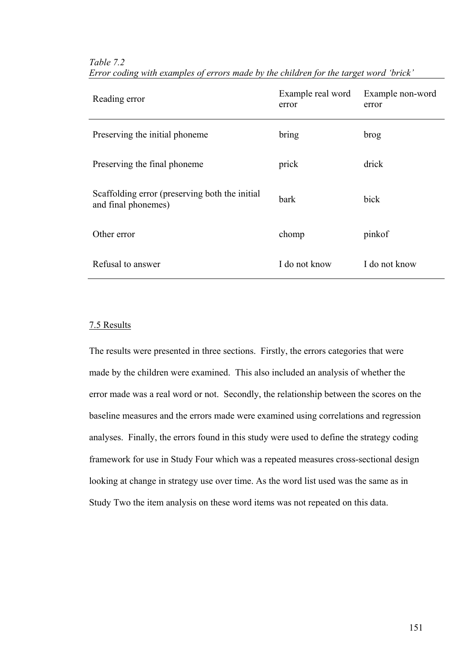| Reading error                                                         | Example real word<br>error | Example non-word<br>error |
|-----------------------------------------------------------------------|----------------------------|---------------------------|
| Preserving the initial phoneme                                        | bring                      | brog                      |
| Preserving the final phoneme                                          | prick                      | drick                     |
| Scaffolding error (preserving both the initial<br>and final phonemes) | bark                       | bick                      |
| Other error                                                           | chomp                      | pinkof                    |
| Refusal to answer                                                     | I do not know              | I do not know             |

### *Table 7.2 Error coding with examples of errors made by the children for the target word 'brick'*

## 7.5 Results

The results were presented in three sections. Firstly, the errors categories that were made by the children were examined. This also included an analysis of whether the error made was a real word or not. Secondly, the relationship between the scores on the baseline measures and the errors made were examined using correlations and regression analyses. Finally, the errors found in this study were used to define the strategy coding framework for use in Study Four which was a repeated measures cross-sectional design looking at change in strategy use over time. As the word list used was the same as in Study Two the item analysis on these word items was not repeated on this data.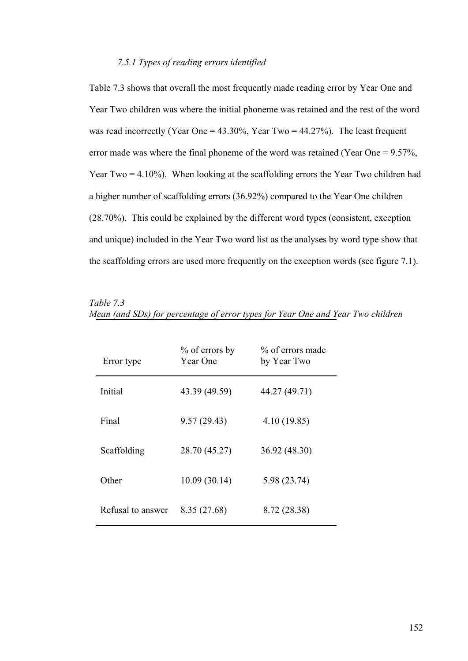## *7.5.1 Types of reading errors identified*

Table 7.3 shows that overall the most frequently made reading error by Year One and Year Two children was where the initial phoneme was retained and the rest of the word was read incorrectly (Year One =  $43.30\%$ , Year Two =  $44.27\%$ ). The least frequent error made was where the final phoneme of the word was retained (Year One = 9.57%, Year Two = 4.10%). When looking at the scaffolding errors the Year Two children had a higher number of scaffolding errors (36.92%) compared to the Year One children (28.70%). This could be explained by the different word types (consistent, exception and unique) included in the Year Two word list as the analyses by word type show that the scaffolding errors are used more frequently on the exception words (see figure 7.1).

| Error type        | $\%$ of errors by<br><b>Year One</b> | % of errors made<br>by Year Two |
|-------------------|--------------------------------------|---------------------------------|
| Initial           | 43.39 (49.59)                        | 44.27 (49.71)                   |
| Final             | 9.57(29.43)                          | 4.10(19.85)                     |
| Scaffolding       | 28.70 (45.27)                        | 36.92 (48.30)                   |
| Other             | 10.09(30.14)                         | 5.98 (23.74)                    |
| Refusal to answer | 8.35 (27.68)                         | 8.72 (28.38)                    |

| Table 7.3 |                                                                                 |  |  |  |  |  |  |  |
|-----------|---------------------------------------------------------------------------------|--|--|--|--|--|--|--|
|           | Mean (and SDs) for percentage of error types for Year One and Year Two children |  |  |  |  |  |  |  |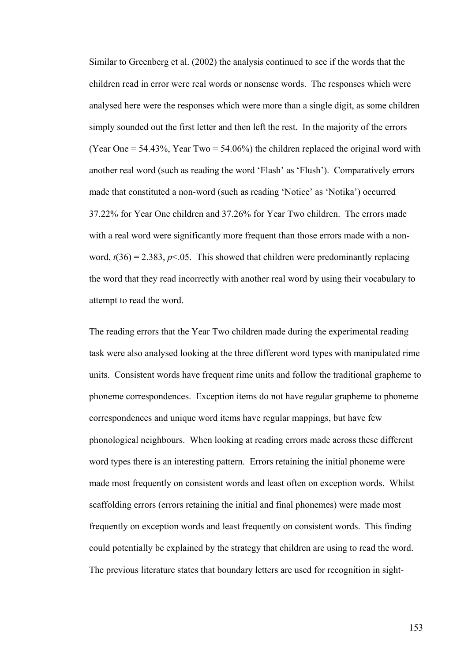Similar to Greenberg et al. (2002) the analysis continued to see if the words that the children read in error were real words or nonsense words. The responses which were analysed here were the responses which were more than a single digit, as some children simply sounded out the first letter and then left the rest. In the majority of the errors (Year One  $= 54.43\%$ , Year Two  $= 54.06\%$ ) the children replaced the original word with another real word (such as reading the word 'Flash' as 'Flush'). Comparatively errors made that constituted a non-word (such as reading 'Notice' as 'Notika') occurred 37.22% for Year One children and 37.26% for Year Two children. The errors made with a real word were significantly more frequent than those errors made with a nonword,  $t(36) = 2.383$ ,  $p \le 0.05$ . This showed that children were predominantly replacing the word that they read incorrectly with another real word by using their vocabulary to attempt to read the word.

The reading errors that the Year Two children made during the experimental reading task were also analysed looking at the three different word types with manipulated rime units. Consistent words have frequent rime units and follow the traditional grapheme to phoneme correspondences. Exception items do not have regular grapheme to phoneme correspondences and unique word items have regular mappings, but have few phonological neighbours. When looking at reading errors made across these different word types there is an interesting pattern. Errors retaining the initial phoneme were made most frequently on consistent words and least often on exception words. Whilst scaffolding errors (errors retaining the initial and final phonemes) were made most frequently on exception words and least frequently on consistent words. This finding could potentially be explained by the strategy that children are using to read the word. The previous literature states that boundary letters are used for recognition in sight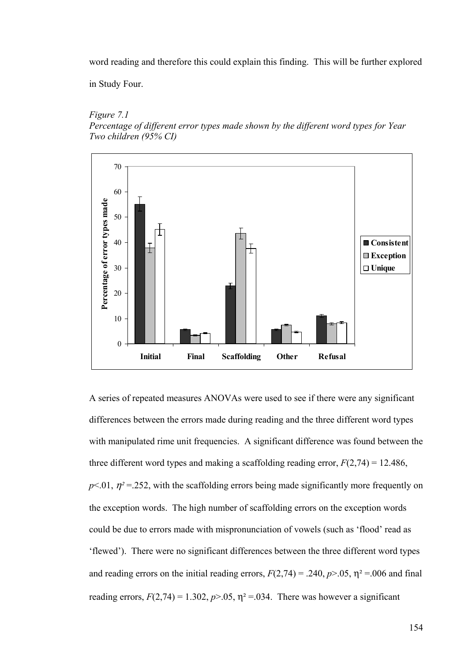word reading and therefore this could explain this finding. This will be further explored

in Study Four.

#### *Figure 7.1*

*Percentage of different error types made shown by the different word types for Year Two children (95% CI)* 



A series of repeated measures ANOVAs were used to see if there were any significant differences between the errors made during reading and the three different word types with manipulated rime unit frequencies. A significant difference was found between the three different word types and making a scaffolding reading error,  $F(2,74) = 12.486$ ,  $p<.01$ ,  $p<sup>2</sup> = .252$ , with the scaffolding errors being made significantly more frequently on the exception words. The high number of scaffolding errors on the exception words could be due to errors made with mispronunciation of vowels (such as 'flood' read as 'flewed'). There were no significant differences between the three different word types and reading errors on the initial reading errors,  $F(2,74) = .240$ ,  $p > .05$ ,  $\eta^2 = .006$  and final reading errors,  $F(2,74) = 1.302$ ,  $p > .05$ ,  $\eta^2 = .034$ . There was however a significant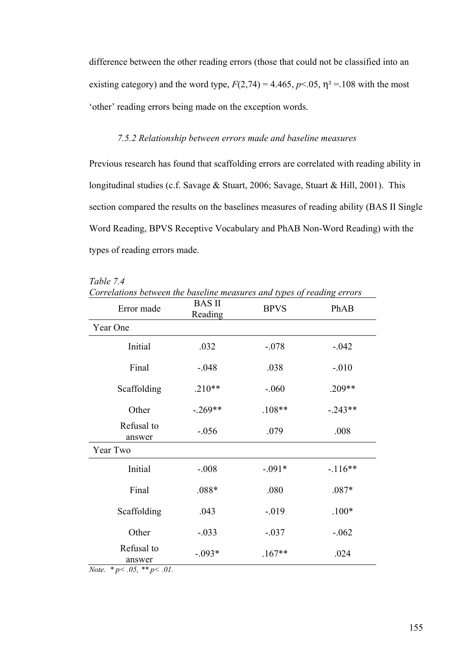difference between the other reading errors (those that could not be classified into an existing category) and the word type,  $F(2,74) = 4.465$ ,  $p < 0.05$ ,  $\eta^2 = 108$  with the most 'other' reading errors being made on the exception words.

#### *7.5.2 Relationship between errors made and baseline measures*

Previous research has found that scaffolding errors are correlated with reading ability in longitudinal studies (c.f. Savage & Stuart, 2006; Savage, Stuart & Hill, 2001). This section compared the results on the baselines measures of reading ability (BAS II Single Word Reading, BPVS Receptive Vocabulary and PhAB Non-Word Reading) with the types of reading errors made.

| Correlations between the baseline measures and types of reading errors |                          |             |           |
|------------------------------------------------------------------------|--------------------------|-------------|-----------|
| Error made                                                             | <b>BAS II</b><br>Reading | <b>BPVS</b> | PhAB      |
| Year One                                                               |                          |             |           |
| Initial                                                                | .032                     | $-.078$     | $-.042$   |
| Final                                                                  | $-.048$                  | .038        | $-0.010$  |
| Scaffolding                                                            | $.210**$                 | $-.060$     | .209**    |
| Other                                                                  | $-.269**$                | $.108**$    | $-.243**$ |
| Refusal to<br>answer                                                   | $-.056$                  | .079        | .008      |
| Year Two                                                               |                          |             |           |
| Initial                                                                | $-.008$                  | $-.091*$    | $-116**$  |
| Final                                                                  | $.088*$                  | .080        | $.087*$   |
| Scaffolding                                                            | .043                     | $-019$      | $.100*$   |
| Other                                                                  | $-.033$                  | $-.037$     | $-0.062$  |
| Refusal to<br>answer                                                   | $-.093*$                 | $.167**$    | .024      |

*Table 7.4* 

*Correlations between the baseline measures and types of reading errors* 

*Note. \* p< .05, \*\* p< .01.*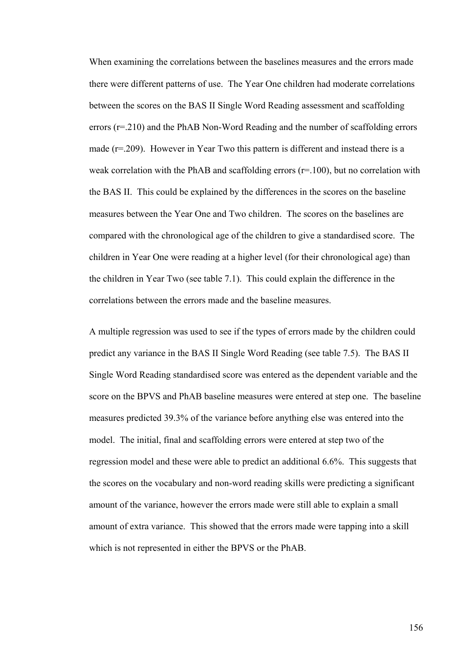When examining the correlations between the baselines measures and the errors made there were different patterns of use. The Year One children had moderate correlations between the scores on the BAS II Single Word Reading assessment and scaffolding errors (r=.210) and the PhAB Non-Word Reading and the number of scaffolding errors made (r=.209). However in Year Two this pattern is different and instead there is a weak correlation with the PhAB and scaffolding errors  $(r=100)$ , but no correlation with the BAS II. This could be explained by the differences in the scores on the baseline measures between the Year One and Two children. The scores on the baselines are compared with the chronological age of the children to give a standardised score. The children in Year One were reading at a higher level (for their chronological age) than the children in Year Two (see table 7.1). This could explain the difference in the correlations between the errors made and the baseline measures.

A multiple regression was used to see if the types of errors made by the children could predict any variance in the BAS II Single Word Reading (see table 7.5). The BAS II Single Word Reading standardised score was entered as the dependent variable and the score on the BPVS and PhAB baseline measures were entered at step one. The baseline measures predicted 39.3% of the variance before anything else was entered into the model. The initial, final and scaffolding errors were entered at step two of the regression model and these were able to predict an additional 6.6%. This suggests that the scores on the vocabulary and non-word reading skills were predicting a significant amount of the variance, however the errors made were still able to explain a small amount of extra variance. This showed that the errors made were tapping into a skill which is not represented in either the BPVS or the PhAB.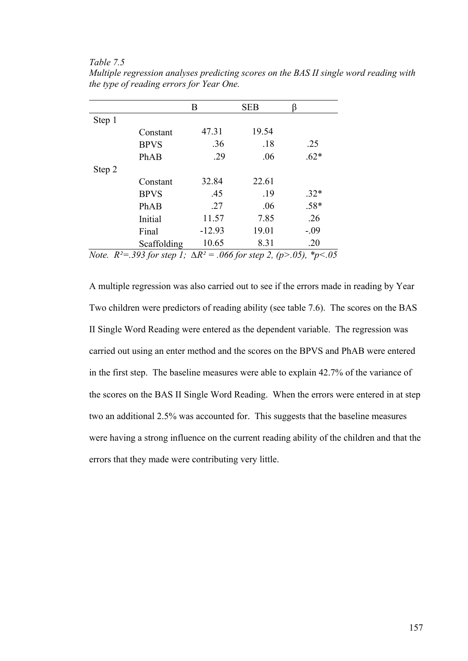#### *Table 7.5*

|        |             | B        | <b>SEB</b> |        |
|--------|-------------|----------|------------|--------|
| Step 1 |             |          |            |        |
|        | Constant    | 47.31    | 19.54      |        |
|        | <b>BPVS</b> | .36      | .18        | .25    |
|        | PhAB        | .29      | .06        | $.62*$ |
| Step 2 |             |          |            |        |
|        | Constant    | 32.84    | 22.61      |        |
|        | <b>BPVS</b> | .45      | .19        | $.32*$ |
|        | PhAB        | .27      | .06        | $.58*$ |
|        | Initial     | 11.57    | 7.85       | .26    |
|        | Final       | $-12.93$ | 19.01      | $-.09$ |
|        | Scaffolding | 10.65    | 8.31       | .20    |

*Multiple regression analyses predicting scores on the BAS II single word reading with the type of reading errors for Year One.* 

*Note. R²=.393 for step 1; ∆R² = .066 for step 2, (p>.05), \*p<.05* 

A multiple regression was also carried out to see if the errors made in reading by Year Two children were predictors of reading ability (see table 7.6). The scores on the BAS II Single Word Reading were entered as the dependent variable. The regression was carried out using an enter method and the scores on the BPVS and PhAB were entered in the first step. The baseline measures were able to explain 42.7% of the variance of the scores on the BAS II Single Word Reading. When the errors were entered in at step two an additional 2.5% was accounted for. This suggests that the baseline measures were having a strong influence on the current reading ability of the children and that the errors that they made were contributing very little.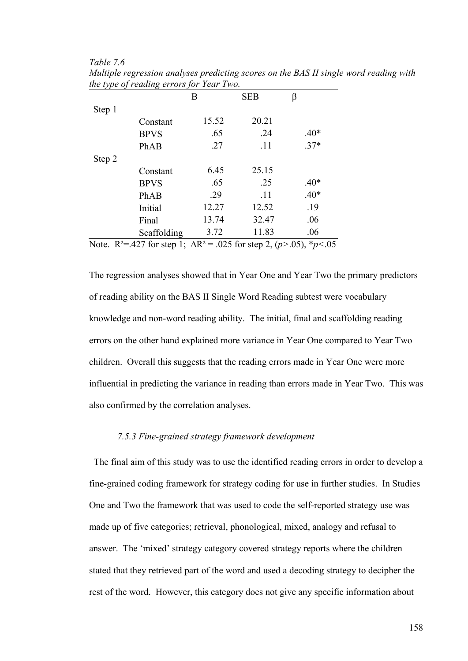|             | B     | <b>SEB</b> |        |
|-------------|-------|------------|--------|
|             |       |            |        |
| Constant    | 15.52 | 20.21      |        |
| <b>BPVS</b> | .65   | .24        | $.40*$ |
| PhAB        | .27   | .11        | $.37*$ |
|             |       |            |        |
| Constant    | 6.45  | 25.15      |        |
| <b>BPVS</b> | .65   | .25        | $.40*$ |
| PhAB        | .29   | .11        | $.40*$ |
| Initial     | 12.27 | 12.52      | .19    |
| Final       | 13.74 | 32.47      | .06    |
| Scaffolding | 3.72  | 11.83      | .06    |
|             |       |            |        |

*Table 7.6 Multiple regression analyses predicting scores on the BAS II single word reading with the type of reading errors for Year Two.* 

Note. R²=.427 for step 1; ∆R² = .025 for step 2, (*p>*.05), \**p<*.05

The regression analyses showed that in Year One and Year Two the primary predictors of reading ability on the BAS II Single Word Reading subtest were vocabulary knowledge and non-word reading ability. The initial, final and scaffolding reading errors on the other hand explained more variance in Year One compared to Year Two children. Overall this suggests that the reading errors made in Year One were more influential in predicting the variance in reading than errors made in Year Two. This was also confirmed by the correlation analyses.

### *7.5.3 Fine-grained strategy framework development*

 The final aim of this study was to use the identified reading errors in order to develop a fine-grained coding framework for strategy coding for use in further studies. In Studies One and Two the framework that was used to code the self-reported strategy use was made up of five categories; retrieval, phonological, mixed, analogy and refusal to answer. The 'mixed' strategy category covered strategy reports where the children stated that they retrieved part of the word and used a decoding strategy to decipher the rest of the word. However, this category does not give any specific information about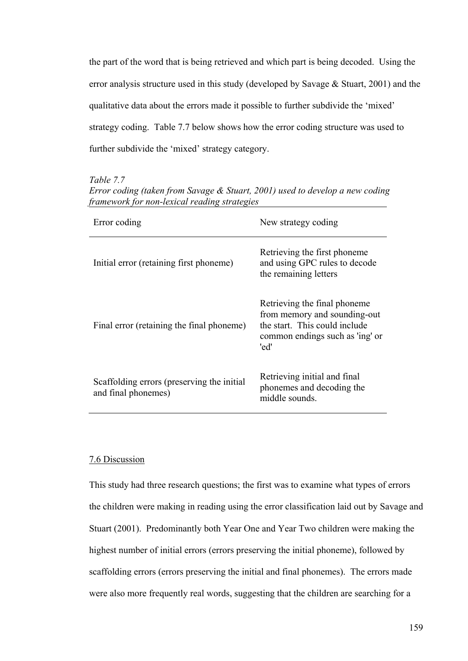the part of the word that is being retrieved and which part is being decoded. Using the error analysis structure used in this study (developed by Savage & Stuart, 2001) and the qualitative data about the errors made it possible to further subdivide the 'mixed' strategy coding. Table 7.7 below shows how the error coding structure was used to further subdivide the 'mixed' strategy category.

*Table 7.7* 

| <i>ramework for non-texteur reduing strategies</i>                |                                                                                                                                          |  |  |  |  |
|-------------------------------------------------------------------|------------------------------------------------------------------------------------------------------------------------------------------|--|--|--|--|
| Error coding                                                      | New strategy coding                                                                                                                      |  |  |  |  |
| Initial error (retaining first phoneme)                           | Retrieving the first phoneme.<br>and using GPC rules to decode<br>the remaining letters                                                  |  |  |  |  |
| Final error (retaining the final phoneme)                         | Retrieving the final phoneme<br>from memory and sounding-out<br>the start. This could include<br>common endings such as 'ing' or<br>'ed' |  |  |  |  |
| Scaffolding errors (preserving the initial<br>and final phonemes) | Retrieving initial and final<br>phonemes and decoding the<br>middle sounds.                                                              |  |  |  |  |

*Error coding (taken from Savage & Stuart, 2001) used to develop a new coding framework for non-lexical reading strategies* 

### 7.6 Discussion

This study had three research questions; the first was to examine what types of errors the children were making in reading using the error classification laid out by Savage and Stuart (2001). Predominantly both Year One and Year Two children were making the highest number of initial errors (errors preserving the initial phoneme), followed by scaffolding errors (errors preserving the initial and final phonemes). The errors made were also more frequently real words, suggesting that the children are searching for a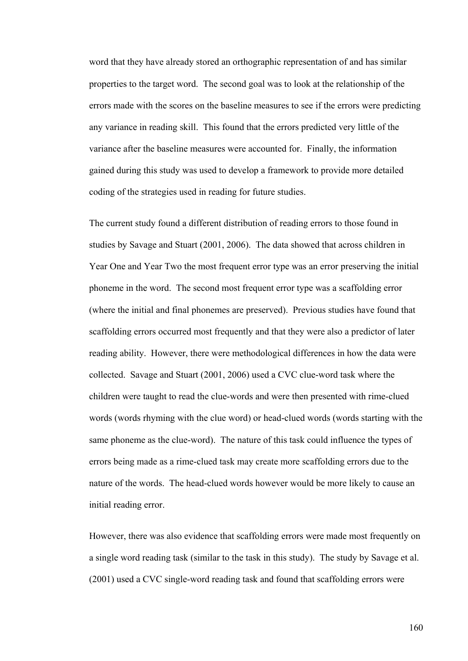word that they have already stored an orthographic representation of and has similar properties to the target word. The second goal was to look at the relationship of the errors made with the scores on the baseline measures to see if the errors were predicting any variance in reading skill. This found that the errors predicted very little of the variance after the baseline measures were accounted for. Finally, the information gained during this study was used to develop a framework to provide more detailed coding of the strategies used in reading for future studies.

The current study found a different distribution of reading errors to those found in studies by Savage and Stuart (2001, 2006). The data showed that across children in Year One and Year Two the most frequent error type was an error preserving the initial phoneme in the word. The second most frequent error type was a scaffolding error (where the initial and final phonemes are preserved). Previous studies have found that scaffolding errors occurred most frequently and that they were also a predictor of later reading ability. However, there were methodological differences in how the data were collected. Savage and Stuart (2001, 2006) used a CVC clue-word task where the children were taught to read the clue-words and were then presented with rime-clued words (words rhyming with the clue word) or head-clued words (words starting with the same phoneme as the clue-word). The nature of this task could influence the types of errors being made as a rime-clued task may create more scaffolding errors due to the nature of the words. The head-clued words however would be more likely to cause an initial reading error.

However, there was also evidence that scaffolding errors were made most frequently on a single word reading task (similar to the task in this study). The study by Savage et al. (2001) used a CVC single-word reading task and found that scaffolding errors were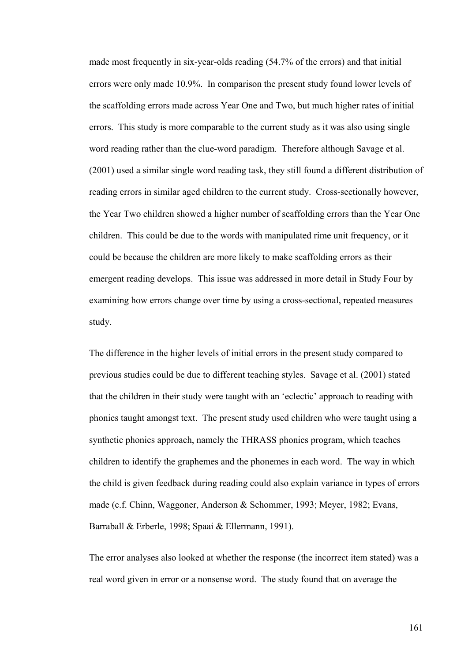made most frequently in six-year-olds reading (54.7% of the errors) and that initial errors were only made 10.9%. In comparison the present study found lower levels of the scaffolding errors made across Year One and Two, but much higher rates of initial errors. This study is more comparable to the current study as it was also using single word reading rather than the clue-word paradigm. Therefore although Savage et al. (2001) used a similar single word reading task, they still found a different distribution of reading errors in similar aged children to the current study. Cross-sectionally however, the Year Two children showed a higher number of scaffolding errors than the Year One children. This could be due to the words with manipulated rime unit frequency, or it could be because the children are more likely to make scaffolding errors as their emergent reading develops. This issue was addressed in more detail in Study Four by examining how errors change over time by using a cross-sectional, repeated measures study.

The difference in the higher levels of initial errors in the present study compared to previous studies could be due to different teaching styles. Savage et al. (2001) stated that the children in their study were taught with an 'eclectic' approach to reading with phonics taught amongst text. The present study used children who were taught using a synthetic phonics approach, namely the THRASS phonics program, which teaches children to identify the graphemes and the phonemes in each word. The way in which the child is given feedback during reading could also explain variance in types of errors made (c.f. Chinn, Waggoner, Anderson & Schommer, 1993; Meyer, 1982; Evans, Barraball & Erberle, 1998; Spaai & Ellermann, 1991).

The error analyses also looked at whether the response (the incorrect item stated) was a real word given in error or a nonsense word. The study found that on average the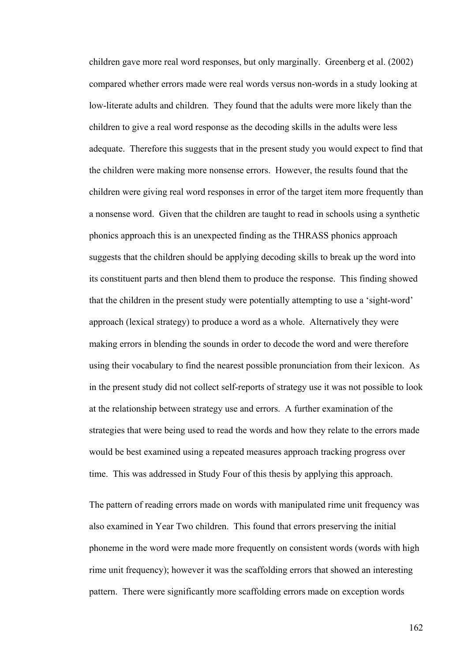children gave more real word responses, but only marginally. Greenberg et al. (2002) compared whether errors made were real words versus non-words in a study looking at low-literate adults and children. They found that the adults were more likely than the children to give a real word response as the decoding skills in the adults were less adequate. Therefore this suggests that in the present study you would expect to find that the children were making more nonsense errors. However, the results found that the children were giving real word responses in error of the target item more frequently than a nonsense word. Given that the children are taught to read in schools using a synthetic phonics approach this is an unexpected finding as the THRASS phonics approach suggests that the children should be applying decoding skills to break up the word into its constituent parts and then blend them to produce the response. This finding showed that the children in the present study were potentially attempting to use a 'sight-word' approach (lexical strategy) to produce a word as a whole. Alternatively they were making errors in blending the sounds in order to decode the word and were therefore using their vocabulary to find the nearest possible pronunciation from their lexicon. As in the present study did not collect self-reports of strategy use it was not possible to look at the relationship between strategy use and errors. A further examination of the strategies that were being used to read the words and how they relate to the errors made would be best examined using a repeated measures approach tracking progress over time. This was addressed in Study Four of this thesis by applying this approach.

The pattern of reading errors made on words with manipulated rime unit frequency was also examined in Year Two children. This found that errors preserving the initial phoneme in the word were made more frequently on consistent words (words with high rime unit frequency); however it was the scaffolding errors that showed an interesting pattern. There were significantly more scaffolding errors made on exception words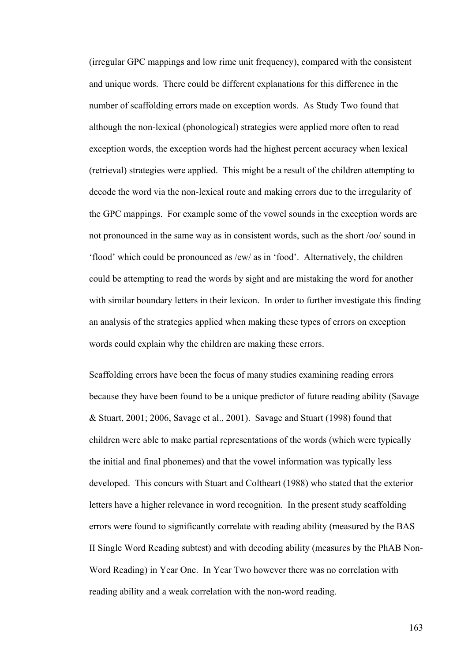(irregular GPC mappings and low rime unit frequency), compared with the consistent and unique words. There could be different explanations for this difference in the number of scaffolding errors made on exception words. As Study Two found that although the non-lexical (phonological) strategies were applied more often to read exception words, the exception words had the highest percent accuracy when lexical (retrieval) strategies were applied. This might be a result of the children attempting to decode the word via the non-lexical route and making errors due to the irregularity of the GPC mappings. For example some of the vowel sounds in the exception words are not pronounced in the same way as in consistent words, such as the short /oo/ sound in 'flood' which could be pronounced as /ew/ as in 'food'. Alternatively, the children could be attempting to read the words by sight and are mistaking the word for another with similar boundary letters in their lexicon. In order to further investigate this finding an analysis of the strategies applied when making these types of errors on exception words could explain why the children are making these errors.

Scaffolding errors have been the focus of many studies examining reading errors because they have been found to be a unique predictor of future reading ability (Savage & Stuart, 2001; 2006, Savage et al., 2001). Savage and Stuart (1998) found that children were able to make partial representations of the words (which were typically the initial and final phonemes) and that the vowel information was typically less developed. This concurs with Stuart and Coltheart (1988) who stated that the exterior letters have a higher relevance in word recognition. In the present study scaffolding errors were found to significantly correlate with reading ability (measured by the BAS II Single Word Reading subtest) and with decoding ability (measures by the PhAB Non-Word Reading) in Year One. In Year Two however there was no correlation with reading ability and a weak correlation with the non-word reading.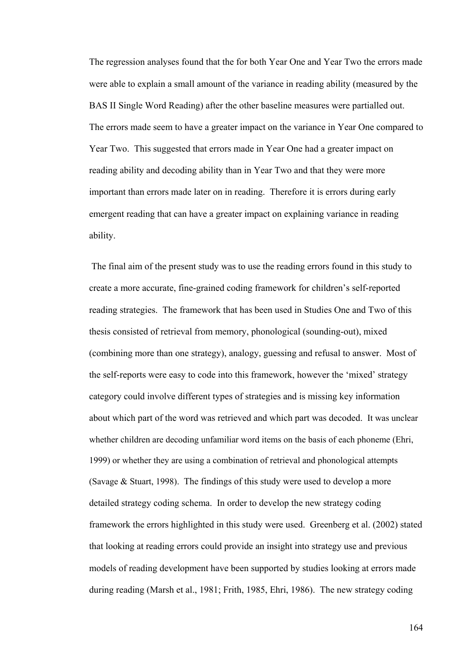The regression analyses found that the for both Year One and Year Two the errors made were able to explain a small amount of the variance in reading ability (measured by the BAS II Single Word Reading) after the other baseline measures were partialled out. The errors made seem to have a greater impact on the variance in Year One compared to Year Two. This suggested that errors made in Year One had a greater impact on reading ability and decoding ability than in Year Two and that they were more important than errors made later on in reading. Therefore it is errors during early emergent reading that can have a greater impact on explaining variance in reading ability.

 The final aim of the present study was to use the reading errors found in this study to create a more accurate, fine-grained coding framework for children's self-reported reading strategies. The framework that has been used in Studies One and Two of this thesis consisted of retrieval from memory, phonological (sounding-out), mixed (combining more than one strategy), analogy, guessing and refusal to answer. Most of the self-reports were easy to code into this framework, however the 'mixed' strategy category could involve different types of strategies and is missing key information about which part of the word was retrieved and which part was decoded. It was unclear whether children are decoding unfamiliar word items on the basis of each phoneme (Ehri, 1999) or whether they are using a combination of retrieval and phonological attempts (Savage & Stuart, 1998). The findings of this study were used to develop a more detailed strategy coding schema. In order to develop the new strategy coding framework the errors highlighted in this study were used. Greenberg et al. (2002) stated that looking at reading errors could provide an insight into strategy use and previous models of reading development have been supported by studies looking at errors made during reading (Marsh et al., 1981; Frith, 1985, Ehri, 1986). The new strategy coding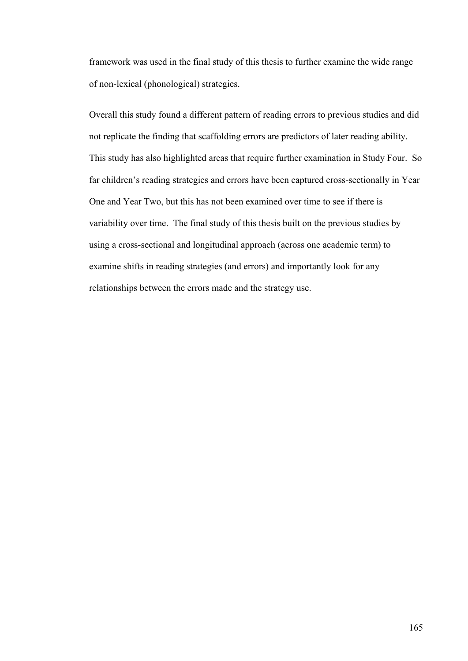framework was used in the final study of this thesis to further examine the wide range of non-lexical (phonological) strategies.

Overall this study found a different pattern of reading errors to previous studies and did not replicate the finding that scaffolding errors are predictors of later reading ability. This study has also highlighted areas that require further examination in Study Four. So far children's reading strategies and errors have been captured cross-sectionally in Year One and Year Two, but this has not been examined over time to see if there is variability over time. The final study of this thesis built on the previous studies by using a cross-sectional and longitudinal approach (across one academic term) to examine shifts in reading strategies (and errors) and importantly look for any relationships between the errors made and the strategy use.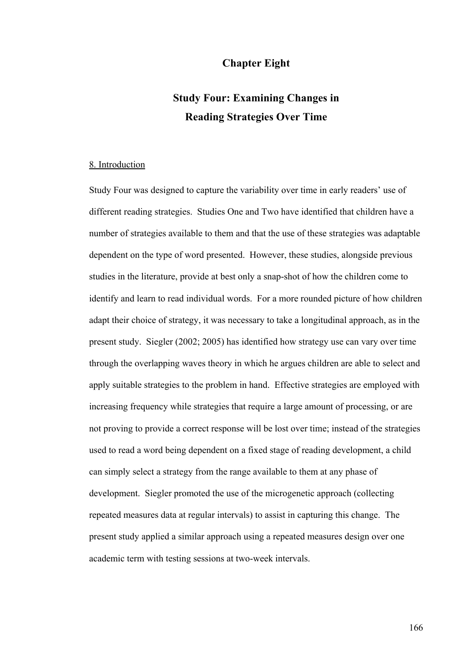## **Chapter Eight**

# **Study Four: Examining Changes in Reading Strategies Over Time**

#### 8. Introduction

Study Four was designed to capture the variability over time in early readers' use of different reading strategies. Studies One and Two have identified that children have a number of strategies available to them and that the use of these strategies was adaptable dependent on the type of word presented. However, these studies, alongside previous studies in the literature, provide at best only a snap-shot of how the children come to identify and learn to read individual words. For a more rounded picture of how children adapt their choice of strategy, it was necessary to take a longitudinal approach, as in the present study. Siegler (2002; 2005) has identified how strategy use can vary over time through the overlapping waves theory in which he argues children are able to select and apply suitable strategies to the problem in hand. Effective strategies are employed with increasing frequency while strategies that require a large amount of processing, or are not proving to provide a correct response will be lost over time; instead of the strategies used to read a word being dependent on a fixed stage of reading development, a child can simply select a strategy from the range available to them at any phase of development. Siegler promoted the use of the microgenetic approach (collecting repeated measures data at regular intervals) to assist in capturing this change. The present study applied a similar approach using a repeated measures design over one academic term with testing sessions at two-week intervals.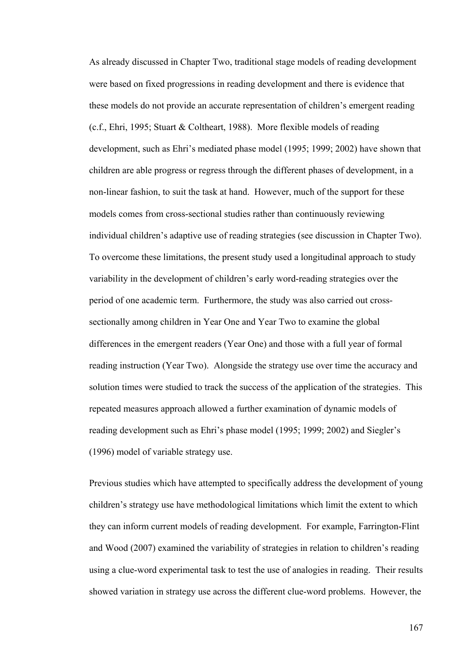As already discussed in Chapter Two, traditional stage models of reading development were based on fixed progressions in reading development and there is evidence that these models do not provide an accurate representation of children's emergent reading (c.f., Ehri, 1995; Stuart & Coltheart, 1988). More flexible models of reading development, such as Ehri's mediated phase model (1995; 1999; 2002) have shown that children are able progress or regress through the different phases of development, in a non-linear fashion, to suit the task at hand. However, much of the support for these models comes from cross-sectional studies rather than continuously reviewing individual children's adaptive use of reading strategies (see discussion in Chapter Two). To overcome these limitations, the present study used a longitudinal approach to study variability in the development of children's early word-reading strategies over the period of one academic term. Furthermore, the study was also carried out crosssectionally among children in Year One and Year Two to examine the global differences in the emergent readers (Year One) and those with a full year of formal reading instruction (Year Two). Alongside the strategy use over time the accuracy and solution times were studied to track the success of the application of the strategies. This repeated measures approach allowed a further examination of dynamic models of reading development such as Ehri's phase model (1995; 1999; 2002) and Siegler's (1996) model of variable strategy use.

Previous studies which have attempted to specifically address the development of young children's strategy use have methodological limitations which limit the extent to which they can inform current models of reading development. For example, Farrington-Flint and Wood (2007) examined the variability of strategies in relation to children's reading using a clue-word experimental task to test the use of analogies in reading. Their results showed variation in strategy use across the different clue-word problems. However, the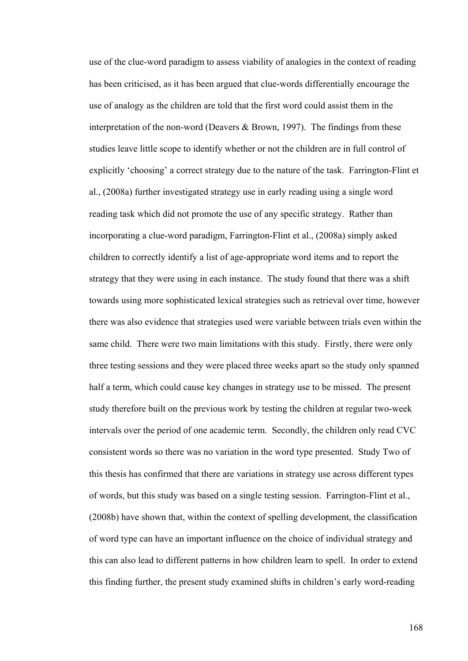use of the clue-word paradigm to assess viability of analogies in the context of reading has been criticised, as it has been argued that clue-words differentially encourage the use of analogy as the children are told that the first word could assist them in the interpretation of the non-word (Deavers & Brown, 1997). The findings from these studies leave little scope to identify whether or not the children are in full control of explicitly 'choosing' a correct strategy due to the nature of the task. Farrington-Flint et al., (2008a) further investigated strategy use in early reading using a single word reading task which did not promote the use of any specific strategy. Rather than incorporating a clue-word paradigm, Farrington-Flint et al., (2008a) simply asked children to correctly identify a list of age-appropriate word items and to report the strategy that they were using in each instance. The study found that there was a shift towards using more sophisticated lexical strategies such as retrieval over time, however there was also evidence that strategies used were variable between trials even within the same child. There were two main limitations with this study. Firstly, there were only three testing sessions and they were placed three weeks apart so the study only spanned half a term, which could cause key changes in strategy use to be missed. The present study therefore built on the previous work by testing the children at regular two-week intervals over the period of one academic term. Secondly, the children only read CVC consistent words so there was no variation in the word type presented. Study Two of this thesis has confirmed that there are variations in strategy use across different types of words, but this study was based on a single testing session. Farrington-Flint et al., (2008b) have shown that, within the context of spelling development, the classification of word type can have an important influence on the choice of individual strategy and this can also lead to different patterns in how children learn to spell. In order to extend this finding further, the present study examined shifts in children's early word-reading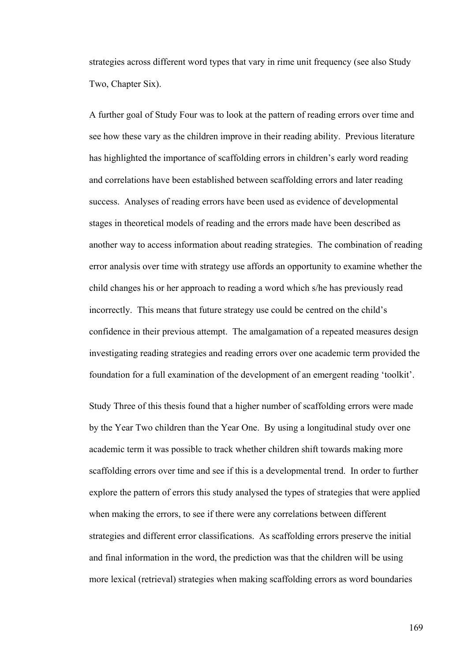strategies across different word types that vary in rime unit frequency (see also Study Two, Chapter Six).

A further goal of Study Four was to look at the pattern of reading errors over time and see how these vary as the children improve in their reading ability. Previous literature has highlighted the importance of scaffolding errors in children's early word reading and correlations have been established between scaffolding errors and later reading success. Analyses of reading errors have been used as evidence of developmental stages in theoretical models of reading and the errors made have been described as another way to access information about reading strategies. The combination of reading error analysis over time with strategy use affords an opportunity to examine whether the child changes his or her approach to reading a word which s/he has previously read incorrectly. This means that future strategy use could be centred on the child's confidence in their previous attempt. The amalgamation of a repeated measures design investigating reading strategies and reading errors over one academic term provided the foundation for a full examination of the development of an emergent reading 'toolkit'.

Study Three of this thesis found that a higher number of scaffolding errors were made by the Year Two children than the Year One. By using a longitudinal study over one academic term it was possible to track whether children shift towards making more scaffolding errors over time and see if this is a developmental trend. In order to further explore the pattern of errors this study analysed the types of strategies that were applied when making the errors, to see if there were any correlations between different strategies and different error classifications. As scaffolding errors preserve the initial and final information in the word, the prediction was that the children will be using more lexical (retrieval) strategies when making scaffolding errors as word boundaries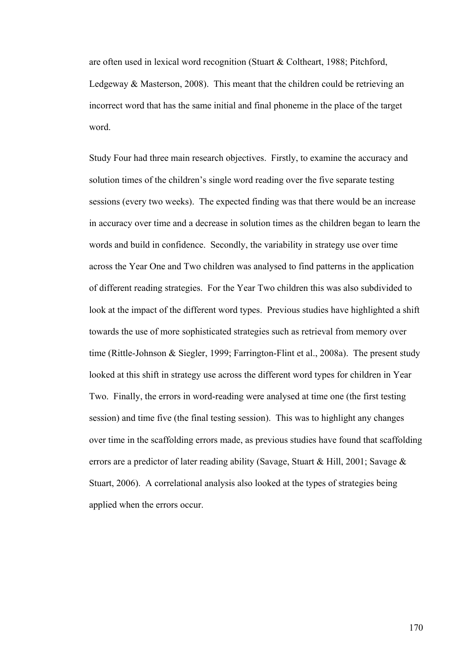are often used in lexical word recognition (Stuart & Coltheart, 1988; Pitchford, Ledgeway & Masterson, 2008). This meant that the children could be retrieving an incorrect word that has the same initial and final phoneme in the place of the target word.

Study Four had three main research objectives. Firstly, to examine the accuracy and solution times of the children's single word reading over the five separate testing sessions (every two weeks). The expected finding was that there would be an increase in accuracy over time and a decrease in solution times as the children began to learn the words and build in confidence. Secondly, the variability in strategy use over time across the Year One and Two children was analysed to find patterns in the application of different reading strategies. For the Year Two children this was also subdivided to look at the impact of the different word types. Previous studies have highlighted a shift towards the use of more sophisticated strategies such as retrieval from memory over time (Rittle-Johnson & Siegler, 1999; Farrington-Flint et al., 2008a). The present study looked at this shift in strategy use across the different word types for children in Year Two. Finally, the errors in word-reading were analysed at time one (the first testing session) and time five (the final testing session). This was to highlight any changes over time in the scaffolding errors made, as previous studies have found that scaffolding errors are a predictor of later reading ability (Savage, Stuart & Hill, 2001; Savage & Stuart, 2006). A correlational analysis also looked at the types of strategies being applied when the errors occur.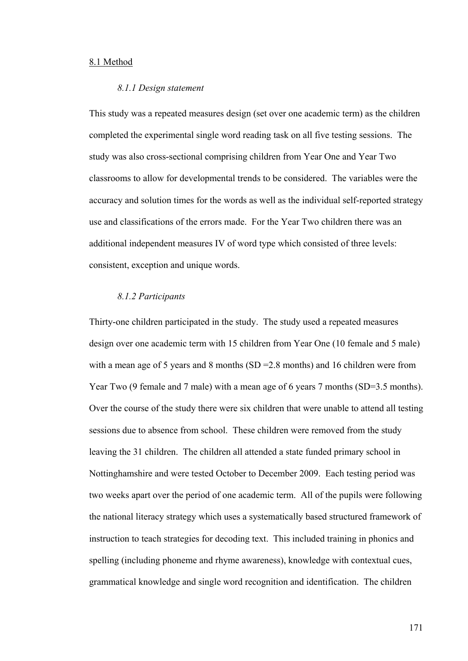## 8.1 Method

#### *8.1.1 Design statement*

This study was a repeated measures design (set over one academic term) as the children completed the experimental single word reading task on all five testing sessions. The study was also cross-sectional comprising children from Year One and Year Two classrooms to allow for developmental trends to be considered. The variables were the accuracy and solution times for the words as well as the individual self-reported strategy use and classifications of the errors made. For the Year Two children there was an additional independent measures IV of word type which consisted of three levels: consistent, exception and unique words.

## *8.1.2 Participants*

Thirty-one children participated in the study. The study used a repeated measures design over one academic term with 15 children from Year One (10 female and 5 male) with a mean age of 5 years and 8 months (SD = 2.8 months) and 16 children were from Year Two (9 female and 7 male) with a mean age of 6 years 7 months (SD=3.5 months). Over the course of the study there were six children that were unable to attend all testing sessions due to absence from school. These children were removed from the study leaving the 31 children. The children all attended a state funded primary school in Nottinghamshire and were tested October to December 2009. Each testing period was two weeks apart over the period of one academic term. All of the pupils were following the national literacy strategy which uses a systematically based structured framework of instruction to teach strategies for decoding text. This included training in phonics and spelling (including phoneme and rhyme awareness), knowledge with contextual cues, grammatical knowledge and single word recognition and identification. The children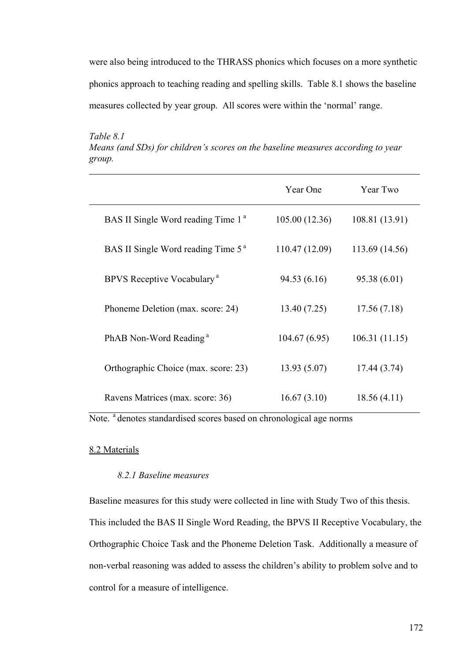were also being introduced to the THRASS phonics which focuses on a more synthetic phonics approach to teaching reading and spelling skills. Table 8.1 shows the baseline measures collected by year group. All scores were within the 'normal' range.

*Table 8.1 Means (and SDs) for children's scores on the baseline measures according to year group.* 

|                                                | Year One       | Year Two       |
|------------------------------------------------|----------------|----------------|
| BAS II Single Word reading Time 1 <sup>a</sup> | 105.00 (12.36) | 108.81 (13.91) |
| BAS II Single Word reading Time 5 <sup>a</sup> | 110.47 (12.09) | 113.69 (14.56) |
| BPVS Receptive Vocabulary <sup>a</sup>         | 94.53 (6.16)   | 95.38(6.01)    |
| Phoneme Deletion (max. score: 24)              | 13.40(7.25)    | 17.56(7.18)    |
| PhAB Non-Word Reading <sup>a</sup>             | 104.67(6.95)   | 106.31(11.15)  |
| Orthographic Choice (max. score: 23)           | 13.93(5.07)    | 17.44 (3.74)   |
| Ravens Matrices (max. score: 36)               | 16.67(3.10)    | 18.56(4.11)    |

Note. <sup>a</sup> denotes standardised scores based on chronological age norms

## 8.2 Materials

## *8.2.1 Baseline measures*

Baseline measures for this study were collected in line with Study Two of this thesis. This included the BAS II Single Word Reading, the BPVS II Receptive Vocabulary, the Orthographic Choice Task and the Phoneme Deletion Task. Additionally a measure of non-verbal reasoning was added to assess the children's ability to problem solve and to control for a measure of intelligence.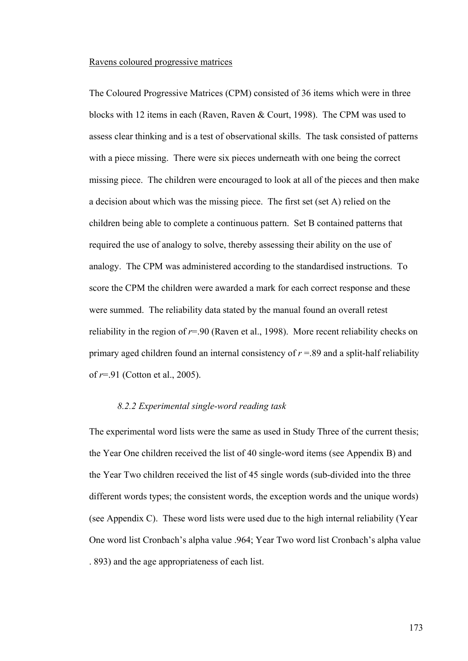## Ravens coloured progressive matrices

The Coloured Progressive Matrices (CPM) consisted of 36 items which were in three blocks with 12 items in each (Raven, Raven & Court, 1998). The CPM was used to assess clear thinking and is a test of observational skills. The task consisted of patterns with a piece missing. There were six pieces underneath with one being the correct missing piece. The children were encouraged to look at all of the pieces and then make a decision about which was the missing piece. The first set (set A) relied on the children being able to complete a continuous pattern. Set B contained patterns that required the use of analogy to solve, thereby assessing their ability on the use of analogy. The CPM was administered according to the standardised instructions. To score the CPM the children were awarded a mark for each correct response and these were summed. The reliability data stated by the manual found an overall retest reliability in the region of *r*=.90 (Raven et al., 1998). More recent reliability checks on primary aged children found an internal consistency of  $r = 0.89$  and a split-half reliability of *r*=.91 (Cotton et al., 2005).

#### *8.2.2 Experimental single-word reading task*

The experimental word lists were the same as used in Study Three of the current thesis; the Year One children received the list of 40 single-word items (see Appendix B) and the Year Two children received the list of 45 single words (sub-divided into the three different words types; the consistent words, the exception words and the unique words) (see Appendix C). These word lists were used due to the high internal reliability (Year One word list Cronbach's alpha value .964; Year Two word list Cronbach's alpha value . 893) and the age appropriateness of each list.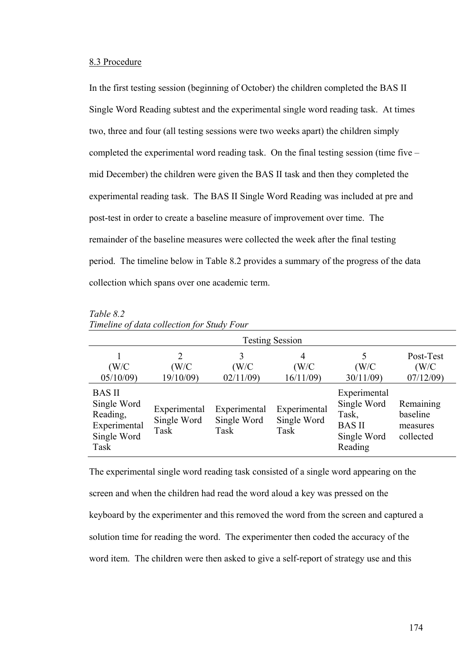## 8.3 Procedure

In the first testing session (beginning of October) the children completed the BAS II Single Word Reading subtest and the experimental single word reading task. At times two, three and four (all testing sessions were two weeks apart) the children simply completed the experimental word reading task. On the final testing session (time five – mid December) the children were given the BAS II task and then they completed the experimental reading task. The BAS II Single Word Reading was included at pre and post-test in order to create a baseline measure of improvement over time. The remainder of the baseline measures were collected the week after the final testing period. The timeline below in Table 8.2 provides a summary of the progress of the data collection which spans over one academic term.

| <b>Testing Session</b>                                                          |                                     |                                     |                                     |                                                                                 |                                                |
|---------------------------------------------------------------------------------|-------------------------------------|-------------------------------------|-------------------------------------|---------------------------------------------------------------------------------|------------------------------------------------|
| (W/C)<br>05/10/09                                                               | 2<br>(W/C)<br>19/10/09)             | 3<br>(W/C)<br>02/11/09              | 4<br>(W/C)<br>16/11/09              | 5<br>(W/C)<br>30/11/09                                                          | Post-Test<br>(W/C)<br>07/12/09                 |
| <b>BAS II</b><br>Single Word<br>Reading,<br>Experimental<br>Single Word<br>Task | Experimental<br>Single Word<br>Task | Experimental<br>Single Word<br>Task | Experimental<br>Single Word<br>Task | Experimental<br>Single Word<br>Task,<br><b>BAS II</b><br>Single Word<br>Reading | Remaining<br>baseline<br>measures<br>collected |

*Table 8.2 Timeline of data collection for Study Four* 

The experimental single word reading task consisted of a single word appearing on the screen and when the children had read the word aloud a key was pressed on the keyboard by the experimenter and this removed the word from the screen and captured a solution time for reading the word. The experimenter then coded the accuracy of the word item. The children were then asked to give a self-report of strategy use and this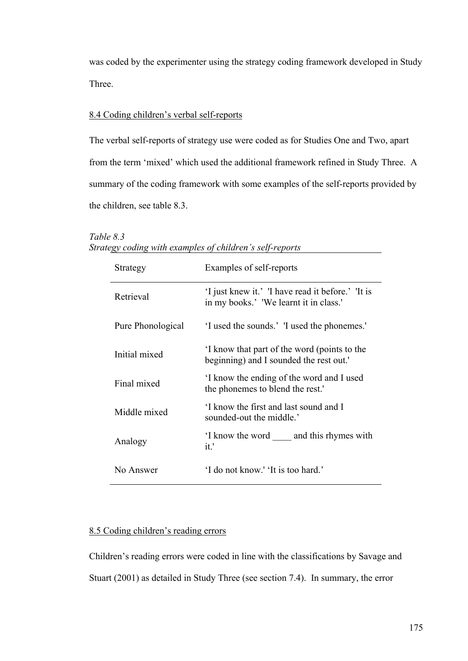was coded by the experimenter using the strategy coding framework developed in Study Three.

## 8.4 Coding children's verbal self-reports

The verbal self-reports of strategy use were coded as for Studies One and Two, apart from the term 'mixed' which used the additional framework refined in Study Three. A summary of the coding framework with some examples of the self-reports provided by the children, see table 8.3.

| Strategy          | Examples of self-reports                                                                    |
|-------------------|---------------------------------------------------------------------------------------------|
| Retrieval         | 'I just knew it.' 'I have read it before.' 'It is<br>in my books.' 'We learnt it in class.' |
| Pure Phonological | 'I used the sounds.' 'I used the phonemes.'                                                 |
| Initial mixed     | I know that part of the word (points to the<br>beginning) and I sounded the rest out.       |
| Final mixed       | I know the ending of the word and I used<br>the phonemes to blend the rest."                |
| Middle mixed      | I know the first and last sound and I<br>sounded-out the middle.'                           |
| Analogy           | I know the word and this rhymes with<br>it.'                                                |
| No Answer         | 'I do not know.' 'It is too hard.'                                                          |

## *Table 8.3 Strategy coding with examples of children's self-reports*

# 8.5 Coding children's reading errors

Children's reading errors were coded in line with the classifications by Savage and Stuart (2001) as detailed in Study Three (see section 7.4). In summary, the error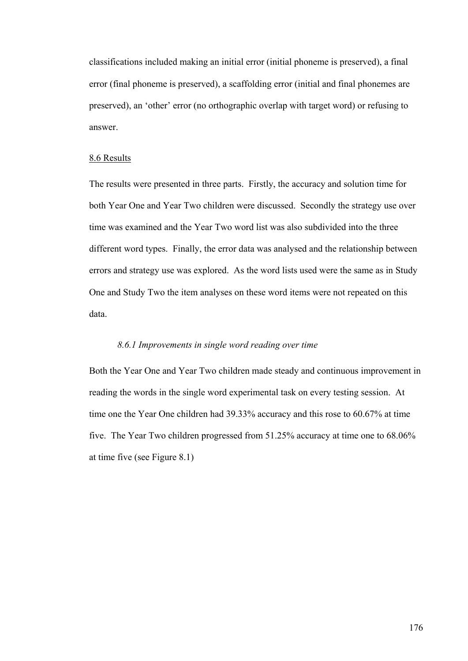classifications included making an initial error (initial phoneme is preserved), a final error (final phoneme is preserved), a scaffolding error (initial and final phonemes are preserved), an 'other' error (no orthographic overlap with target word) or refusing to answer.

## 8.6 Results

The results were presented in three parts. Firstly, the accuracy and solution time for both Year One and Year Two children were discussed. Secondly the strategy use over time was examined and the Year Two word list was also subdivided into the three different word types. Finally, the error data was analysed and the relationship between errors and strategy use was explored. As the word lists used were the same as in Study One and Study Two the item analyses on these word items were not repeated on this data.

## *8.6.1 Improvements in single word reading over time*

Both the Year One and Year Two children made steady and continuous improvement in reading the words in the single word experimental task on every testing session. At time one the Year One children had 39.33% accuracy and this rose to 60.67% at time five. The Year Two children progressed from 51.25% accuracy at time one to 68.06% at time five (see Figure 8.1)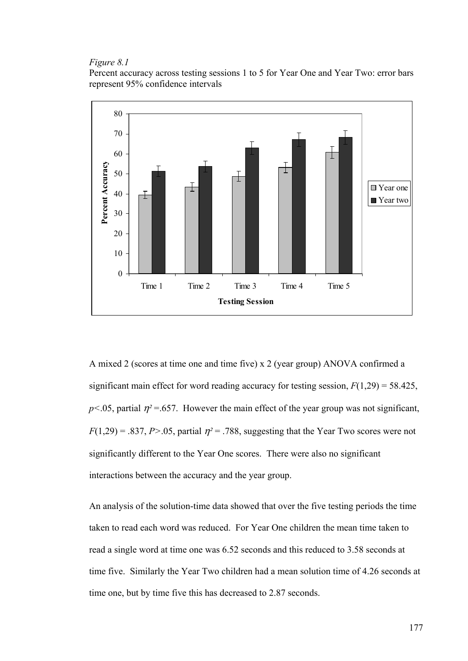## *Figure 8.1*

Percent accuracy across testing sessions 1 to 5 for Year One and Year Two: error bars represent 95% confidence intervals



A mixed 2 (scores at time one and time five) x 2 (year group) ANOVA confirmed a significant main effect for word reading accuracy for testing session,  $F(1,29) = 58.425$ ,  $p$ <.05, partial  $\eta$ <sup>2</sup> =.657. However the main effect of the year group was not significant,  $F(1,29) = .837, P > .05$ , partial  $\eta^2 = .788$ , suggesting that the Year Two scores were not significantly different to the Year One scores. There were also no significant interactions between the accuracy and the year group.

An analysis of the solution-time data showed that over the five testing periods the time taken to read each word was reduced. For Year One children the mean time taken to read a single word at time one was 6.52 seconds and this reduced to 3.58 seconds at time five. Similarly the Year Two children had a mean solution time of 4.26 seconds at time one, but by time five this has decreased to 2.87 seconds.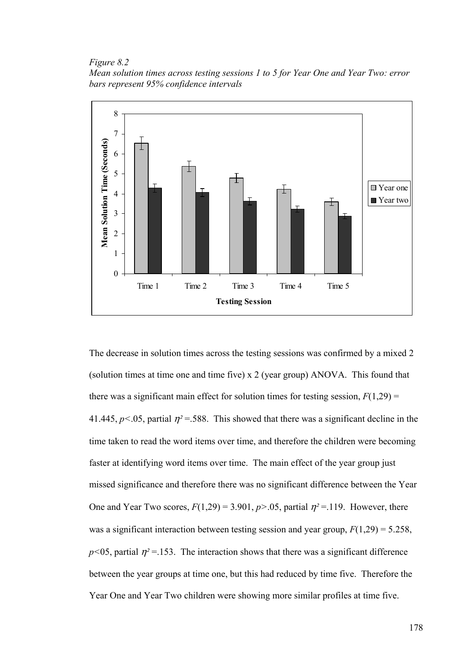*Figure 8.2* 

*Mean solution times across testing sessions 1 to 5 for Year One and Year Two: error bars represent 95% confidence intervals* 



The decrease in solution times across the testing sessions was confirmed by a mixed 2 (solution times at time one and time five) x 2 (year group) ANOVA. This found that there was a significant main effect for solution times for testing session,  $F(1,29) =$ 41.445,  $p < 0.05$ , partial  $\eta^2 = 588$ . This showed that there was a significant decline in the time taken to read the word items over time, and therefore the children were becoming faster at identifying word items over time. The main effect of the year group just missed significance and therefore there was no significant difference between the Year One and Year Two scores,  $F(1,29) = 3.901$ ,  $p > .05$ , partial  $\eta^2 = .119$ . However, there was a significant interaction between testing session and year group, *F*(1,29) = 5.258,  $p$ <05, partial  $\eta$ <sup>2</sup> = 153. The interaction shows that there was a significant difference between the year groups at time one, but this had reduced by time five. Therefore the Year One and Year Two children were showing more similar profiles at time five.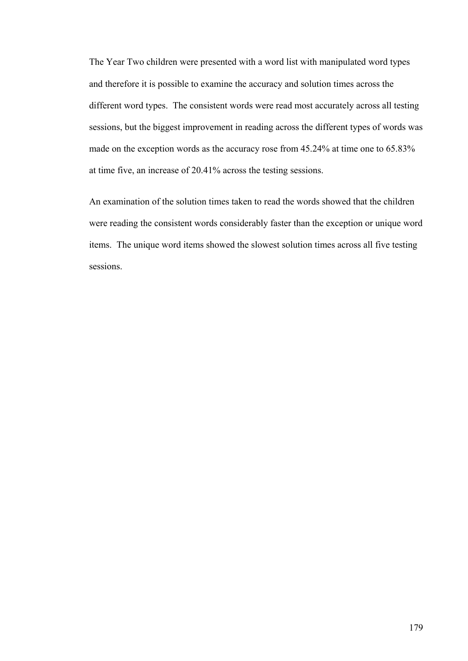The Year Two children were presented with a word list with manipulated word types and therefore it is possible to examine the accuracy and solution times across the different word types. The consistent words were read most accurately across all testing sessions, but the biggest improvement in reading across the different types of words was made on the exception words as the accuracy rose from 45.24% at time one to 65.83% at time five, an increase of 20.41% across the testing sessions.

An examination of the solution times taken to read the words showed that the children were reading the consistent words considerably faster than the exception or unique word items. The unique word items showed the slowest solution times across all five testing sessions.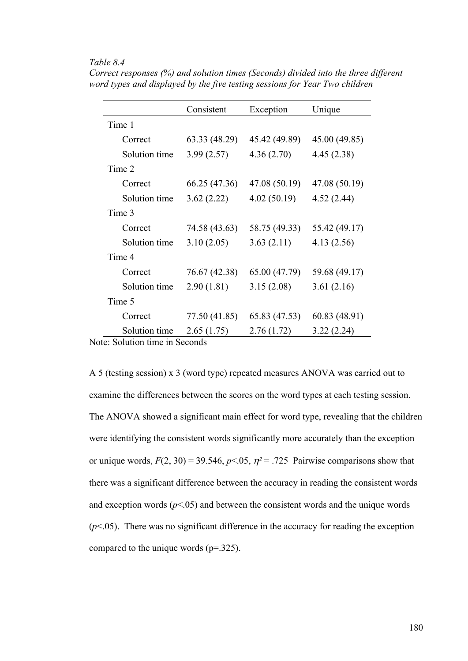## *Table 8.4*

|               | Consistent    | Exception     | Unique        |
|---------------|---------------|---------------|---------------|
| Time 1        |               |               |               |
| Correct       | 63.33 (48.29) | 45.42 (49.89) | 45.00 (49.85) |
| Solution time | 3.99(2.57)    | 4.36(2.70)    | 4.45(2.38)    |
| Time 2        |               |               |               |
| Correct       | 66.25 (47.36) | 47.08 (50.19) | 47.08 (50.19) |
| Solution time | 3.62(2.22)    | 4.02(50.19)   | 4.52(2.44)    |
| Time 3        |               |               |               |
| Correct       | 74.58 (43.63) | 58.75 (49.33) | 55.42 (49.17) |
| Solution time | 3.10(2.05)    | 3.63(2.11)    | 4.13(2.56)    |
| Time 4        |               |               |               |
| Correct       | 76.67 (42.38) | 65.00 (47.79) | 59.68 (49.17) |
| Solution time | 2.90(1.81)    | 3.15(2.08)    | 3.61(2.16)    |
| Time 5        |               |               |               |
| Correct       | 77.50 (41.85) | 65.83 (47.53) | 60.83 (48.91) |
| Solution time | 2.65(1.75)    | 2.76(1.72)    | 3.22(2.24)    |

*Correct responses (%) and solution times (Seconds) divided into the three different word types and displayed by the five testing sessions for Year Two children* 

Note: Solution time in Seconds

A 5 (testing session) x 3 (word type) repeated measures ANOVA was carried out to examine the differences between the scores on the word types at each testing session. The ANOVA showed a significant main effect for word type, revealing that the children were identifying the consistent words significantly more accurately than the exception or unique words,  $F(2, 30) = 39.546$ ,  $p < 0.05$ ,  $\eta^2 = 0.725$  Pairwise comparisons show that there was a significant difference between the accuracy in reading the consistent words and exception words  $(p<0.05)$  and between the consistent words and the unique words  $(p<.05)$ . There was no significant difference in the accuracy for reading the exception compared to the unique words (p=.325).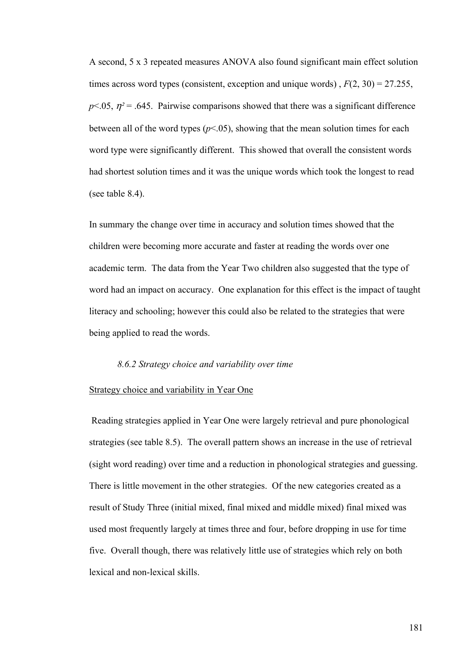A second, 5 x 3 repeated measures ANOVA also found significant main effect solution times across word types (consistent, exception and unique words) , *F*(2, 30) = 27.255,  $p$ <.05,  $\eta$ <sup>2</sup> = .645. Pairwise comparisons showed that there was a significant difference between all of the word types  $(p<0.05)$ , showing that the mean solution times for each word type were significantly different. This showed that overall the consistent words had shortest solution times and it was the unique words which took the longest to read (see table 8.4).

In summary the change over time in accuracy and solution times showed that the children were becoming more accurate and faster at reading the words over one academic term. The data from the Year Two children also suggested that the type of word had an impact on accuracy. One explanation for this effect is the impact of taught literacy and schooling; however this could also be related to the strategies that were being applied to read the words.

## *8.6.2 Strategy choice and variability over time*

#### Strategy choice and variability in Year One

 Reading strategies applied in Year One were largely retrieval and pure phonological strategies (see table 8.5). The overall pattern shows an increase in the use of retrieval (sight word reading) over time and a reduction in phonological strategies and guessing. There is little movement in the other strategies. Of the new categories created as a result of Study Three (initial mixed, final mixed and middle mixed) final mixed was used most frequently largely at times three and four, before dropping in use for time five. Overall though, there was relatively little use of strategies which rely on both lexical and non-lexical skills.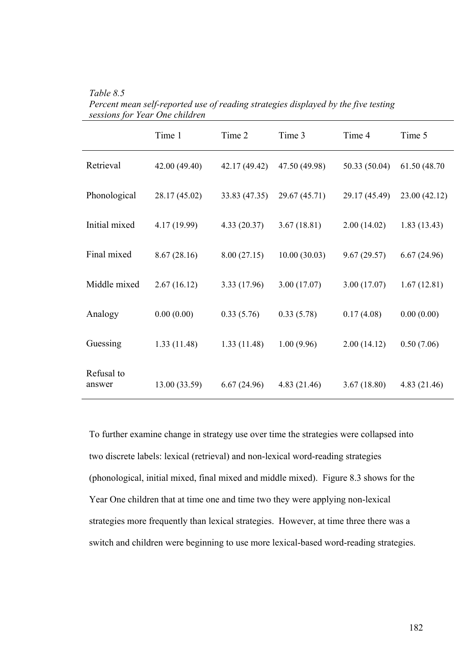|                      | Time 1        | Time 2        | Time 3        | Time 4        | Time 5        |
|----------------------|---------------|---------------|---------------|---------------|---------------|
| Retrieval            | 42.00 (49.40) | 42.17 (49.42) | 47.50 (49.98) | 50.33 (50.04) | 61.50 (48.70) |
| Phonological         | 28.17 (45.02) | 33.83 (47.35) | 29.67 (45.71) | 29.17 (45.49) | 23.00(42.12)  |
| Initial mixed        | 4.17 (19.99)  | 4.33(20.37)   | 3.67(18.81)   | 2.00(14.02)   | 1.83(13.43)   |
| Final mixed          | 8.67(28.16)   | 8.00(27.15)   | 10.00(30.03)  | 9.67(29.57)   | 6.67(24.96)   |
| Middle mixed         | 2.67(16.12)   | 3.33(17.96)   | 3.00(17.07)   | 3.00(17.07)   | 1.67(12.81)   |
| Analogy              | 0.00(0.00)    | 0.33(5.76)    | 0.33(5.78)    | 0.17(4.08)    | 0.00(0.00)    |
| Guessing             | 1.33(11.48)   | 1.33(11.48)   | 1.00(9.96)    | 2.00(14.12)   | 0.50(7.06)    |
| Refusal to<br>answer | 13.00 (33.59) | 6.67(24.96)   | 4.83 (21.46)  | 3.67(18.80)   | 4.83 (21.46)  |

*Table 8.5 Percent mean self-reported use of reading strategies displayed by the five testing sessions for Year One children* 

To further examine change in strategy use over time the strategies were collapsed into two discrete labels: lexical (retrieval) and non-lexical word-reading strategies (phonological, initial mixed, final mixed and middle mixed). Figure 8.3 shows for the Year One children that at time one and time two they were applying non-lexical strategies more frequently than lexical strategies. However, at time three there was a switch and children were beginning to use more lexical-based word-reading strategies.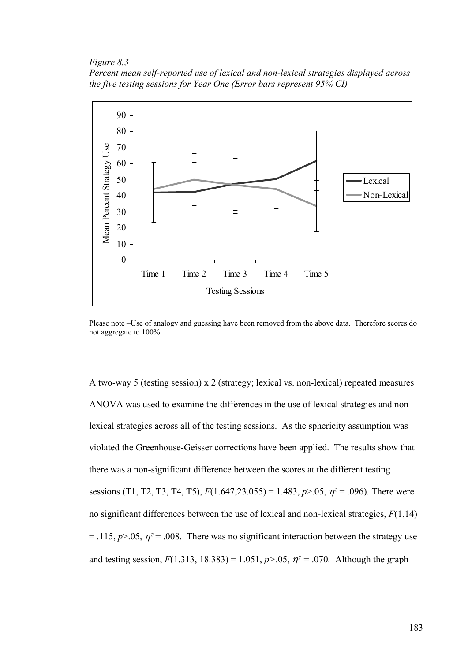*Figure 8.3* 

*Percent mean self-reported use of lexical and non-lexical strategies displayed across the five testing sessions for Year One (Error bars represent 95% CI)* 



Please note –Use of analogy and guessing have been removed from the above data. Therefore scores do not aggregate to 100%.

A two-way 5 (testing session) x 2 (strategy; lexical vs. non-lexical) repeated measures ANOVA was used to examine the differences in the use of lexical strategies and nonlexical strategies across all of the testing sessions. As the sphericity assumption was violated the Greenhouse-Geisser corrections have been applied. The results show that there was a non-significant difference between the scores at the different testing sessions (T1, T2, T3, T4, T5),  $F(1.647,23.055) = 1.483$ ,  $p > .05$ ,  $\eta^2 = .096$ ). There were no significant differences between the use of lexical and non-lexical strategies, *F*(1,14)  $=$  .115,  $p > 0.05$ ,  $\eta^2 = 0.008$ . There was no significant interaction between the strategy use and testing session,  $F(1.313, 18.383) = 1.051$ ,  $p > .05$ ,  $p^2 = .070$ . Although the graph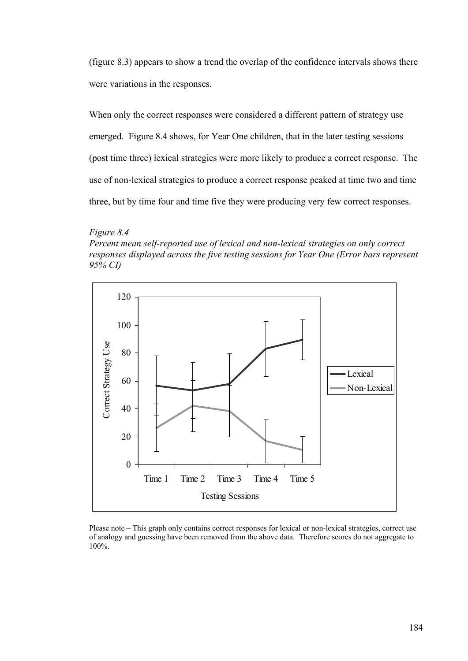(figure 8.3) appears to show a trend the overlap of the confidence intervals shows there were variations in the responses.

When only the correct responses were considered a different pattern of strategy use emerged. Figure 8.4 shows, for Year One children, that in the later testing sessions (post time three) lexical strategies were more likely to produce a correct response. The use of non-lexical strategies to produce a correct response peaked at time two and time three, but by time four and time five they were producing very few correct responses.

#### *Figure 8.4*

*Percent mean self-reported use of lexical and non-lexical strategies on only correct responses displayed across the five testing sessions for Year One (Error bars represent 95% CI)* 



Please note – This graph only contains correct responses for lexical or non-lexical strategies, correct use of analogy and guessing have been removed from the above data. Therefore scores do not aggregate to 100%.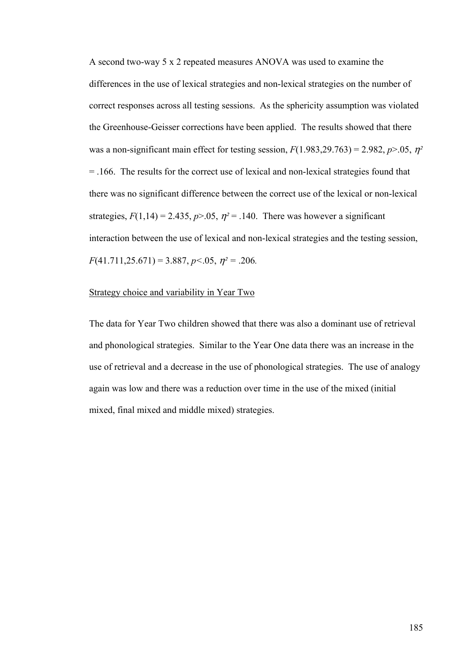A second two-way 5 x 2 repeated measures ANOVA was used to examine the differences in the use of lexical strategies and non-lexical strategies on the number of correct responses across all testing sessions. As the sphericity assumption was violated the Greenhouse-Geisser corrections have been applied. The results showed that there was a non-significant main effect for testing session,  $F(1.983,29.763) = 2.982$ ,  $p > .05$ ,  $\eta^2$ = .166. The results for the correct use of lexical and non-lexical strategies found that there was no significant difference between the correct use of the lexical or non-lexical strategies,  $F(1,14) = 2.435$ ,  $p > 0.05$ ,  $\eta^2 = 0.140$ . There was however a significant interaction between the use of lexical and non-lexical strategies and the testing session, *F*(41.711,25.671) = 3.887, *p<*.05, η*² =* .206*.* 

## Strategy choice and variability in Year Two

The data for Year Two children showed that there was also a dominant use of retrieval and phonological strategies. Similar to the Year One data there was an increase in the use of retrieval and a decrease in the use of phonological strategies. The use of analogy again was low and there was a reduction over time in the use of the mixed (initial mixed, final mixed and middle mixed) strategies.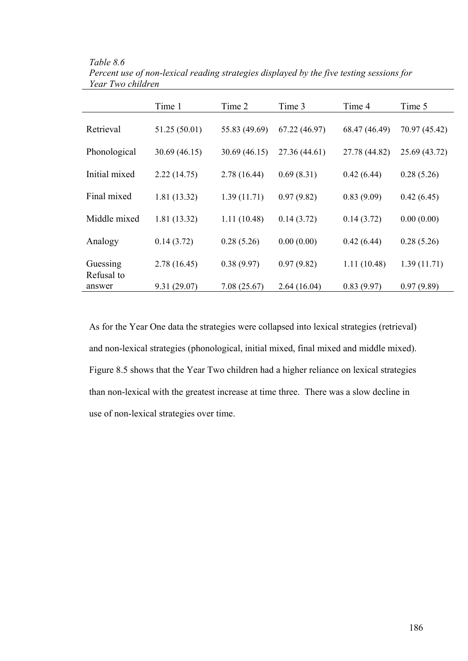|                        | Time 1        | Time 2        | Time 3        | Time 4        | Time 5        |
|------------------------|---------------|---------------|---------------|---------------|---------------|
| Retrieval              | 51.25(50.01)  | 55.83 (49.69) | 67.22 (46.97) | 68.47 (46.49) | 70.97 (45.42) |
| Phonological           | 30.69 (46.15) | 30.69(46.15)  | 27.36 (44.61) | 27.78 (44.82) | 25.69 (43.72) |
| Initial mixed          | 2.22(14.75)   | 2.78 (16.44)  | 0.69(8.31)    | 0.42(6.44)    | 0.28(5.26)    |
| Final mixed            | 1.81(13.32)   | 1.39(11.71)   | 0.97(9.82)    | 0.83(9.09)    | 0.42(6.45)    |
| Middle mixed           | 1.81(13.32)   | 1.11(10.48)   | 0.14(3.72)    | 0.14(3.72)    | 0.00(0.00)    |
| Analogy                | 0.14(3.72)    | 0.28(5.26)    | 0.00(0.00)    | 0.42(6.44)    | 0.28(5.26)    |
| Guessing<br>Refusal to | 2.78(16.45)   | 0.38(9.97)    | 0.97(9.82)    | 1.11(10.48)   | 1.39(11.71)   |
| answer                 | 9.31(29.07)   | 7.08(25.67)   | 2.64(16.04)   | 0.83(9.97)    | 0.97(9.89)    |

*Table 8.6 Percent use of non-lexical reading strategies displayed by the five testing sessions for Year Two children* 

As for the Year One data the strategies were collapsed into lexical strategies (retrieval) and non-lexical strategies (phonological, initial mixed, final mixed and middle mixed). Figure 8.5 shows that the Year Two children had a higher reliance on lexical strategies than non-lexical with the greatest increase at time three. There was a slow decline in use of non-lexical strategies over time.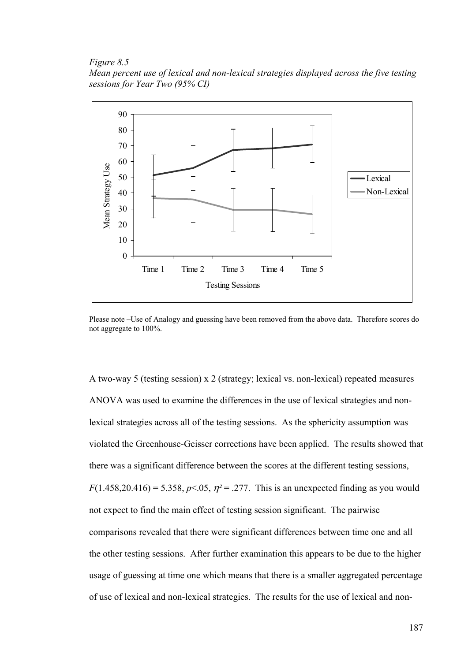*Figure 8.5 Mean percent use of lexical and non-lexical strategies displayed across the five testing sessions for Year Two (95% CI)* 



Please note –Use of Analogy and guessing have been removed from the above data. Therefore scores do not aggregate to 100%.

A two-way 5 (testing session) x 2 (strategy; lexical vs. non-lexical) repeated measures ANOVA was used to examine the differences in the use of lexical strategies and nonlexical strategies across all of the testing sessions. As the sphericity assumption was violated the Greenhouse-Geisser corrections have been applied. The results showed that there was a significant difference between the scores at the different testing sessions, *F*(1.458,20.416) = 5.358, *p*<.05,  $\eta$ <sup>2</sup> = .277. This is an unexpected finding as you would not expect to find the main effect of testing session significant. The pairwise comparisons revealed that there were significant differences between time one and all the other testing sessions. After further examination this appears to be due to the higher usage of guessing at time one which means that there is a smaller aggregated percentage of use of lexical and non-lexical strategies. The results for the use of lexical and non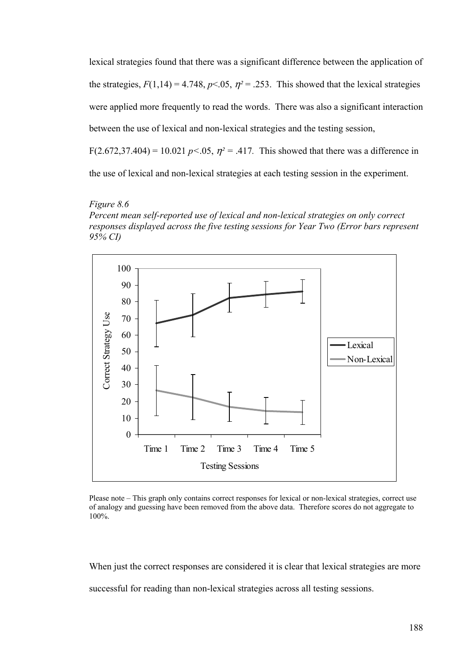lexical strategies found that there was a significant difference between the application of the strategies,  $F(1,14) = 4.748$ ,  $p < 0.05$ ,  $\eta^2 = 0.253$ . This showed that the lexical strategies were applied more frequently to read the words. There was also a significant interaction between the use of lexical and non-lexical strategies and the testing session, F(2.672,37.404) = 10.021  $p < 0.05$ ,  $\eta^2 = .417$ . This showed that there was a difference in the use of lexical and non-lexical strategies at each testing session in the experiment.

## *Figure 8.6*

*Percent mean self-reported use of lexical and non-lexical strategies on only correct responses displayed across the five testing sessions for Year Two (Error bars represent 95% CI)* 



Please note – This graph only contains correct responses for lexical or non-lexical strategies, correct use of analogy and guessing have been removed from the above data. Therefore scores do not aggregate to 100%.

When just the correct responses are considered it is clear that lexical strategies are more successful for reading than non-lexical strategies across all testing sessions.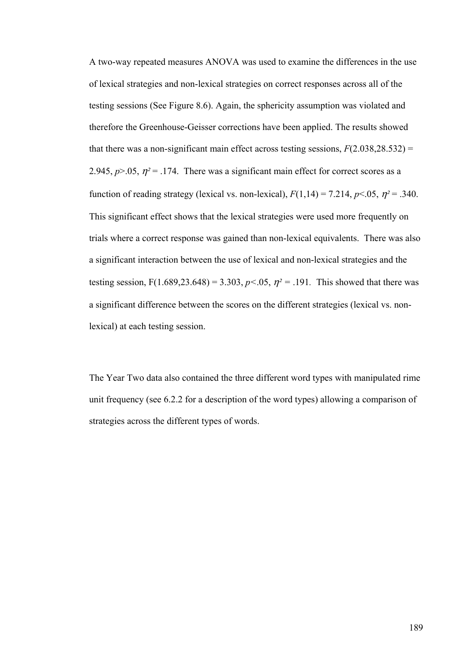A two-way repeated measures ANOVA was used to examine the differences in the use of lexical strategies and non-lexical strategies on correct responses across all of the testing sessions (See Figure 8.6). Again, the sphericity assumption was violated and therefore the Greenhouse-Geisser corrections have been applied. The results showed that there was a non-significant main effect across testing sessions,  $F(2.038,28.532)$  = 2.945,  $p > 0.05$ ,  $\eta^2 = 0.174$ . There was a significant main effect for correct scores as a function of reading strategy (lexical vs. non-lexical),  $F(1,14) = 7.214$ ,  $p < 0.05$ ,  $\eta^2 = .340$ . This significant effect shows that the lexical strategies were used more frequently on trials where a correct response was gained than non-lexical equivalents. There was also a significant interaction between the use of lexical and non-lexical strategies and the testing session,  $F(1.689, 23.648) = 3.303$ ,  $p < .05$ ,  $\eta^2 = .191$ . This showed that there was a significant difference between the scores on the different strategies (lexical vs. nonlexical) at each testing session.

The Year Two data also contained the three different word types with manipulated rime unit frequency (see 6.2.2 for a description of the word types) allowing a comparison of strategies across the different types of words.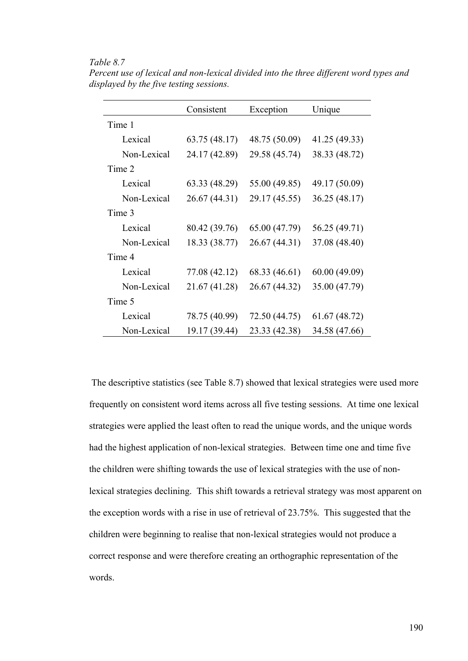## *Table 8.7*

|             | Consistent    | Exception     | Unique        |
|-------------|---------------|---------------|---------------|
| Time 1      |               |               |               |
| Lexical     | 63.75 (48.17) | 48.75 (50.09) | 41.25 (49.33) |
| Non-Lexical | 24.17 (42.89) | 29.58 (45.74) | 38.33 (48.72) |
| Time 2      |               |               |               |
| Lexical     | 63.33 (48.29) | 55.00 (49.85) | 49.17 (50.09) |
| Non-Lexical | 26.67 (44.31) | 29.17 (45.55) | 36.25 (48.17) |
| Time 3      |               |               |               |
| Lexical     | 80.42 (39.76) | 65.00 (47.79) | 56.25 (49.71) |
| Non-Lexical | 18.33 (38.77) | 26.67 (44.31) | 37.08 (48.40) |
| Time 4      |               |               |               |
| Lexical     | 77.08 (42.12) | 68.33 (46.61) | 60.00(49.09)  |
| Non-Lexical | 21.67 (41.28) | 26.67 (44.32) | 35.00 (47.79) |
| Time 5      |               |               |               |
| Lexical     | 78.75 (40.99) | 72.50 (44.75) | 61.67 (48.72) |
| Non-Lexical | 19.17 (39.44) | 23.33 (42.38) | 34.58 (47.66) |

*Percent use of lexical and non-lexical divided into the three different word types and displayed by the five testing sessions.* 

 The descriptive statistics (see Table 8.7) showed that lexical strategies were used more frequently on consistent word items across all five testing sessions. At time one lexical strategies were applied the least often to read the unique words, and the unique words had the highest application of non-lexical strategies. Between time one and time five the children were shifting towards the use of lexical strategies with the use of nonlexical strategies declining. This shift towards a retrieval strategy was most apparent on the exception words with a rise in use of retrieval of 23.75%. This suggested that the children were beginning to realise that non-lexical strategies would not produce a correct response and were therefore creating an orthographic representation of the words.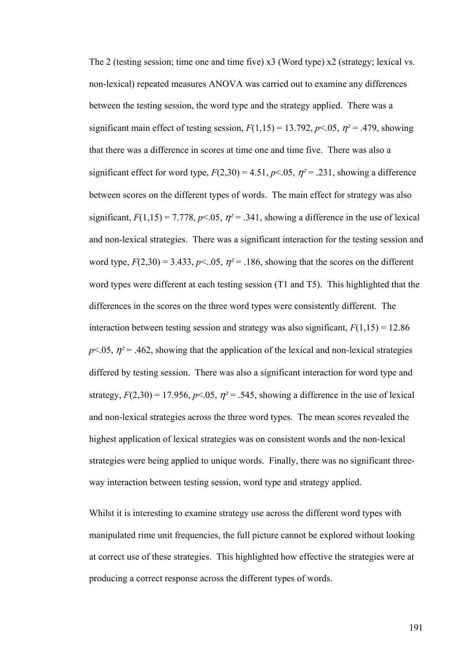The 2 (testing session; time one and time five) x3 (Word type) x2 (strategy; lexical vs. non-lexical) repeated measures ANOVA was carried out to examine any differences between the testing session, the word type and the strategy applied. There was a significant main effect of testing session,  $F(1,15) = 13.792$ ,  $p < 0.05$ ,  $\eta^2 = .479$ , showing that there was a difference in scores at time one and time five. There was also a significant effect for word type,  $F(2,30) = 4.51$ ,  $p < .05$ ,  $\eta^2 = .231$ , showing a difference between scores on the different types of words. The main effect for strategy was also significant,  $F(1,15) = 7.778$ ,  $p < 0.05$ ,  $\eta^2 = .341$ , showing a difference in the use of lexical and non-lexical strategies. There was a significant interaction for the testing session and word type,  $F(2,30) = 3.433$ ,  $p \le 0.05$ ,  $\eta^2 = 0.186$ , showing that the scores on the different word types were different at each testing session (T1 and T5). This highlighted that the differences in the scores on the three word types were consistently different. The interaction between testing session and strategy was also significant,  $F(1,15) = 12.86$  $p<.05$ ,  $\eta^2$  = .462, showing that the application of the lexical and non-lexical strategies differed by testing session. There was also a significant interaction for word type and strategy,  $F(2,30) = 17.956$ ,  $p<.05$ ,  $\eta^2 = .545$ , showing a difference in the use of lexical and non-lexical strategies across the three word types. The mean scores revealed the highest application of lexical strategies was on consistent words and the non-lexical strategies were being applied to unique words. Finally, there was no significant threeway interaction between testing session, word type and strategy applied.

Whilst it is interesting to examine strategy use across the different word types with manipulated rime unit frequencies, the full picture cannot be explored without looking at correct use of these strategies. This highlighted how effective the strategies were at producing a correct response across the different types of words.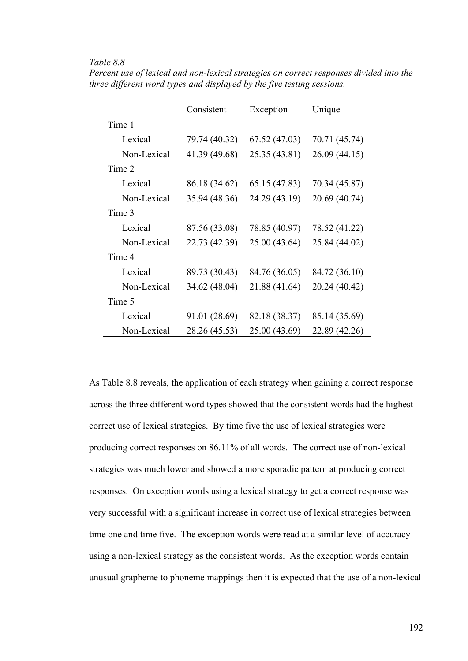## *Table 8.8*

|             | Consistent    | Exception     | Unique        |
|-------------|---------------|---------------|---------------|
| Time 1      |               |               |               |
| Lexical     | 79.74 (40.32) | 67.52 (47.03) | 70.71 (45.74) |
| Non-Lexical | 41.39 (49.68) | 25.35 (43.81) | 26.09 (44.15) |
| Time 2      |               |               |               |
| Lexical     | 86.18 (34.62) | 65.15 (47.83) | 70.34 (45.87) |
| Non-Lexical | 35.94 (48.36) | 24.29 (43.19) | 20.69 (40.74) |
| Time 3      |               |               |               |
| Lexical     | 87.56 (33.08) | 78.85 (40.97) | 78.52 (41.22) |
| Non-Lexical | 22.73 (42.39) | 25.00 (43.64) | 25.84 (44.02) |
| Time 4      |               |               |               |
| Lexical     | 89.73 (30.43) | 84.76 (36.05) | 84.72 (36.10) |
| Non-Lexical | 34.62 (48.04) | 21.88 (41.64) | 20.24 (40.42) |
| Time 5      |               |               |               |
| Lexical     | 91.01 (28.69) | 82.18 (38.37) | 85.14 (35.69) |
| Non-Lexical | 28.26 (45.53) | 25.00 (43.69) | 22.89 (42.26) |

*Percent use of lexical and non-lexical strategies on correct responses divided into the three different word types and displayed by the five testing sessions.* 

As Table 8.8 reveals, the application of each strategy when gaining a correct response across the three different word types showed that the consistent words had the highest correct use of lexical strategies. By time five the use of lexical strategies were producing correct responses on 86.11% of all words. The correct use of non-lexical strategies was much lower and showed a more sporadic pattern at producing correct responses. On exception words using a lexical strategy to get a correct response was very successful with a significant increase in correct use of lexical strategies between time one and time five. The exception words were read at a similar level of accuracy using a non-lexical strategy as the consistent words. As the exception words contain unusual grapheme to phoneme mappings then it is expected that the use of a non-lexical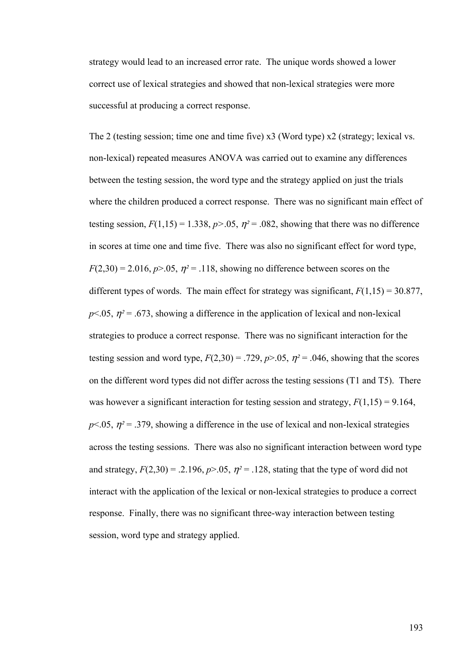strategy would lead to an increased error rate. The unique words showed a lower correct use of lexical strategies and showed that non-lexical strategies were more successful at producing a correct response.

The 2 (testing session; time one and time five) x3 (Word type) x2 (strategy; lexical vs. non-lexical) repeated measures ANOVA was carried out to examine any differences between the testing session, the word type and the strategy applied on just the trials where the children produced a correct response. There was no significant main effect of testing session,  $F(1,15) = 1.338$ ,  $p > .05$ ,  $\eta^2 = .082$ , showing that there was no difference in scores at time one and time five. There was also no significant effect for word type,  $F(2,30) = 2.016$ ,  $p > 0.05$ ,  $\eta^2 = 0.118$ , showing no difference between scores on the different types of words. The main effect for strategy was significant,  $F(1,15) = 30.877$ ,  $p<.05$ ,  $\eta^2$  = .673, showing a difference in the application of lexical and non-lexical strategies to produce a correct response. There was no significant interaction for the testing session and word type,  $F(2,30) = .729$ ,  $p > .05$ ,  $n^2 = .046$ , showing that the scores on the different word types did not differ across the testing sessions (T1 and T5). There was however a significant interaction for testing session and strategy,  $F(1,15) = 9.164$ ,  $p<.05$ ,  $\eta^2$  = .379, showing a difference in the use of lexical and non-lexical strategies across the testing sessions. There was also no significant interaction between word type and strategy,  $F(2,30) = .2.196$ ,  $p > .05$ ,  $\eta^2 = .128$ , stating that the type of word did not interact with the application of the lexical or non-lexical strategies to produce a correct response. Finally, there was no significant three-way interaction between testing session, word type and strategy applied.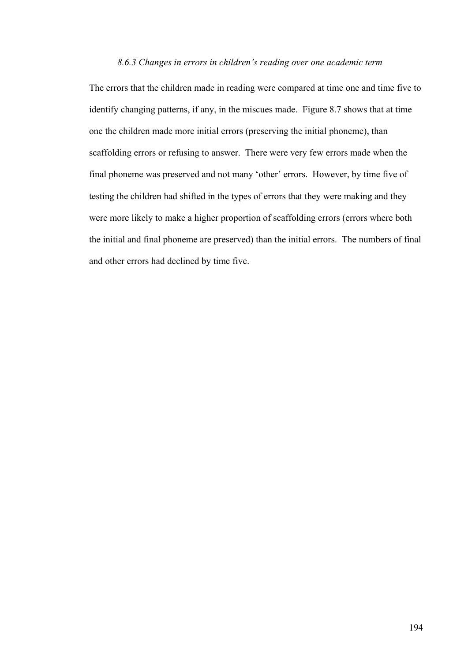## *8.6.3 Changes in errors in children's reading over one academic term*

The errors that the children made in reading were compared at time one and time five to identify changing patterns, if any, in the miscues made. Figure 8.7 shows that at time one the children made more initial errors (preserving the initial phoneme), than scaffolding errors or refusing to answer. There were very few errors made when the final phoneme was preserved and not many 'other' errors. However, by time five of testing the children had shifted in the types of errors that they were making and they were more likely to make a higher proportion of scaffolding errors (errors where both the initial and final phoneme are preserved) than the initial errors. The numbers of final and other errors had declined by time five.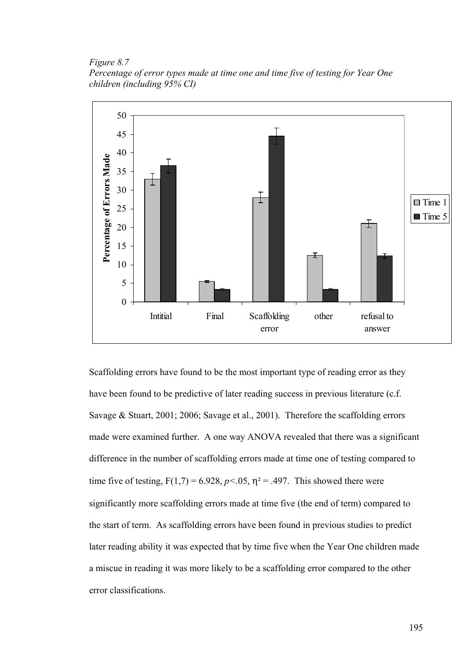*Figure 8.7 Percentage of error types made at time one and time five of testing for Year One children (including 95% CI)* 



Scaffolding errors have found to be the most important type of reading error as they have been found to be predictive of later reading success in previous literature (c.f. Savage & Stuart, 2001; 2006; Savage et al., 2001). Therefore the scaffolding errors made were examined further. A one way ANOVA revealed that there was a significant difference in the number of scaffolding errors made at time one of testing compared to time five of testing,  $F(1,7) = 6.928$ ,  $p < .05$ ,  $\eta^2 = .497$ . This showed there were significantly more scaffolding errors made at time five (the end of term) compared to the start of term. As scaffolding errors have been found in previous studies to predict later reading ability it was expected that by time five when the Year One children made a miscue in reading it was more likely to be a scaffolding error compared to the other error classifications.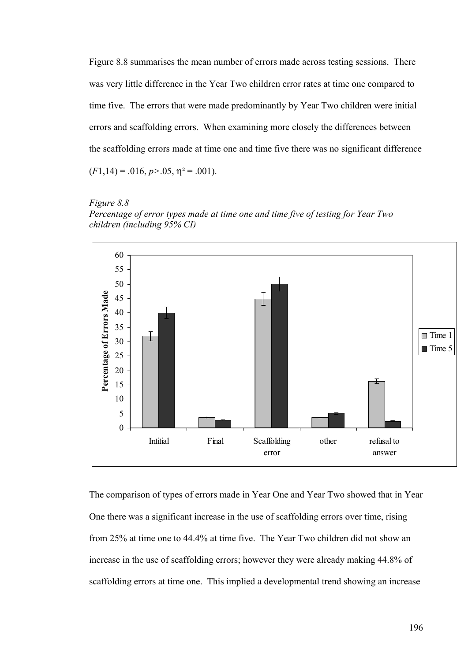Figure 8.8 summarises the mean number of errors made across testing sessions. There was very little difference in the Year Two children error rates at time one compared to time five. The errors that were made predominantly by Year Two children were initial errors and scaffolding errors. When examining more closely the differences between the scaffolding errors made at time one and time five there was no significant difference  $(F1,14) = .016, p > .05, \eta^2 = .001$ .

*Figure 8.8 Percentage of error types made at time one and time five of testing for Year Two children (including 95% CI)* 



The comparison of types of errors made in Year One and Year Two showed that in Year One there was a significant increase in the use of scaffolding errors over time, rising from 25% at time one to 44.4% at time five. The Year Two children did not show an increase in the use of scaffolding errors; however they were already making 44.8% of scaffolding errors at time one. This implied a developmental trend showing an increase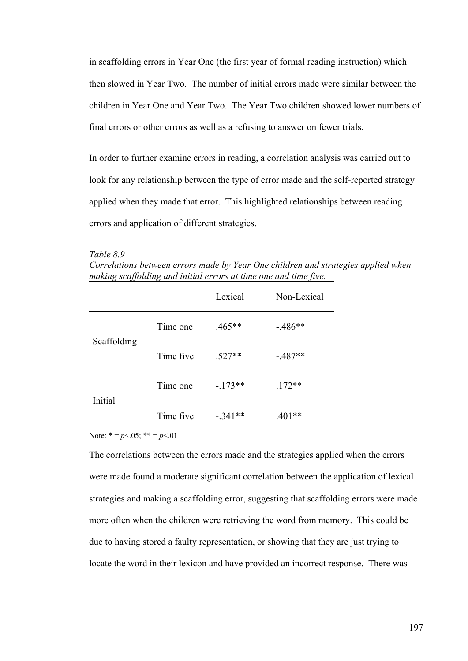in scaffolding errors in Year One (the first year of formal reading instruction) which then slowed in Year Two. The number of initial errors made were similar between the children in Year One and Year Two. The Year Two children showed lower numbers of final errors or other errors as well as a refusing to answer on fewer trials.

In order to further examine errors in reading, a correlation analysis was carried out to look for any relationship between the type of error made and the self-reported strategy applied when they made that error. This highlighted relationships between reading errors and application of different strategies.

*Table 8.9* 

*Correlations between errors made by Year One children and strategies applied when making scaffolding and initial errors at time one and time five.* 

|             |           | Lexical   | Non-Lexical |
|-------------|-----------|-----------|-------------|
|             | Time one  | $.465**$  | $-486**$    |
| Scaffolding | Time five | $.527**$  | $-487**$    |
| Initial     | Time one  | $-173**$  | $.172**$    |
|             | Time five | $-.341**$ | $.401**$    |

Note:  $* = p < .05$ ;  $** = p < .01$ 

The correlations between the errors made and the strategies applied when the errors were made found a moderate significant correlation between the application of lexical strategies and making a scaffolding error, suggesting that scaffolding errors were made more often when the children were retrieving the word from memory. This could be due to having stored a faulty representation, or showing that they are just trying to locate the word in their lexicon and have provided an incorrect response. There was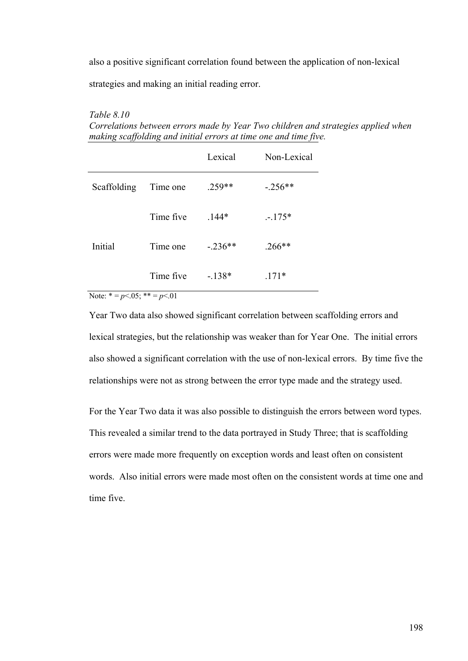also a positive significant correlation found between the application of non-lexical

strategies and making an initial reading error.

#### *Table 8.10*

*Correlations between errors made by Year Two children and strategies applied when making scaffolding and initial errors at time one and time five.* 

|             |           | Lexical   | Non-Lexical |
|-------------|-----------|-----------|-------------|
| Scaffolding | Time one  | $.259**$  | $-.256**$   |
|             | Time five | $.144*$   | $-175*$     |
| Initial     | Time one  | $-.236**$ | $.266**$    |
|             | Time five | $-138*$   | $171*$      |

Note:  $* = p < .05$ ;  $** = p < .01$ 

Year Two data also showed significant correlation between scaffolding errors and lexical strategies, but the relationship was weaker than for Year One. The initial errors also showed a significant correlation with the use of non-lexical errors. By time five the relationships were not as strong between the error type made and the strategy used.

For the Year Two data it was also possible to distinguish the errors between word types. This revealed a similar trend to the data portrayed in Study Three; that is scaffolding errors were made more frequently on exception words and least often on consistent words. Also initial errors were made most often on the consistent words at time one and time five.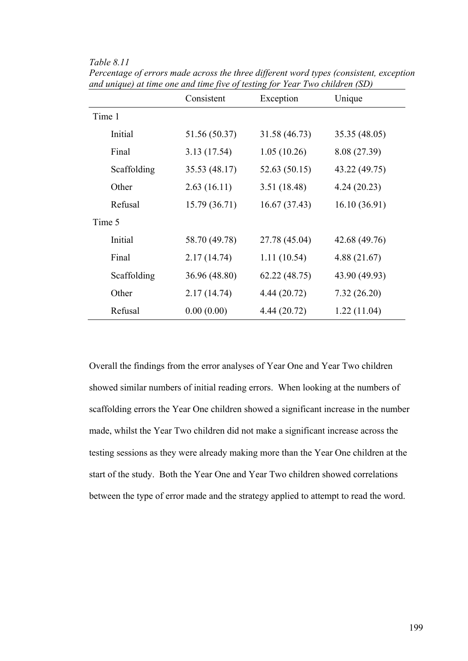*Table 8.11* 

|        |             | Consistent    | Exception     | Unique        |
|--------|-------------|---------------|---------------|---------------|
| Time 1 |             |               |               |               |
|        | Initial     | 51.56 (50.37) | 31.58 (46.73) | 35.35 (48.05) |
|        | Final       | 3.13 (17.54)  | 1.05(10.26)   | 8.08 (27.39)  |
|        | Scaffolding | 35.53 (48.17) | 52.63 (50.15) | 43.22 (49.75) |
|        | Other       | 2.63(16.11)   | 3.51 (18.48)  | 4.24(20.23)   |
|        | Refusal     | 15.79 (36.71) | 16.67(37.43)  | 16.10 (36.91) |
| Time 5 |             |               |               |               |
|        | Initial     | 58.70 (49.78) | 27.78 (45.04) | 42.68 (49.76) |
|        | Final       | 2.17(14.74)   | 1.11(10.54)   | 4.88(21.67)   |
|        | Scaffolding | 36.96 (48.80) | 62.22 (48.75) | 43.90 (49.93) |
|        | Other       | 2.17(14.74)   | 4.44 (20.72)  | 7.32(26.20)   |
|        | Refusal     | 0.00(0.00)    | 4.44 (20.72)  | 1.22(11.04)   |

*Percentage of errors made across the three different word types (consistent, exception and unique) at time one and time five of testing for Year Two children (SD)* 

Overall the findings from the error analyses of Year One and Year Two children showed similar numbers of initial reading errors. When looking at the numbers of scaffolding errors the Year One children showed a significant increase in the number made, whilst the Year Two children did not make a significant increase across the testing sessions as they were already making more than the Year One children at the start of the study. Both the Year One and Year Two children showed correlations between the type of error made and the strategy applied to attempt to read the word.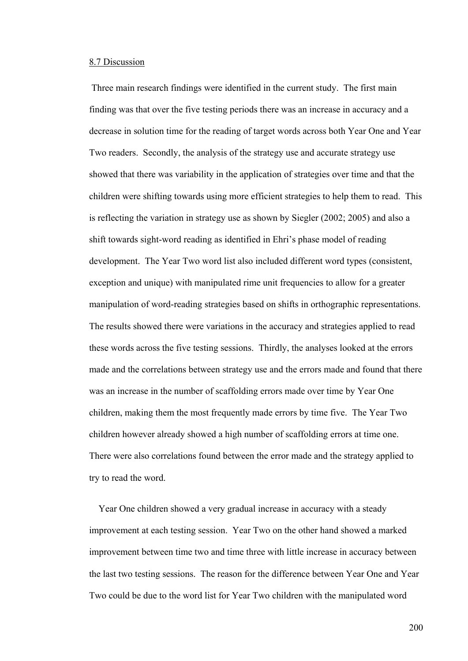## 8.7 Discussion

 Three main research findings were identified in the current study. The first main finding was that over the five testing periods there was an increase in accuracy and a decrease in solution time for the reading of target words across both Year One and Year Two readers. Secondly, the analysis of the strategy use and accurate strategy use showed that there was variability in the application of strategies over time and that the children were shifting towards using more efficient strategies to help them to read. This is reflecting the variation in strategy use as shown by Siegler (2002; 2005) and also a shift towards sight-word reading as identified in Ehri's phase model of reading development. The Year Two word list also included different word types (consistent, exception and unique) with manipulated rime unit frequencies to allow for a greater manipulation of word-reading strategies based on shifts in orthographic representations. The results showed there were variations in the accuracy and strategies applied to read these words across the five testing sessions. Thirdly, the analyses looked at the errors made and the correlations between strategy use and the errors made and found that there was an increase in the number of scaffolding errors made over time by Year One children, making them the most frequently made errors by time five. The Year Two children however already showed a high number of scaffolding errors at time one. There were also correlations found between the error made and the strategy applied to try to read the word.

 Year One children showed a very gradual increase in accuracy with a steady improvement at each testing session. Year Two on the other hand showed a marked improvement between time two and time three with little increase in accuracy between the last two testing sessions. The reason for the difference between Year One and Year Two could be due to the word list for Year Two children with the manipulated word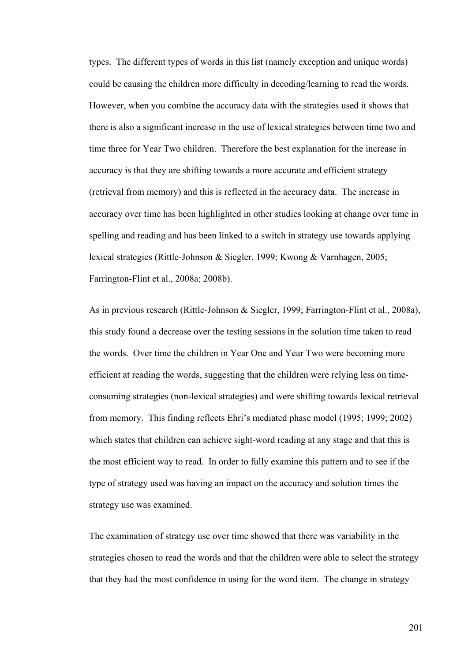types. The different types of words in this list (namely exception and unique words) could be causing the children more difficulty in decoding/learning to read the words. However, when you combine the accuracy data with the strategies used it shows that there is also a significant increase in the use of lexical strategies between time two and time three for Year Two children. Therefore the best explanation for the increase in accuracy is that they are shifting towards a more accurate and efficient strategy (retrieval from memory) and this is reflected in the accuracy data. The increase in accuracy over time has been highlighted in other studies looking at change over time in spelling and reading and has been linked to a switch in strategy use towards applying lexical strategies (Rittle-Johnson & Siegler, 1999; Kwong & Varnhagen, 2005; Farrington-Flint et al., 2008a; 2008b).

As in previous research (Rittle-Johnson & Siegler, 1999; Farrington-Flint et al., 2008a), this study found a decrease over the testing sessions in the solution time taken to read the words. Over time the children in Year One and Year Two were becoming more efficient at reading the words, suggesting that the children were relying less on timeconsuming strategies (non-lexical strategies) and were shifting towards lexical retrieval from memory. This finding reflects Ehri's mediated phase model (1995; 1999; 2002) which states that children can achieve sight-word reading at any stage and that this is the most efficient way to read. In order to fully examine this pattern and to see if the type of strategy used was having an impact on the accuracy and solution times the strategy use was examined.

The examination of strategy use over time showed that there was variability in the strategies chosen to read the words and that the children were able to select the strategy that they had the most confidence in using for the word item. The change in strategy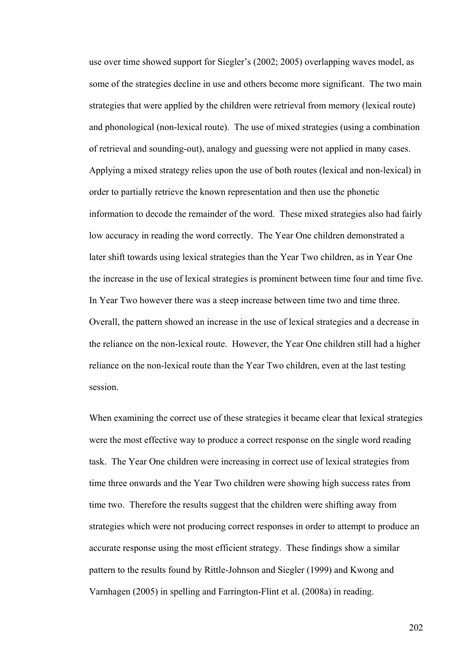use over time showed support for Siegler's (2002; 2005) overlapping waves model, as some of the strategies decline in use and others become more significant. The two main strategies that were applied by the children were retrieval from memory (lexical route) and phonological (non-lexical route). The use of mixed strategies (using a combination of retrieval and sounding-out), analogy and guessing were not applied in many cases. Applying a mixed strategy relies upon the use of both routes (lexical and non-lexical) in order to partially retrieve the known representation and then use the phonetic information to decode the remainder of the word. These mixed strategies also had fairly low accuracy in reading the word correctly. The Year One children demonstrated a later shift towards using lexical strategies than the Year Two children, as in Year One the increase in the use of lexical strategies is prominent between time four and time five. In Year Two however there was a steep increase between time two and time three. Overall, the pattern showed an increase in the use of lexical strategies and a decrease in the reliance on the non-lexical route. However, the Year One children still had a higher reliance on the non-lexical route than the Year Two children, even at the last testing session.

When examining the correct use of these strategies it became clear that lexical strategies were the most effective way to produce a correct response on the single word reading task. The Year One children were increasing in correct use of lexical strategies from time three onwards and the Year Two children were showing high success rates from time two. Therefore the results suggest that the children were shifting away from strategies which were not producing correct responses in order to attempt to produce an accurate response using the most efficient strategy. These findings show a similar pattern to the results found by Rittle-Johnson and Siegler (1999) and Kwong and Varnhagen (2005) in spelling and Farrington-Flint et al. (2008a) in reading.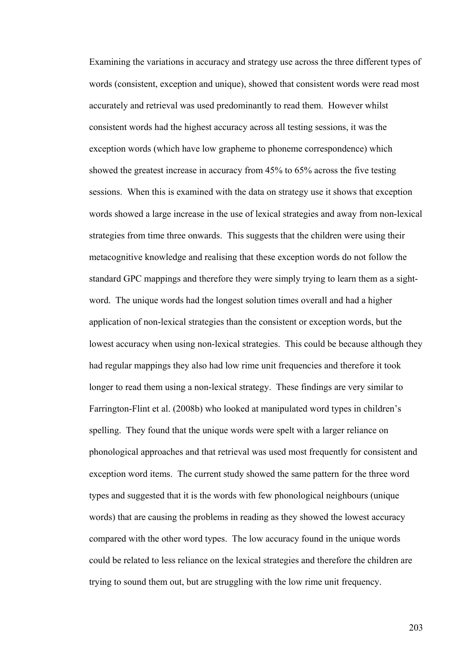Examining the variations in accuracy and strategy use across the three different types of words (consistent, exception and unique), showed that consistent words were read most accurately and retrieval was used predominantly to read them. However whilst consistent words had the highest accuracy across all testing sessions, it was the exception words (which have low grapheme to phoneme correspondence) which showed the greatest increase in accuracy from 45% to 65% across the five testing sessions. When this is examined with the data on strategy use it shows that exception words showed a large increase in the use of lexical strategies and away from non-lexical strategies from time three onwards. This suggests that the children were using their metacognitive knowledge and realising that these exception words do not follow the standard GPC mappings and therefore they were simply trying to learn them as a sightword. The unique words had the longest solution times overall and had a higher application of non-lexical strategies than the consistent or exception words, but the lowest accuracy when using non-lexical strategies. This could be because although they had regular mappings they also had low rime unit frequencies and therefore it took longer to read them using a non-lexical strategy. These findings are very similar to Farrington-Flint et al. (2008b) who looked at manipulated word types in children's spelling. They found that the unique words were spelt with a larger reliance on phonological approaches and that retrieval was used most frequently for consistent and exception word items. The current study showed the same pattern for the three word types and suggested that it is the words with few phonological neighbours (unique words) that are causing the problems in reading as they showed the lowest accuracy compared with the other word types. The low accuracy found in the unique words could be related to less reliance on the lexical strategies and therefore the children are trying to sound them out, but are struggling with the low rime unit frequency.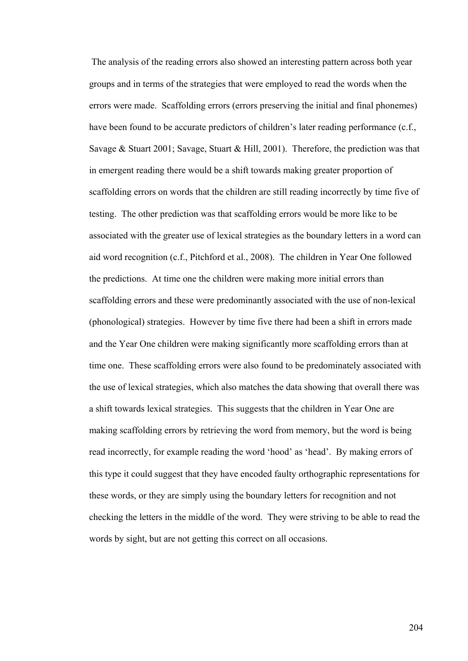The analysis of the reading errors also showed an interesting pattern across both year groups and in terms of the strategies that were employed to read the words when the errors were made. Scaffolding errors (errors preserving the initial and final phonemes) have been found to be accurate predictors of children's later reading performance (c.f., Savage & Stuart 2001; Savage, Stuart & Hill, 2001). Therefore, the prediction was that in emergent reading there would be a shift towards making greater proportion of scaffolding errors on words that the children are still reading incorrectly by time five of testing. The other prediction was that scaffolding errors would be more like to be associated with the greater use of lexical strategies as the boundary letters in a word can aid word recognition (c.f., Pitchford et al., 2008). The children in Year One followed the predictions. At time one the children were making more initial errors than scaffolding errors and these were predominantly associated with the use of non-lexical (phonological) strategies. However by time five there had been a shift in errors made and the Year One children were making significantly more scaffolding errors than at time one. These scaffolding errors were also found to be predominately associated with the use of lexical strategies, which also matches the data showing that overall there was a shift towards lexical strategies. This suggests that the children in Year One are making scaffolding errors by retrieving the word from memory, but the word is being read incorrectly, for example reading the word 'hood' as 'head'. By making errors of this type it could suggest that they have encoded faulty orthographic representations for these words, or they are simply using the boundary letters for recognition and not checking the letters in the middle of the word. They were striving to be able to read the words by sight, but are not getting this correct on all occasions.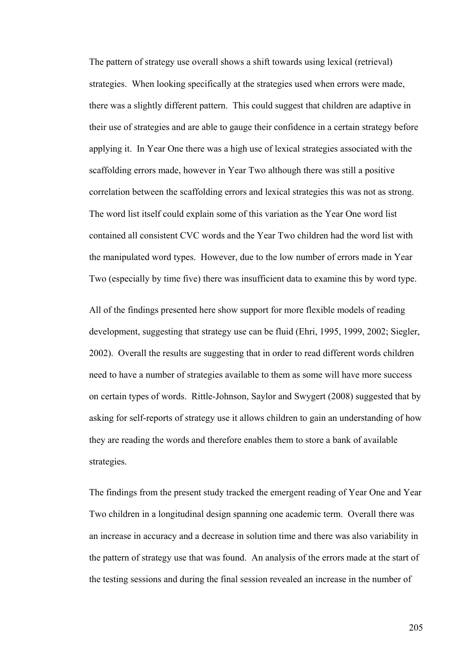The pattern of strategy use overall shows a shift towards using lexical (retrieval) strategies. When looking specifically at the strategies used when errors were made, there was a slightly different pattern. This could suggest that children are adaptive in their use of strategies and are able to gauge their confidence in a certain strategy before applying it. In Year One there was a high use of lexical strategies associated with the scaffolding errors made, however in Year Two although there was still a positive correlation between the scaffolding errors and lexical strategies this was not as strong. The word list itself could explain some of this variation as the Year One word list contained all consistent CVC words and the Year Two children had the word list with the manipulated word types. However, due to the low number of errors made in Year Two (especially by time five) there was insufficient data to examine this by word type.

All of the findings presented here show support for more flexible models of reading development, suggesting that strategy use can be fluid (Ehri, 1995, 1999, 2002; Siegler, 2002). Overall the results are suggesting that in order to read different words children need to have a number of strategies available to them as some will have more success on certain types of words. Rittle-Johnson, Saylor and Swygert (2008) suggested that by asking for self-reports of strategy use it allows children to gain an understanding of how they are reading the words and therefore enables them to store a bank of available strategies.

The findings from the present study tracked the emergent reading of Year One and Year Two children in a longitudinal design spanning one academic term. Overall there was an increase in accuracy and a decrease in solution time and there was also variability in the pattern of strategy use that was found. An analysis of the errors made at the start of the testing sessions and during the final session revealed an increase in the number of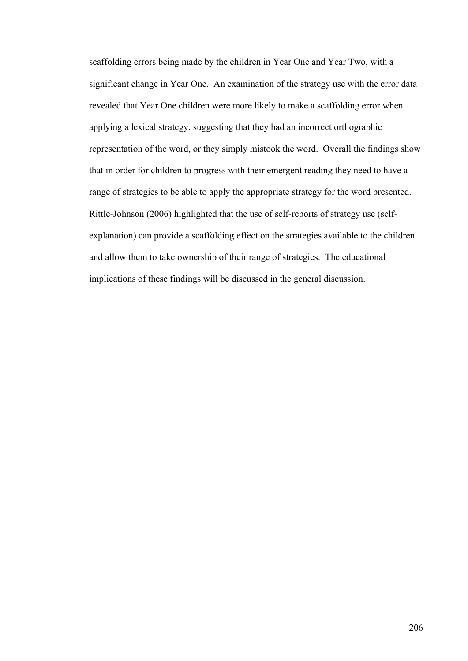scaffolding errors being made by the children in Year One and Year Two, with a significant change in Year One. An examination of the strategy use with the error data revealed that Year One children were more likely to make a scaffolding error when applying a lexical strategy, suggesting that they had an incorrect orthographic representation of the word, or they simply mistook the word. Overall the findings show that in order for children to progress with their emergent reading they need to have a range of strategies to be able to apply the appropriate strategy for the word presented. Rittle-Johnson (2006) highlighted that the use of self-reports of strategy use (selfexplanation) can provide a scaffolding effect on the strategies available to the children and allow them to take ownership of their range of strategies. The educational implications of these findings will be discussed in the general discussion.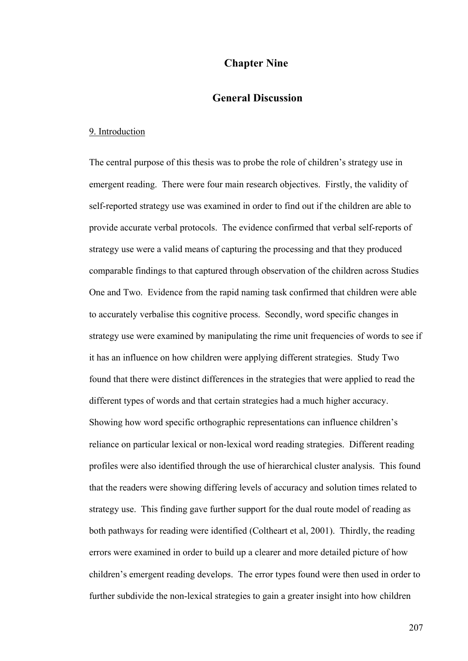# **Chapter Nine**

# **General Discussion**

#### 9. Introduction

The central purpose of this thesis was to probe the role of children's strategy use in emergent reading. There were four main research objectives. Firstly, the validity of self-reported strategy use was examined in order to find out if the children are able to provide accurate verbal protocols. The evidence confirmed that verbal self-reports of strategy use were a valid means of capturing the processing and that they produced comparable findings to that captured through observation of the children across Studies One and Two. Evidence from the rapid naming task confirmed that children were able to accurately verbalise this cognitive process. Secondly, word specific changes in strategy use were examined by manipulating the rime unit frequencies of words to see if it has an influence on how children were applying different strategies. Study Two found that there were distinct differences in the strategies that were applied to read the different types of words and that certain strategies had a much higher accuracy. Showing how word specific orthographic representations can influence children's reliance on particular lexical or non-lexical word reading strategies. Different reading profiles were also identified through the use of hierarchical cluster analysis. This found that the readers were showing differing levels of accuracy and solution times related to strategy use. This finding gave further support for the dual route model of reading as both pathways for reading were identified (Coltheart et al, 2001). Thirdly, the reading errors were examined in order to build up a clearer and more detailed picture of how children's emergent reading develops. The error types found were then used in order to further subdivide the non-lexical strategies to gain a greater insight into how children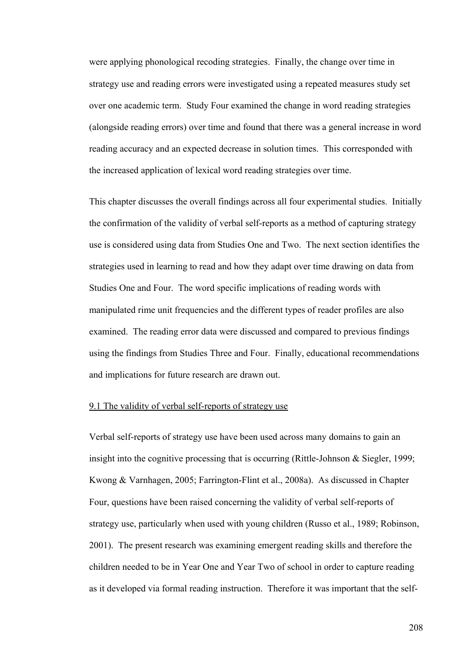were applying phonological recoding strategies. Finally, the change over time in strategy use and reading errors were investigated using a repeated measures study set over one academic term. Study Four examined the change in word reading strategies (alongside reading errors) over time and found that there was a general increase in word reading accuracy and an expected decrease in solution times. This corresponded with the increased application of lexical word reading strategies over time.

This chapter discusses the overall findings across all four experimental studies. Initially the confirmation of the validity of verbal self-reports as a method of capturing strategy use is considered using data from Studies One and Two. The next section identifies the strategies used in learning to read and how they adapt over time drawing on data from Studies One and Four. The word specific implications of reading words with manipulated rime unit frequencies and the different types of reader profiles are also examined. The reading error data were discussed and compared to previous findings using the findings from Studies Three and Four. Finally, educational recommendations and implications for future research are drawn out.

### 9.1 The validity of verbal self-reports of strategy use

Verbal self-reports of strategy use have been used across many domains to gain an insight into the cognitive processing that is occurring (Rittle-Johnson & Siegler, 1999; Kwong & Varnhagen, 2005; Farrington-Flint et al., 2008a). As discussed in Chapter Four, questions have been raised concerning the validity of verbal self-reports of strategy use, particularly when used with young children (Russo et al., 1989; Robinson, 2001). The present research was examining emergent reading skills and therefore the children needed to be in Year One and Year Two of school in order to capture reading as it developed via formal reading instruction. Therefore it was important that the self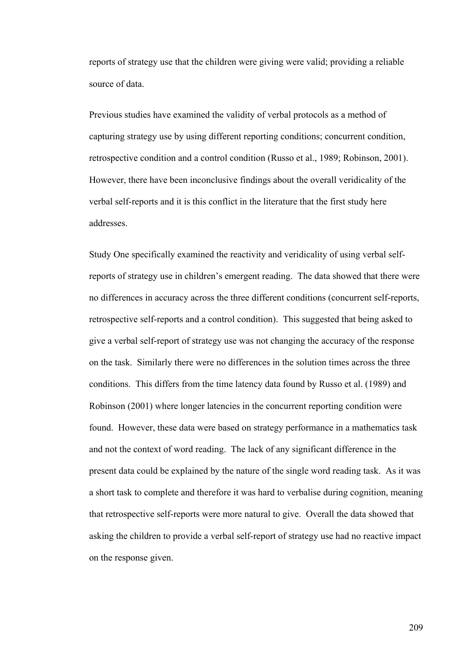reports of strategy use that the children were giving were valid; providing a reliable source of data.

Previous studies have examined the validity of verbal protocols as a method of capturing strategy use by using different reporting conditions; concurrent condition, retrospective condition and a control condition (Russo et al., 1989; Robinson, 2001). However, there have been inconclusive findings about the overall veridicality of the verbal self-reports and it is this conflict in the literature that the first study here addresses.

Study One specifically examined the reactivity and veridicality of using verbal selfreports of strategy use in children's emergent reading. The data showed that there were no differences in accuracy across the three different conditions (concurrent self-reports, retrospective self-reports and a control condition). This suggested that being asked to give a verbal self-report of strategy use was not changing the accuracy of the response on the task. Similarly there were no differences in the solution times across the three conditions. This differs from the time latency data found by Russo et al. (1989) and Robinson (2001) where longer latencies in the concurrent reporting condition were found. However, these data were based on strategy performance in a mathematics task and not the context of word reading. The lack of any significant difference in the present data could be explained by the nature of the single word reading task. As it was a short task to complete and therefore it was hard to verbalise during cognition, meaning that retrospective self-reports were more natural to give. Overall the data showed that asking the children to provide a verbal self-report of strategy use had no reactive impact on the response given.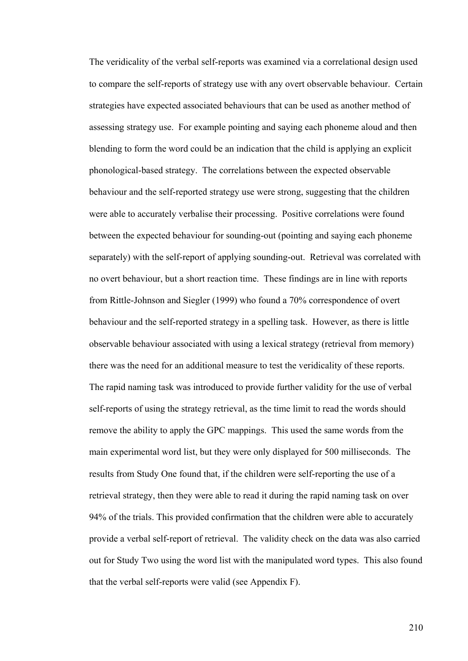The veridicality of the verbal self-reports was examined via a correlational design used to compare the self-reports of strategy use with any overt observable behaviour. Certain strategies have expected associated behaviours that can be used as another method of assessing strategy use. For example pointing and saying each phoneme aloud and then blending to form the word could be an indication that the child is applying an explicit phonological-based strategy. The correlations between the expected observable behaviour and the self-reported strategy use were strong, suggesting that the children were able to accurately verbalise their processing. Positive correlations were found between the expected behaviour for sounding-out (pointing and saying each phoneme separately) with the self-report of applying sounding-out. Retrieval was correlated with no overt behaviour, but a short reaction time. These findings are in line with reports from Rittle-Johnson and Siegler (1999) who found a 70% correspondence of overt behaviour and the self-reported strategy in a spelling task. However, as there is little observable behaviour associated with using a lexical strategy (retrieval from memory) there was the need for an additional measure to test the veridicality of these reports. The rapid naming task was introduced to provide further validity for the use of verbal self-reports of using the strategy retrieval, as the time limit to read the words should remove the ability to apply the GPC mappings. This used the same words from the main experimental word list, but they were only displayed for 500 milliseconds. The results from Study One found that, if the children were self-reporting the use of a retrieval strategy, then they were able to read it during the rapid naming task on over 94% of the trials. This provided confirmation that the children were able to accurately provide a verbal self-report of retrieval. The validity check on the data was also carried out for Study Two using the word list with the manipulated word types. This also found that the verbal self-reports were valid (see Appendix F).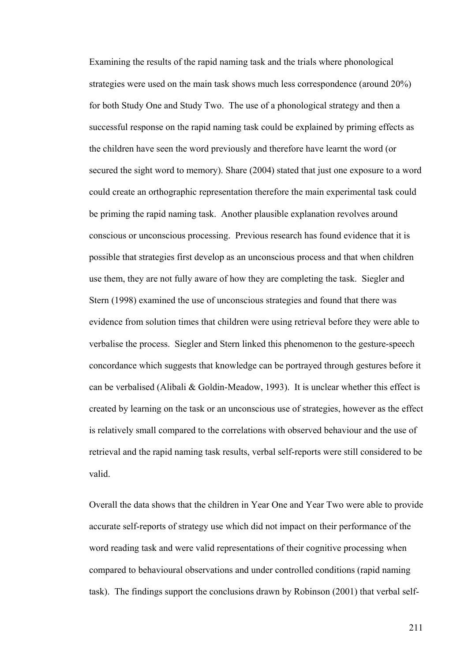Examining the results of the rapid naming task and the trials where phonological strategies were used on the main task shows much less correspondence (around 20%) for both Study One and Study Two. The use of a phonological strategy and then a successful response on the rapid naming task could be explained by priming effects as the children have seen the word previously and therefore have learnt the word (or secured the sight word to memory). Share (2004) stated that just one exposure to a word could create an orthographic representation therefore the main experimental task could be priming the rapid naming task. Another plausible explanation revolves around conscious or unconscious processing. Previous research has found evidence that it is possible that strategies first develop as an unconscious process and that when children use them, they are not fully aware of how they are completing the task. Siegler and Stern (1998) examined the use of unconscious strategies and found that there was evidence from solution times that children were using retrieval before they were able to verbalise the process. Siegler and Stern linked this phenomenon to the gesture-speech concordance which suggests that knowledge can be portrayed through gestures before it can be verbalised (Alibali & Goldin-Meadow, 1993). It is unclear whether this effect is created by learning on the task or an unconscious use of strategies, however as the effect is relatively small compared to the correlations with observed behaviour and the use of retrieval and the rapid naming task results, verbal self-reports were still considered to be valid.

Overall the data shows that the children in Year One and Year Two were able to provide accurate self-reports of strategy use which did not impact on their performance of the word reading task and were valid representations of their cognitive processing when compared to behavioural observations and under controlled conditions (rapid naming task). The findings support the conclusions drawn by Robinson (2001) that verbal self-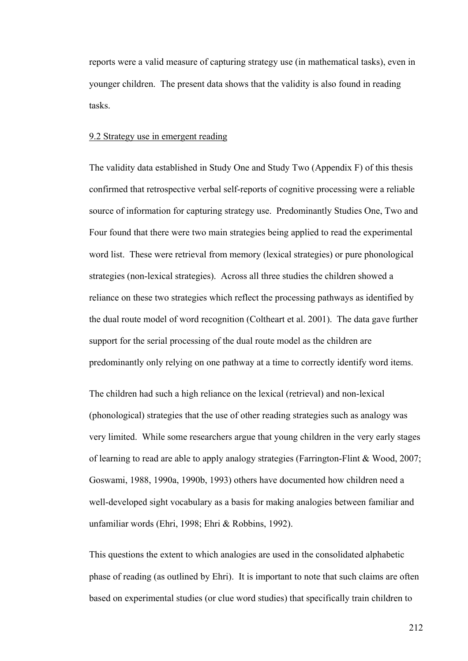reports were a valid measure of capturing strategy use (in mathematical tasks), even in younger children. The present data shows that the validity is also found in reading tasks.

## 9.2 Strategy use in emergent reading

The validity data established in Study One and Study Two (Appendix F) of this thesis confirmed that retrospective verbal self-reports of cognitive processing were a reliable source of information for capturing strategy use. Predominantly Studies One, Two and Four found that there were two main strategies being applied to read the experimental word list. These were retrieval from memory (lexical strategies) or pure phonological strategies (non-lexical strategies). Across all three studies the children showed a reliance on these two strategies which reflect the processing pathways as identified by the dual route model of word recognition (Coltheart et al. 2001). The data gave further support for the serial processing of the dual route model as the children are predominantly only relying on one pathway at a time to correctly identify word items.

The children had such a high reliance on the lexical (retrieval) and non-lexical (phonological) strategies that the use of other reading strategies such as analogy was very limited. While some researchers argue that young children in the very early stages of learning to read are able to apply analogy strategies (Farrington-Flint & Wood, 2007; Goswami, 1988, 1990a, 1990b, 1993) others have documented how children need a well-developed sight vocabulary as a basis for making analogies between familiar and unfamiliar words (Ehri, 1998; Ehri & Robbins, 1992).

This questions the extent to which analogies are used in the consolidated alphabetic phase of reading (as outlined by Ehri). It is important to note that such claims are often based on experimental studies (or clue word studies) that specifically train children to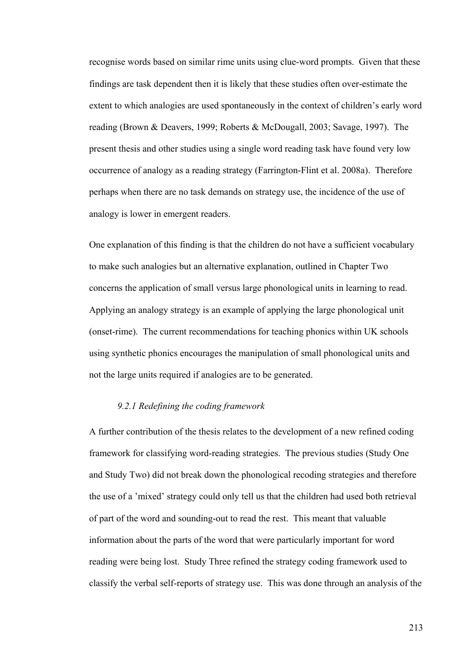recognise words based on similar rime units using clue-word prompts. Given that these findings are task dependent then it is likely that these studies often over-estimate the extent to which analogies are used spontaneously in the context of children's early word reading (Brown & Deavers, 1999; Roberts & McDougall, 2003; Savage, 1997). The present thesis and other studies using a single word reading task have found very low occurrence of analogy as a reading strategy (Farrington-Flint et al. 2008a). Therefore perhaps when there are no task demands on strategy use, the incidence of the use of analogy is lower in emergent readers.

One explanation of this finding is that the children do not have a sufficient vocabulary to make such analogies but an alternative explanation, outlined in Chapter Two concerns the application of small versus large phonological units in learning to read. Applying an analogy strategy is an example of applying the large phonological unit (onset-rime). The current recommendations for teaching phonics within UK schools using synthetic phonics encourages the manipulation of small phonological units and not the large units required if analogies are to be generated.

# *9.2.1 Redefining the coding framework*

A further contribution of the thesis relates to the development of a new refined coding framework for classifying word-reading strategies. The previous studies (Study One and Study Two) did not break down the phonological recoding strategies and therefore the use of a 'mixed' strategy could only tell us that the children had used both retrieval of part of the word and sounding-out to read the rest. This meant that valuable information about the parts of the word that were particularly important for word reading were being lost. Study Three refined the strategy coding framework used to classify the verbal self-reports of strategy use. This was done through an analysis of the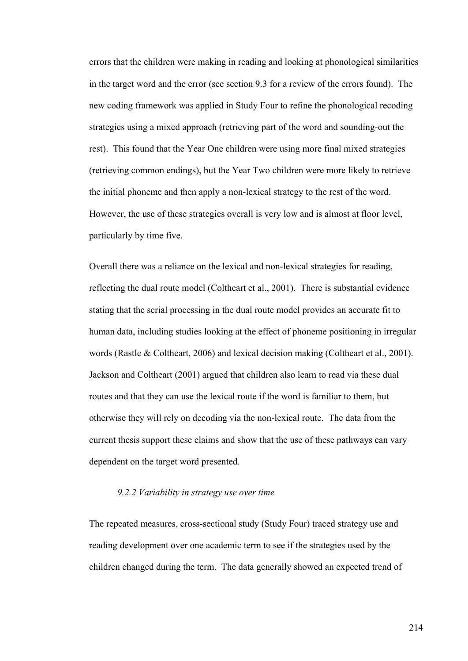errors that the children were making in reading and looking at phonological similarities in the target word and the error (see section 9.3 for a review of the errors found). The new coding framework was applied in Study Four to refine the phonological recoding strategies using a mixed approach (retrieving part of the word and sounding-out the rest). This found that the Year One children were using more final mixed strategies (retrieving common endings), but the Year Two children were more likely to retrieve the initial phoneme and then apply a non-lexical strategy to the rest of the word. However, the use of these strategies overall is very low and is almost at floor level, particularly by time five.

Overall there was a reliance on the lexical and non-lexical strategies for reading, reflecting the dual route model (Coltheart et al., 2001). There is substantial evidence stating that the serial processing in the dual route model provides an accurate fit to human data, including studies looking at the effect of phoneme positioning in irregular words (Rastle & Coltheart, 2006) and lexical decision making (Coltheart et al., 2001). Jackson and Coltheart (2001) argued that children also learn to read via these dual routes and that they can use the lexical route if the word is familiar to them, but otherwise they will rely on decoding via the non-lexical route. The data from the current thesis support these claims and show that the use of these pathways can vary dependent on the target word presented.

# *9.2.2 Variability in strategy use over time*

The repeated measures, cross-sectional study (Study Four) traced strategy use and reading development over one academic term to see if the strategies used by the children changed during the term. The data generally showed an expected trend of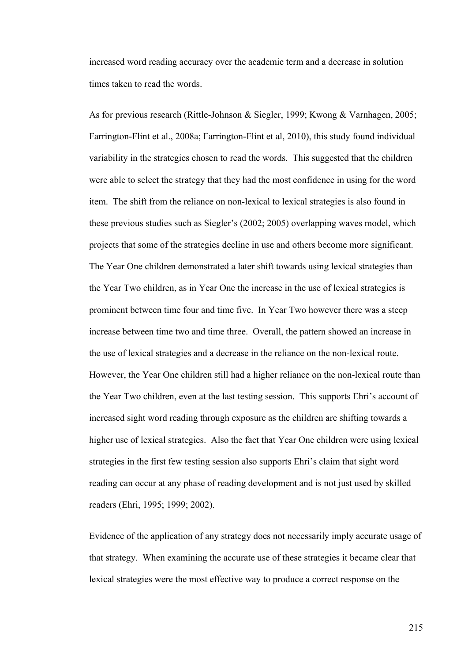increased word reading accuracy over the academic term and a decrease in solution times taken to read the words.

As for previous research (Rittle-Johnson & Siegler, 1999; Kwong & Varnhagen, 2005; Farrington-Flint et al., 2008a; Farrington-Flint et al, 2010), this study found individual variability in the strategies chosen to read the words. This suggested that the children were able to select the strategy that they had the most confidence in using for the word item. The shift from the reliance on non-lexical to lexical strategies is also found in these previous studies such as Siegler's (2002; 2005) overlapping waves model, which projects that some of the strategies decline in use and others become more significant. The Year One children demonstrated a later shift towards using lexical strategies than the Year Two children, as in Year One the increase in the use of lexical strategies is prominent between time four and time five. In Year Two however there was a steep increase between time two and time three. Overall, the pattern showed an increase in the use of lexical strategies and a decrease in the reliance on the non-lexical route. However, the Year One children still had a higher reliance on the non-lexical route than the Year Two children, even at the last testing session. This supports Ehri's account of increased sight word reading through exposure as the children are shifting towards a higher use of lexical strategies. Also the fact that Year One children were using lexical strategies in the first few testing session also supports Ehri's claim that sight word reading can occur at any phase of reading development and is not just used by skilled readers (Ehri, 1995; 1999; 2002).

Evidence of the application of any strategy does not necessarily imply accurate usage of that strategy. When examining the accurate use of these strategies it became clear that lexical strategies were the most effective way to produce a correct response on the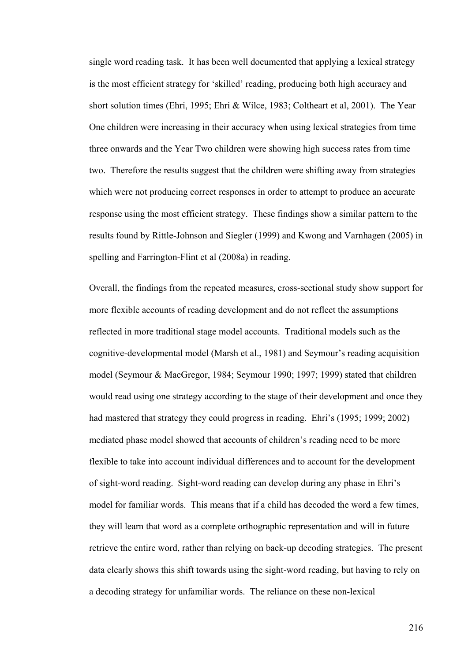single word reading task. It has been well documented that applying a lexical strategy is the most efficient strategy for 'skilled' reading, producing both high accuracy and short solution times (Ehri, 1995; Ehri & Wilce, 1983; Coltheart et al, 2001). The Year One children were increasing in their accuracy when using lexical strategies from time three onwards and the Year Two children were showing high success rates from time two. Therefore the results suggest that the children were shifting away from strategies which were not producing correct responses in order to attempt to produce an accurate response using the most efficient strategy. These findings show a similar pattern to the results found by Rittle-Johnson and Siegler (1999) and Kwong and Varnhagen (2005) in spelling and Farrington-Flint et al (2008a) in reading.

Overall, the findings from the repeated measures, cross-sectional study show support for more flexible accounts of reading development and do not reflect the assumptions reflected in more traditional stage model accounts. Traditional models such as the cognitive-developmental model (Marsh et al., 1981) and Seymour's reading acquisition model (Seymour & MacGregor, 1984; Seymour 1990; 1997; 1999) stated that children would read using one strategy according to the stage of their development and once they had mastered that strategy they could progress in reading. Ehri's (1995; 1999; 2002) mediated phase model showed that accounts of children's reading need to be more flexible to take into account individual differences and to account for the development of sight-word reading. Sight-word reading can develop during any phase in Ehri's model for familiar words. This means that if a child has decoded the word a few times, they will learn that word as a complete orthographic representation and will in future retrieve the entire word, rather than relying on back-up decoding strategies. The present data clearly shows this shift towards using the sight-word reading, but having to rely on a decoding strategy for unfamiliar words. The reliance on these non-lexical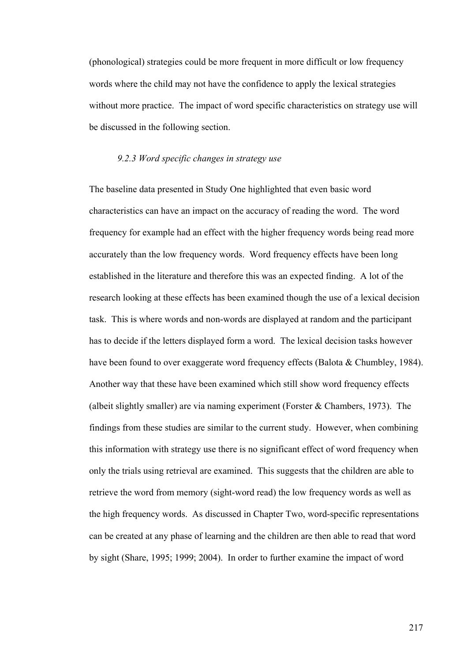(phonological) strategies could be more frequent in more difficult or low frequency words where the child may not have the confidence to apply the lexical strategies without more practice. The impact of word specific characteristics on strategy use will be discussed in the following section.

### *9.2.3 Word specific changes in strategy use*

The baseline data presented in Study One highlighted that even basic word characteristics can have an impact on the accuracy of reading the word. The word frequency for example had an effect with the higher frequency words being read more accurately than the low frequency words. Word frequency effects have been long established in the literature and therefore this was an expected finding. A lot of the research looking at these effects has been examined though the use of a lexical decision task. This is where words and non-words are displayed at random and the participant has to decide if the letters displayed form a word. The lexical decision tasks however have been found to over exaggerate word frequency effects (Balota & Chumbley, 1984). Another way that these have been examined which still show word frequency effects (albeit slightly smaller) are via naming experiment (Forster  $&$  Chambers, 1973). The findings from these studies are similar to the current study. However, when combining this information with strategy use there is no significant effect of word frequency when only the trials using retrieval are examined. This suggests that the children are able to retrieve the word from memory (sight-word read) the low frequency words as well as the high frequency words. As discussed in Chapter Two, word-specific representations can be created at any phase of learning and the children are then able to read that word by sight (Share, 1995; 1999; 2004). In order to further examine the impact of word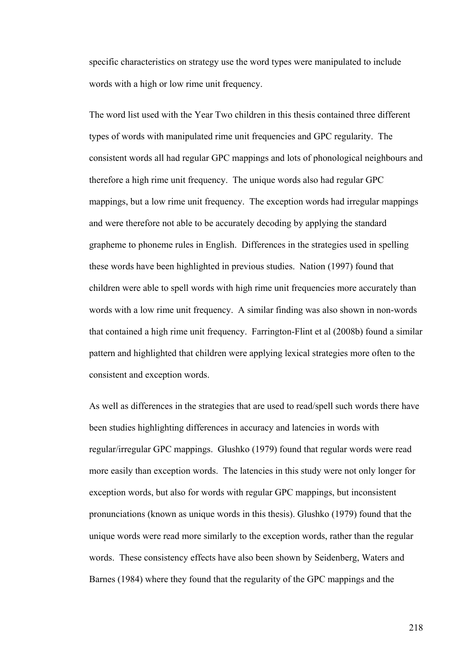specific characteristics on strategy use the word types were manipulated to include words with a high or low rime unit frequency.

The word list used with the Year Two children in this thesis contained three different types of words with manipulated rime unit frequencies and GPC regularity. The consistent words all had regular GPC mappings and lots of phonological neighbours and therefore a high rime unit frequency. The unique words also had regular GPC mappings, but a low rime unit frequency. The exception words had irregular mappings and were therefore not able to be accurately decoding by applying the standard grapheme to phoneme rules in English. Differences in the strategies used in spelling these words have been highlighted in previous studies. Nation (1997) found that children were able to spell words with high rime unit frequencies more accurately than words with a low rime unit frequency. A similar finding was also shown in non-words that contained a high rime unit frequency. Farrington-Flint et al (2008b) found a similar pattern and highlighted that children were applying lexical strategies more often to the consistent and exception words.

As well as differences in the strategies that are used to read/spell such words there have been studies highlighting differences in accuracy and latencies in words with regular/irregular GPC mappings. Glushko (1979) found that regular words were read more easily than exception words. The latencies in this study were not only longer for exception words, but also for words with regular GPC mappings, but inconsistent pronunciations (known as unique words in this thesis). Glushko (1979) found that the unique words were read more similarly to the exception words, rather than the regular words. These consistency effects have also been shown by Seidenberg, Waters and Barnes (1984) where they found that the regularity of the GPC mappings and the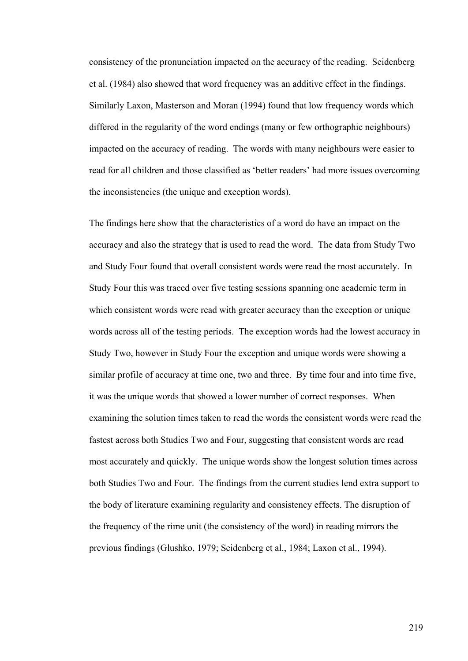consistency of the pronunciation impacted on the accuracy of the reading. Seidenberg et al. (1984) also showed that word frequency was an additive effect in the findings. Similarly Laxon, Masterson and Moran (1994) found that low frequency words which differed in the regularity of the word endings (many or few orthographic neighbours) impacted on the accuracy of reading. The words with many neighbours were easier to read for all children and those classified as 'better readers' had more issues overcoming the inconsistencies (the unique and exception words).

The findings here show that the characteristics of a word do have an impact on the accuracy and also the strategy that is used to read the word. The data from Study Two and Study Four found that overall consistent words were read the most accurately. In Study Four this was traced over five testing sessions spanning one academic term in which consistent words were read with greater accuracy than the exception or unique words across all of the testing periods. The exception words had the lowest accuracy in Study Two, however in Study Four the exception and unique words were showing a similar profile of accuracy at time one, two and three. By time four and into time five, it was the unique words that showed a lower number of correct responses. When examining the solution times taken to read the words the consistent words were read the fastest across both Studies Two and Four, suggesting that consistent words are read most accurately and quickly. The unique words show the longest solution times across both Studies Two and Four. The findings from the current studies lend extra support to the body of literature examining regularity and consistency effects. The disruption of the frequency of the rime unit (the consistency of the word) in reading mirrors the previous findings (Glushko, 1979; Seidenberg et al., 1984; Laxon et al., 1994).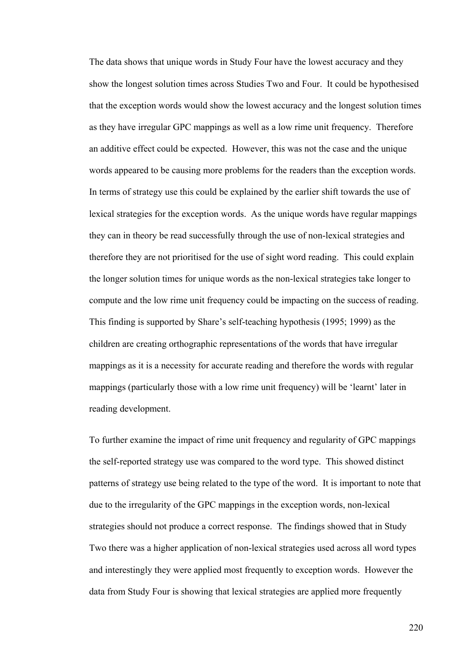The data shows that unique words in Study Four have the lowest accuracy and they show the longest solution times across Studies Two and Four. It could be hypothesised that the exception words would show the lowest accuracy and the longest solution times as they have irregular GPC mappings as well as a low rime unit frequency. Therefore an additive effect could be expected. However, this was not the case and the unique words appeared to be causing more problems for the readers than the exception words. In terms of strategy use this could be explained by the earlier shift towards the use of lexical strategies for the exception words. As the unique words have regular mappings they can in theory be read successfully through the use of non-lexical strategies and therefore they are not prioritised for the use of sight word reading. This could explain the longer solution times for unique words as the non-lexical strategies take longer to compute and the low rime unit frequency could be impacting on the success of reading. This finding is supported by Share's self-teaching hypothesis (1995; 1999) as the children are creating orthographic representations of the words that have irregular mappings as it is a necessity for accurate reading and therefore the words with regular mappings (particularly those with a low rime unit frequency) will be 'learnt' later in reading development.

To further examine the impact of rime unit frequency and regularity of GPC mappings the self-reported strategy use was compared to the word type. This showed distinct patterns of strategy use being related to the type of the word. It is important to note that due to the irregularity of the GPC mappings in the exception words, non-lexical strategies should not produce a correct response. The findings showed that in Study Two there was a higher application of non-lexical strategies used across all word types and interestingly they were applied most frequently to exception words. However the data from Study Four is showing that lexical strategies are applied more frequently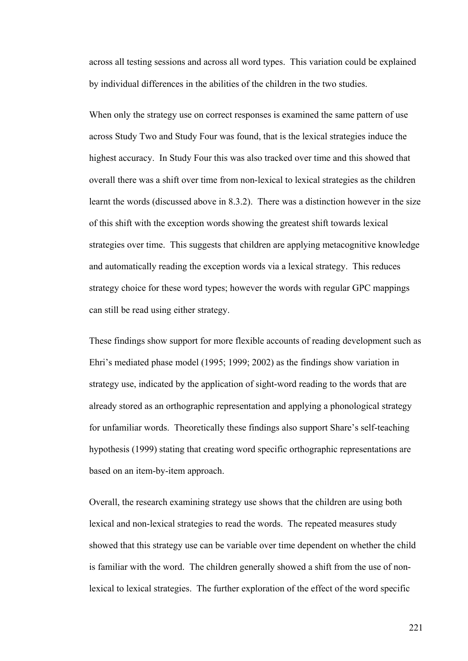across all testing sessions and across all word types. This variation could be explained by individual differences in the abilities of the children in the two studies.

When only the strategy use on correct responses is examined the same pattern of use across Study Two and Study Four was found, that is the lexical strategies induce the highest accuracy. In Study Four this was also tracked over time and this showed that overall there was a shift over time from non-lexical to lexical strategies as the children learnt the words (discussed above in 8.3.2). There was a distinction however in the size of this shift with the exception words showing the greatest shift towards lexical strategies over time. This suggests that children are applying metacognitive knowledge and automatically reading the exception words via a lexical strategy. This reduces strategy choice for these word types; however the words with regular GPC mappings can still be read using either strategy.

These findings show support for more flexible accounts of reading development such as Ehri's mediated phase model (1995; 1999; 2002) as the findings show variation in strategy use, indicated by the application of sight-word reading to the words that are already stored as an orthographic representation and applying a phonological strategy for unfamiliar words. Theoretically these findings also support Share's self-teaching hypothesis (1999) stating that creating word specific orthographic representations are based on an item-by-item approach.

Overall, the research examining strategy use shows that the children are using both lexical and non-lexical strategies to read the words. The repeated measures study showed that this strategy use can be variable over time dependent on whether the child is familiar with the word. The children generally showed a shift from the use of nonlexical to lexical strategies. The further exploration of the effect of the word specific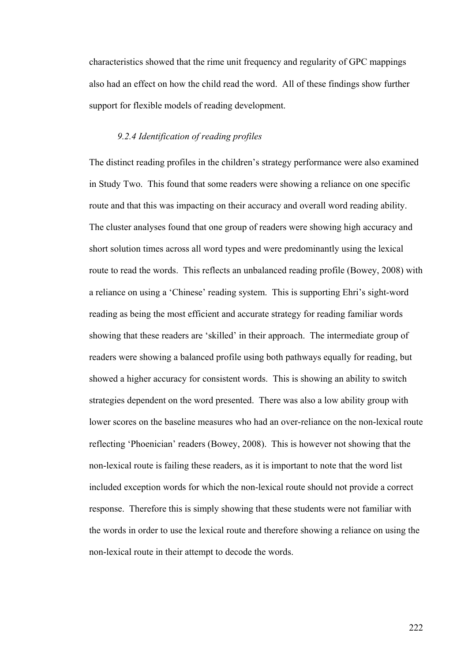characteristics showed that the rime unit frequency and regularity of GPC mappings also had an effect on how the child read the word. All of these findings show further support for flexible models of reading development.

## *9.2.4 Identification of reading profiles*

The distinct reading profiles in the children's strategy performance were also examined in Study Two. This found that some readers were showing a reliance on one specific route and that this was impacting on their accuracy and overall word reading ability. The cluster analyses found that one group of readers were showing high accuracy and short solution times across all word types and were predominantly using the lexical route to read the words. This reflects an unbalanced reading profile (Bowey, 2008) with a reliance on using a 'Chinese' reading system. This is supporting Ehri's sight-word reading as being the most efficient and accurate strategy for reading familiar words showing that these readers are 'skilled' in their approach. The intermediate group of readers were showing a balanced profile using both pathways equally for reading, but showed a higher accuracy for consistent words. This is showing an ability to switch strategies dependent on the word presented. There was also a low ability group with lower scores on the baseline measures who had an over-reliance on the non-lexical route reflecting 'Phoenician' readers (Bowey, 2008). This is however not showing that the non-lexical route is failing these readers, as it is important to note that the word list included exception words for which the non-lexical route should not provide a correct response. Therefore this is simply showing that these students were not familiar with the words in order to use the lexical route and therefore showing a reliance on using the non-lexical route in their attempt to decode the words.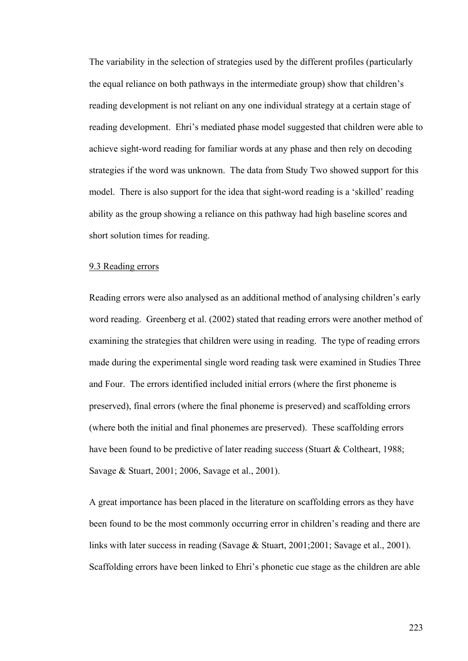The variability in the selection of strategies used by the different profiles (particularly the equal reliance on both pathways in the intermediate group) show that children's reading development is not reliant on any one individual strategy at a certain stage of reading development. Ehri's mediated phase model suggested that children were able to achieve sight-word reading for familiar words at any phase and then rely on decoding strategies if the word was unknown. The data from Study Two showed support for this model. There is also support for the idea that sight-word reading is a 'skilled' reading ability as the group showing a reliance on this pathway had high baseline scores and short solution times for reading.

## 9.3 Reading errors

Reading errors were also analysed as an additional method of analysing children's early word reading. Greenberg et al. (2002) stated that reading errors were another method of examining the strategies that children were using in reading. The type of reading errors made during the experimental single word reading task were examined in Studies Three and Four. The errors identified included initial errors (where the first phoneme is preserved), final errors (where the final phoneme is preserved) and scaffolding errors (where both the initial and final phonemes are preserved). These scaffolding errors have been found to be predictive of later reading success (Stuart & Coltheart, 1988; Savage & Stuart, 2001; 2006, Savage et al., 2001).

A great importance has been placed in the literature on scaffolding errors as they have been found to be the most commonly occurring error in children's reading and there are links with later success in reading (Savage & Stuart, 2001;2001; Savage et al., 2001). Scaffolding errors have been linked to Ehri's phonetic cue stage as the children are able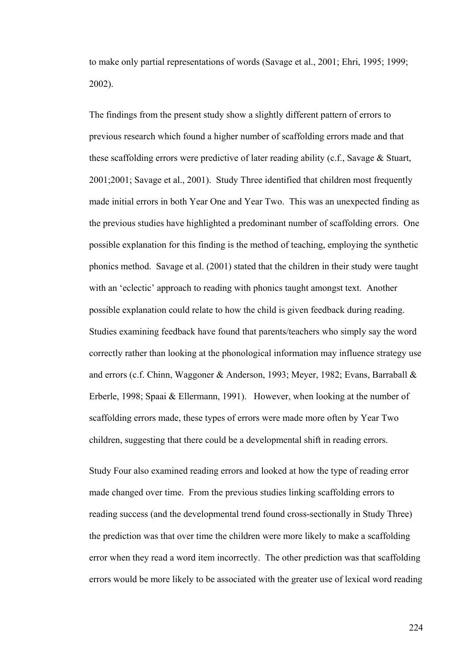to make only partial representations of words (Savage et al., 2001; Ehri, 1995; 1999; 2002).

The findings from the present study show a slightly different pattern of errors to previous research which found a higher number of scaffolding errors made and that these scaffolding errors were predictive of later reading ability (c.f., Savage & Stuart, 2001;2001; Savage et al., 2001). Study Three identified that children most frequently made initial errors in both Year One and Year Two. This was an unexpected finding as the previous studies have highlighted a predominant number of scaffolding errors. One possible explanation for this finding is the method of teaching, employing the synthetic phonics method. Savage et al. (2001) stated that the children in their study were taught with an 'eclectic' approach to reading with phonics taught amongst text. Another possible explanation could relate to how the child is given feedback during reading. Studies examining feedback have found that parents/teachers who simply say the word correctly rather than looking at the phonological information may influence strategy use and errors (c.f. Chinn, Waggoner & Anderson, 1993; Meyer, 1982; Evans, Barraball & Erberle, 1998; Spaai & Ellermann, 1991). However, when looking at the number of scaffolding errors made, these types of errors were made more often by Year Two children, suggesting that there could be a developmental shift in reading errors.

Study Four also examined reading errors and looked at how the type of reading error made changed over time. From the previous studies linking scaffolding errors to reading success (and the developmental trend found cross-sectionally in Study Three) the prediction was that over time the children were more likely to make a scaffolding error when they read a word item incorrectly. The other prediction was that scaffolding errors would be more likely to be associated with the greater use of lexical word reading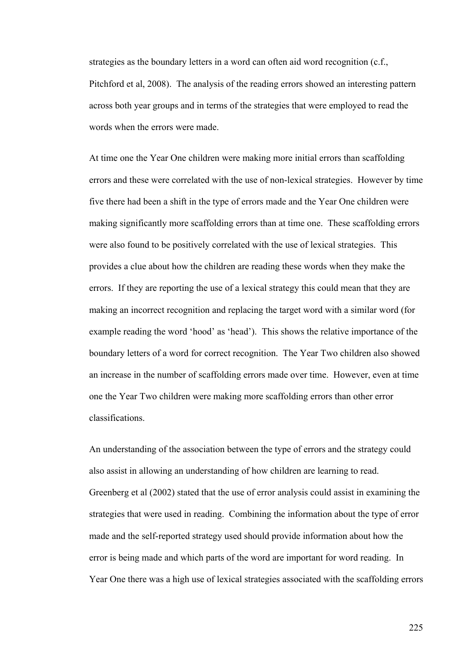strategies as the boundary letters in a word can often aid word recognition (c.f., Pitchford et al, 2008). The analysis of the reading errors showed an interesting pattern across both year groups and in terms of the strategies that were employed to read the words when the errors were made.

At time one the Year One children were making more initial errors than scaffolding errors and these were correlated with the use of non-lexical strategies. However by time five there had been a shift in the type of errors made and the Year One children were making significantly more scaffolding errors than at time one. These scaffolding errors were also found to be positively correlated with the use of lexical strategies. This provides a clue about how the children are reading these words when they make the errors. If they are reporting the use of a lexical strategy this could mean that they are making an incorrect recognition and replacing the target word with a similar word (for example reading the word 'hood' as 'head'). This shows the relative importance of the boundary letters of a word for correct recognition. The Year Two children also showed an increase in the number of scaffolding errors made over time. However, even at time one the Year Two children were making more scaffolding errors than other error classifications.

An understanding of the association between the type of errors and the strategy could also assist in allowing an understanding of how children are learning to read. Greenberg et al (2002) stated that the use of error analysis could assist in examining the strategies that were used in reading. Combining the information about the type of error made and the self-reported strategy used should provide information about how the error is being made and which parts of the word are important for word reading. In Year One there was a high use of lexical strategies associated with the scaffolding errors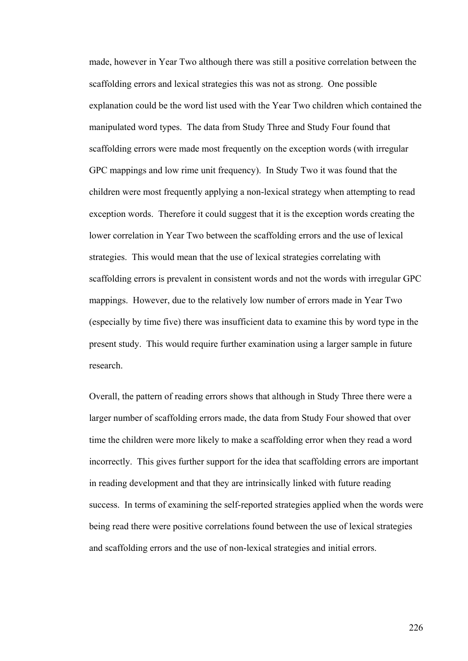made, however in Year Two although there was still a positive correlation between the scaffolding errors and lexical strategies this was not as strong. One possible explanation could be the word list used with the Year Two children which contained the manipulated word types. The data from Study Three and Study Four found that scaffolding errors were made most frequently on the exception words (with irregular GPC mappings and low rime unit frequency). In Study Two it was found that the children were most frequently applying a non-lexical strategy when attempting to read exception words. Therefore it could suggest that it is the exception words creating the lower correlation in Year Two between the scaffolding errors and the use of lexical strategies. This would mean that the use of lexical strategies correlating with scaffolding errors is prevalent in consistent words and not the words with irregular GPC mappings. However, due to the relatively low number of errors made in Year Two (especially by time five) there was insufficient data to examine this by word type in the present study. This would require further examination using a larger sample in future research.

Overall, the pattern of reading errors shows that although in Study Three there were a larger number of scaffolding errors made, the data from Study Four showed that over time the children were more likely to make a scaffolding error when they read a word incorrectly. This gives further support for the idea that scaffolding errors are important in reading development and that they are intrinsically linked with future reading success. In terms of examining the self-reported strategies applied when the words were being read there were positive correlations found between the use of lexical strategies and scaffolding errors and the use of non-lexical strategies and initial errors.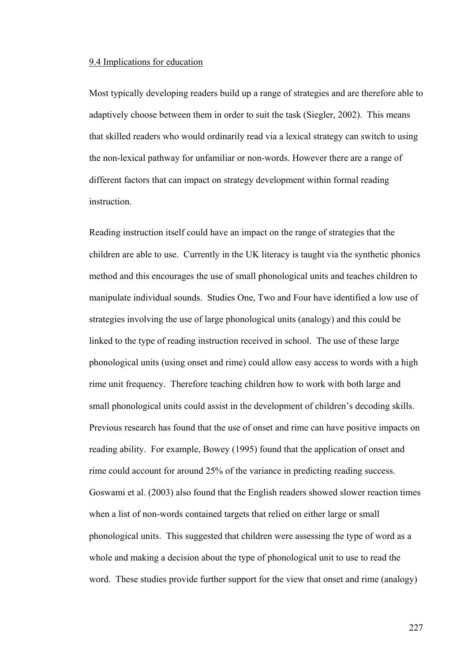#### 9.4 Implications for education

Most typically developing readers build up a range of strategies and are therefore able to adaptively choose between them in order to suit the task (Siegler, 2002). This means that skilled readers who would ordinarily read via a lexical strategy can switch to using the non-lexical pathway for unfamiliar or non-words. However there are a range of different factors that can impact on strategy development within formal reading **instruction** 

Reading instruction itself could have an impact on the range of strategies that the children are able to use. Currently in the UK literacy is taught via the synthetic phonics method and this encourages the use of small phonological units and teaches children to manipulate individual sounds. Studies One, Two and Four have identified a low use of strategies involving the use of large phonological units (analogy) and this could be linked to the type of reading instruction received in school. The use of these large phonological units (using onset and rime) could allow easy access to words with a high rime unit frequency. Therefore teaching children how to work with both large and small phonological units could assist in the development of children's decoding skills. Previous research has found that the use of onset and rime can have positive impacts on reading ability. For example, Bowey (1995) found that the application of onset and rime could account for around 25% of the variance in predicting reading success. Goswami et al. (2003) also found that the English readers showed slower reaction times when a list of non-words contained targets that relied on either large or small phonological units. This suggested that children were assessing the type of word as a whole and making a decision about the type of phonological unit to use to read the word. These studies provide further support for the view that onset and rime (analogy)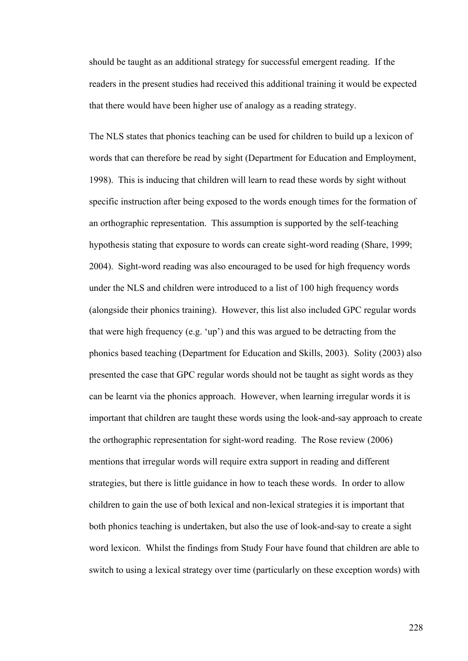should be taught as an additional strategy for successful emergent reading. If the readers in the present studies had received this additional training it would be expected that there would have been higher use of analogy as a reading strategy.

The NLS states that phonics teaching can be used for children to build up a lexicon of words that can therefore be read by sight (Department for Education and Employment, 1998). This is inducing that children will learn to read these words by sight without specific instruction after being exposed to the words enough times for the formation of an orthographic representation. This assumption is supported by the self-teaching hypothesis stating that exposure to words can create sight-word reading (Share, 1999; 2004). Sight-word reading was also encouraged to be used for high frequency words under the NLS and children were introduced to a list of 100 high frequency words (alongside their phonics training). However, this list also included GPC regular words that were high frequency (e.g. 'up') and this was argued to be detracting from the phonics based teaching (Department for Education and Skills, 2003). Solity (2003) also presented the case that GPC regular words should not be taught as sight words as they can be learnt via the phonics approach. However, when learning irregular words it is important that children are taught these words using the look-and-say approach to create the orthographic representation for sight-word reading. The Rose review (2006) mentions that irregular words will require extra support in reading and different strategies, but there is little guidance in how to teach these words. In order to allow children to gain the use of both lexical and non-lexical strategies it is important that both phonics teaching is undertaken, but also the use of look-and-say to create a sight word lexicon. Whilst the findings from Study Four have found that children are able to switch to using a lexical strategy over time (particularly on these exception words) with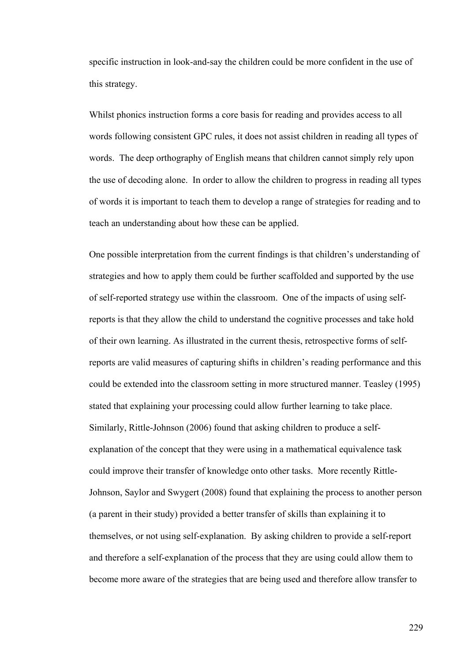specific instruction in look-and-say the children could be more confident in the use of this strategy.

Whilst phonics instruction forms a core basis for reading and provides access to all words following consistent GPC rules, it does not assist children in reading all types of words. The deep orthography of English means that children cannot simply rely upon the use of decoding alone. In order to allow the children to progress in reading all types of words it is important to teach them to develop a range of strategies for reading and to teach an understanding about how these can be applied.

One possible interpretation from the current findings is that children's understanding of strategies and how to apply them could be further scaffolded and supported by the use of self-reported strategy use within the classroom. One of the impacts of using selfreports is that they allow the child to understand the cognitive processes and take hold of their own learning. As illustrated in the current thesis, retrospective forms of selfreports are valid measures of capturing shifts in children's reading performance and this could be extended into the classroom setting in more structured manner. Teasley (1995) stated that explaining your processing could allow further learning to take place. Similarly, Rittle-Johnson (2006) found that asking children to produce a selfexplanation of the concept that they were using in a mathematical equivalence task could improve their transfer of knowledge onto other tasks. More recently Rittle-Johnson, Saylor and Swygert (2008) found that explaining the process to another person (a parent in their study) provided a better transfer of skills than explaining it to themselves, or not using self-explanation. By asking children to provide a self-report and therefore a self-explanation of the process that they are using could allow them to become more aware of the strategies that are being used and therefore allow transfer to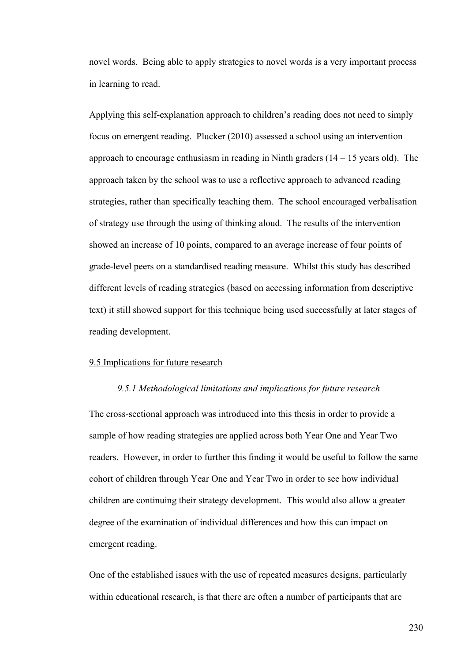novel words. Being able to apply strategies to novel words is a very important process in learning to read.

Applying this self-explanation approach to children's reading does not need to simply focus on emergent reading. Plucker (2010) assessed a school using an intervention approach to encourage enthusiasm in reading in Ninth graders  $(14 - 15$  years old). The approach taken by the school was to use a reflective approach to advanced reading strategies, rather than specifically teaching them. The school encouraged verbalisation of strategy use through the using of thinking aloud. The results of the intervention showed an increase of 10 points, compared to an average increase of four points of grade-level peers on a standardised reading measure. Whilst this study has described different levels of reading strategies (based on accessing information from descriptive text) it still showed support for this technique being used successfully at later stages of reading development.

## 9.5 Implications for future research

### *9.5.1 Methodological limitations and implications for future research*

The cross-sectional approach was introduced into this thesis in order to provide a sample of how reading strategies are applied across both Year One and Year Two readers. However, in order to further this finding it would be useful to follow the same cohort of children through Year One and Year Two in order to see how individual children are continuing their strategy development. This would also allow a greater degree of the examination of individual differences and how this can impact on emergent reading.

One of the established issues with the use of repeated measures designs, particularly within educational research, is that there are often a number of participants that are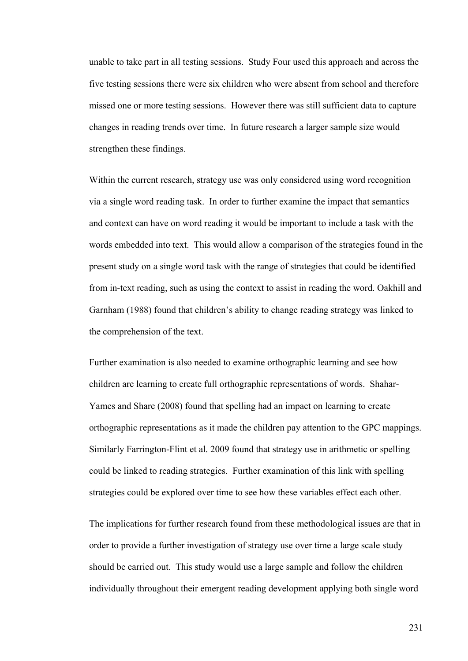unable to take part in all testing sessions. Study Four used this approach and across the five testing sessions there were six children who were absent from school and therefore missed one or more testing sessions. However there was still sufficient data to capture changes in reading trends over time. In future research a larger sample size would strengthen these findings.

Within the current research, strategy use was only considered using word recognition via a single word reading task. In order to further examine the impact that semantics and context can have on word reading it would be important to include a task with the words embedded into text. This would allow a comparison of the strategies found in the present study on a single word task with the range of strategies that could be identified from in-text reading, such as using the context to assist in reading the word. Oakhill and Garnham (1988) found that children's ability to change reading strategy was linked to the comprehension of the text.

Further examination is also needed to examine orthographic learning and see how children are learning to create full orthographic representations of words. Shahar-Yames and Share (2008) found that spelling had an impact on learning to create orthographic representations as it made the children pay attention to the GPC mappings. Similarly Farrington-Flint et al. 2009 found that strategy use in arithmetic or spelling could be linked to reading strategies. Further examination of this link with spelling strategies could be explored over time to see how these variables effect each other.

The implications for further research found from these methodological issues are that in order to provide a further investigation of strategy use over time a large scale study should be carried out. This study would use a large sample and follow the children individually throughout their emergent reading development applying both single word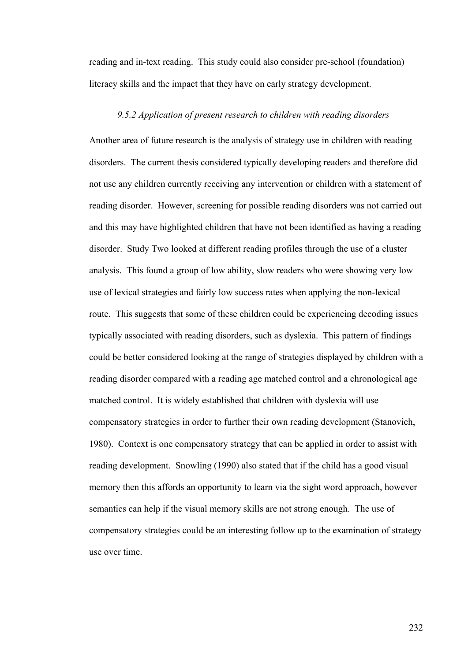reading and in-text reading. This study could also consider pre-school (foundation) literacy skills and the impact that they have on early strategy development.

### *9.5.2 Application of present research to children with reading disorders*

Another area of future research is the analysis of strategy use in children with reading disorders. The current thesis considered typically developing readers and therefore did not use any children currently receiving any intervention or children with a statement of reading disorder. However, screening for possible reading disorders was not carried out and this may have highlighted children that have not been identified as having a reading disorder. Study Two looked at different reading profiles through the use of a cluster analysis. This found a group of low ability, slow readers who were showing very low use of lexical strategies and fairly low success rates when applying the non-lexical route. This suggests that some of these children could be experiencing decoding issues typically associated with reading disorders, such as dyslexia. This pattern of findings could be better considered looking at the range of strategies displayed by children with a reading disorder compared with a reading age matched control and a chronological age matched control. It is widely established that children with dyslexia will use compensatory strategies in order to further their own reading development (Stanovich, 1980). Context is one compensatory strategy that can be applied in order to assist with reading development. Snowling (1990) also stated that if the child has a good visual memory then this affords an opportunity to learn via the sight word approach, however semantics can help if the visual memory skills are not strong enough. The use of compensatory strategies could be an interesting follow up to the examination of strategy use over time.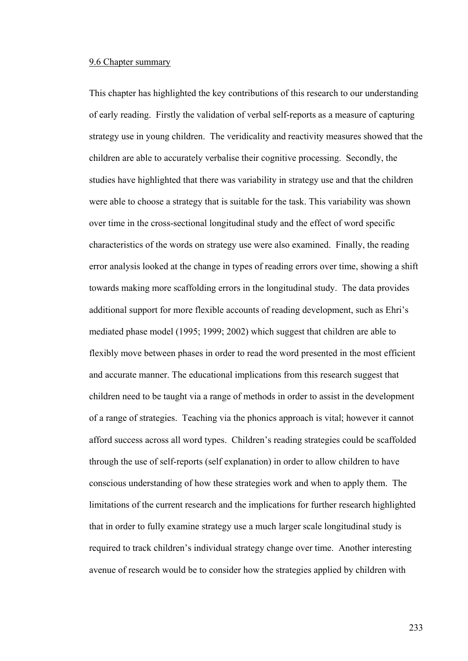## 9.6 Chapter summary

This chapter has highlighted the key contributions of this research to our understanding of early reading. Firstly the validation of verbal self-reports as a measure of capturing strategy use in young children. The veridicality and reactivity measures showed that the children are able to accurately verbalise their cognitive processing. Secondly, the studies have highlighted that there was variability in strategy use and that the children were able to choose a strategy that is suitable for the task. This variability was shown over time in the cross-sectional longitudinal study and the effect of word specific characteristics of the words on strategy use were also examined. Finally, the reading error analysis looked at the change in types of reading errors over time, showing a shift towards making more scaffolding errors in the longitudinal study. The data provides additional support for more flexible accounts of reading development, such as Ehri's mediated phase model (1995; 1999; 2002) which suggest that children are able to flexibly move between phases in order to read the word presented in the most efficient and accurate manner. The educational implications from this research suggest that children need to be taught via a range of methods in order to assist in the development of a range of strategies. Teaching via the phonics approach is vital; however it cannot afford success across all word types. Children's reading strategies could be scaffolded through the use of self-reports (self explanation) in order to allow children to have conscious understanding of how these strategies work and when to apply them. The limitations of the current research and the implications for further research highlighted that in order to fully examine strategy use a much larger scale longitudinal study is required to track children's individual strategy change over time. Another interesting avenue of research would be to consider how the strategies applied by children with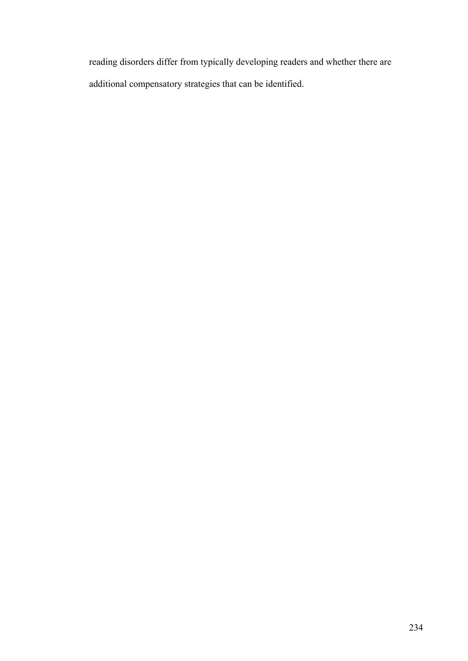reading disorders differ from typically developing readers and whether there are additional compensatory strategies that can be identified.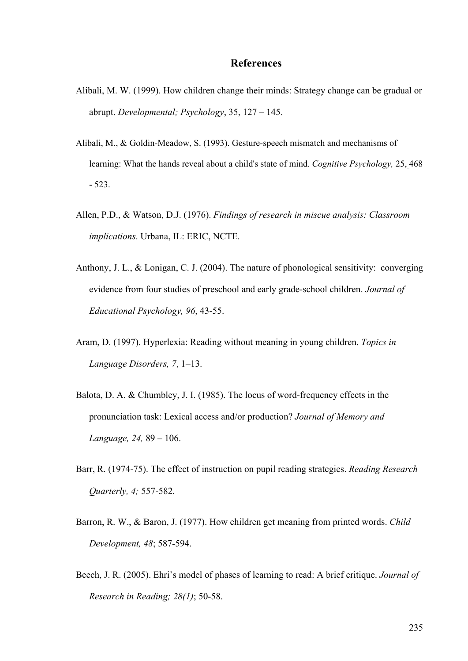# **References**

- Alibali, M. W. (1999). How children change their minds: Strategy change can be gradual or abrupt. *Developmental; Psychology*, 35, 127 – 145.
- Alibali, M., & Goldin-Meadow, S. (1993). Gesture-speech mismatch and mechanisms of learning: What the hands reveal about a child's state of mind. *Cognitive Psychology,* 25, 468 - 523.
- Allen, P.D., & Watson, D.J. (1976). *Findings of research in miscue analysis: Classroom implications*. Urbana, IL: ERIC, NCTE.
- Anthony, J. L., & Lonigan, C. J. (2004). The nature of phonological sensitivity: converging evidence from four studies of preschool and early grade-school children. *Journal of Educational Psychology, 96*, 43-55.
- Aram, D. (1997). Hyperlexia: Reading without meaning in young children. *Topics in Language Disorders, 7*, 1–13.
- Balota, D. A. & Chumbley, J. I. (1985). The locus of word-frequency effects in the pronunciation task: Lexical access and/or production? *Journal of Memory and Language, 24,* 89 – 106.
- Barr, R. (1974-75). The effect of instruction on pupil reading strategies. *Reading Research Quarterly, 4;* 557-582*.*
- Barron, R. W., & Baron, J. (1977). How children get meaning from printed words. *Child Development, 48*; 587-594.
- Beech, J. R. (2005). Ehri's model of phases of learning to read: A brief critique. *Journal of Research in Reading; 28(1)*; 50-58.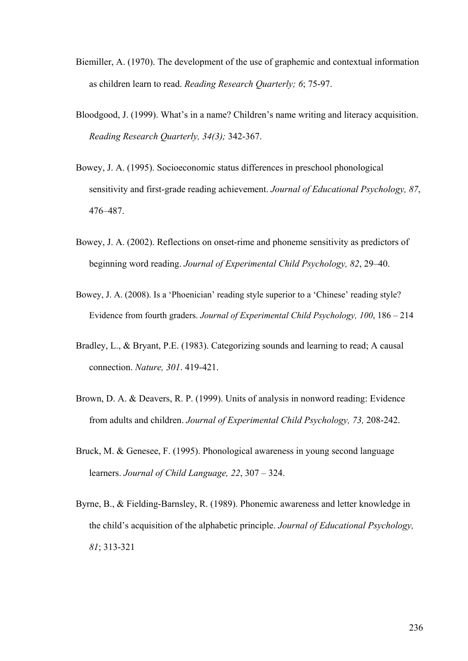- Biemiller, A. (1970). The development of the use of graphemic and contextual information as children learn to read. *Reading Research Quarterly; 6*; 75-97.
- Bloodgood, J. (1999). What's in a name? Children's name writing and literacy acquisition. *Reading Research Quarterly, 34(3);* 342-367.
- Bowey, J. A. (1995). Socioeconomic status differences in preschool phonological sensitivity and first-grade reading achievement. *Journal of Educational Psychology, 87*, 476–487.
- Bowey, J. A. (2002). Reflections on onset-rime and phoneme sensitivity as predictors of beginning word reading. *Journal of Experimental Child Psychology, 82*, 29–40.
- Bowey, J. A. (2008). Is a 'Phoenician' reading style superior to a 'Chinese' reading style? Evidence from fourth graders. *Journal of Experimental Child Psychology, 100*, 186 – 214
- Bradley, L., & Bryant, P.E. (1983). Categorizing sounds and learning to read; A causal connection. *Nature, 301*. 419-421.
- Brown, D. A. & Deavers, R. P. (1999). Units of analysis in nonword reading: Evidence from adults and children. *Journal of Experimental Child Psychology, 73,* 208-242.
- Bruck, M. & Genesee, F. (1995). Phonological awareness in young second language learners. *Journal of Child Language, 22*, 307 – 324.
- Byrne, B., & Fielding-Barnsley, R. (1989). Phonemic awareness and letter knowledge in the child's acquisition of the alphabetic principle. *Journal of Educational Psychology, 81*; 313-321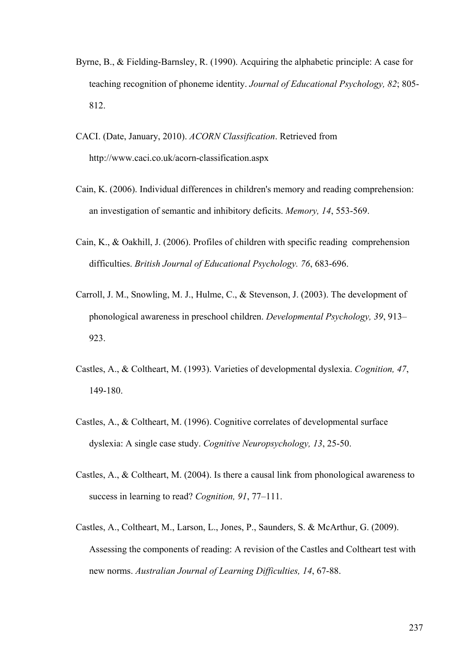- Byrne, B., & Fielding-Barnsley, R. (1990). Acquiring the alphabetic principle: A case for teaching recognition of phoneme identity. *Journal of Educational Psychology, 82*; 805- 812.
- CACI. (Date, January, 2010). *ACORN Classification*. Retrieved from http://www.caci.co.uk/acorn-classification.aspx
- Cain, K. (2006). Individual differences in children's memory and reading comprehension: an investigation of semantic and inhibitory deficits. *Memory, 14*, 553-569.
- Cain, K., & Oakhill, J. (2006). Profiles of children with specific reading comprehension difficulties. *British Journal of Educational Psychology. 76*, 683-696.
- Carroll, J. M., Snowling, M. J., Hulme, C., & Stevenson, J. (2003). The development of phonological awareness in preschool children. *Developmental Psychology, 39*, 913– 923.
- Castles, A., & Coltheart, M. (1993). Varieties of developmental dyslexia. *Cognition, 47*, 149-180.
- Castles, A., & Coltheart, M. (1996). Cognitive correlates of developmental surface dyslexia: A single case study. *Cognitive Neuropsychology, 13*, 25-50.
- Castles, A., & Coltheart, M. (2004). Is there a causal link from phonological awareness to success in learning to read? *Cognition, 91*, 77–111.
- Castles, A., Coltheart, M., Larson, L., Jones, P., Saunders, S. & McArthur, G. (2009). Assessing the components of reading: A revision of the Castles and Coltheart test with new norms. *Australian Journal of Learning Difficulties, 14*, 67-88.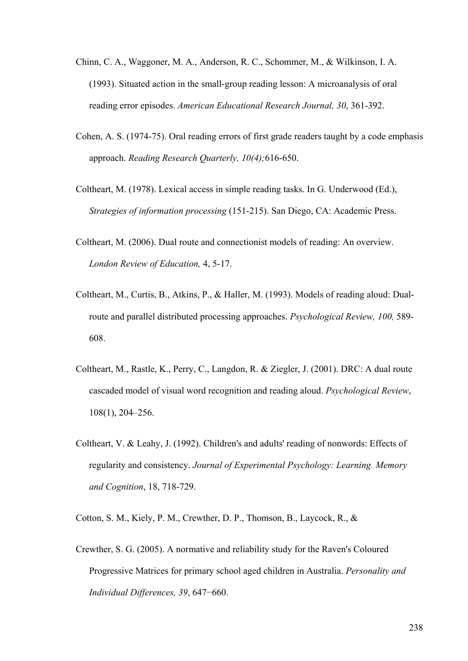- Chinn, C. A., Waggoner, M. A., Anderson, R. C., Schommer, M., & Wilkinson, I. A. (1993). Situated action in the small-group reading lesson: A microanalysis of oral reading error episodes. *American Educational Research Journal, 30*, 361-392.
- Cohen, A. S. (1974-75). Oral reading errors of first grade readers taught by a code emphasis approach. *Reading Research Quarterly, 10(4);*616-650.
- Coltheart, M. (1978). Lexical access in simple reading tasks. In G. Underwood (Ed.), *Strategies of information processing* (151-215). San Diego, CA: Academic Press.
- Coltheart, M. (2006). Dual route and connectionist models of reading: An overview. *London Review of Education,* 4, 5-17.
- Coltheart, M., Curtis, B., Atkins, P., & Haller, M. (1993). Models of reading aloud: Dualroute and parallel distributed processing approaches. *Psychological Review, 100,* 589- 608.
- Coltheart, M., Rastle, K., Perry, C., Langdon, R. & Ziegler, J. (2001). DRC: A dual route cascaded model of visual word recognition and reading aloud. *Psychological Review*, 108(1), 204–256.
- Coltheart, V. & Leahy, J. (1992). Children's and adults' reading of nonwords: Effects of regularity and consistency. *Journal of Experimental Psychology: Learning. Memory and Cognition*, 18, 718-729.
- Cotton, S. M., Kiely, P. M., Crewther, D. P., Thomson, B., Laycock, R., &
- Crewther, S. G. (2005). A normative and reliability study for the Raven's Coloured Progressive Matrices for primary school aged children in Australia. *Personality and Individual Differences, 39*, 647−660.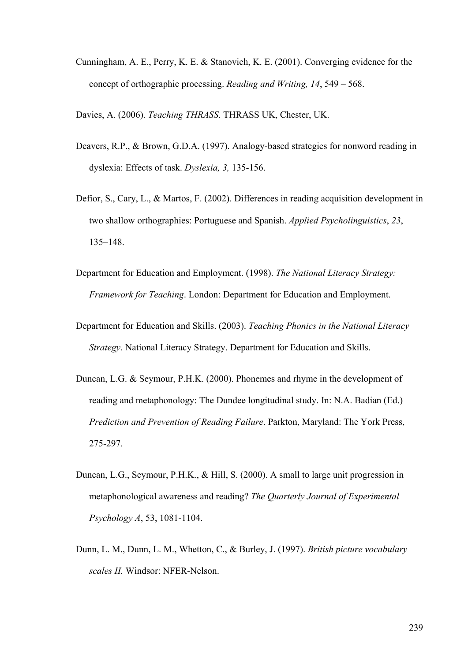Cunningham, A. E., Perry, K. E. & Stanovich, K. E. (2001). Converging evidence for the concept of orthographic processing. *Reading and Writing, 14*, 549 – 568.

Davies, A. (2006). *Teaching THRASS*. THRASS UK, Chester, UK.

- Deavers, R.P., & Brown, G.D.A. (1997). Analogy-based strategies for nonword reading in dyslexia: Effects of task. *Dyslexia, 3,* 135-156.
- Defior, S., Cary, L., & Martos, F. (2002). Differences in reading acquisition development in two shallow orthographies: Portuguese and Spanish. *Applied Psycholinguistics*, *23*, 135–148.
- Department for Education and Employment. (1998). *The National Literacy Strategy: Framework for Teaching*. London: Department for Education and Employment.
- Department for Education and Skills. (2003). *Teaching Phonics in the National Literacy Strategy*. National Literacy Strategy. Department for Education and Skills.
- Duncan, L.G. & Seymour, P.H.K. (2000). Phonemes and rhyme in the development of reading and metaphonology: The Dundee longitudinal study. In: N.A. Badian (Ed.) *Prediction and Prevention of Reading Failure*. Parkton, Maryland: The York Press, 275-297.
- Duncan, L.G., Seymour, P.H.K., & Hill, S. (2000). A small to large unit progression in metaphonological awareness and reading? *The Quarterly Journal of Experimental Psychology A*, 53, 1081-1104.
- Dunn, L. M., Dunn, L. M., Whetton, C., & Burley, J. (1997). *British picture vocabulary scales II.* Windsor: NFER-Nelson.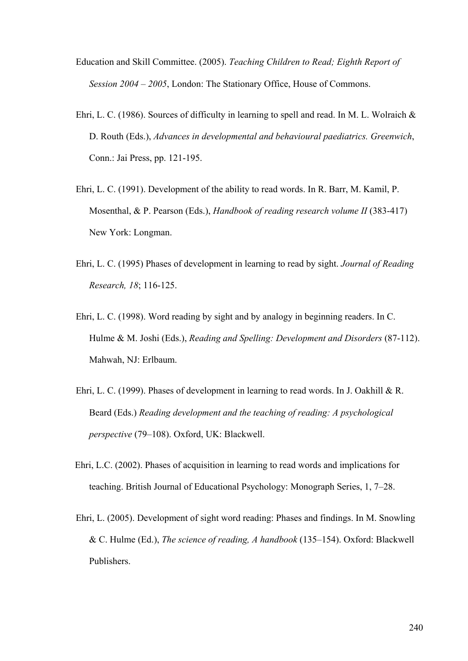- Education and Skill Committee. (2005). *Teaching Children to Read; Eighth Report of Session 2004 – 2005*, London: The Stationary Office, House of Commons.
- Ehri, L. C. (1986). Sources of difficulty in learning to spell and read. In M. L. Wolraich & D. Routh (Eds.), *Advances in developmental and behavioural paediatrics. Greenwich*, Conn.: Jai Press, pp. 121-195.
- Ehri, L. C. (1991). Development of the ability to read words. In R. Barr, M. Kamil, P. Mosenthal, & P. Pearson (Eds.), *Handbook of reading research volume II* (383-417) New York: Longman.
- Ehri, L. C. (1995) Phases of development in learning to read by sight. *Journal of Reading Research, 18*; 116-125.
- Ehri, L. C. (1998). Word reading by sight and by analogy in beginning readers. In C. Hulme & M. Joshi (Eds.), *Reading and Spelling: Development and Disorders* (87-112). Mahwah, NJ: Erlbaum.
- Ehri, L. C. (1999). Phases of development in learning to read words. In J. Oakhill & R. Beard (Eds.) *Reading development and the teaching of reading: A psychological perspective* (79–108). Oxford, UK: Blackwell.
- Ehri, L.C. (2002). Phases of acquisition in learning to read words and implications for teaching. British Journal of Educational Psychology: Monograph Series, 1, 7–28.
- Ehri, L. (2005). Development of sight word reading: Phases and findings. In M. Snowling & C. Hulme (Ed.), *The science of reading, A handbook* (135–154). Oxford: Blackwell Publishers.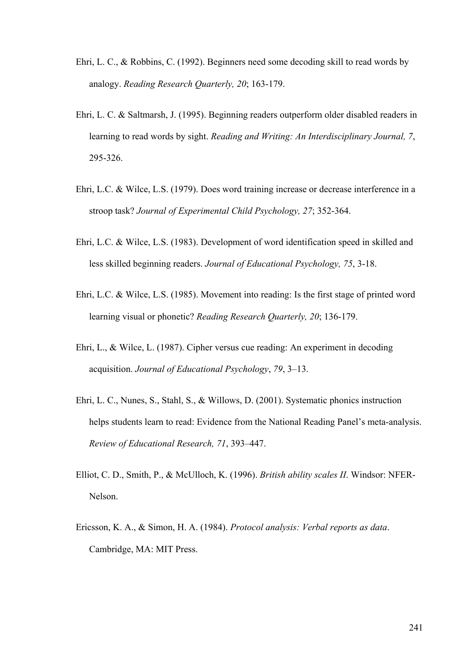- Ehri, L. C., & Robbins, C. (1992). Beginners need some decoding skill to read words by analogy. *Reading Research Quarterly, 20*; 163-179.
- Ehri, L. C. & Saltmarsh, J. (1995). Beginning readers outperform older disabled readers in learning to read words by sight. *Reading and Writing: An Interdisciplinary Journal, 7*, 295-326.
- Ehri, L.C. & Wilce, L.S. (1979). Does word training increase or decrease interference in a stroop task? *Journal of Experimental Child Psychology, 27*; 352-364.
- Ehri, L.C. & Wilce, L.S. (1983). Development of word identification speed in skilled and less skilled beginning readers. *Journal of Educational Psychology, 75*, 3-18.
- Ehri, L.C. & Wilce, L.S. (1985). Movement into reading: Is the first stage of printed word learning visual or phonetic? *Reading Research Quarterly, 20*; 136-179.
- Ehri, L., & Wilce, L. (1987). Cipher versus cue reading: An experiment in decoding acquisition. *Journal of Educational Psychology*, *79*, 3–13.
- Ehri, L. C., Nunes, S., Stahl, S., & Willows, D. (2001). Systematic phonics instruction helps students learn to read: Evidence from the National Reading Panel's meta-analysis. *Review of Educational Research, 71*, 393–447.
- Elliot, C. D., Smith, P., & McUlloch, K. (1996). *British ability scales II*. Windsor: NFER-Nelson.
- Ericsson, K. A., & Simon, H. A. (1984). *Protocol analysis: Verbal reports as data*. Cambridge, MA: MIT Press.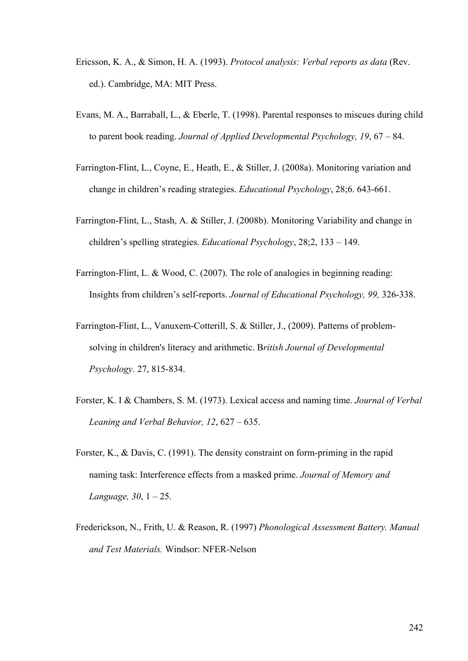- Ericsson, K. A., & Simon, H. A. (1993). *Protocol analysis: Verbal reports as data* (Rev. ed.). Cambridge, MA: MIT Press.
- Evans, M. A., Barraball, L., & Eberle, T. (1998). Parental responses to miscues during child to parent book reading. *Journal of Applied Developmental Psychology, 19*, 67 – 84.
- Farrington-Flint, L., Coyne, E., Heath, E., & Stiller, J. (2008a). Monitoring variation and change in children's reading strategies. *Educational Psychology*, 28;6. 643-661.
- Farrington-Flint, L., Stash, A. & Stiller, J. (2008b). Monitoring Variability and change in children's spelling strategies. *Educational Psychology*, 28;2, 133 – 149.
- Farrington-Flint, L. & Wood, C. (2007). The role of analogies in beginning reading: Insights from children's self-reports. *Journal of Educational Psychology, 99,* 326-338.
- Farrington-Flint, L., Vanuxem-Cotterill, S. & Stiller, J., (2009). Patterns of problemsolving in children's literacy and arithmetic. B*ritish Journal of Developmental Psychology*. 27, 815-834.
- Forster, K. I & Chambers, S. M. (1973). Lexical access and naming time. *Journal of Verbal Leaning and Verbal Behavior, 12*, 627 – 635.
- Forster, K., & Davis, C. (1991). The density constraint on form-priming in the rapid naming task: Interference effects from a masked prime. *Journal of Memory and Language, 30*, 1 – 25.
- Frederickson, N., Frith, U. & Reason, R. (1997) *Phonological Assessment Battery. Manual and Test Materials.* Windsor: NFER-Nelson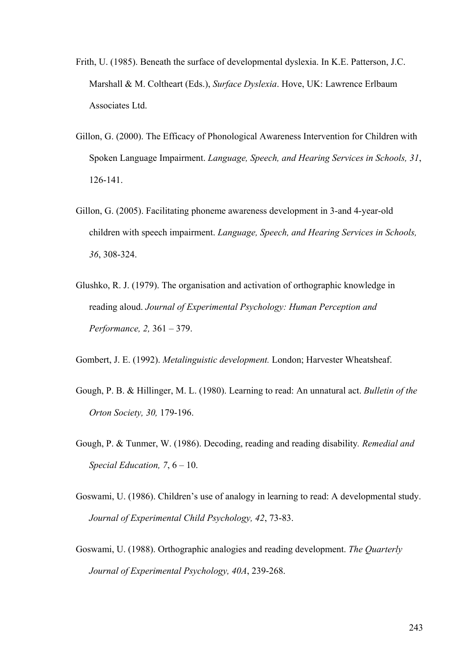- Frith, U. (1985). Beneath the surface of developmental dyslexia. In K.E. Patterson, J.C. Marshall & M. Coltheart (Eds.), *Surface Dyslexia*. Hove, UK: Lawrence Erlbaum Associates Ltd.
- Gillon, G. (2000). The Efficacy of Phonological Awareness Intervention for Children with Spoken Language Impairment. *Language, Speech, and Hearing Services in Schools, 31*, 126-141.
- Gillon, G. (2005). Facilitating phoneme awareness development in 3-and 4-year-old children with speech impairment. *Language, Speech, and Hearing Services in Schools, 36*, 308-324.
- Glushko, R. J. (1979). The organisation and activation of orthographic knowledge in reading aloud. *Journal of Experimental Psychology: Human Perception and Performance, 2,* 361 – 379.

Gombert, J. E. (1992). *Metalinguistic development.* London; Harvester Wheatsheaf.

- Gough, P. B. & Hillinger, M. L. (1980). Learning to read: An unnatural act. *Bulletin of the Orton Society, 30,* 179-196.
- Gough, P. & Tunmer, W. (1986). Decoding, reading and reading disability*. Remedial and Special Education, 7*, 6 – 10.
- Goswami, U. (1986). Children's use of analogy in learning to read: A developmental study. *Journal of Experimental Child Psychology, 42*, 73-83.
- Goswami, U. (1988). Orthographic analogies and reading development. *The Quarterly Journal of Experimental Psychology, 40A*, 239-268.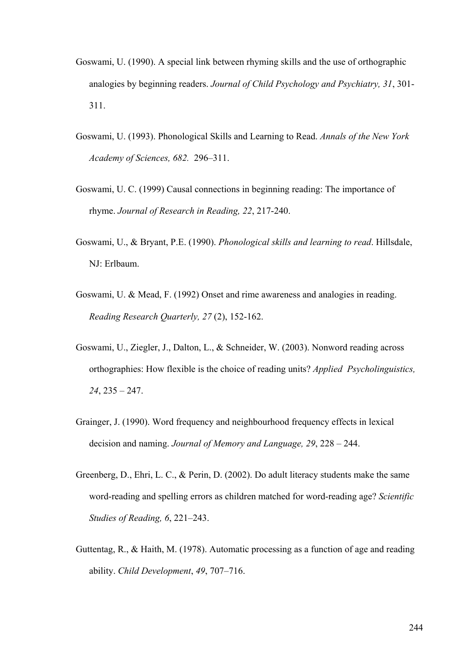- Goswami, U. (1990). A special link between rhyming skills and the use of orthographic analogies by beginning readers. *Journal of Child Psychology and Psychiatry, 31*, 301- 311.
- Goswami, U. (1993). Phonological Skills and Learning to Read. *Annals of the New York Academy of Sciences, 682.* 296–311.
- Goswami, U. C. (1999) Causal connections in beginning reading: The importance of rhyme. *Journal of Research in Reading, 22*, 217-240.
- Goswami, U., & Bryant, P.E. (1990). *Phonological skills and learning to read*. Hillsdale, NJ: Erlbaum.
- Goswami, U. & Mead, F. (1992) Onset and rime awareness and analogies in reading. *Reading Research Quarterly, 27* (2), 152-162.
- Goswami, U., Ziegler, J., Dalton, L., & Schneider, W. (2003). Nonword reading across orthographies: How flexible is the choice of reading units? *Applied Psycholinguistics, 24*, 235 – 247.
- Grainger, J. (1990). Word frequency and neighbourhood frequency effects in lexical decision and naming. *Journal of Memory and Language, 29*, 228 – 244.
- Greenberg, D., Ehri, L. C., & Perin, D. (2002). Do adult literacy students make the same word-reading and spelling errors as children matched for word-reading age? *Scientific Studies of Reading, 6*, 221–243.
- Guttentag, R., & Haith, M. (1978). Automatic processing as a function of age and reading ability. *Child Development*, *49*, 707–716.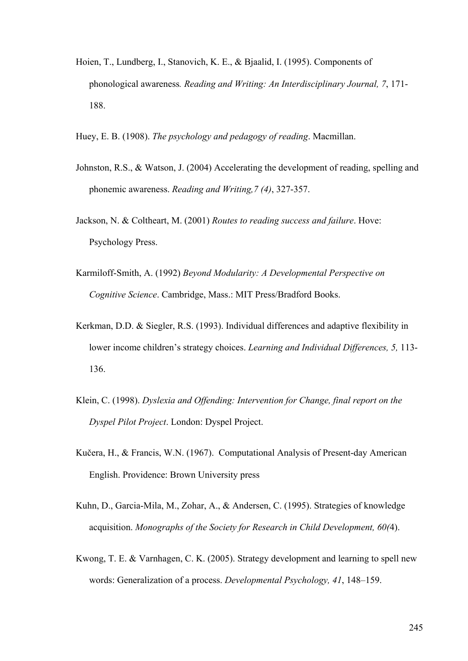- Hoien, T., Lundberg, I., Stanovich, K. E., & Bjaalid, I. (1995). Components of phonological awareness*. Reading and Writing: An Interdisciplinary Journal, 7*, 171- 188.
- Huey, E. B. (1908). *The psychology and pedagogy of reading*. Macmillan.
- Johnston, R.S., & Watson, J. (2004) Accelerating the development of reading, spelling and phonemic awareness. *Reading and Writing,7 (4)*, 327-357.
- Jackson, N. & Coltheart, M. (2001) *Routes to reading success and failure*. Hove: Psychology Press.
- Karmiloff-Smith, A. (1992) *Beyond Modularity: A Developmental Perspective on Cognitive Science*. Cambridge, Mass.: MIT Press/Bradford Books.
- Kerkman, D.D. & Siegler, R.S. (1993). Individual differences and adaptive flexibility in lower income children's strategy choices. *Learning and Individual Differences, 5,* 113- 136.
- Klein, C. (1998). *Dyslexia and Offending: Intervention for Change, final report on the Dyspel Pilot Project*. London: Dyspel Project.
- Kučera, H., & Francis, W.N. (1967). Computational Analysis of Present-day American English. Providence: Brown University press
- Kuhn, D., Garcia-Mila, M., Zohar, A., & Andersen, C. (1995). Strategies of knowledge acquisition. *Monographs of the Society for Research in Child Development, 60(*4).
- Kwong, T. E. & Varnhagen, C. K. (2005). Strategy development and learning to spell new words: Generalization of a process. *Developmental Psychology, 41*, 148–159.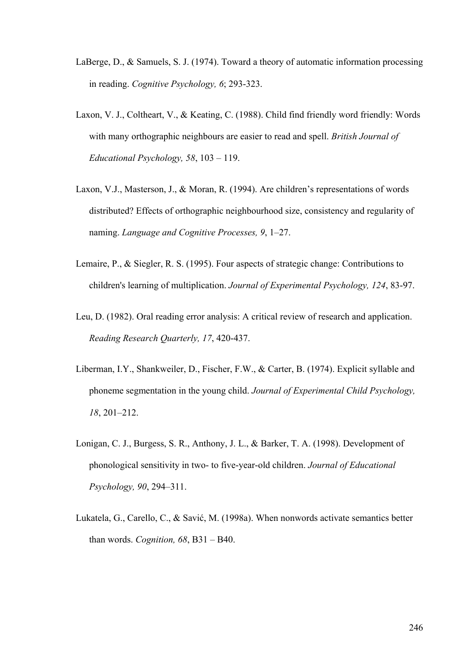- LaBerge, D., & Samuels, S. J. (1974). Toward a theory of automatic information processing in reading. *Cognitive Psychology, 6*; 293-323.
- Laxon, V. J., Coltheart, V., & Keating, C. (1988). Child find friendly word friendly: Words with many orthographic neighbours are easier to read and spell. *British Journal of Educational Psychology, 58*, 103 – 119.
- Laxon, V.J., Masterson, J., & Moran, R. (1994). Are children's representations of words distributed? Effects of orthographic neighbourhood size, consistency and regularity of naming. *Language and Cognitive Processes, 9*, 1–27.
- Lemaire, P., & Siegler, R. S. (1995). Four aspects of strategic change: Contributions to children's learning of multiplication. *Journal of Experimental Psychology, 124*, 83-97.
- Leu, D. (1982). Oral reading error analysis: A critical review of research and application. *Reading Research Quarterly, 17*, 420-437.
- Liberman, I.Y., Shankweiler, D., Fischer, F.W., & Carter, B. (1974). Explicit syllable and phoneme segmentation in the young child. *Journal of Experimental Child Psychology, 18*, 201–212.
- Lonigan, C. J., Burgess, S. R., Anthony, J. L., & Barker, T. A. (1998). Development of phonological sensitivity in two- to five-year-old children. *Journal of Educational Psychology, 90*, 294–311.
- Lukatela, G., Carello, C., & Savić, M. (1998a). When nonwords activate semantics better than words. *Cognition, 68*, B31 – B40.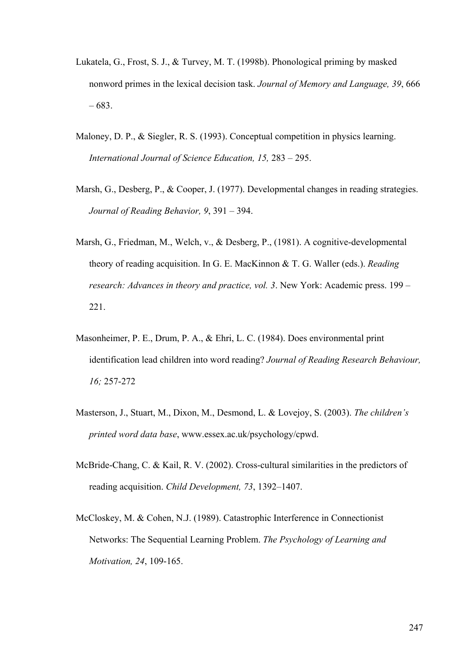- Lukatela, G., Frost, S. J., & Turvey, M. T. (1998b). Phonological priming by masked nonword primes in the lexical decision task. *Journal of Memory and Language, 39*, 666 – 683.
- Maloney, D. P., & Siegler, R. S. (1993). Conceptual competition in physics learning. *International Journal of Science Education, 15,* 283 – 295.
- Marsh, G., Desberg, P., & Cooper, J. (1977). Developmental changes in reading strategies. *Journal of Reading Behavior, 9*, 391 – 394.
- Marsh, G., Friedman, M., Welch, v., & Desberg, P., (1981). A cognitive-developmental theory of reading acquisition. In G. E. MacKinnon & T. G. Waller (eds.). *Reading research: Advances in theory and practice, vol. 3*. New York: Academic press. 199 – 221.
- Masonheimer, P. E., Drum, P. A., & Ehri, L. C. (1984). Does environmental print identification lead children into word reading? *Journal of Reading Research Behaviour, 16;* 257-272
- Masterson, J., Stuart, M., Dixon, M., Desmond, L. & Lovejoy, S. (2003). *The children's printed word data base*, www.essex.ac.uk/psychology/cpwd.
- McBride-Chang, C. & Kail, R. V. (2002). Cross-cultural similarities in the predictors of reading acquisition. *Child Development, 73*, 1392–1407.
- McCloskey, M. & Cohen, N.J. (1989). Catastrophic Interference in Connectionist Networks: The Sequential Learning Problem. *The Psychology of Learning and Motivation, 24*, 109-165.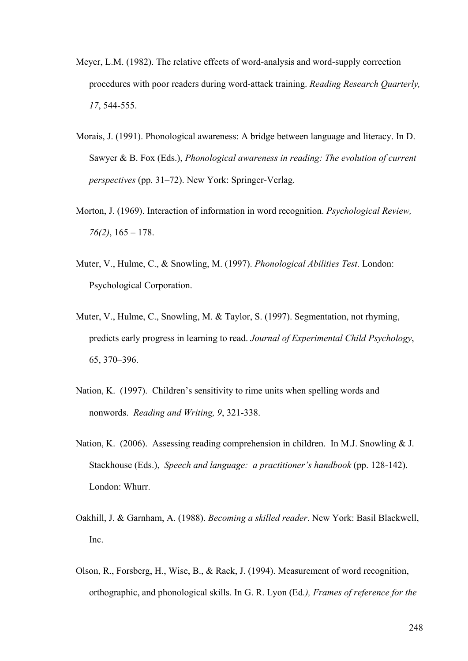- Meyer, L.M. (1982). The relative effects of word-analysis and word-supply correction procedures with poor readers during word-attack training. *Reading Research Quarterly, 17*, 544-555.
- Morais, J. (1991). Phonological awareness: A bridge between language and literacy. In D. Sawyer & B. Fox (Eds.), *Phonological awareness in reading: The evolution of current perspectives* (pp. 31–72). New York: Springer-Verlag.
- Morton, J. (1969). Interaction of information in word recognition. *Psychological Review, 76(2)*, 165 – 178.
- Muter, V., Hulme, C., & Snowling, M. (1997). *Phonological Abilities Test*. London: Psychological Corporation.
- Muter, V., Hulme, C., Snowling, M. & Taylor, S. (1997). Segmentation, not rhyming, predicts early progress in learning to read. *Journal of Experimental Child Psychology*, 65, 370–396.
- Nation, K. (1997). Children's sensitivity to rime units when spelling words and nonwords. *Reading and Writing, 9*, 321-338.
- Nation, K. (2006). Assessing reading comprehension in children. In M.J. Snowling & J. Stackhouse (Eds.), *Speech and language: a practitioner's handbook* (pp. 128-142). London: Whurr.
- Oakhill, J. & Garnham, A. (1988). *Becoming a skilled reader*. New York: Basil Blackwell, Inc.
- Olson, R., Forsberg, H., Wise, B., & Rack, J. (1994). Measurement of word recognition, orthographic, and phonological skills. In G. R. Lyon (Ed*.), Frames of reference for the*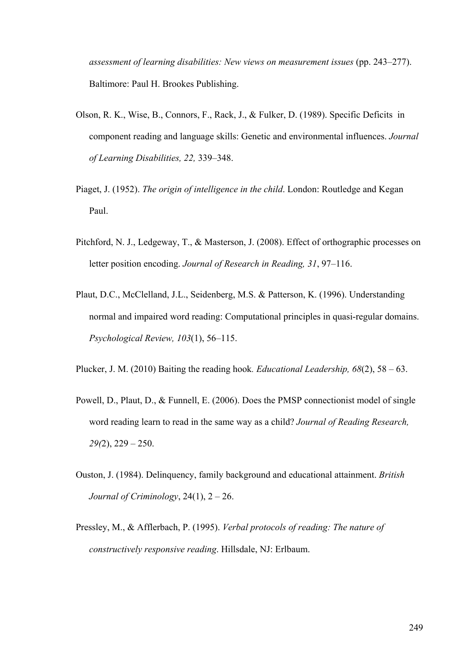*assessment of learning disabilities: New views on measurement issues* (pp. 243–277). Baltimore: Paul H. Brookes Publishing.

- Olson, R. K., Wise, B., Connors, F., Rack, J., & Fulker, D. (1989). Specific Deficits in component reading and language skills: Genetic and environmental influences. *Journal of Learning Disabilities, 22,* 339–348.
- Piaget, J. (1952). *The origin of intelligence in the child*. London: Routledge and Kegan Paul.
- Pitchford, N. J., Ledgeway, T., & Masterson, J. (2008). Effect of orthographic processes on letter position encoding. *Journal of Research in Reading, 31*, 97–116.
- Plaut, D.C., McClelland, J.L., Seidenberg, M.S. & Patterson, K. (1996). Understanding normal and impaired word reading: Computational principles in quasi-regular domains. *Psychological Review, 103*(1), 56–115.
- Plucker, J. M. (2010) Baiting the reading hook*. Educational Leadership, 68*(2), 58 63.
- Powell, D., Plaut, D., & Funnell, E. (2006). Does the PMSP connectionist model of single word reading learn to read in the same way as a child? *Journal of Reading Research, 29(*2), 229 – 250.
- Ouston, J. (1984). Delinquency, family background and educational attainment. *British Journal of Criminology*, 24(1), 2 – 26.
- Pressley, M., & Afflerbach, P. (1995). *Verbal protocols of reading: The nature of constructively responsive reading*. Hillsdale, NJ: Erlbaum.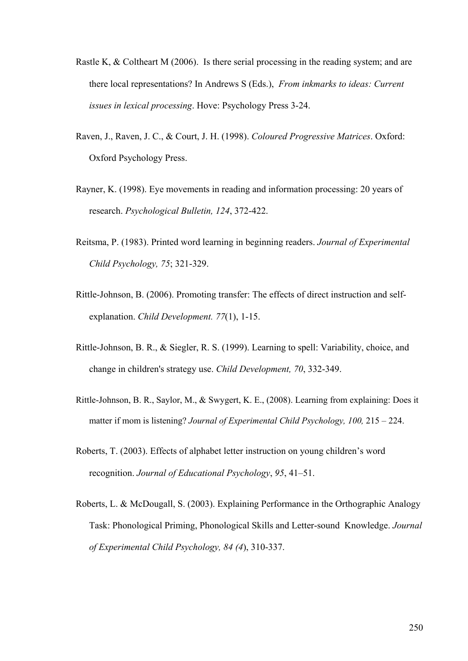- Rastle K, & Coltheart M (2006). Is there serial processing in the reading system; and are there local representations? In Andrews S (Eds.), *From inkmarks to ideas: Current issues in lexical processing*. Hove: Psychology Press 3-24.
- Raven, J., Raven, J. C., & Court, J. H. (1998). *Coloured Progressive Matrices*. Oxford: Oxford Psychology Press.
- Rayner, K. (1998). Eye movements in reading and information processing: 20 years of research. *Psychological Bulletin, 124*, 372-422.
- Reitsma, P. (1983). Printed word learning in beginning readers. *Journal of Experimental Child Psychology, 75*; 321-329.
- Rittle-Johnson, B. (2006). Promoting transfer: The effects of direct instruction and selfexplanation. *Child Development. 77*(1), 1-15.
- Rittle-Johnson, B. R., & Siegler, R. S. (1999). Learning to spell: Variability, choice, and change in children's strategy use. *Child Development, 70*, 332-349.
- Rittle-Johnson, B. R., Saylor, M., & Swygert, K. E., (2008). Learning from explaining: Does it matter if mom is listening? *Journal of Experimental Child Psychology, 100,* 215 – 224.
- Roberts, T. (2003). Effects of alphabet letter instruction on young children's word recognition. *Journal of Educational Psychology*, *95*, 41–51.
- Roberts, L. & McDougall, S. (2003). Explaining Performance in the Orthographic Analogy Task: Phonological Priming, Phonological Skills and Letter-sound Knowledge. *Journal of Experimental Child Psychology, 84 (4*), 310-337.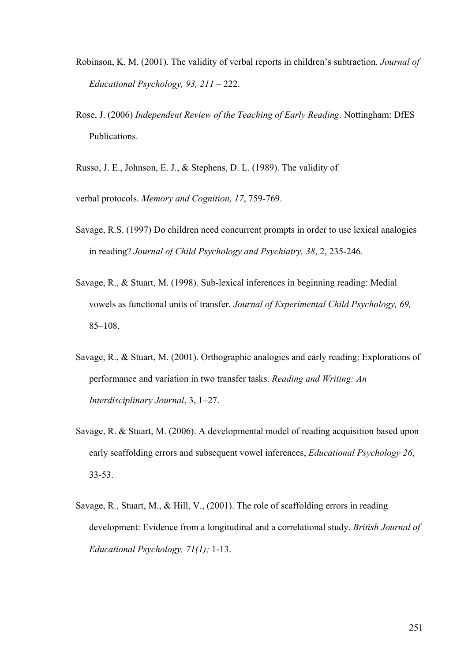- Robinson, K. M. (2001). The validity of verbal reports in children's subtraction. *Journal of Educational Psychology, 93, 211* – 222.
- Rose, J. (2006) *Independent Review of the Teaching of Early Reading*. Nottingham: DfES Publications.

Russo, J. E., Johnson, E. J., & Stephens, D. L. (1989). The validity of

verbal protocols. *Memory and Cognition, 17*, 759-769.

- Savage, R.S. (1997) Do children need concurrent prompts in order to use lexical analogies in reading? *Journal of Child Psychology and Psychiatry, 38*, 2, 235-246.
- Savage, R., & Stuart, M. (1998). Sub-lexical inferences in beginning reading: Medial vowels as functional units of transfer. *Journal of Experimental Child Psychology, 69,*  85–108.
- Savage, R., & Stuart, M. (2001). Orthographic analogies and early reading: Explorations of performance and variation in two transfer tasks. *Reading and Writing: An Interdisciplinary Journal*, 3, 1–27.
- Savage, R. & Stuart, M. (2006). A developmental model of reading acquisition based upon early scaffolding errors and subsequent vowel inferences, *Educational Psychology 26*, 33-53.
- Savage, R., Stuart, M., & Hill, V., (2001). The role of scaffolding errors in reading development: Evidence from a longitudinal and a correlational study. *British Journal of Educational Psychology, 71(1);* 1-13.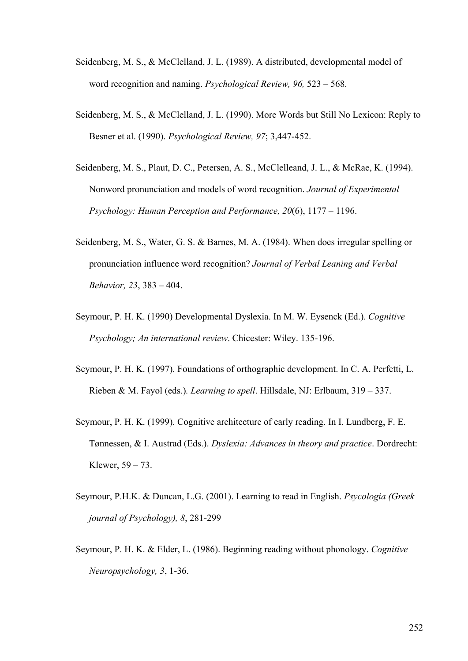- Seidenberg, M. S., & McClelland, J. L. (1989). A distributed, developmental model of word recognition and naming. *Psychological Review, 96,* 523 – 568.
- Seidenberg, M. S., & McClelland, J. L. (1990). More Words but Still No Lexicon: Reply to Besner et al. (1990). *Psychological Review, 97*; 3,447-452.
- Seidenberg, M. S., Plaut, D. C., Petersen, A. S., McClelleand, J. L., & McRae, K. (1994). Nonword pronunciation and models of word recognition. *Journal of Experimental Psychology: Human Perception and Performance, 20*(6), 1177 – 1196.
- Seidenberg, M. S., Water, G. S. & Barnes, M. A. (1984). When does irregular spelling or pronunciation influence word recognition? *Journal of Verbal Leaning and Verbal Behavior, 23*, 383 – 404.
- Seymour, P. H. K. (1990) Developmental Dyslexia. In M. W. Eysenck (Ed.). *Cognitive Psychology; An international review*. Chicester: Wiley. 135-196.
- Seymour, P. H. K. (1997). Foundations of orthographic development. In C. A. Perfetti, L. Rieben & M. Fayol (eds.)*. Learning to spell*. Hillsdale, NJ: Erlbaum, 319 – 337.
- Seymour, P. H. K. (1999). Cognitive architecture of early reading. In I. Lundberg, F. E. Tønnessen, & I. Austrad (Eds.). *Dyslexia: Advances in theory and practice*. Dordrecht: Klewer, 59 – 73.
- Seymour, P.H.K. & Duncan, L.G. (2001). Learning to read in English. *Psycologia (Greek journal of Psychology), 8*, 281-299
- Seymour, P. H. K. & Elder, L. (1986). Beginning reading without phonology. *Cognitive Neuropsychology, 3*, 1-36.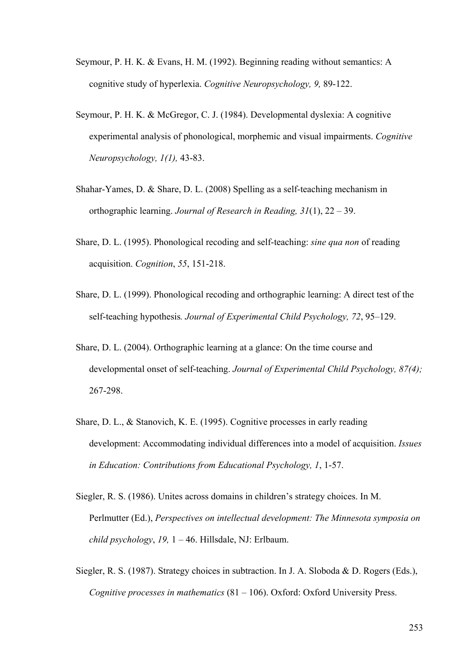- Seymour, P. H. K. & Evans, H. M. (1992). Beginning reading without semantics: A cognitive study of hyperlexia. *Cognitive Neuropsychology, 9,* 89-122.
- Seymour, P. H. K. & McGregor, C. J. (1984). Developmental dyslexia: A cognitive experimental analysis of phonological, morphemic and visual impairments. *Cognitive Neuropsychology, 1(1),* 43-83.
- Shahar-Yames, D. & Share, D. L. (2008) Spelling as a self-teaching mechanism in orthographic learning. *Journal of Research in Reading, 31*(1), 22 – 39.
- Share, D. L. (1995). Phonological recoding and self-teaching: *sine qua non* of reading acquisition. *Cognition*, *55*, 151-218.
- Share, D. L. (1999). Phonological recoding and orthographic learning: A direct test of the self-teaching hypothesis*. Journal of Experimental Child Psychology, 72*, 95–129.
- Share, D. L. (2004). Orthographic learning at a glance: On the time course and developmental onset of self-teaching. *Journal of Experimental Child Psychology, 87(4);*  267-298.
- Share, D. L., & Stanovich, K. E. (1995). Cognitive processes in early reading development: Accommodating individual differences into a model of acquisition. *Issues in Education: Contributions from Educational Psychology, 1*, 1-57.
- Siegler, R. S. (1986). Unites across domains in children's strategy choices. In M. Perlmutter (Ed.), *Perspectives on intellectual development: The Minnesota symposia on child psychology*, *19,* 1 – 46. Hillsdale, NJ: Erlbaum.
- Siegler, R. S. (1987). Strategy choices in subtraction. In J. A. Sloboda & D. Rogers (Eds.), *Cognitive processes in mathematics* (81 – 106). Oxford: Oxford University Press.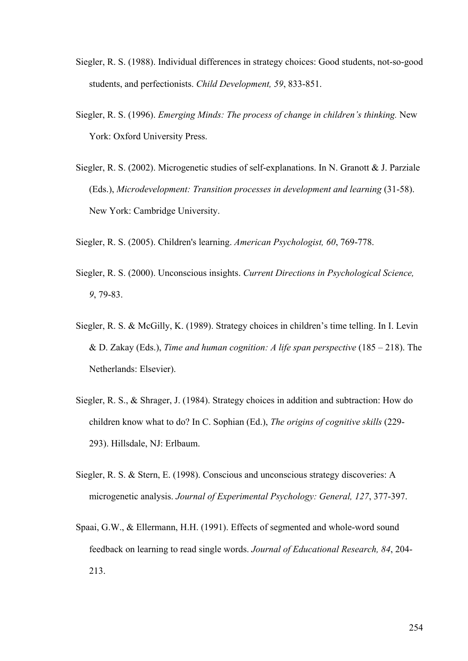- Siegler, R. S. (1988). Individual differences in strategy choices: Good students, not-so-good students, and perfectionists. *Child Development, 59*, 833-851.
- Siegler, R. S. (1996). *Emerging Minds: The process of change in children's thinking.* New York: Oxford University Press.
- Siegler, R. S. (2002). Microgenetic studies of self-explanations. In N. Granott & J. Parziale (Eds.), *Microdevelopment: Transition processes in development and learning* (31-58). New York: Cambridge University.
- Siegler, R. S. (2005). Children's learning. *American Psychologist, 60*, 769-778.
- Siegler, R. S. (2000). Unconscious insights. *Current Directions in Psychological Science, 9*, 79-83.
- Siegler, R. S. & McGilly, K. (1989). Strategy choices in children's time telling. In I. Levin & D. Zakay (Eds.), *Time and human cognition: A life span perspective* (185 – 218). The Netherlands: Elsevier).
- Siegler, R. S., & Shrager, J. (1984). Strategy choices in addition and subtraction: How do children know what to do? In C. Sophian (Ed.), *The origins of cognitive skills* (229- 293). Hillsdale, NJ: Erlbaum.
- Siegler, R. S. & Stern, E. (1998). Conscious and unconscious strategy discoveries: A microgenetic analysis. *Journal of Experimental Psychology: General, 127*, 377-397.
- Spaai, G.W., & Ellermann, H.H. (1991). Effects of segmented and whole-word sound feedback on learning to read single words. *Journal of Educational Research, 84*, 204- 213.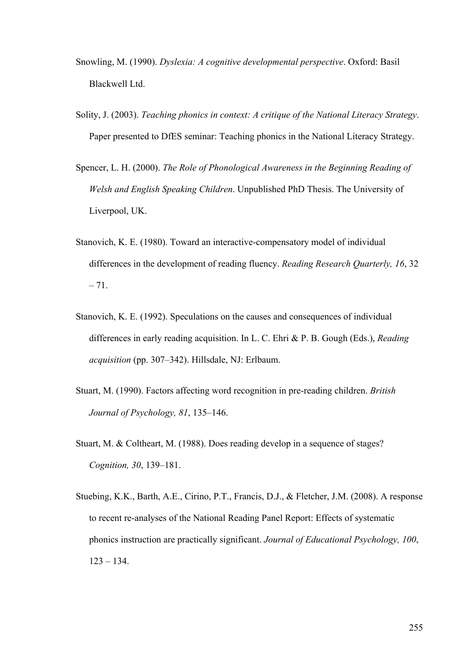- Snowling, M. (1990). *Dyslexia: A cognitive developmental perspective*. Oxford: Basil Blackwell Ltd.
- Solity, J. (2003). *Teaching phonics in context: A critique of the National Literacy Strategy*. Paper presented to DfES seminar: Teaching phonics in the National Literacy Strategy.
- Spencer, L. H. (2000). *The Role of Phonological Awareness in the Beginning Reading of Welsh and English Speaking Children*. Unpublished PhD Thesis. The University of Liverpool, UK.
- Stanovich, K. E. (1980). Toward an interactive-compensatory model of individual differences in the development of reading fluency. *Reading Research Quarterly, 16*, 32  $-71.$
- Stanovich, K. E. (1992). Speculations on the causes and consequences of individual differences in early reading acquisition. In L. C. Ehri & P. B. Gough (Eds.), *Reading acquisition* (pp. 307–342). Hillsdale, NJ: Erlbaum.
- Stuart, M. (1990). Factors affecting word recognition in pre-reading children. *British Journal of Psychology, 81*, 135–146.
- Stuart, M. & Coltheart, M. (1988). Does reading develop in a sequence of stages? *Cognition, 30*, 139–181.
- Stuebing, K.K., Barth, A.E., Cirino, P.T., Francis, D.J., & Fletcher, J.M. (2008). A response to recent re-analyses of the National Reading Panel Report: Effects of systematic phonics instruction are practically significant. *Journal of Educational Psychology, 100*,  $123 - 134$ .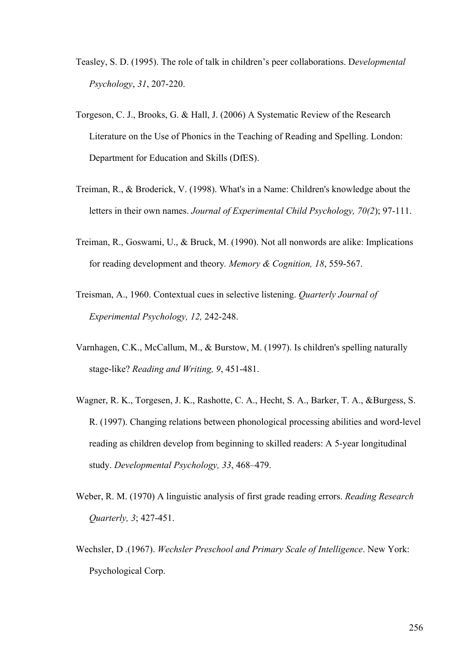- Teasley, S. D. (1995). The role of talk in children's peer collaborations. D*evelopmental Psychology*, *31*, 207-220.
- Torgeson, C. J., Brooks, G. & Hall, J. (2006) A Systematic Review of the Research Literature on the Use of Phonics in the Teaching of Reading and Spelling. London: Department for Education and Skills (DfES).
- Treiman, R., & Broderick, V. (1998). What's in a Name: Children's knowledge about the letters in their own names. *Journal of Experimental Child Psychology, 70(2*); 97-111.
- Treiman, R., Goswami, U., & Bruck, M. (1990). Not all nonwords are alike: Implications for reading development and theory*. Memory & Cognition, 18*, 559-567.
- Treisman, A., 1960. Contextual cues in selective listening. *Quarterly Journal of Experimental Psychology, 12,* 242-248.
- Varnhagen, C.K., McCallum, M., & Burstow, M. (1997). Is children's spelling naturally stage-like? *Reading and Writing, 9*, 451-481.
- Wagner, R. K., Torgesen, J. K., Rashotte, C. A., Hecht, S. A., Barker, T. A., &Burgess, S. R. (1997). Changing relations between phonological processing abilities and word-level reading as children develop from beginning to skilled readers: A 5-year longitudinal study. *Developmental Psychology, 33*, 468–479.
- Weber, R. M. (1970) A linguistic analysis of first grade reading errors. *Reading Research Quarterly, 3*; 427-451.
- Wechsler, D .(1967). *Wechsler Preschool and Primary Scale of Intelligence*. New York: Psychological Corp.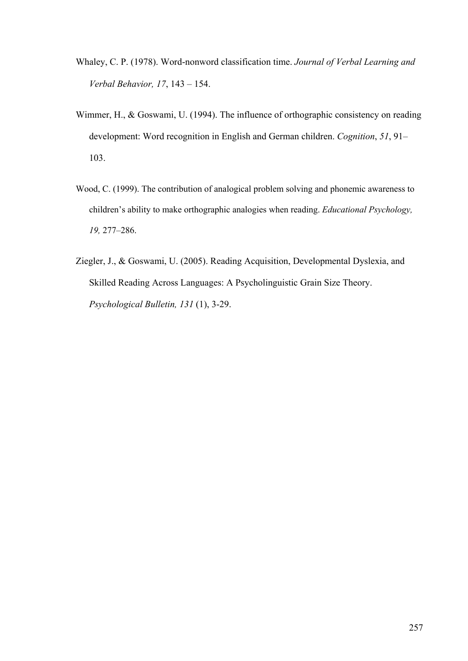- Whaley, C. P. (1978). Word-nonword classification time. *Journal of Verbal Learning and Verbal Behavior, 17*, 143 – 154.
- Wimmer, H., & Goswami, U. (1994). The influence of orthographic consistency on reading development: Word recognition in English and German children. *Cognition*, *51*, 91– 103.
- Wood, C. (1999). The contribution of analogical problem solving and phonemic awareness to children's ability to make orthographic analogies when reading. *Educational Psychology, 19,* 277–286.
- Ziegler, J., & Goswami, U. (2005). Reading Acquisition, Developmental Dyslexia, and Skilled Reading Across Languages: A Psycholinguistic Grain Size Theory. *Psychological Bulletin, 131* (1), 3-29.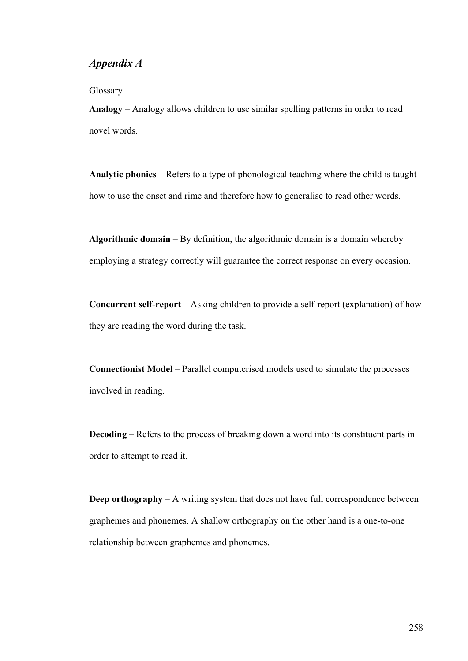## *Appendix A*

#### **Glossary**

**Analogy** – Analogy allows children to use similar spelling patterns in order to read novel words.

**Analytic phonics** – Refers to a type of phonological teaching where the child is taught how to use the onset and rime and therefore how to generalise to read other words.

**Algorithmic domain** – By definition, the algorithmic domain is a domain whereby employing a strategy correctly will guarantee the correct response on every occasion.

**Concurrent self-report** – Asking children to provide a self-report (explanation) of how they are reading the word during the task.

**Connectionist Model** – Parallel computerised models used to simulate the processes involved in reading.

**Decoding** – Refers to the process of breaking down a word into its constituent parts in order to attempt to read it.

**Deep orthography** – A writing system that does not have full correspondence between graphemes and phonemes. A shallow orthography on the other hand is a one-to-one relationship between graphemes and phonemes.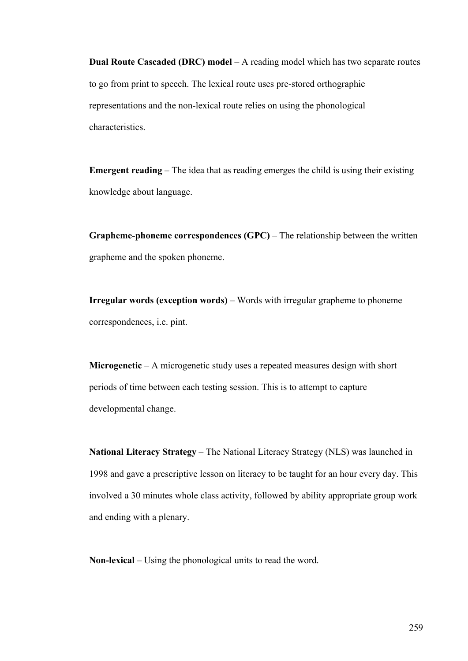**Dual Route Cascaded (DRC) model** – A reading model which has two separate routes to go from print to speech. The lexical route uses pre-stored orthographic representations and the non-lexical route relies on using the phonological characteristics.

**Emergent reading** – The idea that as reading emerges the child is using their existing knowledge about language.

**Grapheme-phoneme correspondences (GPC)** – The relationship between the written grapheme and the spoken phoneme.

**Irregular words (exception words)** – Words with irregular grapheme to phoneme correspondences, i.e. pint.

**Microgenetic** – A microgenetic study uses a repeated measures design with short periods of time between each testing session. This is to attempt to capture developmental change.

**National Literacy Strategy** – The National Literacy Strategy (NLS) was launched in 1998 and gave a prescriptive lesson on literacy to be taught for an hour every day. This involved a 30 minutes whole class activity, followed by ability appropriate group work and ending with a plenary.

**Non-lexical** – Using the phonological units to read the word.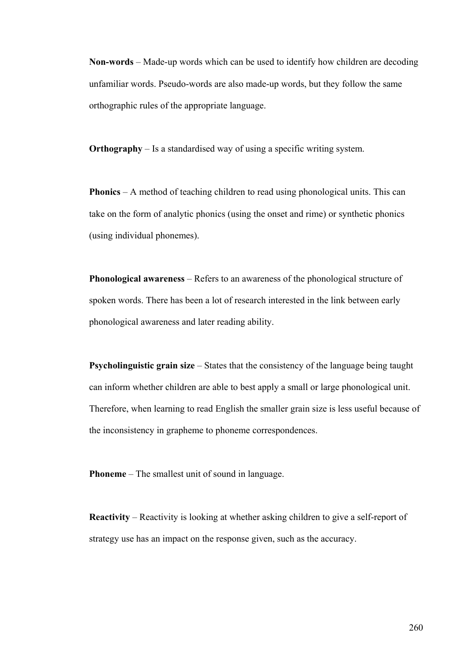**Non-words** – Made-up words which can be used to identify how children are decoding unfamiliar words. Pseudo-words are also made-up words, but they follow the same orthographic rules of the appropriate language.

**Orthography** – Is a standardised way of using a specific writing system.

**Phonics** – A method of teaching children to read using phonological units. This can take on the form of analytic phonics (using the onset and rime) or synthetic phonics (using individual phonemes).

**Phonological awareness** – Refers to an awareness of the phonological structure of spoken words. There has been a lot of research interested in the link between early phonological awareness and later reading ability.

**Psycholinguistic grain size** – States that the consistency of the language being taught can inform whether children are able to best apply a small or large phonological unit. Therefore, when learning to read English the smaller grain size is less useful because of the inconsistency in grapheme to phoneme correspondences.

**Phoneme** – The smallest unit of sound in language.

**Reactivity** – Reactivity is looking at whether asking children to give a self-report of strategy use has an impact on the response given, such as the accuracy.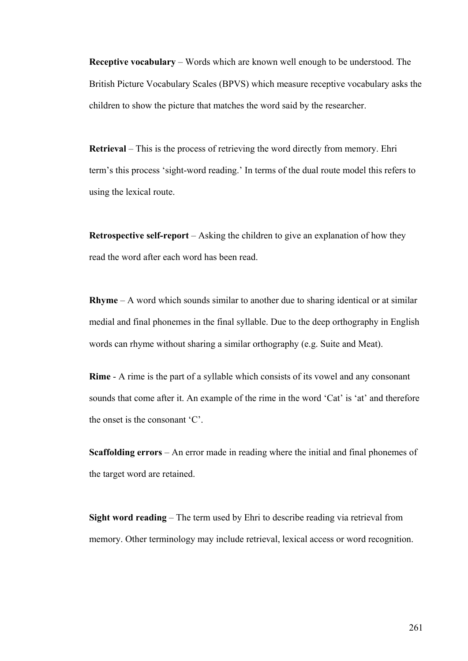**Receptive vocabulary** – Words which are known well enough to be understood. The British Picture Vocabulary Scales (BPVS) which measure receptive vocabulary asks the children to show the picture that matches the word said by the researcher.

**Retrieval** – This is the process of retrieving the word directly from memory. Ehri term's this process 'sight-word reading.' In terms of the dual route model this refers to using the lexical route.

**Retrospective self-report** – Asking the children to give an explanation of how they read the word after each word has been read.

**Rhyme** – A word which sounds similar to another due to sharing identical or at similar medial and final phonemes in the final syllable. Due to the deep orthography in English words can rhyme without sharing a similar orthography (e.g. Suite and Meat).

**Rime** - A rime is the part of a syllable which consists of its vowel and any consonant sounds that come after it. An example of the rime in the word 'Cat' is 'at' and therefore the onset is the consonant 'C'.

**Scaffolding errors** – An error made in reading where the initial and final phonemes of the target word are retained.

**Sight word reading** – The term used by Ehri to describe reading via retrieval from memory. Other terminology may include retrieval, lexical access or word recognition.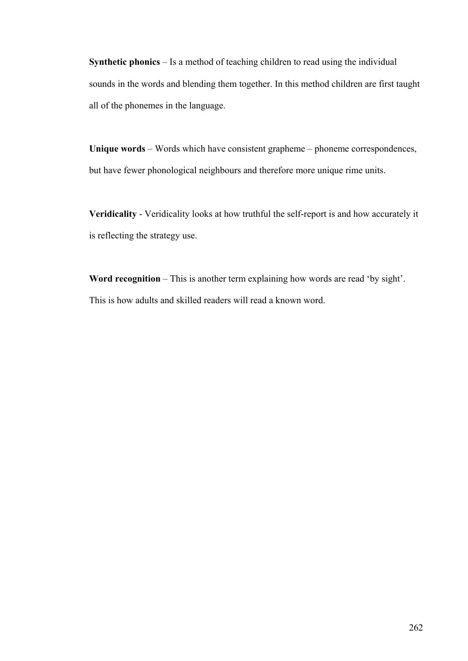**Synthetic phonics** – Is a method of teaching children to read using the individual sounds in the words and blending them together. In this method children are first taught all of the phonemes in the language.

**Unique words** – Words which have consistent grapheme – phoneme correspondences, but have fewer phonological neighbours and therefore more unique rime units.

**Veridicality** - Veridicality looks at how truthful the self-report is and how accurately it is reflecting the strategy use.

**Word recognition** – This is another term explaining how words are read 'by sight'. This is how adults and skilled readers will read a known word.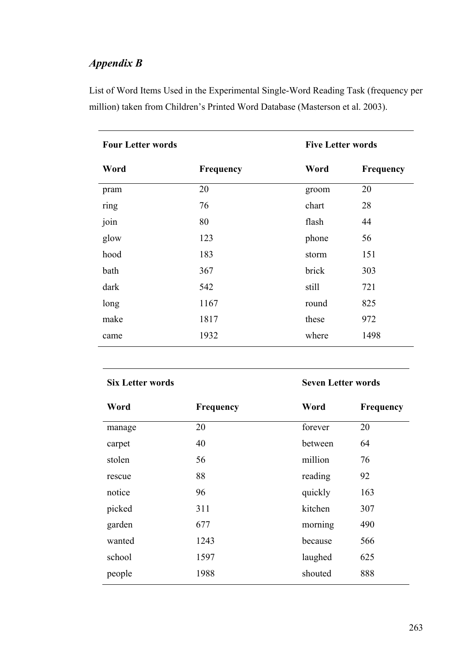# *Appendix B*

List of Word Items Used in the Experimental Single-Word Reading Task (frequency per million) taken from Children's Printed Word Database (Masterson et al. 2003).

| <b>Four Letter words</b> |                  | <b>Five Letter words</b> |      |  |
|--------------------------|------------------|--------------------------|------|--|
| Word                     | <b>Frequency</b> | Word<br><b>Frequency</b> |      |  |
| pram                     | 20               | groom                    | 20   |  |
| ring                     | 76               | chart                    | 28   |  |
| join                     | 80               | flash                    | 44   |  |
| glow                     | 123              | phone                    | 56   |  |
| hood                     | 183              | storm                    | 151  |  |
| bath                     | 367              | brick                    | 303  |  |
| dark                     | 542              | still                    | 721  |  |
| long                     | 1167             | round                    | 825  |  |
| make                     | 1817             | these                    | 972  |  |
| came                     | 1932             | where                    | 1498 |  |

### **Six Letter words** Seven Letter words

| Word   | Frequency | Word    | Frequency |
|--------|-----------|---------|-----------|
| manage | 20        | forever | 20        |
| carpet | 40        | between | 64        |
| stolen | 56        | million | 76        |
| rescue | 88        | reading | 92        |
| notice | 96        | quickly | 163       |
| picked | 311       | kitchen | 307       |
| garden | 677       | morning | 490       |
| wanted | 1243      | because | 566       |
| school | 1597      | laughed | 625       |
| people | 1988      | shouted | 888       |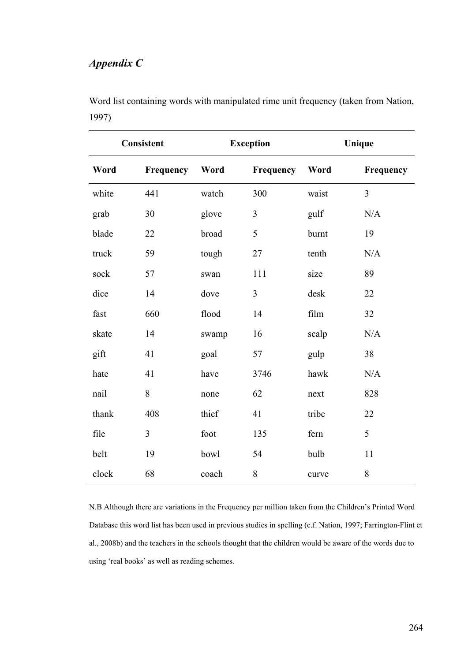# *Appendix C*

| Word list containing words with manipulated rime unit frequency (taken from Nation, |  |
|-------------------------------------------------------------------------------------|--|
| 1997)                                                                               |  |

| Consistent |           |       | <b>Exception</b> | Unique |           |
|------------|-----------|-------|------------------|--------|-----------|
| Word       | Frequency | Word  | Frequency        | Word   | Frequency |
| white      | 441       | watch | 300              | waist  | 3         |
| grab       | 30        | glove | 3                | gulf   | N/A       |
| blade      | 22        | broad | 5                | burnt  | 19        |
| truck      | 59        | tough | 27               | tenth  | N/A       |
| sock       | 57        | swan  | 111              | size   | 89        |
| dice       | 14        | dove  | $\mathfrak{Z}$   | desk   | 22        |
| fast       | 660       | flood | 14               | film   | 32        |
| skate      | 14        | swamp | 16               | scalp  | N/A       |
| gift       | 41        | goal  | 57               | gulp   | 38        |
| hate       | 41        | have  | 3746             | hawk   | N/A       |
| nail       | 8         | none  | 62               | next   | 828       |
| thank      | 408       | thief | 41               | tribe  | 22        |
| file       | 3         | foot  | 135              | fern   | 5         |
| belt       | 19        | bowl  | 54               | bulb   | 11        |
| clock      | 68        | coach | 8                | curve  | $8\,$     |

N.B Although there are variations in the Frequency per million taken from the Children's Printed Word Database this word list has been used in previous studies in spelling (c.f. Nation, 1997; Farrington-Flint et al., 2008b) and the teachers in the schools thought that the children would be aware of the words due to using 'real books' as well as reading schemes.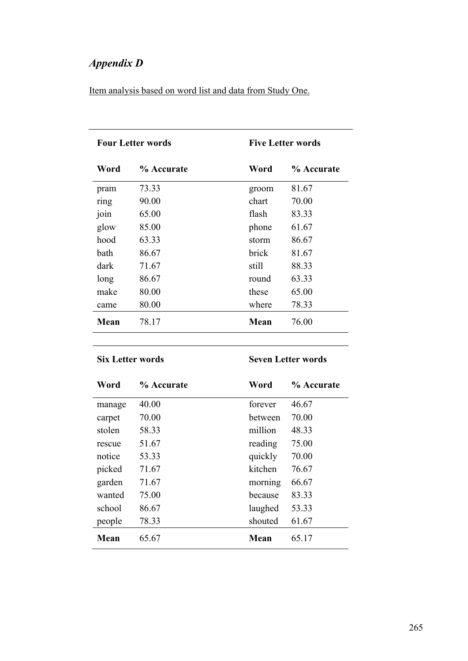# *Appendix D*

Item analysis based on word list and data from Study One.

| <b>Four Letter words</b> |            |       | <b>Five Letter words</b> |  |  |
|--------------------------|------------|-------|--------------------------|--|--|
| Word                     | % Accurate | Word  | % Accurate               |  |  |
| pram                     | 73.33      | groom | 81.67                    |  |  |
| ring                     | 90.00      | chart | 70.00                    |  |  |
| join                     | 65.00      | flash | 83.33                    |  |  |
| glow                     | 85.00      | phone | 61.67                    |  |  |
| hood                     | 63.33      | storm | 86.67                    |  |  |
| bath                     | 86.67      | brick | 81.67                    |  |  |
| dark                     | 71.67      | still | 88.33                    |  |  |
| long                     | 86.67      | round | 63.33                    |  |  |
| make                     | 80.00      | these | 65.00                    |  |  |
| came                     | 80.00      | where | 78.33                    |  |  |
| Mean                     | 78.17      | Mean  | 76.00                    |  |  |

**Six Letter words** Seven Letter words

| Word   | % Accurate | Word    | % Accurate |
|--------|------------|---------|------------|
| manage | 40.00      | forever | 46.67      |
| carpet | 70.00      | hetween | 70.00      |
| stolen | 58.33      | million | 48.33      |
| rescue | 51.67      | reading | 75.00      |
| notice | 53.33      | quickly | 70.00      |
| picked | 71.67      | kitchen | 76.67      |
| garden | 71.67      | morning | 66.67      |
| wanted | 75.00      | because | 83.33      |
| school | 86.67      | laughed | 53.33      |
| people | 78.33      | shouted | 61.67      |
| Mean   | 65.67      | Mean    | 65.17      |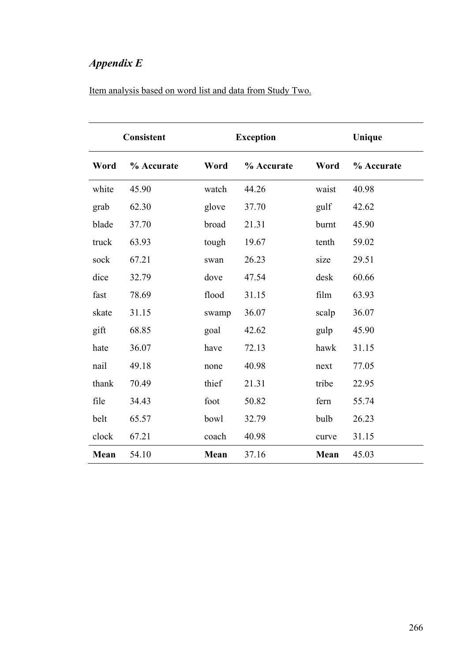# *Appendix E*

| <b>Consistent</b> |            | <b>Exception</b> |            | Unique |            |
|-------------------|------------|------------------|------------|--------|------------|
| Word              | % Accurate | Word             | % Accurate | Word   | % Accurate |
| white             | 45.90      | watch            | 44.26      | waist  | 40.98      |
| grab              | 62.30      | glove            | 37.70      | gulf   | 42.62      |
| blade             | 37.70      | broad            | 21.31      | burnt  | 45.90      |
| truck             | 63.93      | tough            | 19.67      | tenth  | 59.02      |
| sock              | 67.21      | swan             | 26.23      | size   | 29.51      |
| dice              | 32.79      | dove             | 47.54      | desk   | 60.66      |
| fast              | 78.69      | flood            | 31.15      | film   | 63.93      |
| skate             | 31.15      | swamp            | 36.07      | scalp  | 36.07      |
| gift              | 68.85      | goal             | 42.62      | gulp   | 45.90      |
| hate              | 36.07      | have             | 72.13      | hawk   | 31.15      |
| nail              | 49.18      | none             | 40.98      | next   | 77.05      |
| thank             | 70.49      | thief            | 21.31      | tribe  | 22.95      |
| file              | 34.43      | foot             | 50.82      | fern   | 55.74      |
| belt              | 65.57      | bowl             | 32.79      | bulb   | 26.23      |
| clock             | 67.21      | coach            | 40.98      | curve  | 31.15      |
| Mean              | 54.10      | Mean             | 37.16      | Mean   | 45.03      |

## Item analysis based on word list and data from Study Two.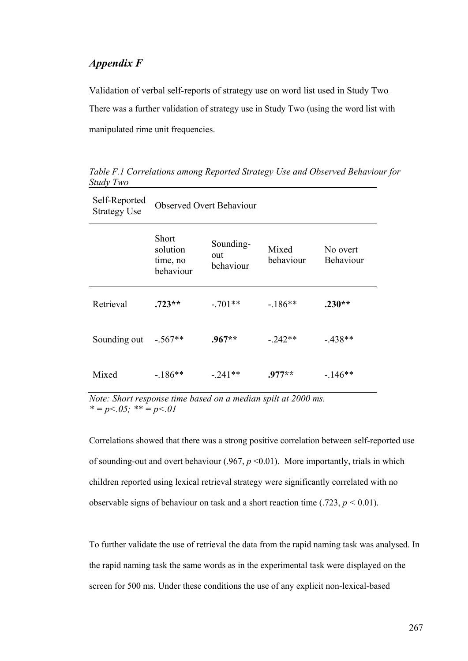## *Appendix F*

Validation of verbal self-reports of strategy use on word list used in Study Two There was a further validation of strategy use in Study Two (using the word list with manipulated rime unit frequencies.

| Self-Reported<br><b>Strategy Use</b> | <b>Observed Overt Behaviour</b>                   |                               |                    |                       |
|--------------------------------------|---------------------------------------------------|-------------------------------|--------------------|-----------------------|
|                                      | <b>Short</b><br>solution<br>time, no<br>behaviour | Sounding-<br>out<br>behaviour | Mixed<br>behaviour | No overt<br>Behaviour |
| Retrieval                            | $.723**$                                          | $-.701**$                     | $-186**$           | $.230**$              |
| Sounding out                         | $-.567**$                                         | $.967**$                      | $-242**$           | $-438**$              |
| Mixed                                | $-186**$                                          | - 241**                       | $.977**$           | $-146**$              |

*Table F.1 Correlations among Reported Strategy Use and Observed Behaviour for Study Two*

*Note: Short response time based on a median spilt at 2000 ms.*   $* = p < 0.05$ ;  $* = p < 0.01$ 

Correlations showed that there was a strong positive correlation between self-reported use of sounding-out and overt behaviour (.967, *p* <0.01). More importantly, trials in which children reported using lexical retrieval strategy were significantly correlated with no observable signs of behaviour on task and a short reaction time  $(.723, p \le 0.01)$ .

To further validate the use of retrieval the data from the rapid naming task was analysed. In the rapid naming task the same words as in the experimental task were displayed on the screen for 500 ms. Under these conditions the use of any explicit non-lexical-based